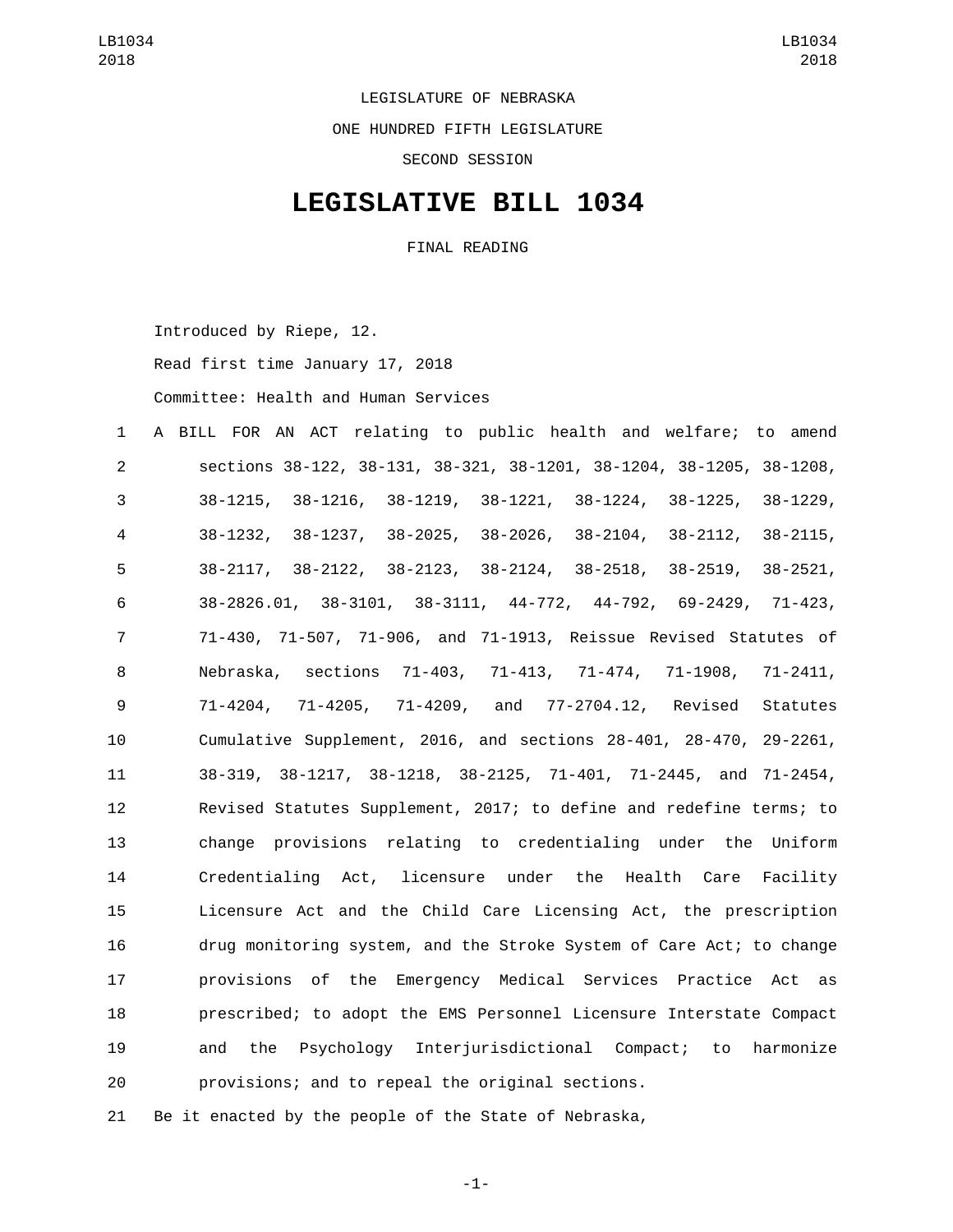LEGISLATURE OF NEBRASKA

ONE HUNDRED FIFTH LEGISLATURE

SECOND SESSION

## **LEGISLATIVE BILL 1034**

FINAL READING

Introduced by Riepe, 12.

Read first time January 17, 2018

Committee: Health and Human Services

 A BILL FOR AN ACT relating to public health and welfare; to amend sections 38-122, 38-131, 38-321, 38-1201, 38-1204, 38-1205, 38-1208, 38-1215, 38-1216, 38-1219, 38-1221, 38-1224, 38-1225, 38-1229, 38-1232, 38-1237, 38-2025, 38-2026, 38-2104, 38-2112, 38-2115, 38-2117, 38-2122, 38-2123, 38-2124, 38-2518, 38-2519, 38-2521, 38-2826.01, 38-3101, 38-3111, 44-772, 44-792, 69-2429, 71-423, 71-430, 71-507, 71-906, and 71-1913, Reissue Revised Statutes of Nebraska, sections 71-403, 71-413, 71-474, 71-1908, 71-2411, 71-4204, 71-4205, 71-4209, and 77-2704.12, Revised Statutes Cumulative Supplement, 2016, and sections 28-401, 28-470, 29-2261, 38-319, 38-1217, 38-1218, 38-2125, 71-401, 71-2445, and 71-2454, Revised Statutes Supplement, 2017; to define and redefine terms; to change provisions relating to credentialing under the Uniform Credentialing Act, licensure under the Health Care Facility Licensure Act and the Child Care Licensing Act, the prescription drug monitoring system, and the Stroke System of Care Act; to change provisions of the Emergency Medical Services Practice Act as prescribed; to adopt the EMS Personnel Licensure Interstate Compact and the Psychology Interjurisdictional Compact; to harmonize provisions; and to repeal the original sections.

Be it enacted by the people of the State of Nebraska,

-1-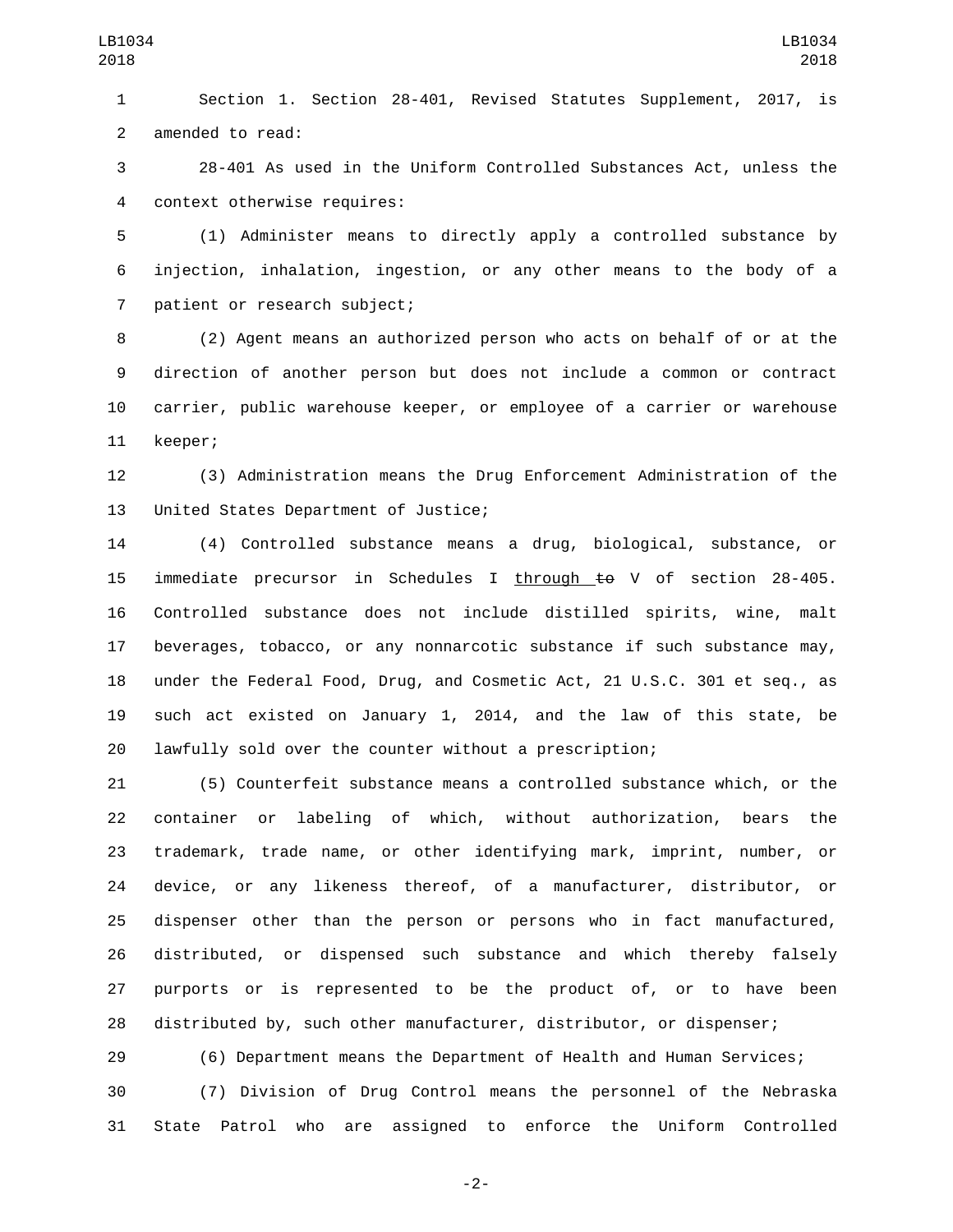Section 1. Section 28-401, Revised Statutes Supplement, 2017, is 2 amended to read:

 28-401 As used in the Uniform Controlled Substances Act, unless the context otherwise requires:4

 (1) Administer means to directly apply a controlled substance by injection, inhalation, ingestion, or any other means to the body of a 7 patient or research subject;

 (2) Agent means an authorized person who acts on behalf of or at the direction of another person but does not include a common or contract carrier, public warehouse keeper, or employee of a carrier or warehouse 11 keeper;

 (3) Administration means the Drug Enforcement Administration of the 13 United States Department of Justice;

 (4) Controlled substance means a drug, biological, substance, or 15 immediate precursor in Schedules I through  $\pm \Theta$  V of section 28-405. Controlled substance does not include distilled spirits, wine, malt beverages, tobacco, or any nonnarcotic substance if such substance may, under the Federal Food, Drug, and Cosmetic Act, 21 U.S.C. 301 et seq., as such act existed on January 1, 2014, and the law of this state, be lawfully sold over the counter without a prescription;

 (5) Counterfeit substance means a controlled substance which, or the container or labeling of which, without authorization, bears the trademark, trade name, or other identifying mark, imprint, number, or device, or any likeness thereof, of a manufacturer, distributor, or dispenser other than the person or persons who in fact manufactured, distributed, or dispensed such substance and which thereby falsely purports or is represented to be the product of, or to have been distributed by, such other manufacturer, distributor, or dispenser;

(6) Department means the Department of Health and Human Services;

 (7) Division of Drug Control means the personnel of the Nebraska State Patrol who are assigned to enforce the Uniform Controlled

-2-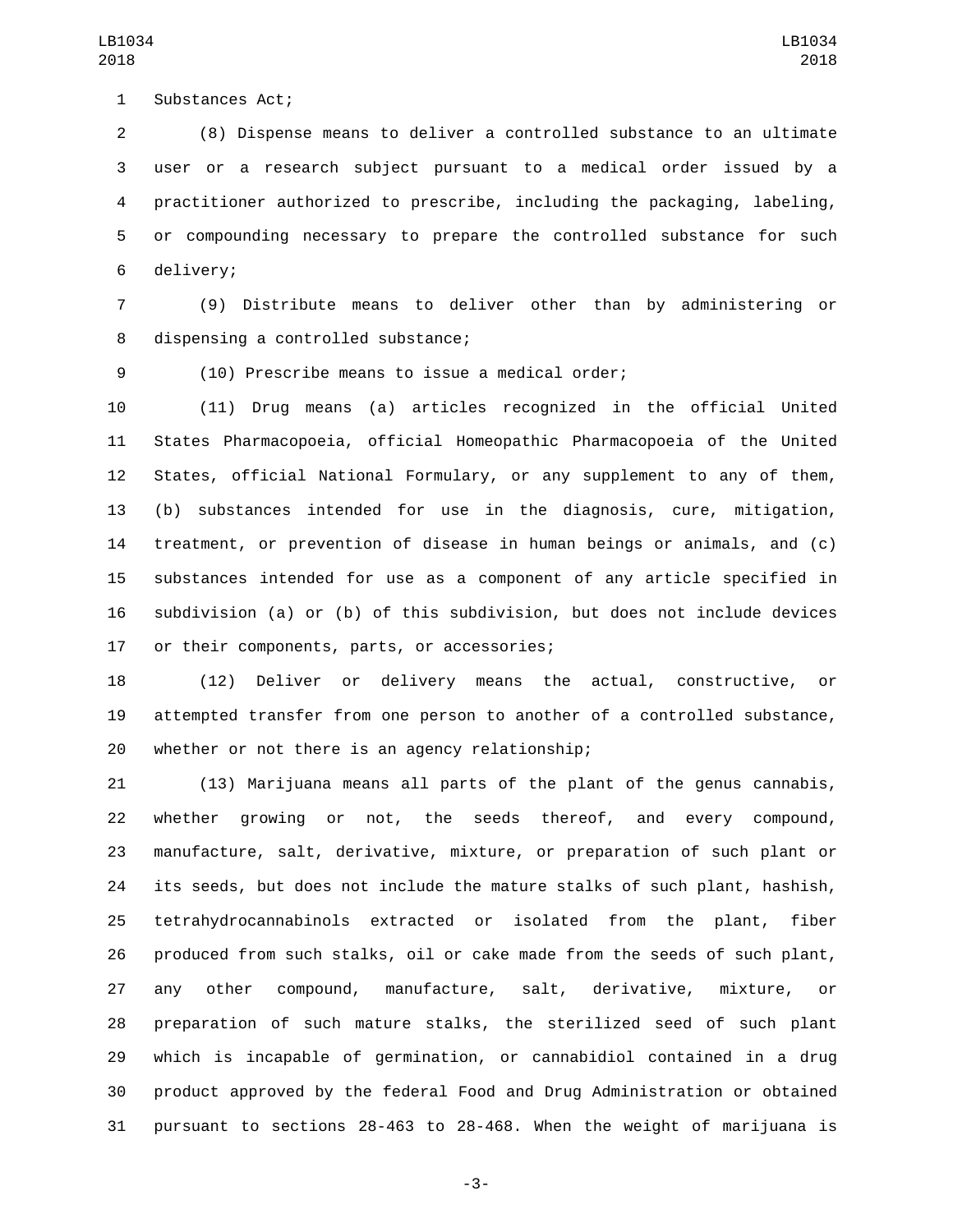1 Substances Act;

 (8) Dispense means to deliver a controlled substance to an ultimate user or a research subject pursuant to a medical order issued by a practitioner authorized to prescribe, including the packaging, labeling, or compounding necessary to prepare the controlled substance for such 6 delivery;

 (9) Distribute means to deliver other than by administering or 8 dispensing a controlled substance;

(10) Prescribe means to issue a medical order;

 (11) Drug means (a) articles recognized in the official United States Pharmacopoeia, official Homeopathic Pharmacopoeia of the United States, official National Formulary, or any supplement to any of them, (b) substances intended for use in the diagnosis, cure, mitigation, treatment, or prevention of disease in human beings or animals, and (c) substances intended for use as a component of any article specified in subdivision (a) or (b) of this subdivision, but does not include devices 17 or their components, parts, or accessories;

 (12) Deliver or delivery means the actual, constructive, or attempted transfer from one person to another of a controlled substance, 20 whether or not there is an agency relationship;

 (13) Marijuana means all parts of the plant of the genus cannabis, whether growing or not, the seeds thereof, and every compound, manufacture, salt, derivative, mixture, or preparation of such plant or its seeds, but does not include the mature stalks of such plant, hashish, tetrahydrocannabinols extracted or isolated from the plant, fiber produced from such stalks, oil or cake made from the seeds of such plant, any other compound, manufacture, salt, derivative, mixture, or preparation of such mature stalks, the sterilized seed of such plant which is incapable of germination, or cannabidiol contained in a drug product approved by the federal Food and Drug Administration or obtained pursuant to sections 28-463 to 28-468. When the weight of marijuana is

-3-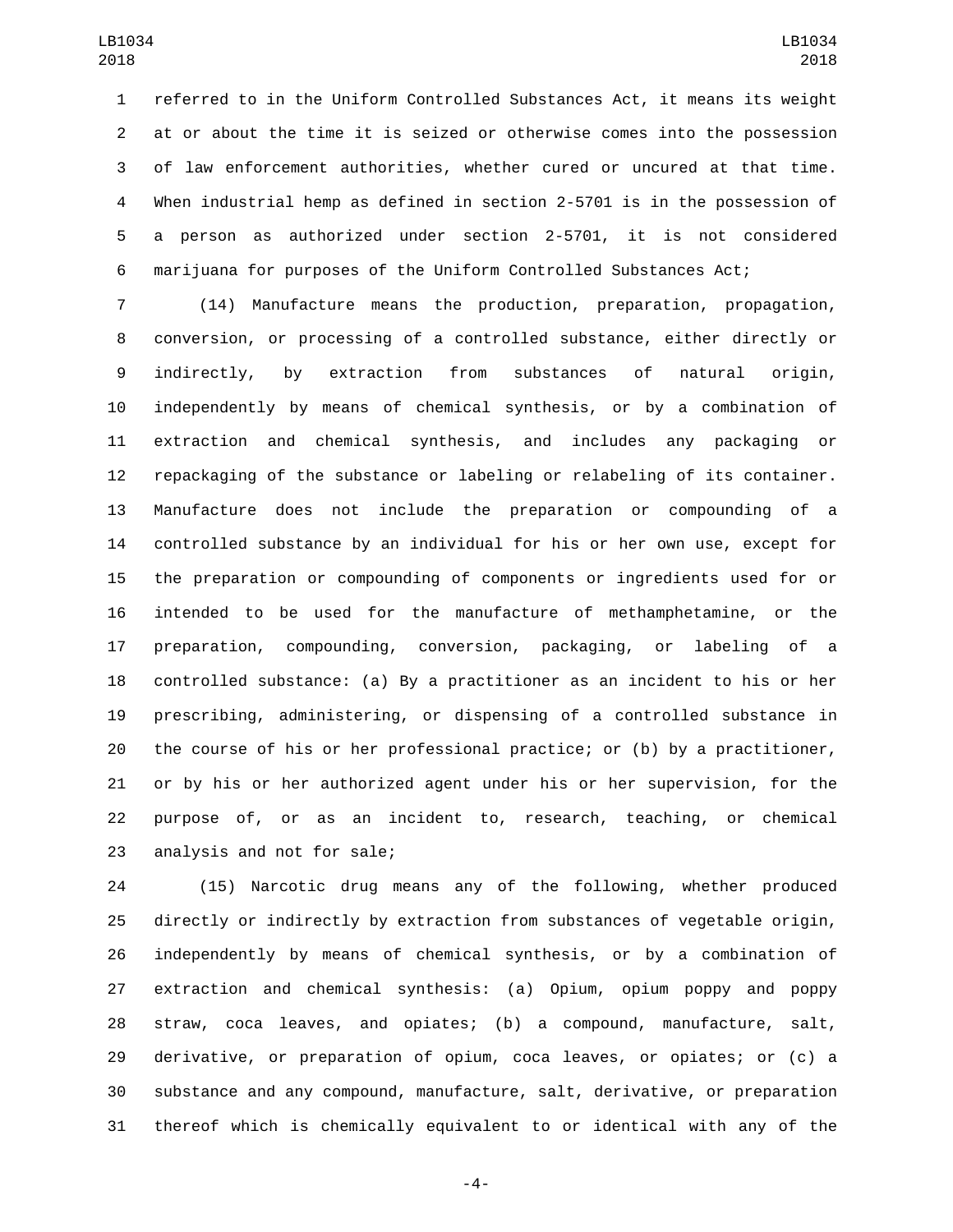referred to in the Uniform Controlled Substances Act, it means its weight at or about the time it is seized or otherwise comes into the possession of law enforcement authorities, whether cured or uncured at that time. When industrial hemp as defined in section 2-5701 is in the possession of a person as authorized under section 2-5701, it is not considered marijuana for purposes of the Uniform Controlled Substances Act;

 (14) Manufacture means the production, preparation, propagation, conversion, or processing of a controlled substance, either directly or indirectly, by extraction from substances of natural origin, independently by means of chemical synthesis, or by a combination of extraction and chemical synthesis, and includes any packaging or repackaging of the substance or labeling or relabeling of its container. Manufacture does not include the preparation or compounding of a controlled substance by an individual for his or her own use, except for the preparation or compounding of components or ingredients used for or intended to be used for the manufacture of methamphetamine, or the preparation, compounding, conversion, packaging, or labeling of a controlled substance: (a) By a practitioner as an incident to his or her prescribing, administering, or dispensing of a controlled substance in the course of his or her professional practice; or (b) by a practitioner, or by his or her authorized agent under his or her supervision, for the purpose of, or as an incident to, research, teaching, or chemical 23 analysis and not for sale;

 (15) Narcotic drug means any of the following, whether produced directly or indirectly by extraction from substances of vegetable origin, independently by means of chemical synthesis, or by a combination of extraction and chemical synthesis: (a) Opium, opium poppy and poppy straw, coca leaves, and opiates; (b) a compound, manufacture, salt, derivative, or preparation of opium, coca leaves, or opiates; or (c) a substance and any compound, manufacture, salt, derivative, or preparation thereof which is chemically equivalent to or identical with any of the

-4-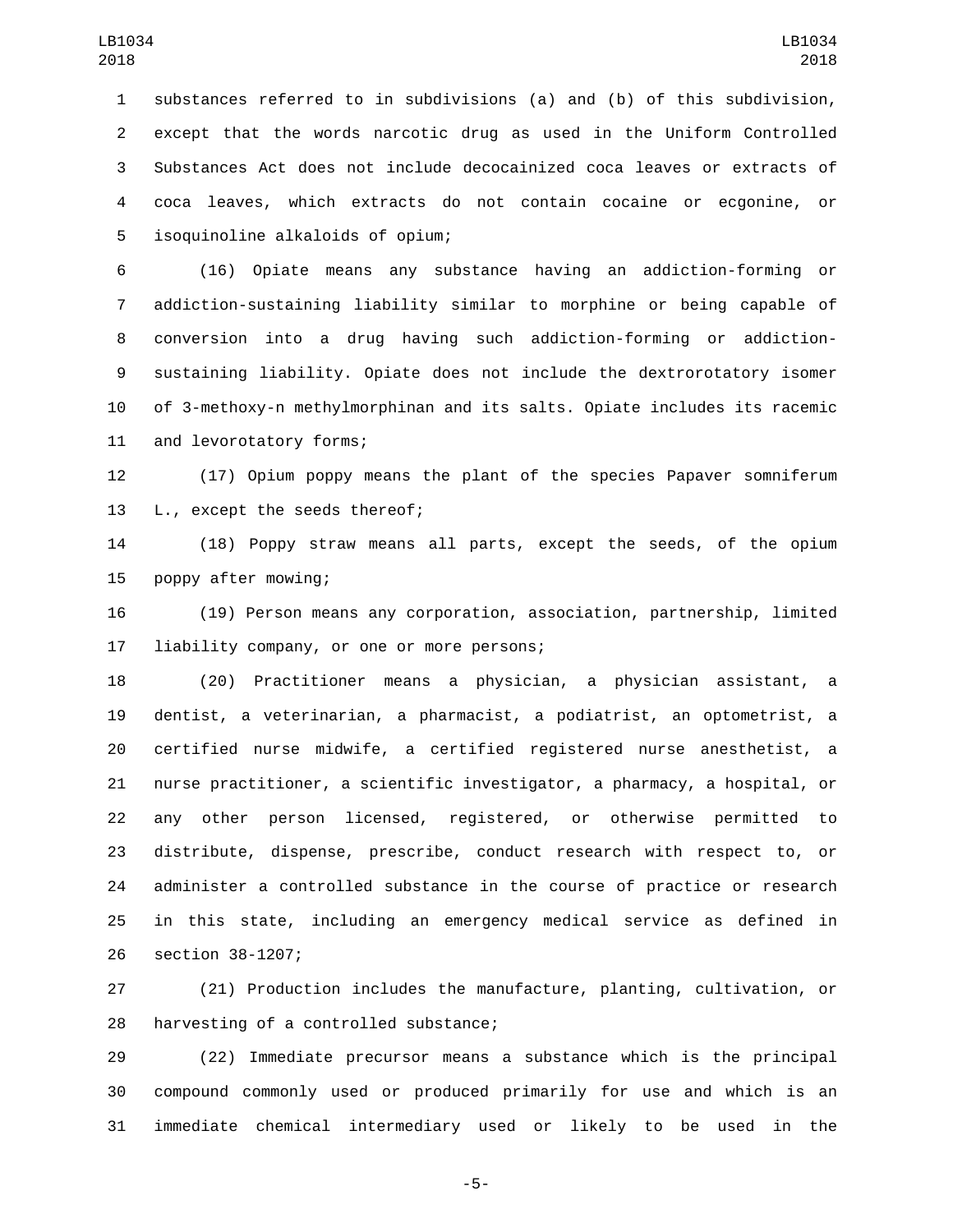substances referred to in subdivisions (a) and (b) of this subdivision, except that the words narcotic drug as used in the Uniform Controlled Substances Act does not include decocainized coca leaves or extracts of coca leaves, which extracts do not contain cocaine or ecgonine, or isoquinoline alkaloids of opium;5

 (16) Opiate means any substance having an addiction-forming or addiction-sustaining liability similar to morphine or being capable of conversion into a drug having such addiction-forming or addiction- sustaining liability. Opiate does not include the dextrorotatory isomer of 3-methoxy-n methylmorphinan and its salts. Opiate includes its racemic 11 and levorotatory forms;

 (17) Opium poppy means the plant of the species Papaver somniferum 13 L., except the seeds thereof;

 (18) Poppy straw means all parts, except the seeds, of the opium 15 poppy after mowing;

 (19) Person means any corporation, association, partnership, limited 17 liability company, or one or more persons;

 (20) Practitioner means a physician, a physician assistant, a dentist, a veterinarian, a pharmacist, a podiatrist, an optometrist, a certified nurse midwife, a certified registered nurse anesthetist, a nurse practitioner, a scientific investigator, a pharmacy, a hospital, or any other person licensed, registered, or otherwise permitted to distribute, dispense, prescribe, conduct research with respect to, or administer a controlled substance in the course of practice or research in this state, including an emergency medical service as defined in 26 section 38-1207;

 (21) Production includes the manufacture, planting, cultivation, or 28 harvesting of a controlled substance;

 (22) Immediate precursor means a substance which is the principal compound commonly used or produced primarily for use and which is an immediate chemical intermediary used or likely to be used in the

-5-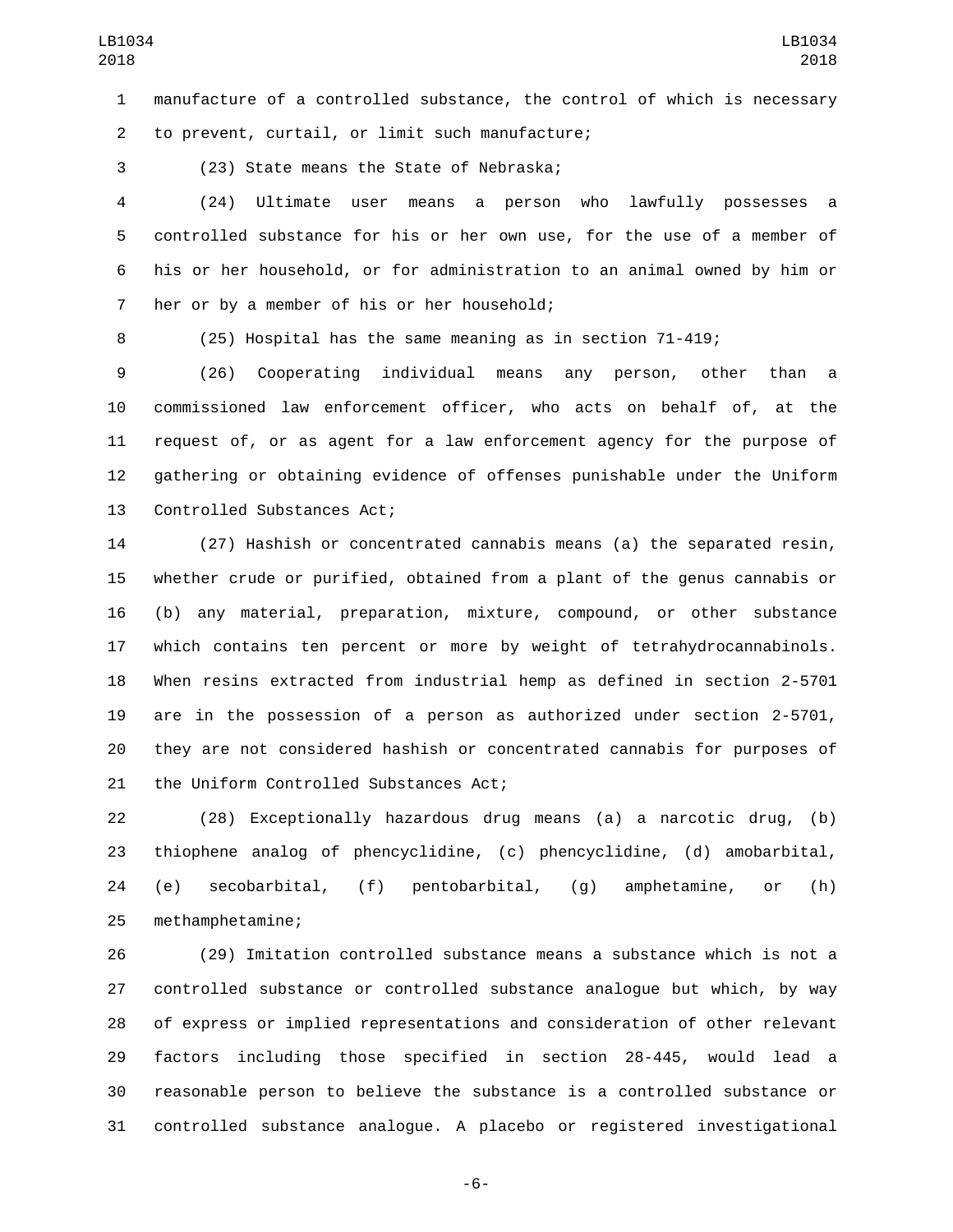manufacture of a controlled substance, the control of which is necessary to prevent, curtail, or limit such manufacture;2

3 (23) State means the State of Nebraska;

 (24) Ultimate user means a person who lawfully possesses a controlled substance for his or her own use, for the use of a member of his or her household, or for administration to an animal owned by him or 7 her or by a member of his or her household;

(25) Hospital has the same meaning as in section 71-419;

 (26) Cooperating individual means any person, other than a commissioned law enforcement officer, who acts on behalf of, at the request of, or as agent for a law enforcement agency for the purpose of gathering or obtaining evidence of offenses punishable under the Uniform 13 Controlled Substances Act;

 (27) Hashish or concentrated cannabis means (a) the separated resin, whether crude or purified, obtained from a plant of the genus cannabis or (b) any material, preparation, mixture, compound, or other substance which contains ten percent or more by weight of tetrahydrocannabinols. When resins extracted from industrial hemp as defined in section 2-5701 are in the possession of a person as authorized under section 2-5701, they are not considered hashish or concentrated cannabis for purposes of 21 the Uniform Controlled Substances Act;

 (28) Exceptionally hazardous drug means (a) a narcotic drug, (b) thiophene analog of phencyclidine, (c) phencyclidine, (d) amobarbital, (e) secobarbital, (f) pentobarbital, (g) amphetamine, or (h) 25 methamphetamine;

 (29) Imitation controlled substance means a substance which is not a controlled substance or controlled substance analogue but which, by way of express or implied representations and consideration of other relevant factors including those specified in section 28-445, would lead a reasonable person to believe the substance is a controlled substance or controlled substance analogue. A placebo or registered investigational

-6-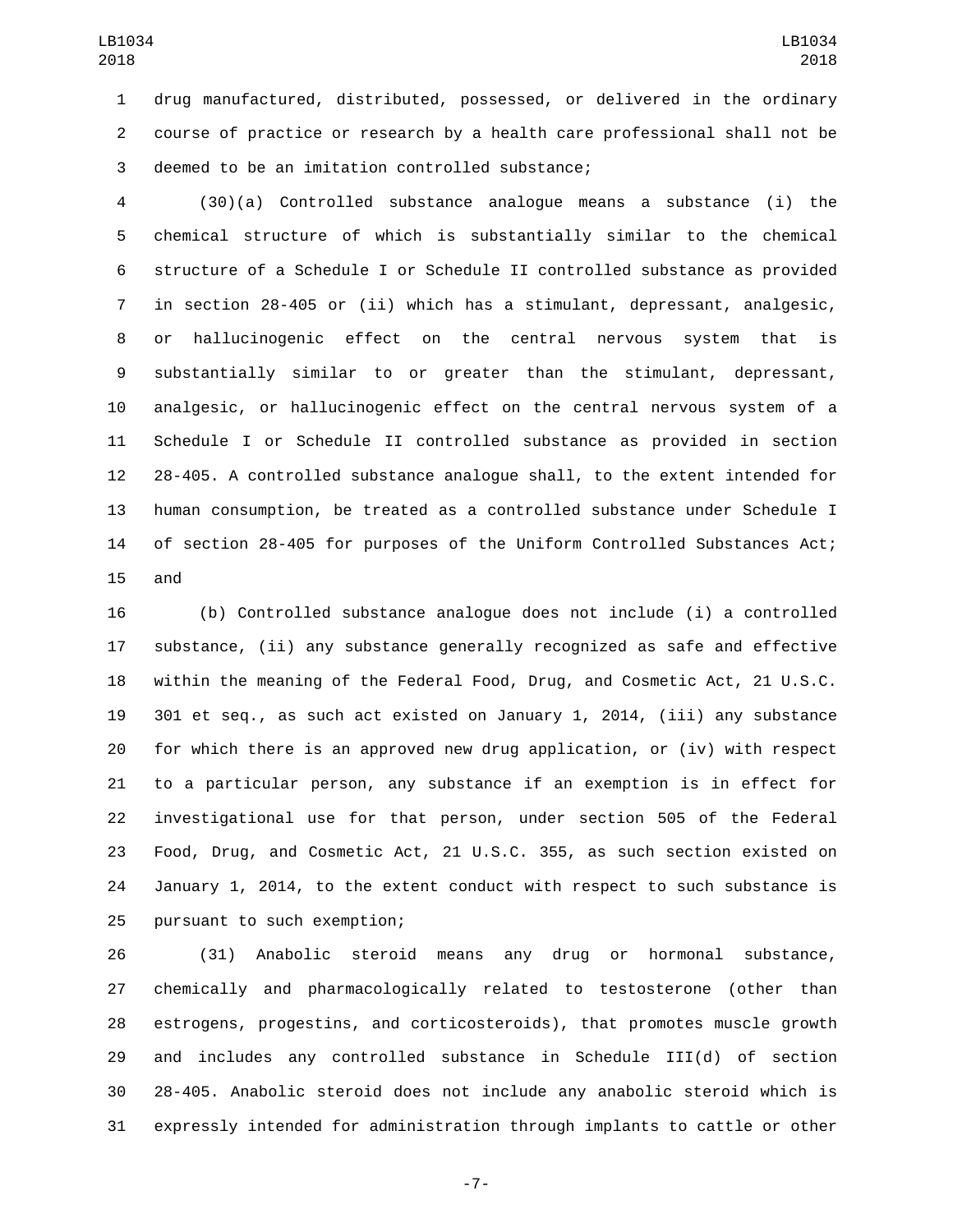drug manufactured, distributed, possessed, or delivered in the ordinary course of practice or research by a health care professional shall not be 3 deemed to be an imitation controlled substance;

 (30)(a) Controlled substance analogue means a substance (i) the chemical structure of which is substantially similar to the chemical structure of a Schedule I or Schedule II controlled substance as provided in section 28-405 or (ii) which has a stimulant, depressant, analgesic, or hallucinogenic effect on the central nervous system that is substantially similar to or greater than the stimulant, depressant, analgesic, or hallucinogenic effect on the central nervous system of a Schedule I or Schedule II controlled substance as provided in section 28-405. A controlled substance analogue shall, to the extent intended for human consumption, be treated as a controlled substance under Schedule I of section 28-405 for purposes of the Uniform Controlled Substances Act; 15 and

 (b) Controlled substance analogue does not include (i) a controlled substance, (ii) any substance generally recognized as safe and effective within the meaning of the Federal Food, Drug, and Cosmetic Act, 21 U.S.C. 301 et seq., as such act existed on January 1, 2014, (iii) any substance for which there is an approved new drug application, or (iv) with respect to a particular person, any substance if an exemption is in effect for investigational use for that person, under section 505 of the Federal Food, Drug, and Cosmetic Act, 21 U.S.C. 355, as such section existed on January 1, 2014, to the extent conduct with respect to such substance is 25 pursuant to such exemption;

 (31) Anabolic steroid means any drug or hormonal substance, chemically and pharmacologically related to testosterone (other than estrogens, progestins, and corticosteroids), that promotes muscle growth and includes any controlled substance in Schedule III(d) of section 28-405. Anabolic steroid does not include any anabolic steroid which is expressly intended for administration through implants to cattle or other

-7-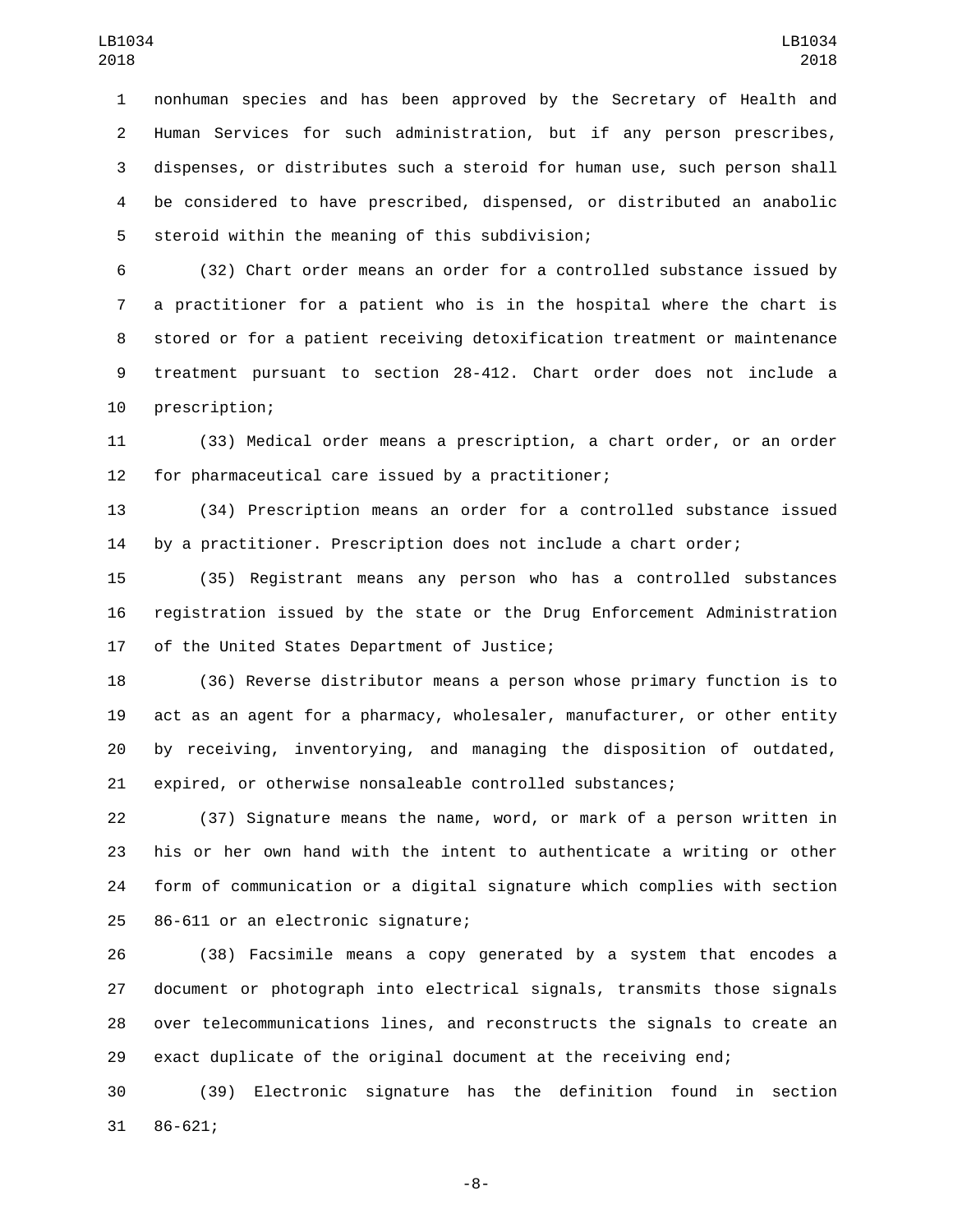nonhuman species and has been approved by the Secretary of Health and Human Services for such administration, but if any person prescribes, dispenses, or distributes such a steroid for human use, such person shall be considered to have prescribed, dispensed, or distributed an anabolic 5 steroid within the meaning of this subdivision;

 (32) Chart order means an order for a controlled substance issued by a practitioner for a patient who is in the hospital where the chart is stored or for a patient receiving detoxification treatment or maintenance treatment pursuant to section 28-412. Chart order does not include a 10 prescription;

 (33) Medical order means a prescription, a chart order, or an order 12 for pharmaceutical care issued by a practitioner;

 (34) Prescription means an order for a controlled substance issued by a practitioner. Prescription does not include a chart order;

 (35) Registrant means any person who has a controlled substances registration issued by the state or the Drug Enforcement Administration 17 of the United States Department of Justice;

 (36) Reverse distributor means a person whose primary function is to act as an agent for a pharmacy, wholesaler, manufacturer, or other entity by receiving, inventorying, and managing the disposition of outdated, expired, or otherwise nonsaleable controlled substances;

 (37) Signature means the name, word, or mark of a person written in his or her own hand with the intent to authenticate a writing or other form of communication or a digital signature which complies with section 25 86-611 or an electronic signature;

 (38) Facsimile means a copy generated by a system that encodes a document or photograph into electrical signals, transmits those signals over telecommunications lines, and reconstructs the signals to create an exact duplicate of the original document at the receiving end;

 (39) Electronic signature has the definition found in section 31 86-621;

-8-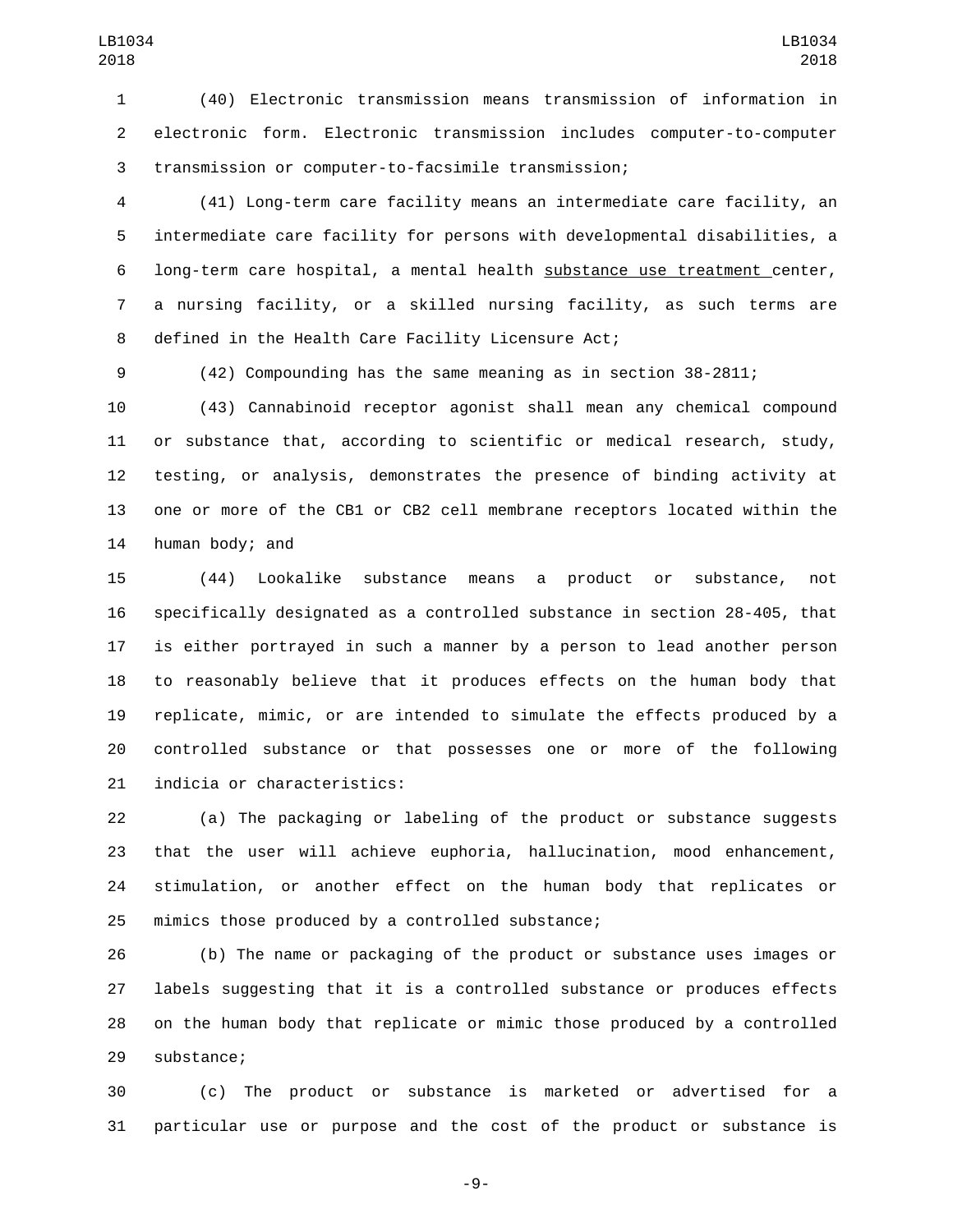(40) Electronic transmission means transmission of information in electronic form. Electronic transmission includes computer-to-computer transmission or computer-to-facsimile transmission;

 (41) Long-term care facility means an intermediate care facility, an intermediate care facility for persons with developmental disabilities, a long-term care hospital, a mental health substance use treatment center, a nursing facility, or a skilled nursing facility, as such terms are 8 defined in the Health Care Facility Licensure Act;

(42) Compounding has the same meaning as in section 38-2811;

 (43) Cannabinoid receptor agonist shall mean any chemical compound or substance that, according to scientific or medical research, study, testing, or analysis, demonstrates the presence of binding activity at one or more of the CB1 or CB2 cell membrane receptors located within the 14 human body; and

 (44) Lookalike substance means a product or substance, not specifically designated as a controlled substance in section 28-405, that is either portrayed in such a manner by a person to lead another person to reasonably believe that it produces effects on the human body that replicate, mimic, or are intended to simulate the effects produced by a controlled substance or that possesses one or more of the following 21 indicia or characteristics:

 (a) The packaging or labeling of the product or substance suggests that the user will achieve euphoria, hallucination, mood enhancement, stimulation, or another effect on the human body that replicates or 25 mimics those produced by a controlled substance;

 (b) The name or packaging of the product or substance uses images or labels suggesting that it is a controlled substance or produces effects on the human body that replicate or mimic those produced by a controlled 29 substance;

 (c) The product or substance is marketed or advertised for a particular use or purpose and the cost of the product or substance is

-9-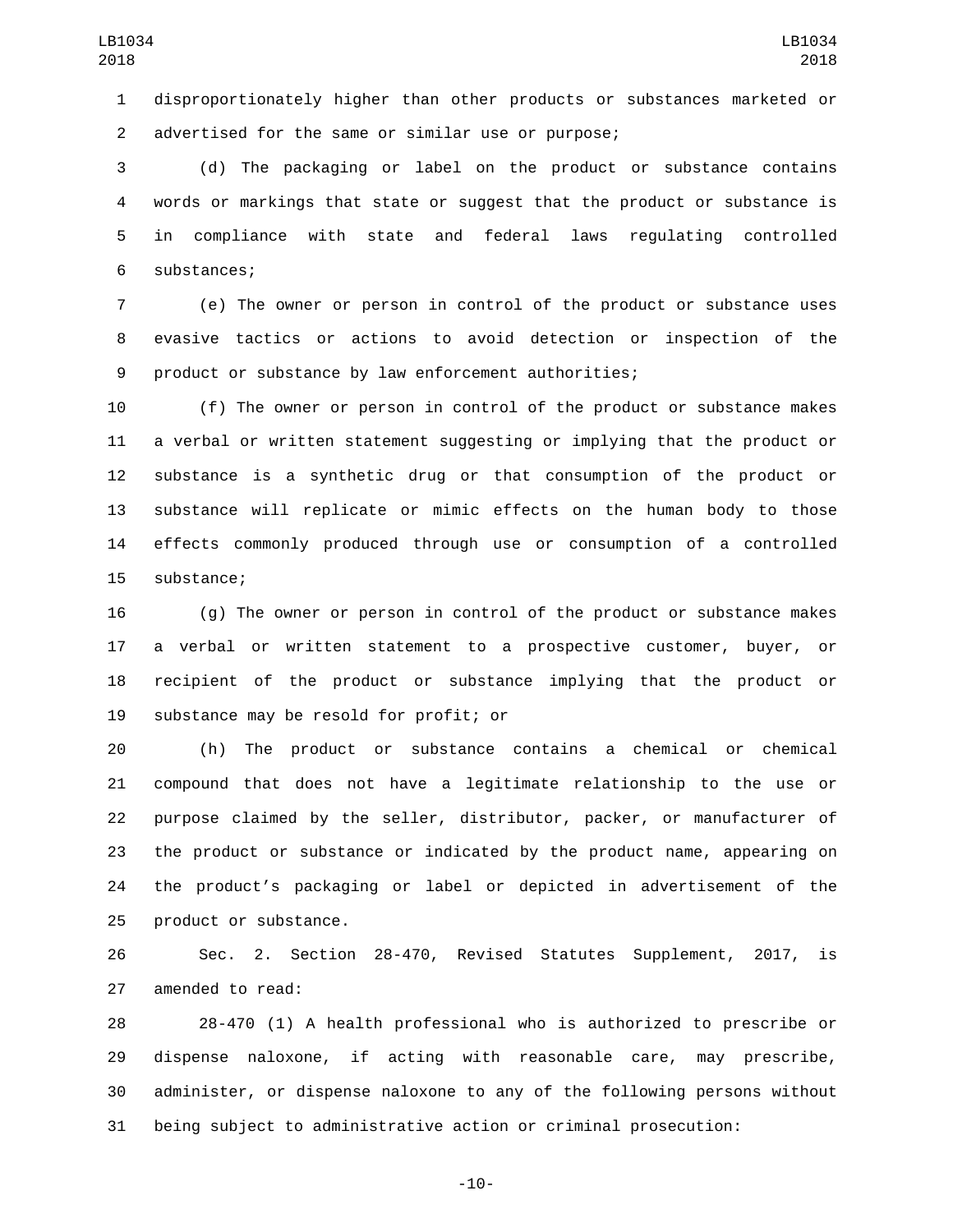disproportionately higher than other products or substances marketed or advertised for the same or similar use or purpose;2

 (d) The packaging or label on the product or substance contains words or markings that state or suggest that the product or substance is in compliance with state and federal laws regulating controlled 6 substances;

 (e) The owner or person in control of the product or substance uses evasive tactics or actions to avoid detection or inspection of the product or substance by law enforcement authorities;

 (f) The owner or person in control of the product or substance makes a verbal or written statement suggesting or implying that the product or substance is a synthetic drug or that consumption of the product or substance will replicate or mimic effects on the human body to those effects commonly produced through use or consumption of a controlled 15 substance;

 (g) The owner or person in control of the product or substance makes a verbal or written statement to a prospective customer, buyer, or recipient of the product or substance implying that the product or 19 substance may be resold for profit; or

 (h) The product or substance contains a chemical or chemical compound that does not have a legitimate relationship to the use or purpose claimed by the seller, distributor, packer, or manufacturer of the product or substance or indicated by the product name, appearing on the product's packaging or label or depicted in advertisement of the 25 product or substance.

 Sec. 2. Section 28-470, Revised Statutes Supplement, 2017, is 27 amended to read:

 28-470 (1) A health professional who is authorized to prescribe or dispense naloxone, if acting with reasonable care, may prescribe, administer, or dispense naloxone to any of the following persons without being subject to administrative action or criminal prosecution:

-10-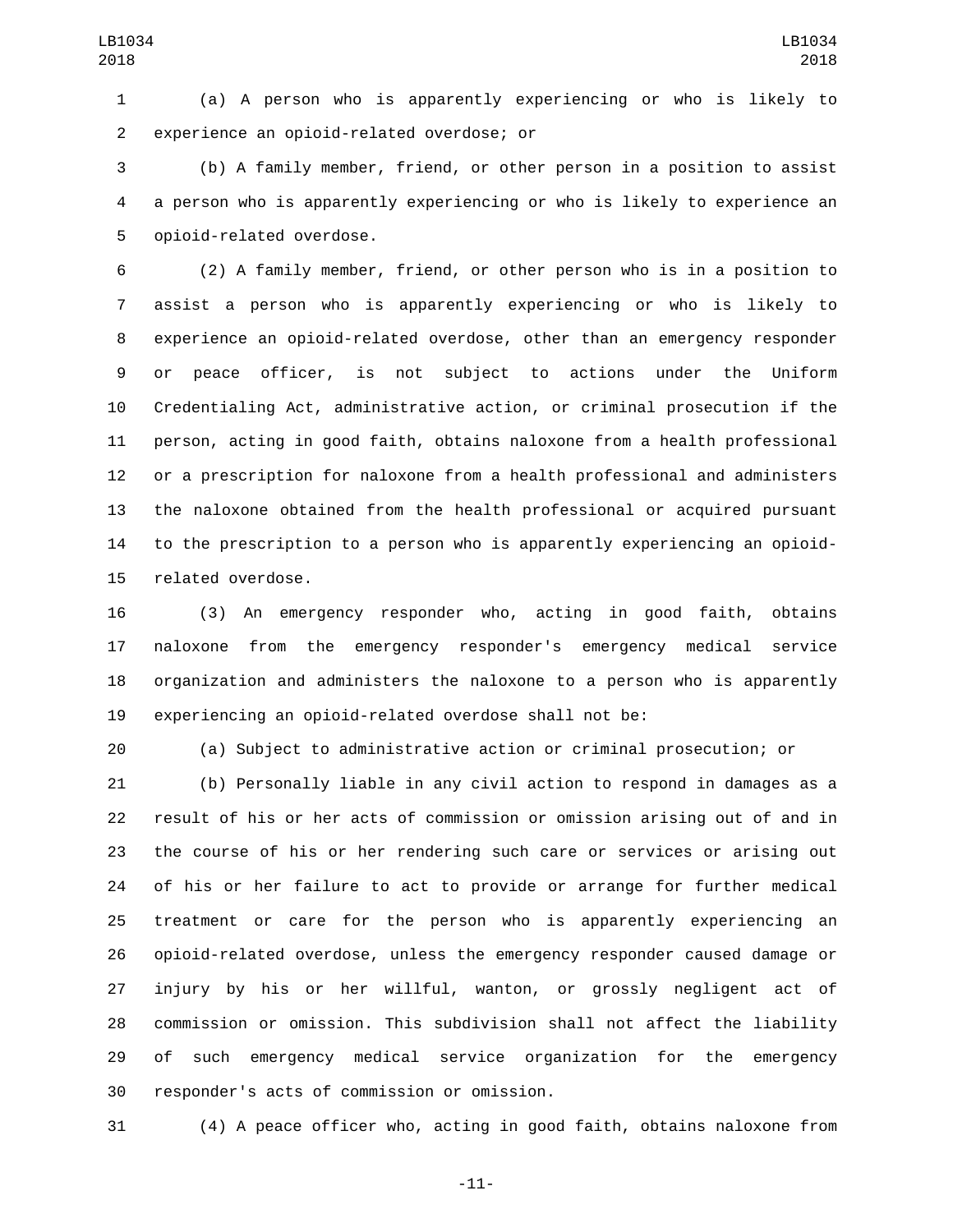(a) A person who is apparently experiencing or who is likely to experience an opioid-related overdose; or2

 (b) A family member, friend, or other person in a position to assist a person who is apparently experiencing or who is likely to experience an 5 opioid-related overdose.

 (2) A family member, friend, or other person who is in a position to assist a person who is apparently experiencing or who is likely to experience an opioid-related overdose, other than an emergency responder or peace officer, is not subject to actions under the Uniform Credentialing Act, administrative action, or criminal prosecution if the person, acting in good faith, obtains naloxone from a health professional or a prescription for naloxone from a health professional and administers the naloxone obtained from the health professional or acquired pursuant to the prescription to a person who is apparently experiencing an opioid-15 related overdose.

 (3) An emergency responder who, acting in good faith, obtains naloxone from the emergency responder's emergency medical service organization and administers the naloxone to a person who is apparently experiencing an opioid-related overdose shall not be:

(a) Subject to administrative action or criminal prosecution; or

 (b) Personally liable in any civil action to respond in damages as a result of his or her acts of commission or omission arising out of and in the course of his or her rendering such care or services or arising out of his or her failure to act to provide or arrange for further medical treatment or care for the person who is apparently experiencing an opioid-related overdose, unless the emergency responder caused damage or injury by his or her willful, wanton, or grossly negligent act of commission or omission. This subdivision shall not affect the liability of such emergency medical service organization for the emergency 30 responder's acts of commission or omission.

(4) A peace officer who, acting in good faith, obtains naloxone from

-11-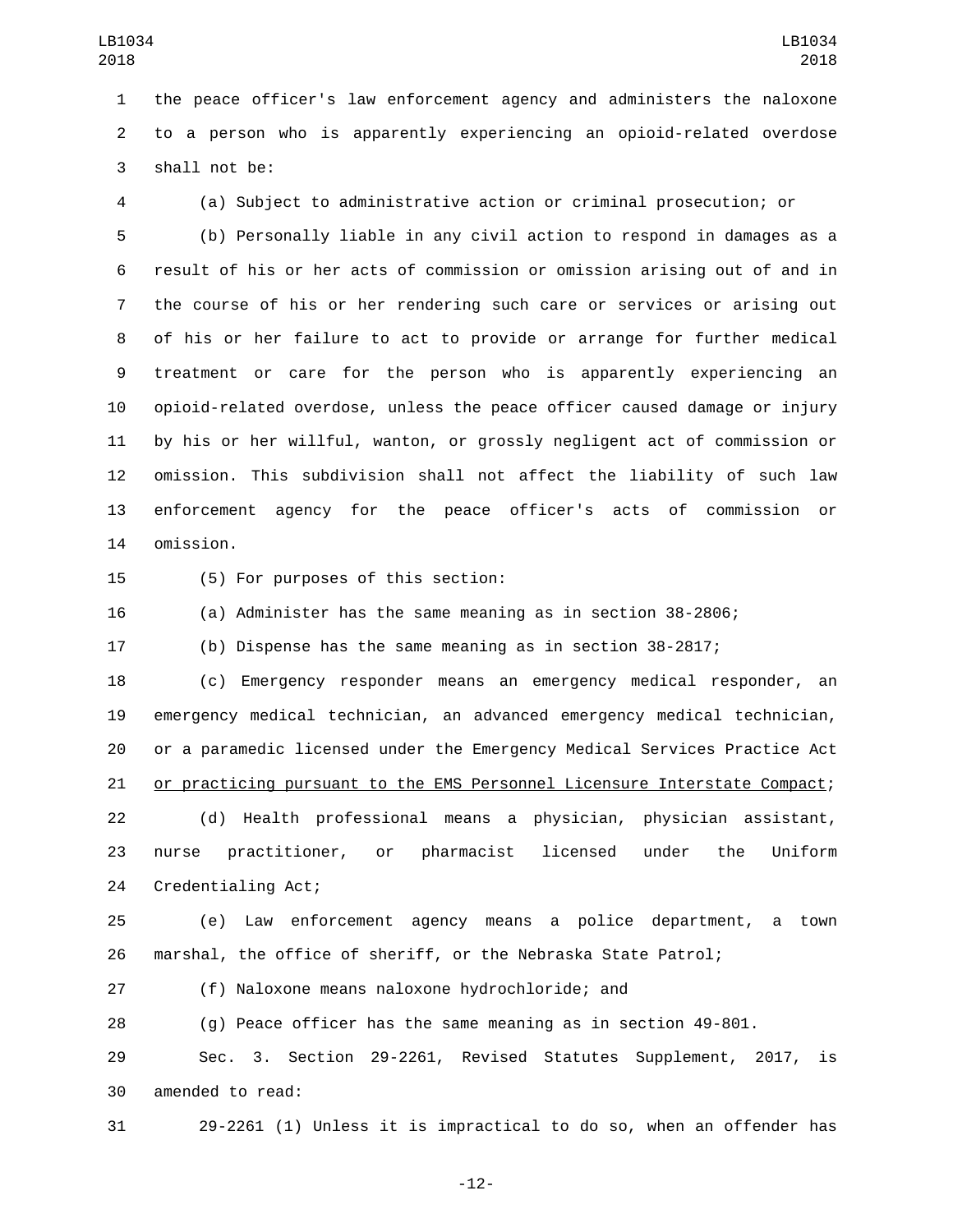the peace officer's law enforcement agency and administers the naloxone to a person who is apparently experiencing an opioid-related overdose 3 shall not be:

(a) Subject to administrative action or criminal prosecution; or

 (b) Personally liable in any civil action to respond in damages as a result of his or her acts of commission or omission arising out of and in the course of his or her rendering such care or services or arising out of his or her failure to act to provide or arrange for further medical treatment or care for the person who is apparently experiencing an opioid-related overdose, unless the peace officer caused damage or injury by his or her willful, wanton, or grossly negligent act of commission or omission. This subdivision shall not affect the liability of such law enforcement agency for the peace officer's acts of commission or 14 omission.

15 (5) For purposes of this section:

(a) Administer has the same meaning as in section 38-2806;

(b) Dispense has the same meaning as in section 38-2817;

 (c) Emergency responder means an emergency medical responder, an emergency medical technician, an advanced emergency medical technician, or a paramedic licensed under the Emergency Medical Services Practice Act or practicing pursuant to the EMS Personnel Licensure Interstate Compact; (d) Health professional means a physician, physician assistant,

 nurse practitioner, or pharmacist licensed under the Uniform 24 Credentialing Act;

 (e) Law enforcement agency means a police department, a town marshal, the office of sheriff, or the Nebraska State Patrol;

(f) Naloxone means naloxone hydrochloride; and

(g) Peace officer has the same meaning as in section 49-801.

 Sec. 3. Section 29-2261, Revised Statutes Supplement, 2017, is 30 amended to read:

29-2261 (1) Unless it is impractical to do so, when an offender has

-12-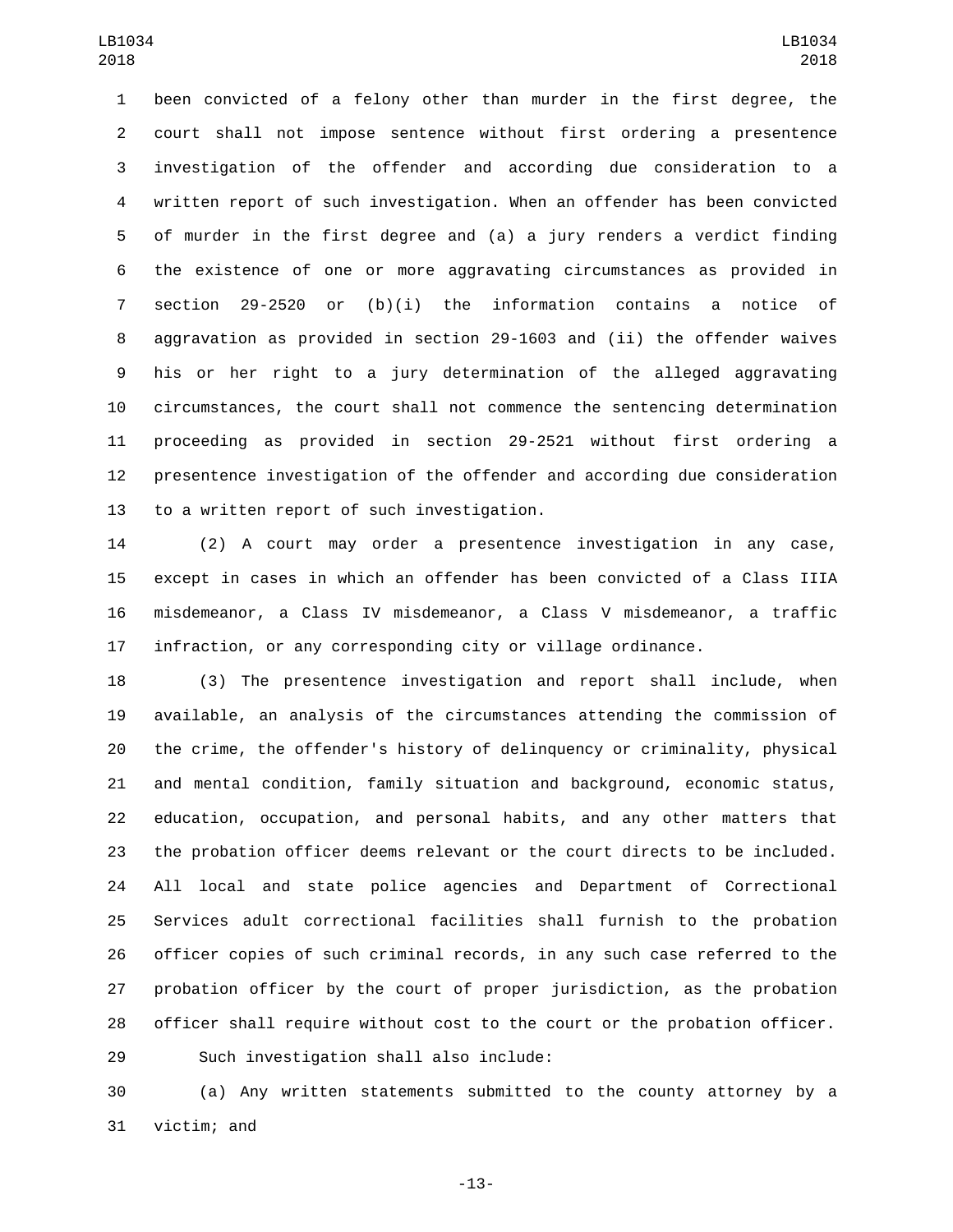been convicted of a felony other than murder in the first degree, the court shall not impose sentence without first ordering a presentence investigation of the offender and according due consideration to a written report of such investigation. When an offender has been convicted of murder in the first degree and (a) a jury renders a verdict finding the existence of one or more aggravating circumstances as provided in section 29-2520 or (b)(i) the information contains a notice of aggravation as provided in section 29-1603 and (ii) the offender waives his or her right to a jury determination of the alleged aggravating circumstances, the court shall not commence the sentencing determination proceeding as provided in section 29-2521 without first ordering a presentence investigation of the offender and according due consideration 13 to a written report of such investigation.

 (2) A court may order a presentence investigation in any case, except in cases in which an offender has been convicted of a Class IIIA misdemeanor, a Class IV misdemeanor, a Class V misdemeanor, a traffic infraction, or any corresponding city or village ordinance.

 (3) The presentence investigation and report shall include, when available, an analysis of the circumstances attending the commission of the crime, the offender's history of delinquency or criminality, physical and mental condition, family situation and background, economic status, education, occupation, and personal habits, and any other matters that the probation officer deems relevant or the court directs to be included. All local and state police agencies and Department of Correctional Services adult correctional facilities shall furnish to the probation officer copies of such criminal records, in any such case referred to the probation officer by the court of proper jurisdiction, as the probation officer shall require without cost to the court or the probation officer.

Such investigation shall also include:29

 (a) Any written statements submitted to the county attorney by a 31 victim; and

-13-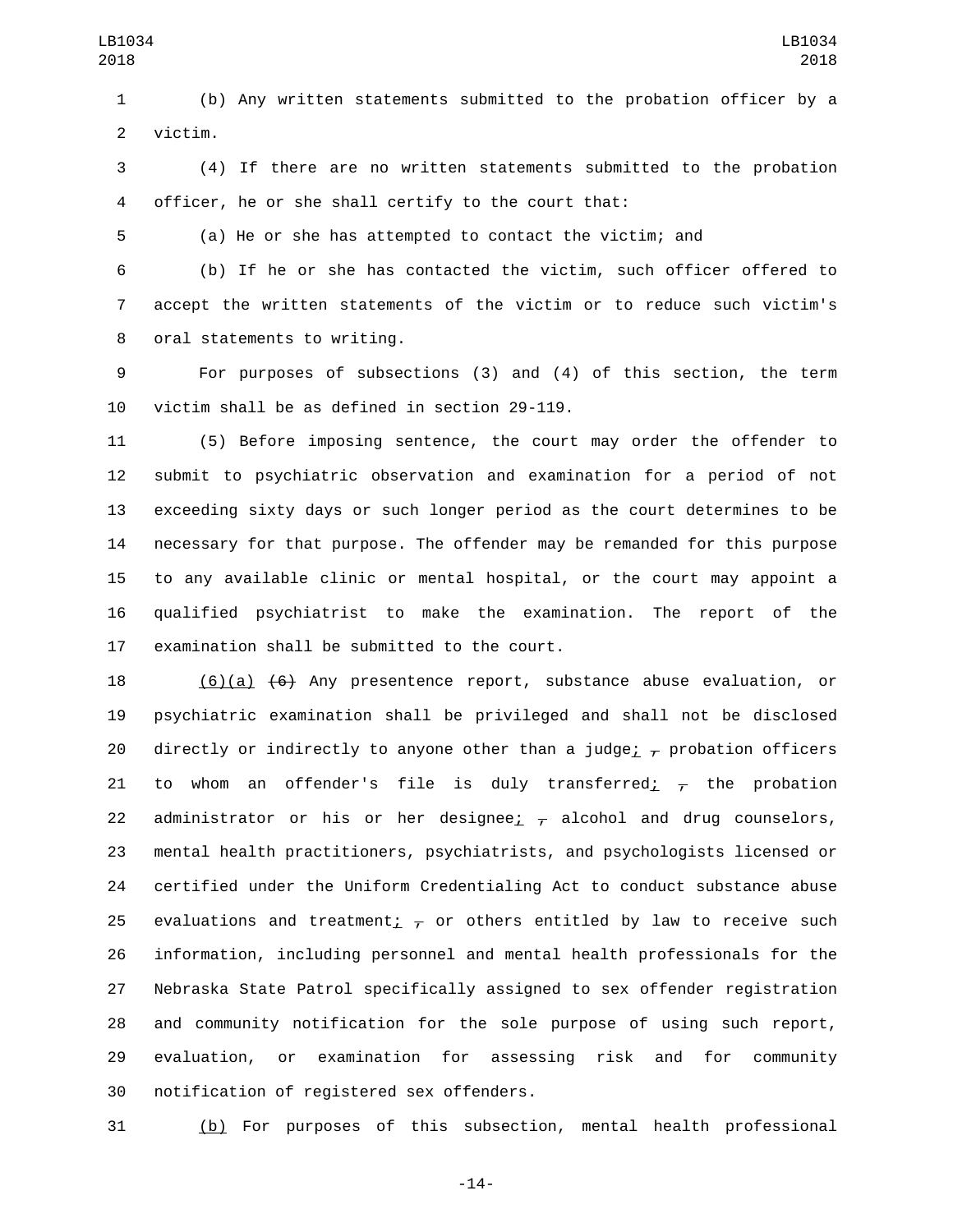(b) Any written statements submitted to the probation officer by a 2 victim.

 (4) If there are no written statements submitted to the probation officer, he or she shall certify to the court that:

(a) He or she has attempted to contact the victim; and

 (b) If he or she has contacted the victim, such officer offered to accept the written statements of the victim or to reduce such victim's 8 oral statements to writing.

 For purposes of subsections (3) and (4) of this section, the term 10 victim shall be as defined in section  $29-119$ .

 (5) Before imposing sentence, the court may order the offender to submit to psychiatric observation and examination for a period of not exceeding sixty days or such longer period as the court determines to be necessary for that purpose. The offender may be remanded for this purpose to any available clinic or mental hospital, or the court may appoint a qualified psychiatrist to make the examination. The report of the 17 examination shall be submitted to the court.

 (6)(a) (6) Any presentence report, substance abuse evaluation, or psychiatric examination shall be privileged and shall not be disclosed 20 directly or indirectly to anyone other than a judge;  $\tau$  probation officers 21 to whom an offender's file is duly transferred<u>;</u>  $\tau$  the probation 22 administrator or his or her designee;  $\tau$  alcohol and drug counselors, mental health practitioners, psychiatrists, and psychologists licensed or certified under the Uniform Credentialing Act to conduct substance abuse 25 evaluations and treatment<sub>i  $\tau$ </sub> or others entitled by law to receive such information, including personnel and mental health professionals for the Nebraska State Patrol specifically assigned to sex offender registration and community notification for the sole purpose of using such report, evaluation, or examination for assessing risk and for community 30 notification of registered sex offenders.

(b) For purposes of this subsection, mental health professional

-14-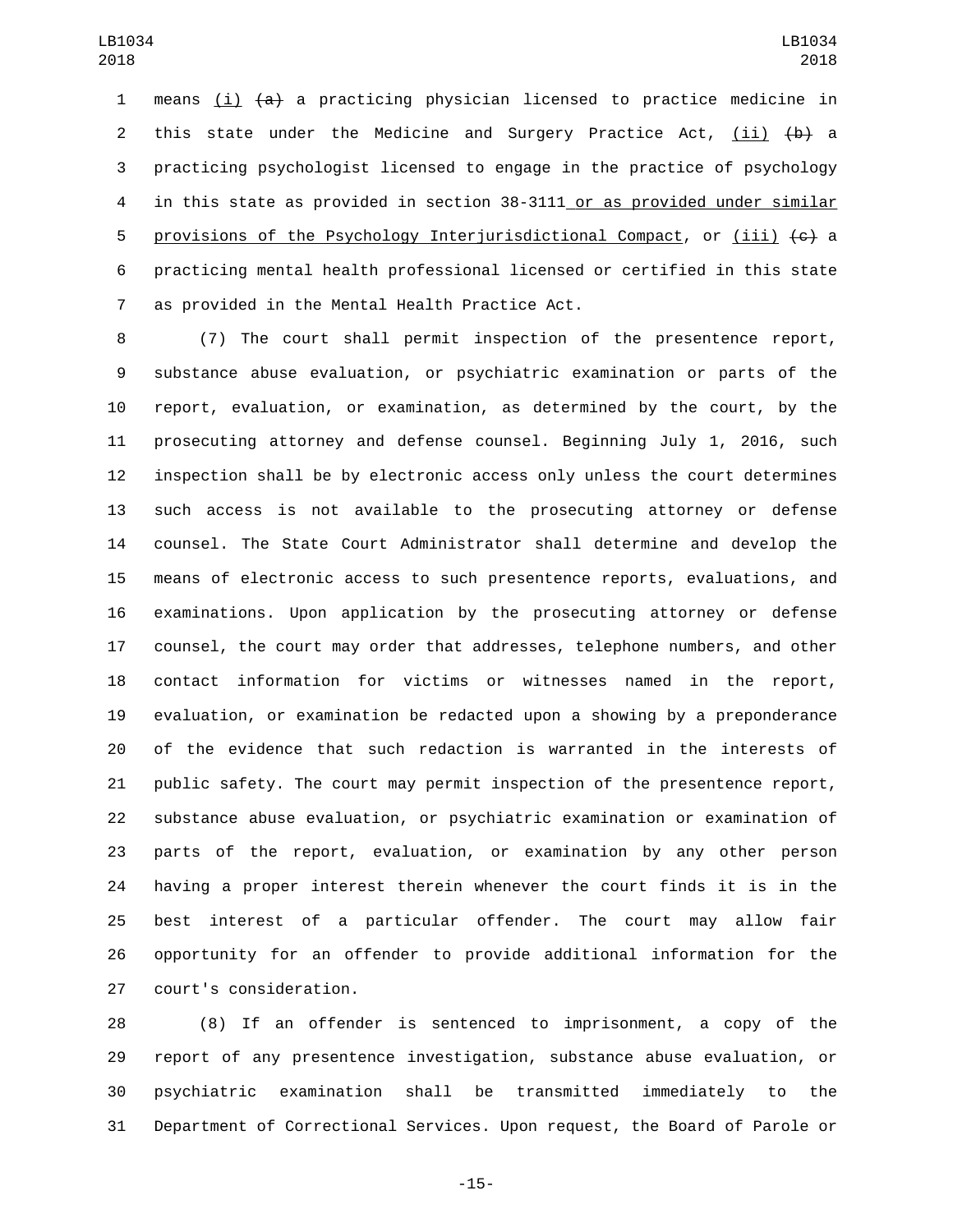1 means (i)  $\{a\}$  a practicing physician licensed to practice medicine in 2 this state under the Medicine and Surgery Practice Act, (ii)  $\{b\}$  a practicing psychologist licensed to engage in the practice of psychology 4 in this state as provided in section 38-3111 or as provided under similar 5 provisions of the Psychology Interjurisdictional Compact, or (iii)  $\leftarrow$  a practicing mental health professional licensed or certified in this state as provided in the Mental Health Practice Act.7

 (7) The court shall permit inspection of the presentence report, substance abuse evaluation, or psychiatric examination or parts of the report, evaluation, or examination, as determined by the court, by the prosecuting attorney and defense counsel. Beginning July 1, 2016, such inspection shall be by electronic access only unless the court determines such access is not available to the prosecuting attorney or defense counsel. The State Court Administrator shall determine and develop the means of electronic access to such presentence reports, evaluations, and examinations. Upon application by the prosecuting attorney or defense counsel, the court may order that addresses, telephone numbers, and other contact information for victims or witnesses named in the report, evaluation, or examination be redacted upon a showing by a preponderance of the evidence that such redaction is warranted in the interests of public safety. The court may permit inspection of the presentence report, substance abuse evaluation, or psychiatric examination or examination of parts of the report, evaluation, or examination by any other person having a proper interest therein whenever the court finds it is in the best interest of a particular offender. The court may allow fair opportunity for an offender to provide additional information for the 27 court's consideration.

 (8) If an offender is sentenced to imprisonment, a copy of the report of any presentence investigation, substance abuse evaluation, or psychiatric examination shall be transmitted immediately to the Department of Correctional Services. Upon request, the Board of Parole or

-15-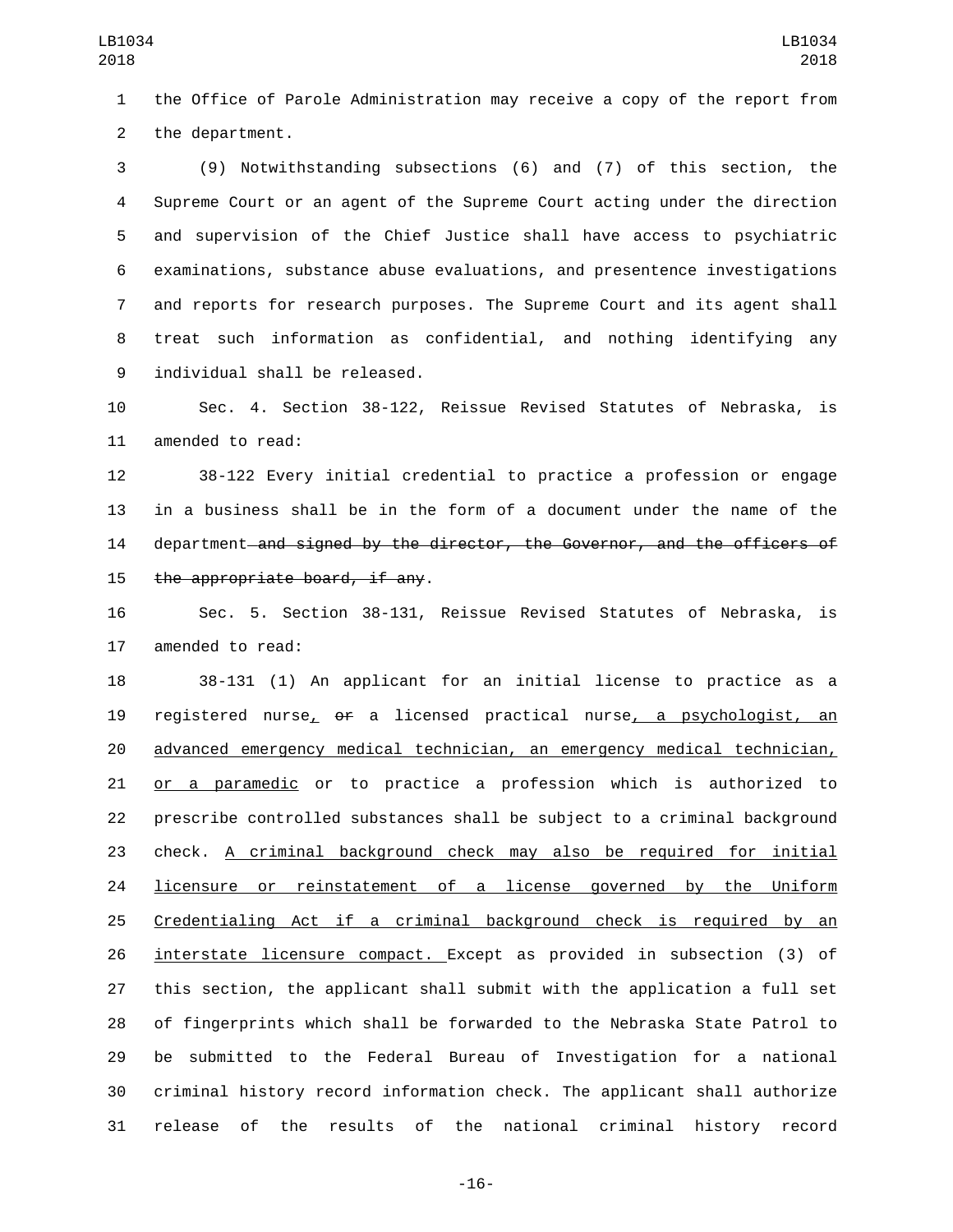the Office of Parole Administration may receive a copy of the report from 2 the department.

 (9) Notwithstanding subsections (6) and (7) of this section, the Supreme Court or an agent of the Supreme Court acting under the direction and supervision of the Chief Justice shall have access to psychiatric examinations, substance abuse evaluations, and presentence investigations and reports for research purposes. The Supreme Court and its agent shall treat such information as confidential, and nothing identifying any 9 individual shall be released.

 Sec. 4. Section 38-122, Reissue Revised Statutes of Nebraska, is 11 amended to read:

 38-122 Every initial credential to practice a profession or engage in a business shall be in the form of a document under the name of the 14 department and signed by the director, the Governor, and the officers of 15 the appropriate board, if any.

 Sec. 5. Section 38-131, Reissue Revised Statutes of Nebraska, is 17 amended to read:

 38-131 (1) An applicant for an initial license to practice as a registered nurse, or a licensed practical nurse, a psychologist, an advanced emergency medical technician, an emergency medical technician, 21 or a paramedic or to practice a profession which is authorized to prescribe controlled substances shall be subject to a criminal background check. A criminal background check may also be required for initial 24 licensure or reinstatement of a license governed by the Uniform Credentialing Act if a criminal background check is required by an interstate licensure compact. Except as provided in subsection (3) of this section, the applicant shall submit with the application a full set of fingerprints which shall be forwarded to the Nebraska State Patrol to be submitted to the Federal Bureau of Investigation for a national criminal history record information check. The applicant shall authorize release of the results of the national criminal history record

-16-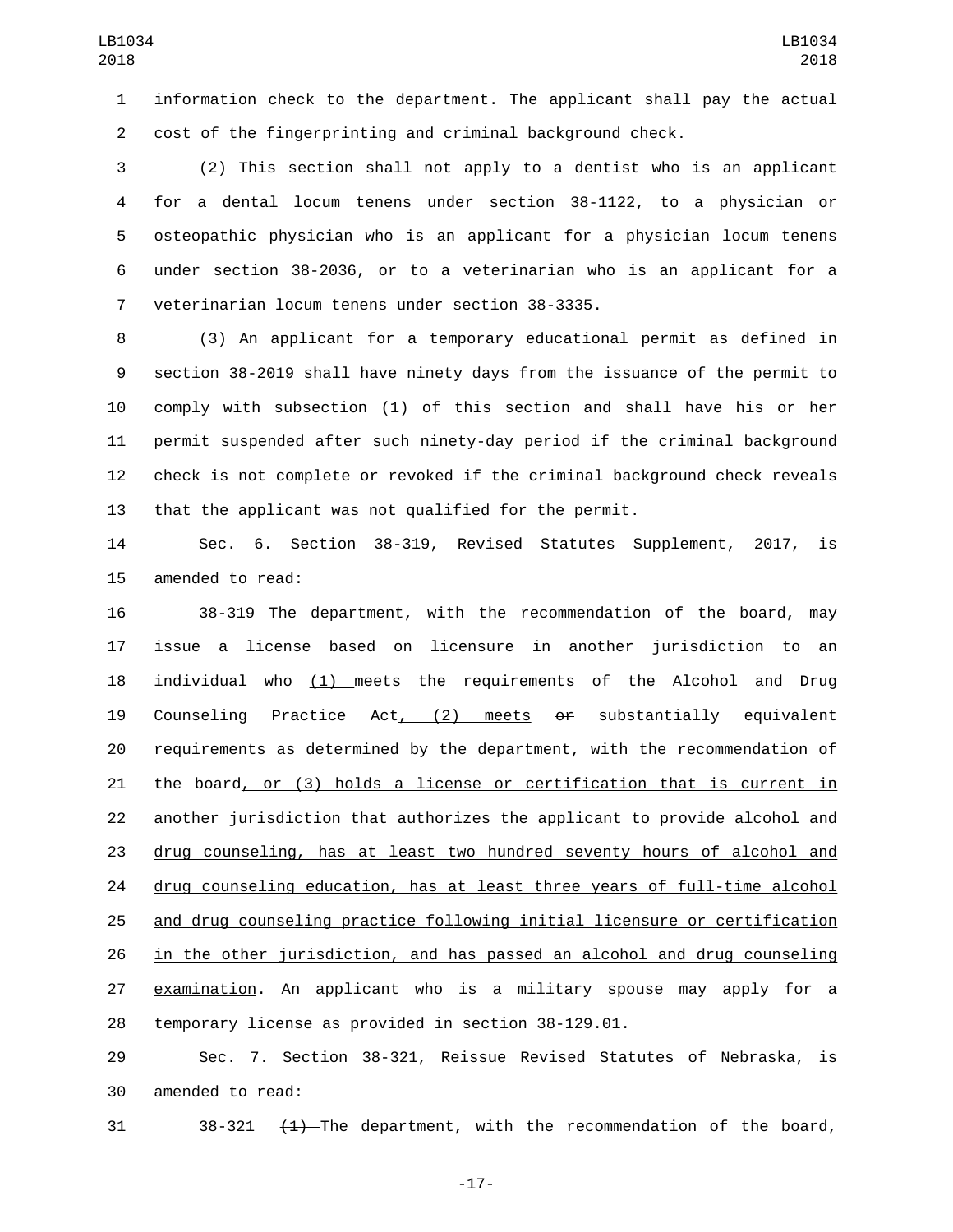information check to the department. The applicant shall pay the actual cost of the fingerprinting and criminal background check.

 (2) This section shall not apply to a dentist who is an applicant for a dental locum tenens under section 38-1122, to a physician or osteopathic physician who is an applicant for a physician locum tenens under section 38-2036, or to a veterinarian who is an applicant for a 7 veterinarian locum tenens under section 38-3335.

 (3) An applicant for a temporary educational permit as defined in section 38-2019 shall have ninety days from the issuance of the permit to comply with subsection (1) of this section and shall have his or her permit suspended after such ninety-day period if the criminal background check is not complete or revoked if the criminal background check reveals that the applicant was not qualified for the permit.

 Sec. 6. Section 38-319, Revised Statutes Supplement, 2017, is 15 amended to read:

 38-319 The department, with the recommendation of the board, may issue a license based on licensure in another jurisdiction to an 18 individual who  $(1)$  meets the requirements of the Alcohol and Drug Counseling Practice Act, (2) meets or substantially equivalent requirements as determined by the department, with the recommendation of the board, or (3) holds a license or certification that is current in another jurisdiction that authorizes the applicant to provide alcohol and drug counseling, has at least two hundred seventy hours of alcohol and 24 drug counseling education, has at least three years of full-time alcohol and drug counseling practice following initial licensure or certification in the other jurisdiction, and has passed an alcohol and drug counseling examination. An applicant who is a military spouse may apply for a temporary license as provided in section 38-129.01.

 Sec. 7. Section 38-321, Reissue Revised Statutes of Nebraska, is 30 amended to read:

31 38-321 <del>(1)</del> The department, with the recommendation of the board,

-17-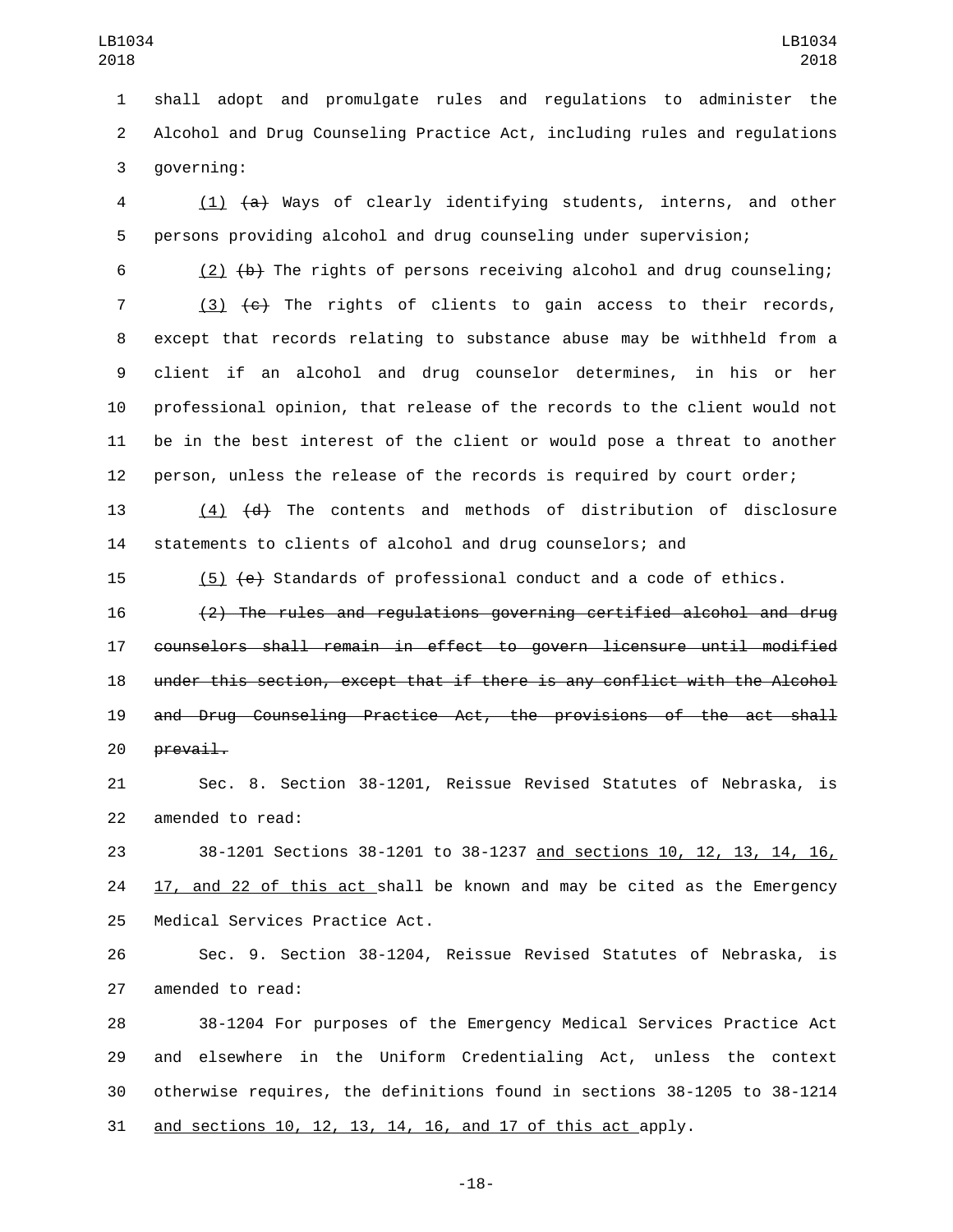shall adopt and promulgate rules and regulations to administer the Alcohol and Drug Counseling Practice Act, including rules and regulations 3 governing:

 (1) (a) Ways of clearly identifying students, interns, and other persons providing alcohol and drug counseling under supervision;

6 (2)  $\left(\frac{b}{b}\right)$  The rights of persons receiving alcohol and drug counseling;

 (3)  $\left\lbrace e \right\rbrace$  The rights of clients to gain access to their records, except that records relating to substance abuse may be withheld from a client if an alcohol and drug counselor determines, in his or her professional opinion, that release of the records to the client would not be in the best interest of the client or would pose a threat to another person, unless the release of the records is required by court order;

 (4) (d) The contents and methods of distribution of disclosure statements to clients of alcohol and drug counselors; and

15  $(5)$   $\left\lbrace e \right\rbrace$  Standards of professional conduct and a code of ethics.

 (2) The rules and regulations governing certified alcohol and drug counselors shall remain in effect to govern licensure until modified under this section, except that if there is any conflict with the Alcohol and Drug Counseling Practice Act, the provisions of the act shall prevail.

 Sec. 8. Section 38-1201, Reissue Revised Statutes of Nebraska, is 22 amended to read:

 38-1201 Sections 38-1201 to 38-1237 and sections 10, 12, 13, 14, 16, 17, and 22 of this act shall be known and may be cited as the Emergency 25 Medical Services Practice Act.

 Sec. 9. Section 38-1204, Reissue Revised Statutes of Nebraska, is 27 amended to read:

 38-1204 For purposes of the Emergency Medical Services Practice Act and elsewhere in the Uniform Credentialing Act, unless the context otherwise requires, the definitions found in sections 38-1205 to 38-1214 and sections 10, 12, 13, 14, 16, and 17 of this act apply.

-18-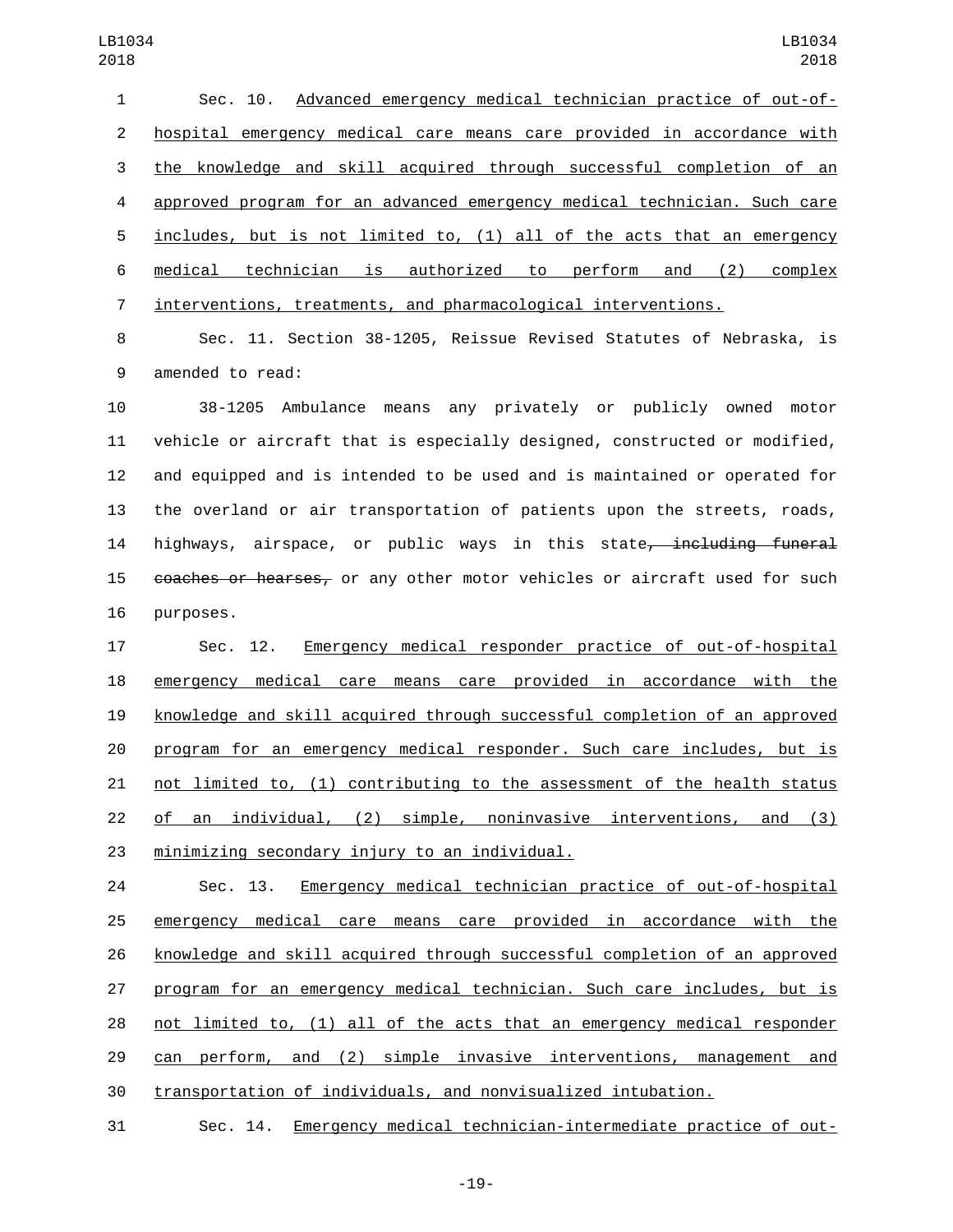Sec. 10. Advanced emergency medical technician practice of out-of- hospital emergency medical care means care provided in accordance with the knowledge and skill acquired through successful completion of an approved program for an advanced emergency medical technician. Such care includes, but is not limited to, (1) all of the acts that an emergency medical technician is authorized to perform and (2) complex interventions, treatments, and pharmacological interventions.

 Sec. 11. Section 38-1205, Reissue Revised Statutes of Nebraska, is 9 amended to read:

 38-1205 Ambulance means any privately or publicly owned motor vehicle or aircraft that is especially designed, constructed or modified, and equipped and is intended to be used and is maintained or operated for the overland or air transportation of patients upon the streets, roads, 14 highways, airspace, or public ways in this state<del>, including funeral</del> 15 coaches or hearses, or any other motor vehicles or aircraft used for such 16 purposes.

 Sec. 12. Emergency medical responder practice of out-of-hospital emergency medical care means care provided in accordance with the knowledge and skill acquired through successful completion of an approved program for an emergency medical responder. Such care includes, but is not limited to, (1) contributing to the assessment of the health status of an individual, (2) simple, noninvasive interventions, and (3) 23 minimizing secondary injury to an individual.

 Sec. 13. Emergency medical technician practice of out-of-hospital emergency medical care means care provided in accordance with the knowledge and skill acquired through successful completion of an approved program for an emergency medical technician. Such care includes, but is not limited to, (1) all of the acts that an emergency medical responder can perform, and (2) simple invasive interventions, management and transportation of individuals, and nonvisualized intubation.

Sec. 14. Emergency medical technician-intermediate practice of out-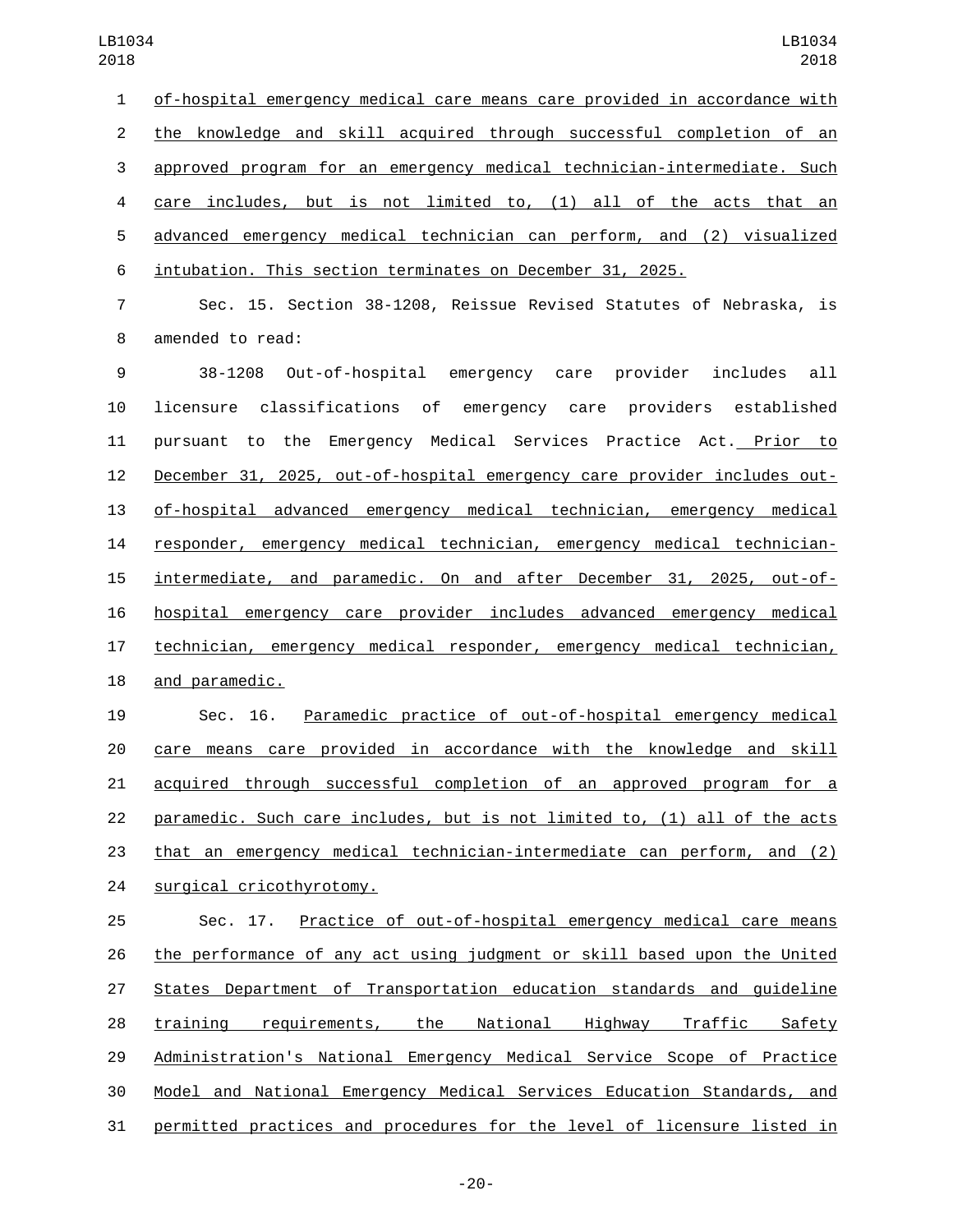of-hospital emergency medical care means care provided in accordance with the knowledge and skill acquired through successful completion of an approved program for an emergency medical technician-intermediate. Such care includes, but is not limited to, (1) all of the acts that an advanced emergency medical technician can perform, and (2) visualized intubation. This section terminates on December 31, 2025.

 Sec. 15. Section 38-1208, Reissue Revised Statutes of Nebraska, is 8 amended to read:

 38-1208 Out-of-hospital emergency care provider includes all licensure classifications of emergency care providers established pursuant to the Emergency Medical Services Practice Act. Prior to December 31, 2025, out-of-hospital emergency care provider includes out- of-hospital advanced emergency medical technician, emergency medical responder, emergency medical technician, emergency medical technician- intermediate, and paramedic. On and after December 31, 2025, out-of- hospital emergency care provider includes advanced emergency medical technician, emergency medical responder, emergency medical technician, 18 and paramedic.

 Sec. 16. Paramedic practice of out-of-hospital emergency medical care means care provided in accordance with the knowledge and skill acquired through successful completion of an approved program for a paramedic. Such care includes, but is not limited to, (1) all of the acts that an emergency medical technician-intermediate can perform, and (2) 24 surgical cricothyrotomy.

 Sec. 17. Practice of out-of-hospital emergency medical care means the performance of any act using judgment or skill based upon the United States Department of Transportation education standards and guideline training requirements, the National Highway Traffic Safety Administration's National Emergency Medical Service Scope of Practice Model and National Emergency Medical Services Education Standards, and permitted practices and procedures for the level of licensure listed in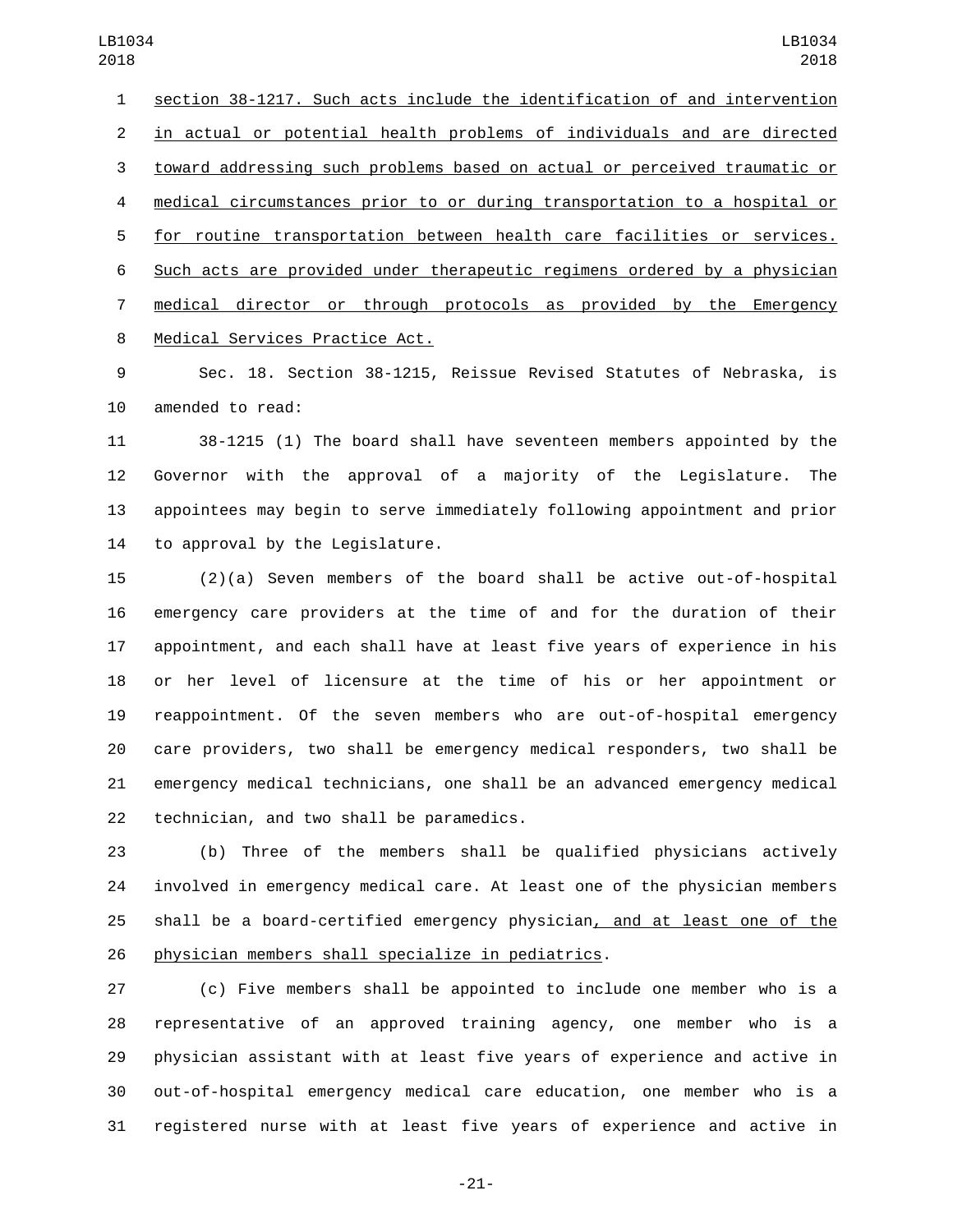section 38-1217. Such acts include the identification of and intervention in actual or potential health problems of individuals and are directed toward addressing such problems based on actual or perceived traumatic or medical circumstances prior to or during transportation to a hospital or for routine transportation between health care facilities or services. Such acts are provided under therapeutic regimens ordered by a physician medical director or through protocols as provided by the Emergency 8 Medical Services Practice Act.

 Sec. 18. Section 38-1215, Reissue Revised Statutes of Nebraska, is 10 amended to read:

 38-1215 (1) The board shall have seventeen members appointed by the Governor with the approval of a majority of the Legislature. The appointees may begin to serve immediately following appointment and prior 14 to approval by the Legislature.

 (2)(a) Seven members of the board shall be active out-of-hospital emergency care providers at the time of and for the duration of their appointment, and each shall have at least five years of experience in his or her level of licensure at the time of his or her appointment or reappointment. Of the seven members who are out-of-hospital emergency care providers, two shall be emergency medical responders, two shall be emergency medical technicians, one shall be an advanced emergency medical 22 technician, and two shall be paramedics.

 (b) Three of the members shall be qualified physicians actively involved in emergency medical care. At least one of the physician members shall be a board-certified emergency physician, and at least one of the 26 physician members shall specialize in pediatrics.

 (c) Five members shall be appointed to include one member who is a representative of an approved training agency, one member who is a physician assistant with at least five years of experience and active in out-of-hospital emergency medical care education, one member who is a registered nurse with at least five years of experience and active in

-21-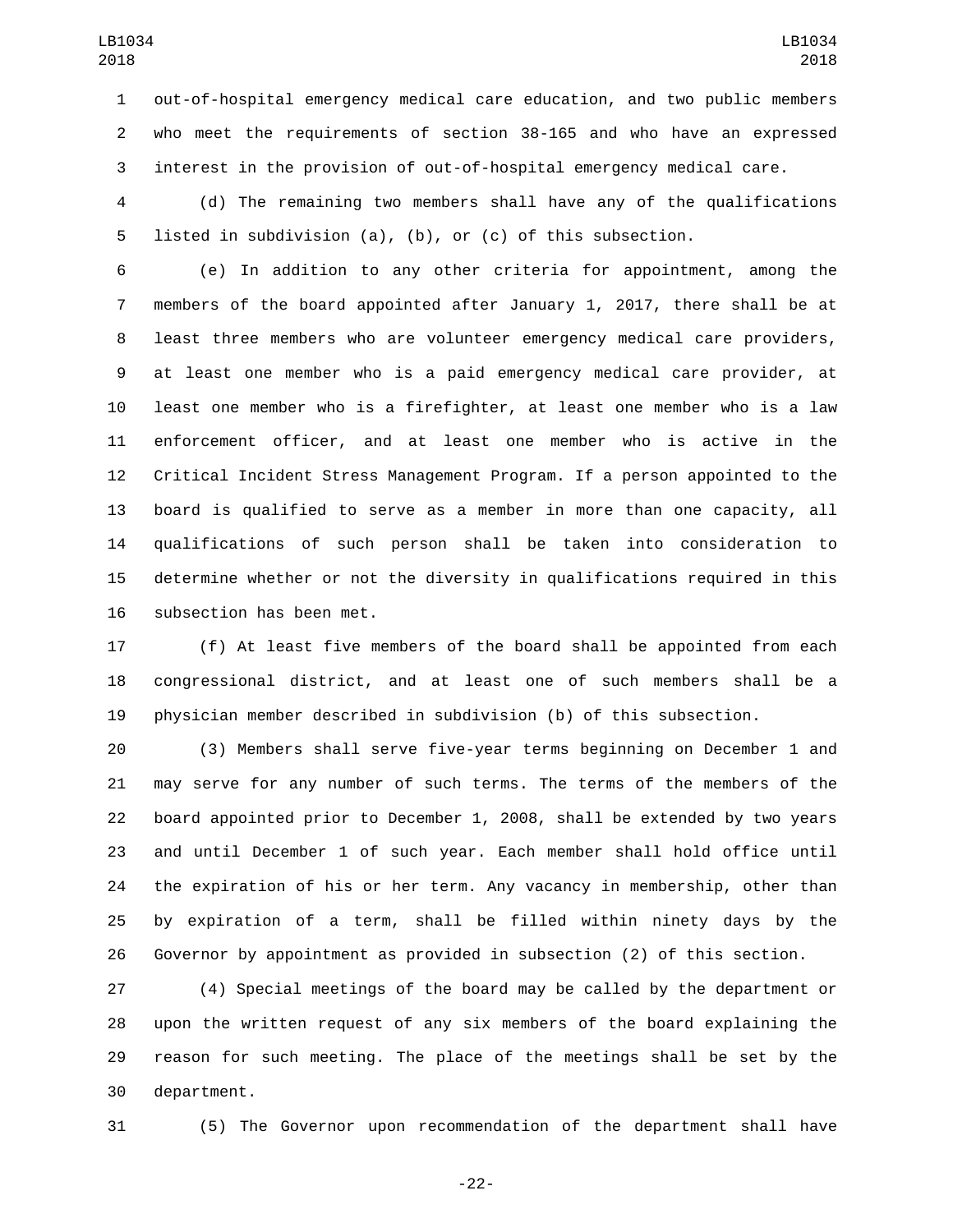out-of-hospital emergency medical care education, and two public members who meet the requirements of section 38-165 and who have an expressed interest in the provision of out-of-hospital emergency medical care.

 (d) The remaining two members shall have any of the qualifications listed in subdivision (a), (b), or (c) of this subsection.

 (e) In addition to any other criteria for appointment, among the members of the board appointed after January 1, 2017, there shall be at least three members who are volunteer emergency medical care providers, at least one member who is a paid emergency medical care provider, at least one member who is a firefighter, at least one member who is a law enforcement officer, and at least one member who is active in the Critical Incident Stress Management Program. If a person appointed to the board is qualified to serve as a member in more than one capacity, all qualifications of such person shall be taken into consideration to determine whether or not the diversity in qualifications required in this 16 subsection has been met.

 (f) At least five members of the board shall be appointed from each congressional district, and at least one of such members shall be a physician member described in subdivision (b) of this subsection.

 (3) Members shall serve five-year terms beginning on December 1 and may serve for any number of such terms. The terms of the members of the board appointed prior to December 1, 2008, shall be extended by two years and until December 1 of such year. Each member shall hold office until the expiration of his or her term. Any vacancy in membership, other than by expiration of a term, shall be filled within ninety days by the Governor by appointment as provided in subsection (2) of this section.

 (4) Special meetings of the board may be called by the department or upon the written request of any six members of the board explaining the reason for such meeting. The place of the meetings shall be set by the 30 department.

(5) The Governor upon recommendation of the department shall have

-22-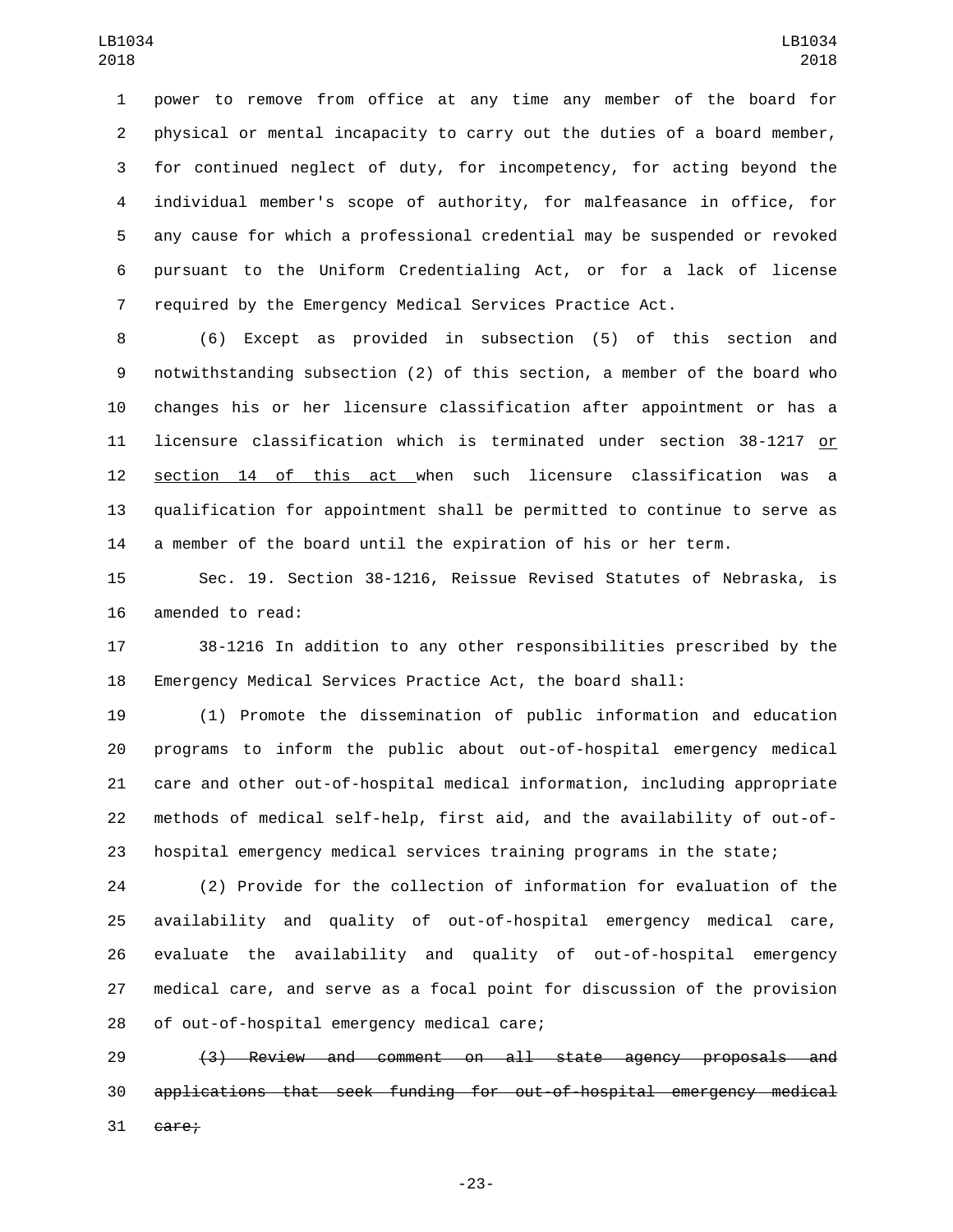power to remove from office at any time any member of the board for physical or mental incapacity to carry out the duties of a board member, for continued neglect of duty, for incompetency, for acting beyond the individual member's scope of authority, for malfeasance in office, for any cause for which a professional credential may be suspended or revoked pursuant to the Uniform Credentialing Act, or for a lack of license required by the Emergency Medical Services Practice Act.

 (6) Except as provided in subsection (5) of this section and notwithstanding subsection (2) of this section, a member of the board who changes his or her licensure classification after appointment or has a licensure classification which is terminated under section 38-1217 or section 14 of this act when such licensure classification was a qualification for appointment shall be permitted to continue to serve as a member of the board until the expiration of his or her term.

 Sec. 19. Section 38-1216, Reissue Revised Statutes of Nebraska, is 16 amended to read:

 38-1216 In addition to any other responsibilities prescribed by the Emergency Medical Services Practice Act, the board shall:

 (1) Promote the dissemination of public information and education programs to inform the public about out-of-hospital emergency medical care and other out-of-hospital medical information, including appropriate methods of medical self-help, first aid, and the availability of out-of-hospital emergency medical services training programs in the state;

 (2) Provide for the collection of information for evaluation of the availability and quality of out-of-hospital emergency medical care, evaluate the availability and quality of out-of-hospital emergency medical care, and serve as a focal point for discussion of the provision 28 of out-of-hospital emergency medical care;

 (3) Review and comment on all state agency proposals and applications that seek funding for out-of-hospital emergency medical care:

-23-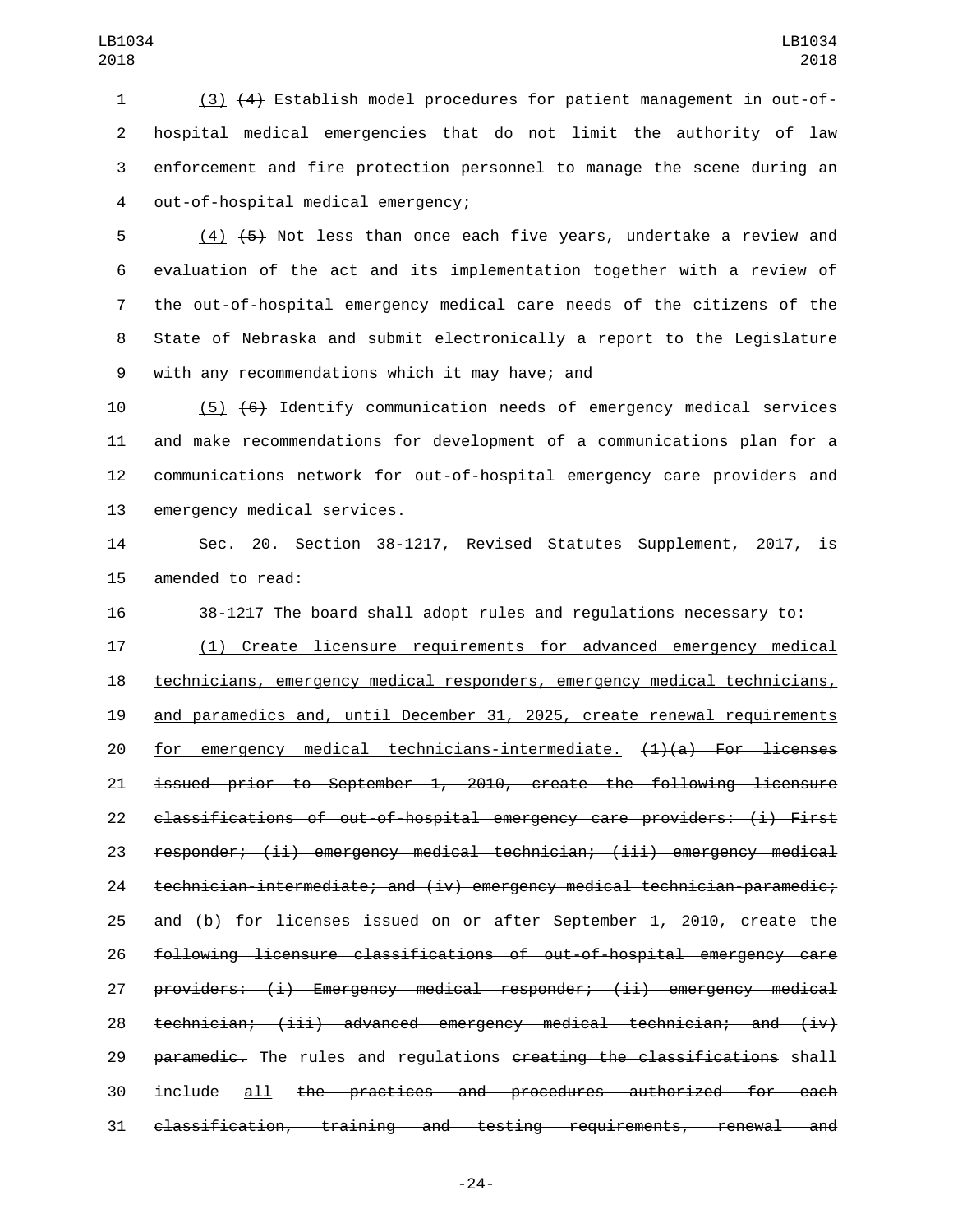(3) (4) Establish model procedures for patient management in out-of- hospital medical emergencies that do not limit the authority of law enforcement and fire protection personnel to manage the scene during an 4 out-of-hospital medical emergency;

 (4) (5) Not less than once each five years, undertake a review and evaluation of the act and its implementation together with a review of the out-of-hospital emergency medical care needs of the citizens of the State of Nebraska and submit electronically a report to the Legislature 9 with any recommendations which it may have; and

 (5) (6) Identify communication needs of emergency medical services and make recommendations for development of a communications plan for a communications network for out-of-hospital emergency care providers and 13 emergency medical services.

 Sec. 20. Section 38-1217, Revised Statutes Supplement, 2017, is 15 amended to read:

38-1217 The board shall adopt rules and regulations necessary to:

 (1) Create licensure requirements for advanced emergency medical technicians, emergency medical responders, emergency medical technicians, and paramedics and, until December 31, 2025, create renewal requirements 20 for emergency medical technicians-intermediate.  $(1)(a)$  For licenses issued prior to September 1, 2010, create the following licensure classifications of out-of-hospital emergency care providers: (i) First responder; (ii) emergency medical technician; (iii) emergency medical technician-intermediate; and (iv) emergency medical technician-paramedic; and (b) for licenses issued on or after September 1, 2010, create the following licensure classifications of out-of-hospital emergency care providers: (i) Emergency medical responder; (ii) emergency medical 28 technician; (iii) advanced emergency medical technician; and (iv) 29 paramedic. The rules and regulations creating the classifications shall include all the practices and procedures authorized for each classification, training and testing requirements, renewal and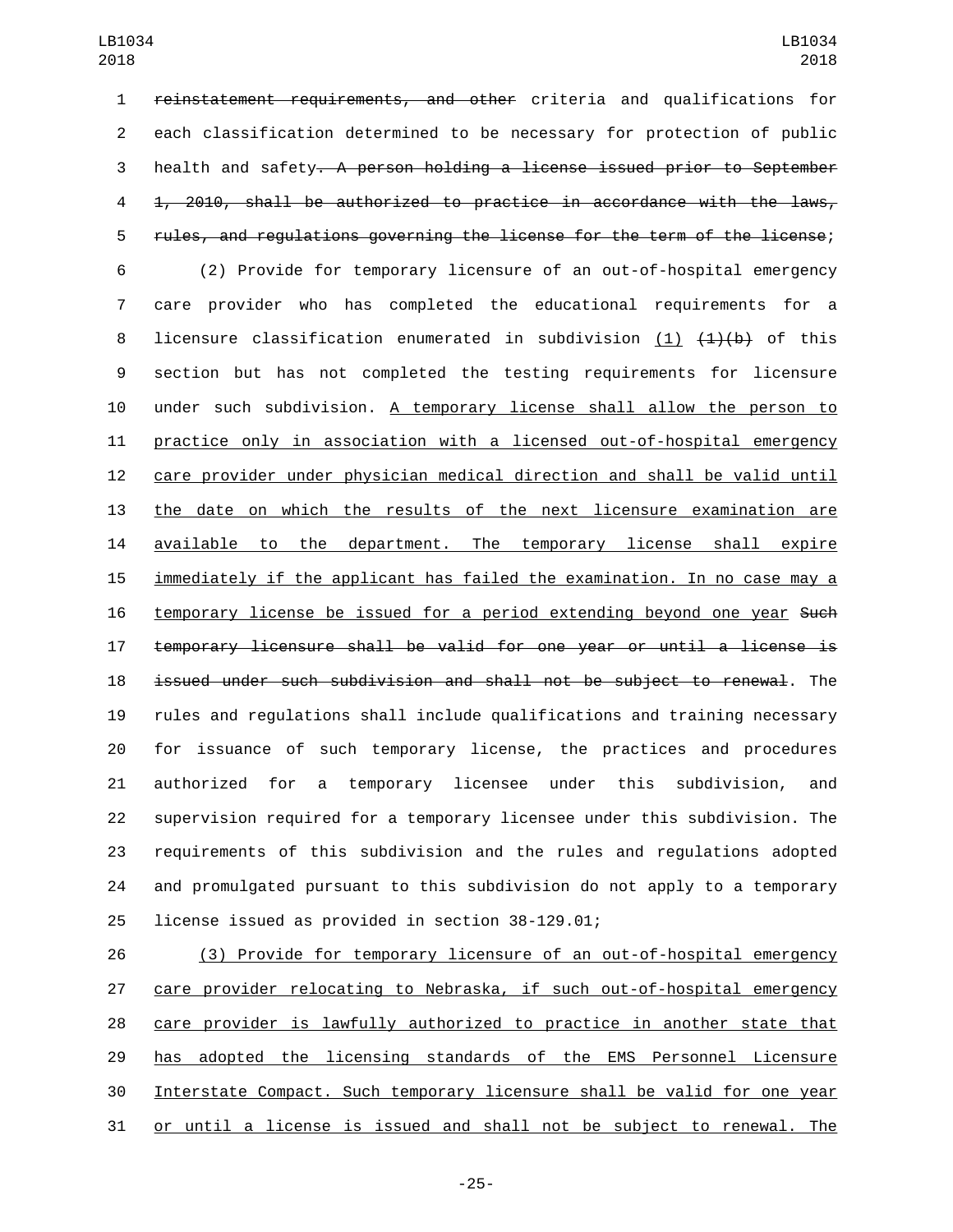reinstatement requirements, and other criteria and qualifications for each classification determined to be necessary for protection of public health and safety. A person holding a license issued prior to September 1, 2010, shall be authorized to practice in accordance with the laws, rules, and regulations governing the license for the term of the license; (2) Provide for temporary licensure of an out-of-hospital emergency care provider who has completed the educational requirements for a 8 licensure classification enumerated in subdivision (1)  $(1)$  ( $1$ )(b) of this section but has not completed the testing requirements for licensure under such subdivision. A temporary license shall allow the person to practice only in association with a licensed out-of-hospital emergency care provider under physician medical direction and shall be valid until the date on which the results of the next licensure examination are available to the department. The temporary license shall expire immediately if the applicant has failed the examination. In no case may a 16 temporary license be issued for a period extending beyond one year Such temporary licensure shall be valid for one year or until a license is issued under such subdivision and shall not be subject to renewal. The rules and regulations shall include qualifications and training necessary for issuance of such temporary license, the practices and procedures authorized for a temporary licensee under this subdivision, and supervision required for a temporary licensee under this subdivision. The requirements of this subdivision and the rules and regulations adopted and promulgated pursuant to this subdivision do not apply to a temporary 25 license issued as provided in section 38-129.01;

 (3) Provide for temporary licensure of an out-of-hospital emergency care provider relocating to Nebraska, if such out-of-hospital emergency care provider is lawfully authorized to practice in another state that has adopted the licensing standards of the EMS Personnel Licensure Interstate Compact. Such temporary licensure shall be valid for one year or until a license is issued and shall not be subject to renewal. The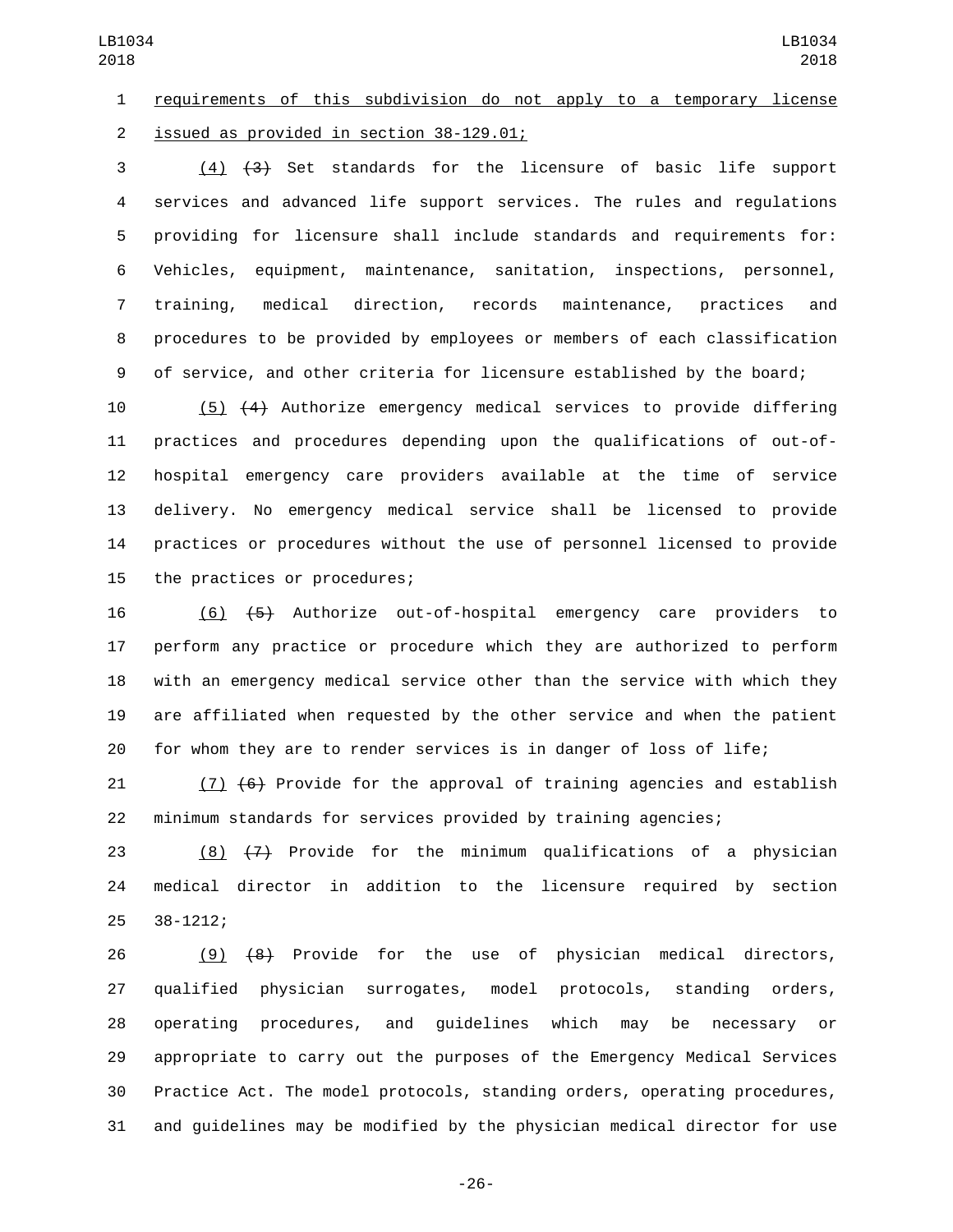requirements of this subdivision do not apply to a temporary license 2 issued as provided in section 38-129.01;

 (4) (3) Set standards for the licensure of basic life support services and advanced life support services. The rules and regulations providing for licensure shall include standards and requirements for: Vehicles, equipment, maintenance, sanitation, inspections, personnel, training, medical direction, records maintenance, practices and procedures to be provided by employees or members of each classification of service, and other criteria for licensure established by the board;

 (5) (4) Authorize emergency medical services to provide differing practices and procedures depending upon the qualifications of out-of- hospital emergency care providers available at the time of service delivery. No emergency medical service shall be licensed to provide practices or procedures without the use of personnel licensed to provide 15 the practices or procedures;

 (6) (5) Authorize out-of-hospital emergency care providers to perform any practice or procedure which they are authorized to perform with an emergency medical service other than the service with which they are affiliated when requested by the other service and when the patient for whom they are to render services is in danger of loss of life;

 (7) (6) Provide for the approval of training agencies and establish minimum standards for services provided by training agencies;

23  $(8)$   $(7)$  Provide for the minimum qualifications of a physician medical director in addition to the licensure required by section 25 38-1212;

 (9) (8) Provide for the use of physician medical directors, qualified physician surrogates, model protocols, standing orders, operating procedures, and guidelines which may be necessary or appropriate to carry out the purposes of the Emergency Medical Services Practice Act. The model protocols, standing orders, operating procedures, and guidelines may be modified by the physician medical director for use

-26-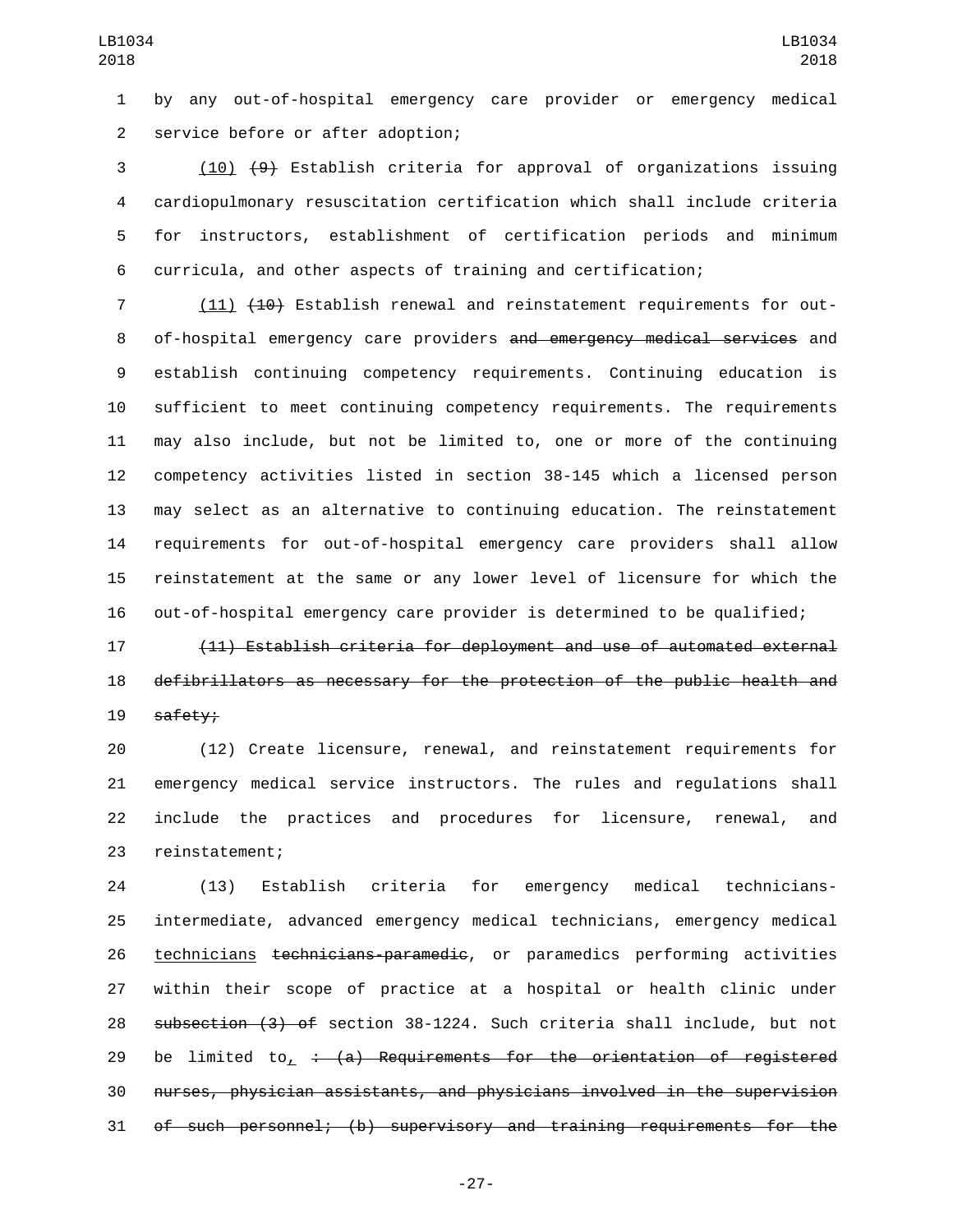by any out-of-hospital emergency care provider or emergency medical 2 service before or after adoption;

 (10) (9) Establish criteria for approval of organizations issuing cardiopulmonary resuscitation certification which shall include criteria for instructors, establishment of certification periods and minimum curricula, and other aspects of training and certification;

7 (11) (10) Establish renewal and reinstatement requirements for out-8 of-hospital emergency care providers and emergency medical services and establish continuing competency requirements. Continuing education is sufficient to meet continuing competency requirements. The requirements may also include, but not be limited to, one or more of the continuing competency activities listed in section 38-145 which a licensed person may select as an alternative to continuing education. The reinstatement requirements for out-of-hospital emergency care providers shall allow reinstatement at the same or any lower level of licensure for which the out-of-hospital emergency care provider is determined to be qualified;

 (11) Establish criteria for deployment and use of automated external defibrillators as necessary for the protection of the public health and 19 safety;

 (12) Create licensure, renewal, and reinstatement requirements for emergency medical service instructors. The rules and regulations shall include the practices and procedures for licensure, renewal, and 23 reinstatement;

 (13) Establish criteria for emergency medical technicians- intermediate, advanced emergency medical technicians, emergency medical technicians technicians-paramedic, or paramedics performing activities within their scope of practice at a hospital or health clinic under subsection (3) of section 38-1224. Such criteria shall include, but not 29 be limited to,  $\div$  (a) Requirements for the orientation of reqistered nurses, physician assistants, and physicians involved in the supervision of such personnel; (b) supervisory and training requirements for the

-27-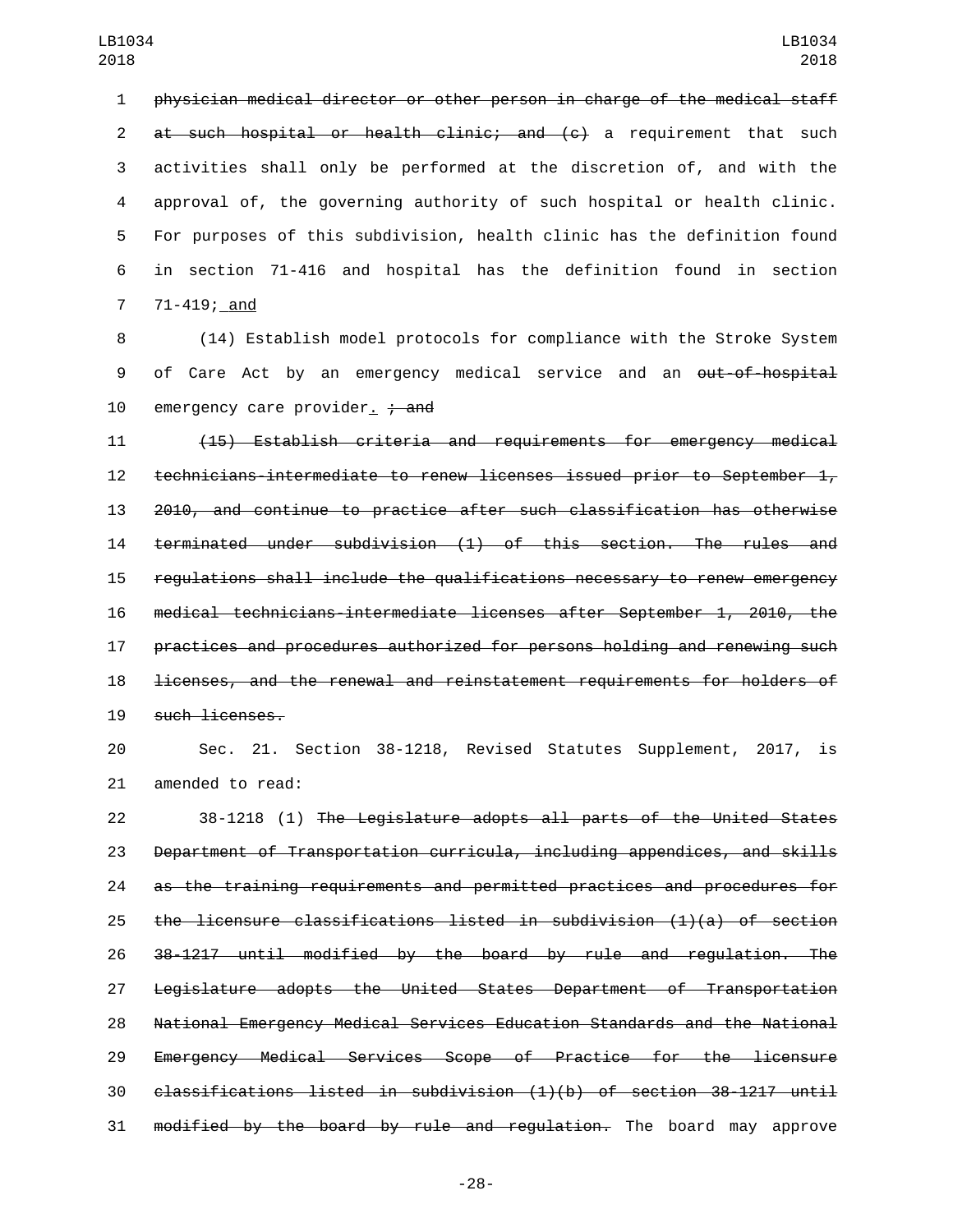physician medical director or other person in charge of the medical staff 2 at such hospital or health clinic; and (c) a requirement that such activities shall only be performed at the discretion of, and with the approval of, the governing authority of such hospital or health clinic. For purposes of this subdivision, health clinic has the definition found in section 71-416 and hospital has the definition found in section 7 71-419; and

 (14) Establish model protocols for compliance with the Stroke System 9 of Care Act by an emergency medical service and an out-of-hospital 10 emergency care provider.  $\frac{1}{2}$  and

 (15) Establish criteria and requirements for emergency medical technicians-intermediate to renew licenses issued prior to September 1, 2010, and continue to practice after such classification has otherwise terminated under subdivision (1) of this section. The rules and regulations shall include the qualifications necessary to renew emergency medical technicians-intermediate licenses after September 1, 2010, the practices and procedures authorized for persons holding and renewing such licenses, and the renewal and reinstatement requirements for holders of 19 such licenses.

 Sec. 21. Section 38-1218, Revised Statutes Supplement, 2017, is 21 amended to read:

 38-1218 (1) The Legislature adopts all parts of the United States Department of Transportation curricula, including appendices, and skills as the training requirements and permitted practices and procedures for the licensure classifications listed in subdivision (1)(a) of section 38-1217 until modified by the board by rule and regulation. The Legislature adopts the United States Department of Transportation National Emergency Medical Services Education Standards and the National Emergency Medical Services Scope of Practice for the licensure classifications listed in subdivision (1)(b) of section 38-1217 until 31 modified by the board by rule and regulation. The board may approve

-28-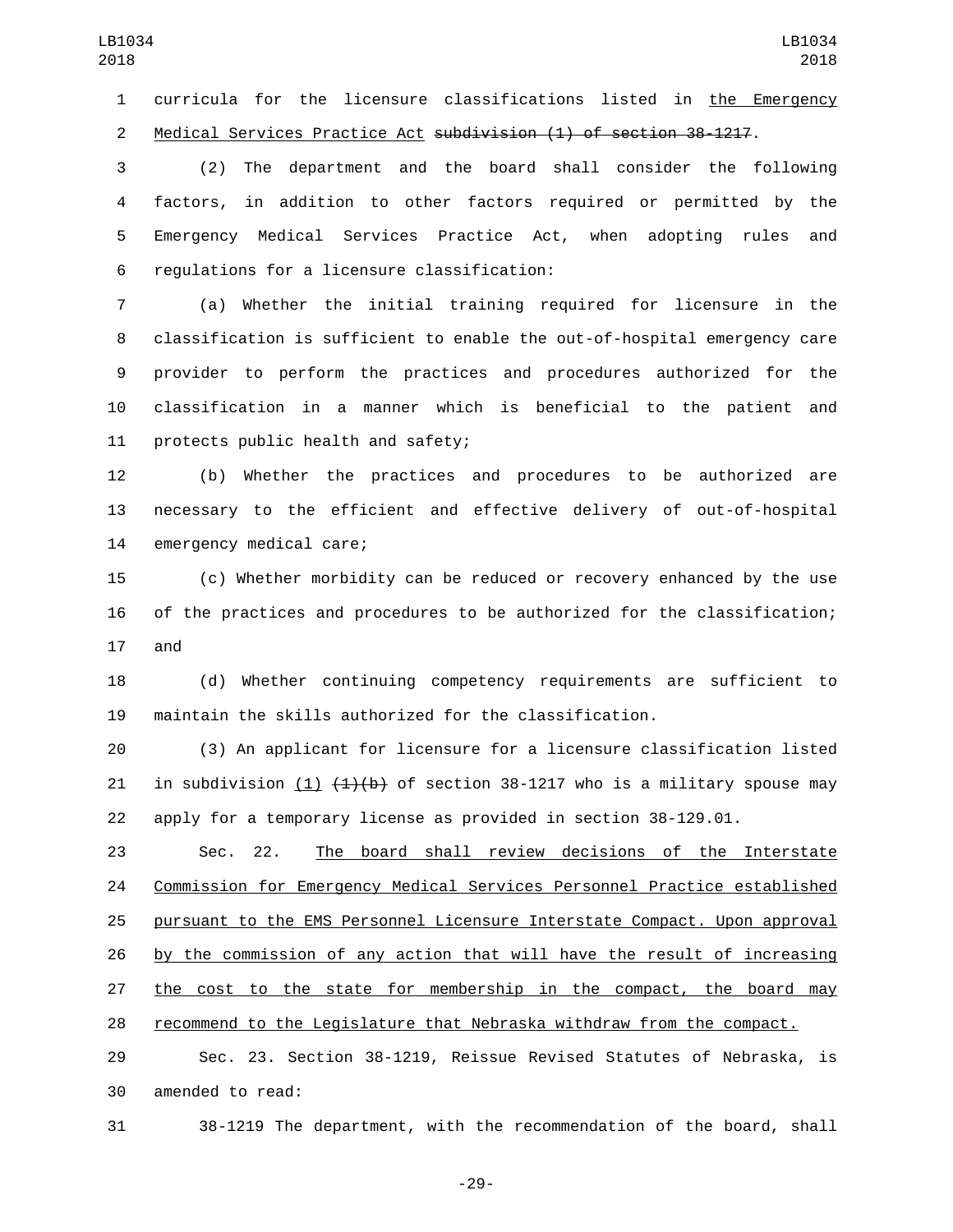curricula for the licensure classifications listed in the Emergency Medical Services Practice Act subdivision (1) of section 38-1217.

 (2) The department and the board shall consider the following factors, in addition to other factors required or permitted by the Emergency Medical Services Practice Act, when adopting rules and 6 regulations for a licensure classification:

 (a) Whether the initial training required for licensure in the classification is sufficient to enable the out-of-hospital emergency care provider to perform the practices and procedures authorized for the classification in a manner which is beneficial to the patient and 11 protects public health and safety;

 (b) Whether the practices and procedures to be authorized are necessary to the efficient and effective delivery of out-of-hospital 14 emergency medical care;

 (c) Whether morbidity can be reduced or recovery enhanced by the use of the practices and procedures to be authorized for the classification; 17 and

 (d) Whether continuing competency requirements are sufficient to maintain the skills authorized for the classification.

 (3) An applicant for licensure for a licensure classification listed 21 in subdivision  $(1)$   $(1)(b)$  of section 38-1217 who is a military spouse may apply for a temporary license as provided in section 38-129.01.

 Sec. 22. The board shall review decisions of the Interstate Commission for Emergency Medical Services Personnel Practice established pursuant to the EMS Personnel Licensure Interstate Compact. Upon approval by the commission of any action that will have the result of increasing the cost to the state for membership in the compact, the board may recommend to the Legislature that Nebraska withdraw from the compact.

 Sec. 23. Section 38-1219, Reissue Revised Statutes of Nebraska, is 30 amended to read:

38-1219 The department, with the recommendation of the board, shall

-29-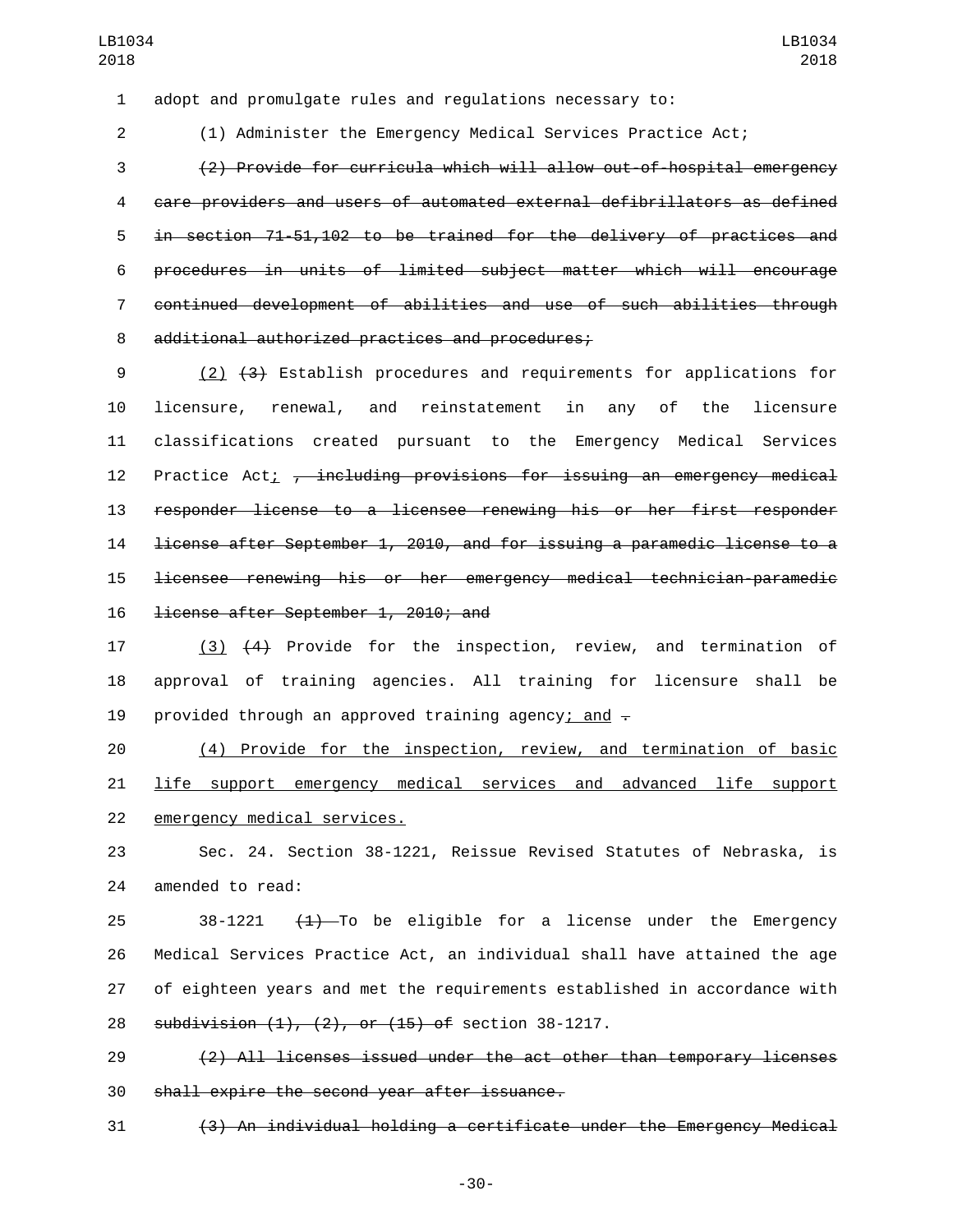adopt and promulgate rules and regulations necessary to:

(1) Administer the Emergency Medical Services Practice Act;

 (2) Provide for curricula which will allow out-of-hospital emergency care providers and users of automated external defibrillators as defined in section 71-51,102 to be trained for the delivery of practices and procedures in units of limited subject matter which will encourage continued development of abilities and use of such abilities through 8 additional authorized practices and procedures;

 (2) (3) Establish procedures and requirements for applications for licensure, renewal, and reinstatement in any of the licensure classifications created pursuant to the Emergency Medical Services 12 Practice Act; <del>, including provisions for issuing an emergency medical</del> responder license to a licensee renewing his or her first responder license after September 1, 2010, and for issuing a paramedic license to a licensee renewing his or her emergency medical technician-paramedic 16 <del>license after September 1, 2010; and</del>

 (3) (4) Provide for the inspection, review, and termination of approval of training agencies. All training for licensure shall be 19 provided through an approved training agency; and  $\overline{z}$ 

 (4) Provide for the inspection, review, and termination of basic 21 life support emergency medical services and advanced life support 22 emergency medical services.

 Sec. 24. Section 38-1221, Reissue Revised Statutes of Nebraska, is 24 amended to read:

25 38-1221  $(1)$ -To be eligible for a license under the Emergency Medical Services Practice Act, an individual shall have attained the age of eighteen years and met the requirements established in accordance with 28 subdivision (1), (2), or (15) of section 38-1217.

 (2) All licenses issued under the act other than temporary licenses 30 shall expire the second year after issuance.

(3) An individual holding a certificate under the Emergency Medical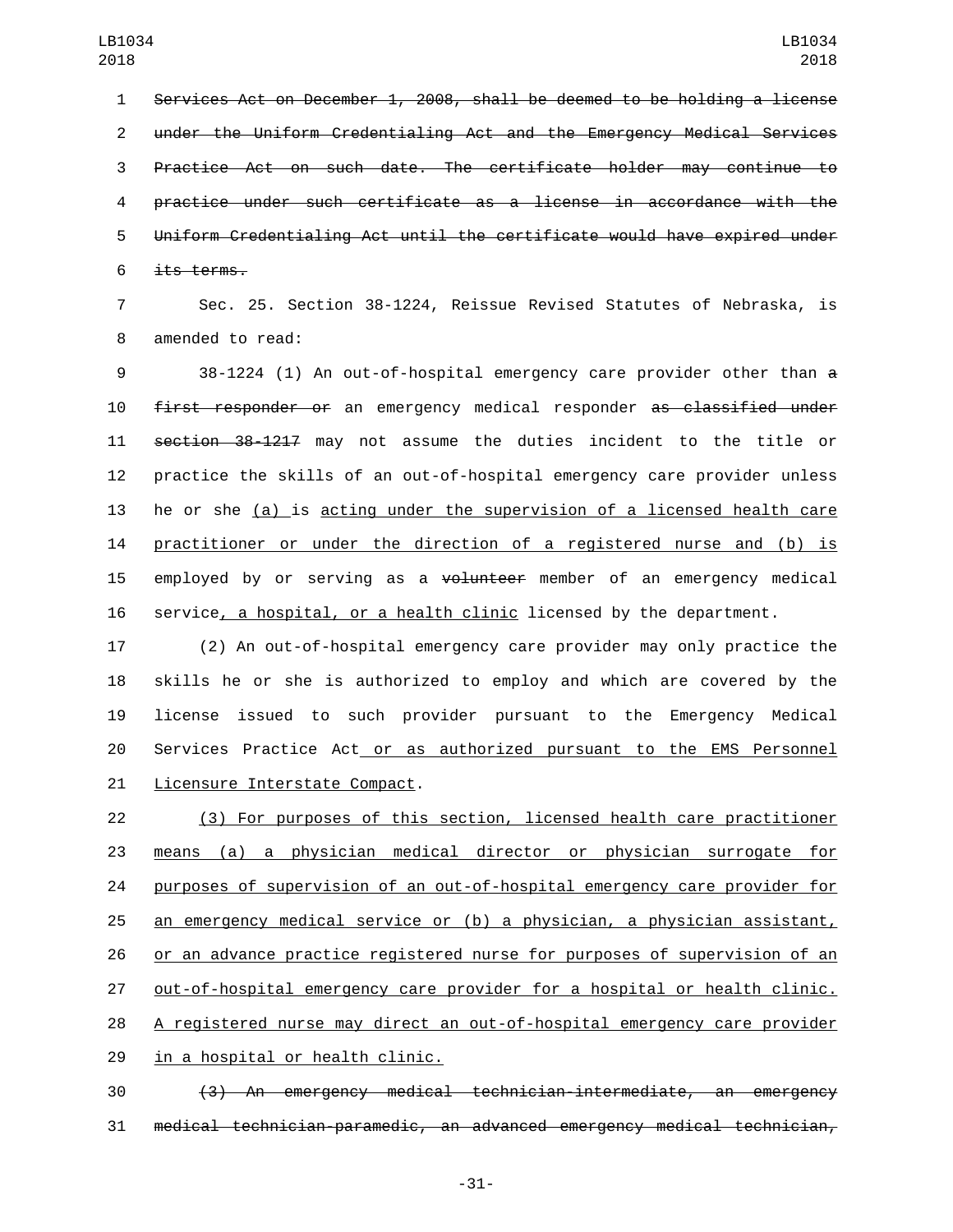Services Act on December 1, 2008, shall be deemed to be holding a license under the Uniform Credentialing Act and the Emergency Medical Services Practice Act on such date. The certificate holder may continue to practice under such certificate as a license in accordance with the Uniform Credentialing Act until the certificate would have expired under its terms.

 Sec. 25. Section 38-1224, Reissue Revised Statutes of Nebraska, is 8 amended to read:

 38-1224 (1) An out-of-hospital emergency care provider other than a first responder or an emergency medical responder as classified under section 38-1217 may not assume the duties incident to the title or practice the skills of an out-of-hospital emergency care provider unless he or she (a) is acting under the supervision of a licensed health care practitioner or under the direction of a registered nurse and (b) is 15 employed by or serving as a volunteer member of an emergency medical service, a hospital, or a health clinic licensed by the department.

 (2) An out-of-hospital emergency care provider may only practice the skills he or she is authorized to employ and which are covered by the license issued to such provider pursuant to the Emergency Medical Services Practice Act or as authorized pursuant to the EMS Personnel 21 Licensure Interstate Compact.

 (3) For purposes of this section, licensed health care practitioner means (a) a physician medical director or physician surrogate for purposes of supervision of an out-of-hospital emergency care provider for an emergency medical service or (b) a physician, a physician assistant, or an advance practice registered nurse for purposes of supervision of an out-of-hospital emergency care provider for a hospital or health clinic. A registered nurse may direct an out-of-hospital emergency care provider 29 in a hospital or health clinic.

 (3) An emergency medical technician-intermediate, an emergency medical technician-paramedic, an advanced emergency medical technician,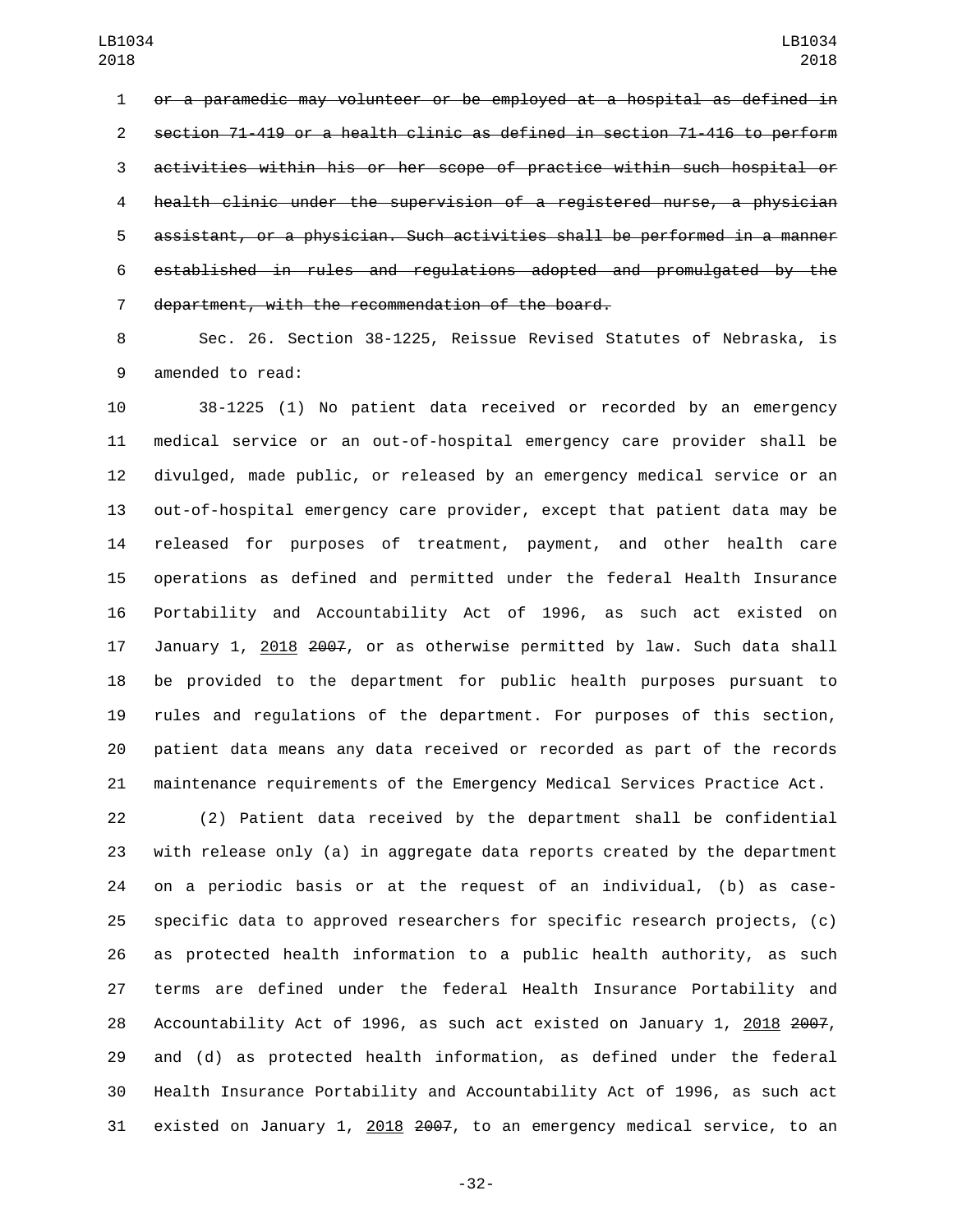or a paramedic may volunteer or be employed at a hospital as defined in section 71-419 or a health clinic as defined in section 71-416 to perform activities within his or her scope of practice within such hospital or health clinic under the supervision of a registered nurse, a physician assistant, or a physician. Such activities shall be performed in a manner established in rules and regulations adopted and promulgated by the 7 department, with the recommendation of the board.

 Sec. 26. Section 38-1225, Reissue Revised Statutes of Nebraska, is 9 amended to read:

 38-1225 (1) No patient data received or recorded by an emergency medical service or an out-of-hospital emergency care provider shall be divulged, made public, or released by an emergency medical service or an out-of-hospital emergency care provider, except that patient data may be released for purposes of treatment, payment, and other health care operations as defined and permitted under the federal Health Insurance Portability and Accountability Act of 1996, as such act existed on 17 January 1, 2018 2007, or as otherwise permitted by law. Such data shall be provided to the department for public health purposes pursuant to rules and regulations of the department. For purposes of this section, patient data means any data received or recorded as part of the records maintenance requirements of the Emergency Medical Services Practice Act.

 (2) Patient data received by the department shall be confidential with release only (a) in aggregate data reports created by the department on a periodic basis or at the request of an individual, (b) as case- specific data to approved researchers for specific research projects, (c) as protected health information to a public health authority, as such terms are defined under the federal Health Insurance Portability and 28 Accountability Act of 1996, as such act existed on January 1, 2018 2007, and (d) as protected health information, as defined under the federal Health Insurance Portability and Accountability Act of 1996, as such act 31 existed on January 1, 2018 2007, to an emergency medical service, to an

-32-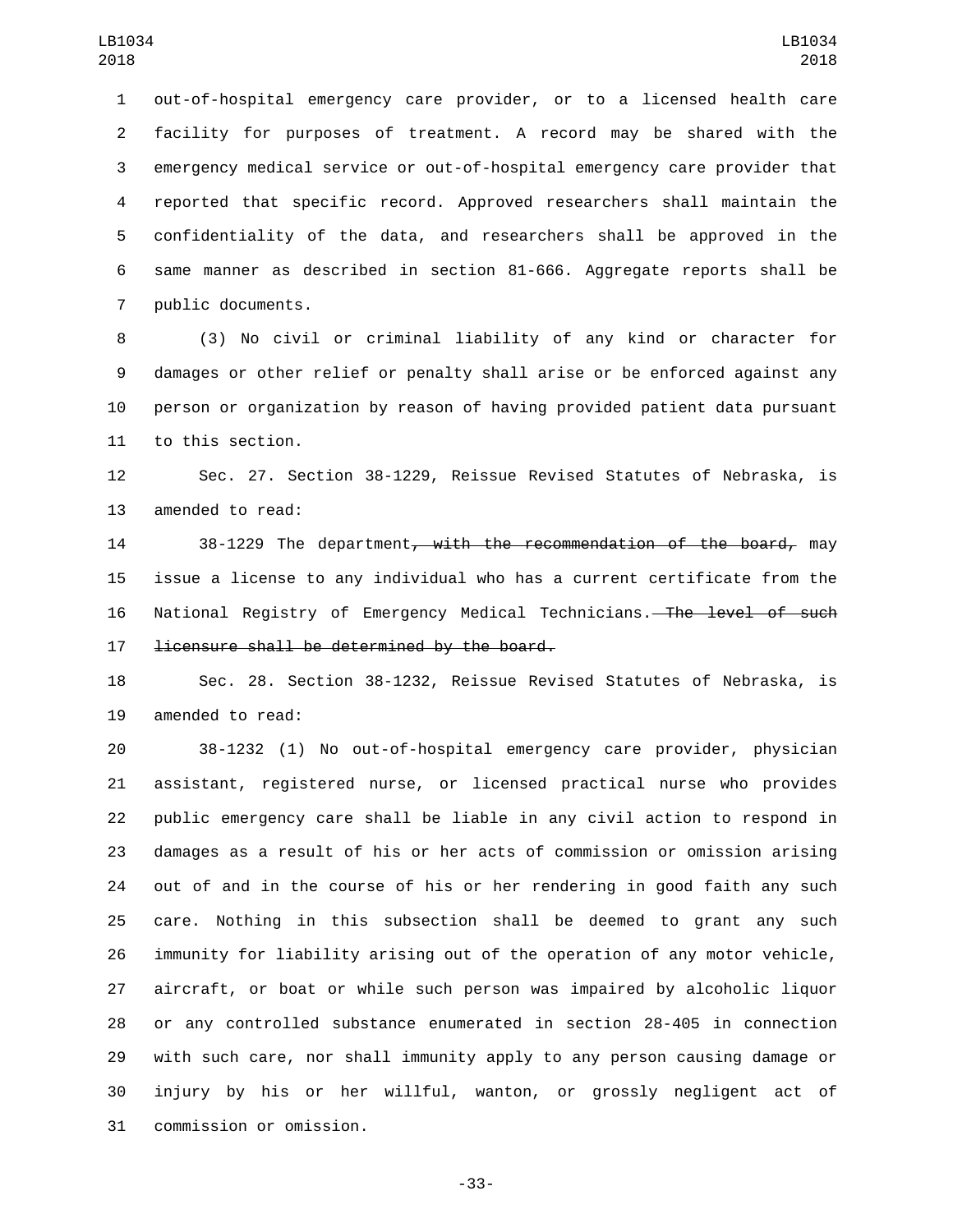out-of-hospital emergency care provider, or to a licensed health care facility for purposes of treatment. A record may be shared with the emergency medical service or out-of-hospital emergency care provider that reported that specific record. Approved researchers shall maintain the confidentiality of the data, and researchers shall be approved in the same manner as described in section 81-666. Aggregate reports shall be 7 public documents.

 (3) No civil or criminal liability of any kind or character for damages or other relief or penalty shall arise or be enforced against any person or organization by reason of having provided patient data pursuant 11 to this section.

 Sec. 27. Section 38-1229, Reissue Revised Statutes of Nebraska, is 13 amended to read:

14 38-1229 The department, with the recommendation of the board, may issue a license to any individual who has a current certificate from the National Registry of Emergency Medical Technicians. The level of such 17 <del>licensure shall be determined by the board.</del>

 Sec. 28. Section 38-1232, Reissue Revised Statutes of Nebraska, is 19 amended to read:

 38-1232 (1) No out-of-hospital emergency care provider, physician assistant, registered nurse, or licensed practical nurse who provides public emergency care shall be liable in any civil action to respond in damages as a result of his or her acts of commission or omission arising out of and in the course of his or her rendering in good faith any such care. Nothing in this subsection shall be deemed to grant any such immunity for liability arising out of the operation of any motor vehicle, aircraft, or boat or while such person was impaired by alcoholic liquor or any controlled substance enumerated in section 28-405 in connection with such care, nor shall immunity apply to any person causing damage or injury by his or her willful, wanton, or grossly negligent act of 31 commission or omission.

-33-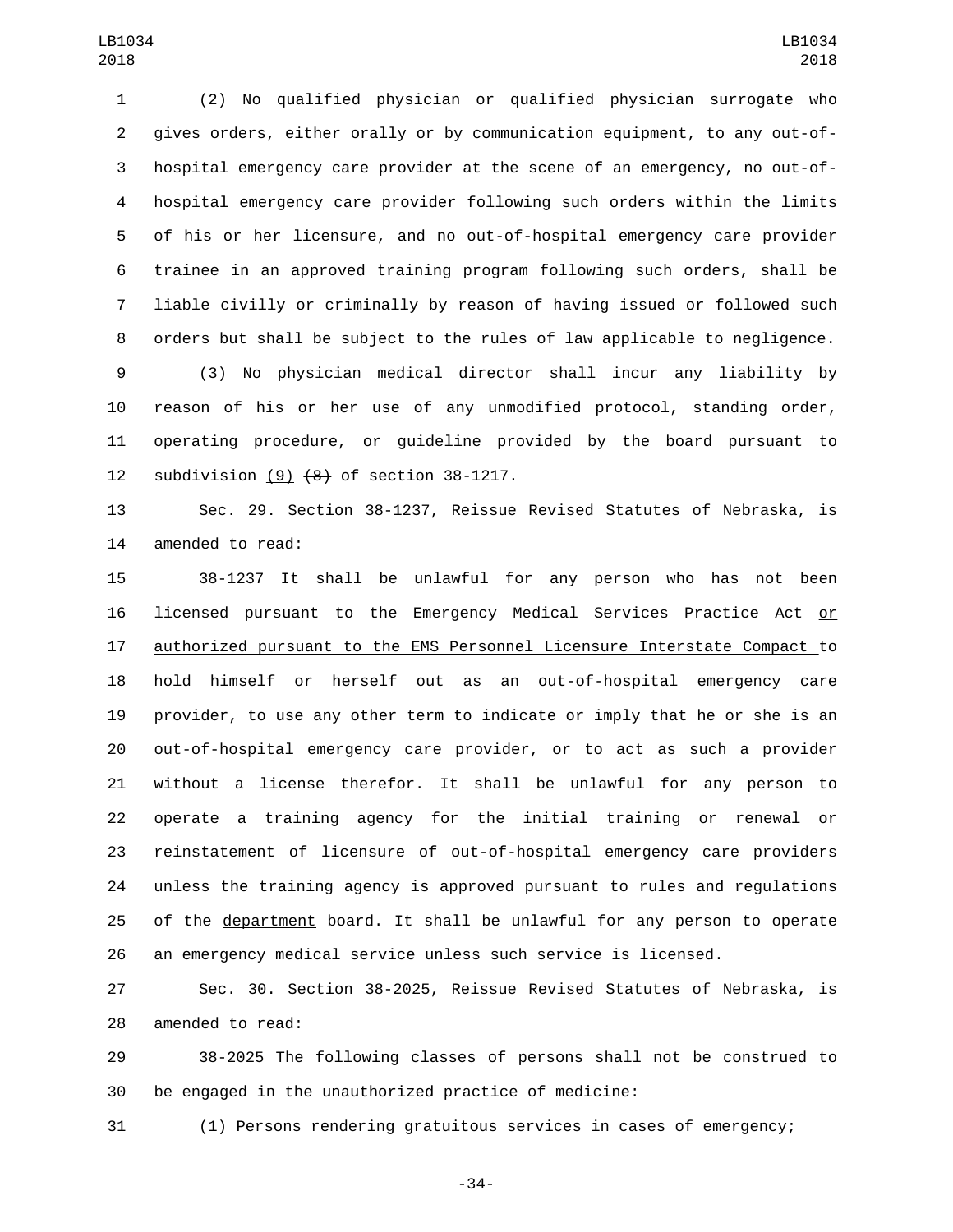(2) No qualified physician or qualified physician surrogate who gives orders, either orally or by communication equipment, to any out-of- hospital emergency care provider at the scene of an emergency, no out-of- hospital emergency care provider following such orders within the limits of his or her licensure, and no out-of-hospital emergency care provider trainee in an approved training program following such orders, shall be liable civilly or criminally by reason of having issued or followed such orders but shall be subject to the rules of law applicable to negligence.

 (3) No physician medical director shall incur any liability by reason of his or her use of any unmodified protocol, standing order, operating procedure, or guideline provided by the board pursuant to 12 subdivision  $(9)$   $(4)$  of section 38-1217.

 Sec. 29. Section 38-1237, Reissue Revised Statutes of Nebraska, is 14 amended to read:

 38-1237 It shall be unlawful for any person who has not been licensed pursuant to the Emergency Medical Services Practice Act or authorized pursuant to the EMS Personnel Licensure Interstate Compact to hold himself or herself out as an out-of-hospital emergency care provider, to use any other term to indicate or imply that he or she is an out-of-hospital emergency care provider, or to act as such a provider without a license therefor. It shall be unlawful for any person to operate a training agency for the initial training or renewal or reinstatement of licensure of out-of-hospital emergency care providers unless the training agency is approved pursuant to rules and regulations 25 of the department board. It shall be unlawful for any person to operate an emergency medical service unless such service is licensed.

 Sec. 30. Section 38-2025, Reissue Revised Statutes of Nebraska, is 28 amended to read:

 38-2025 The following classes of persons shall not be construed to be engaged in the unauthorized practice of medicine:

(1) Persons rendering gratuitous services in cases of emergency;

-34-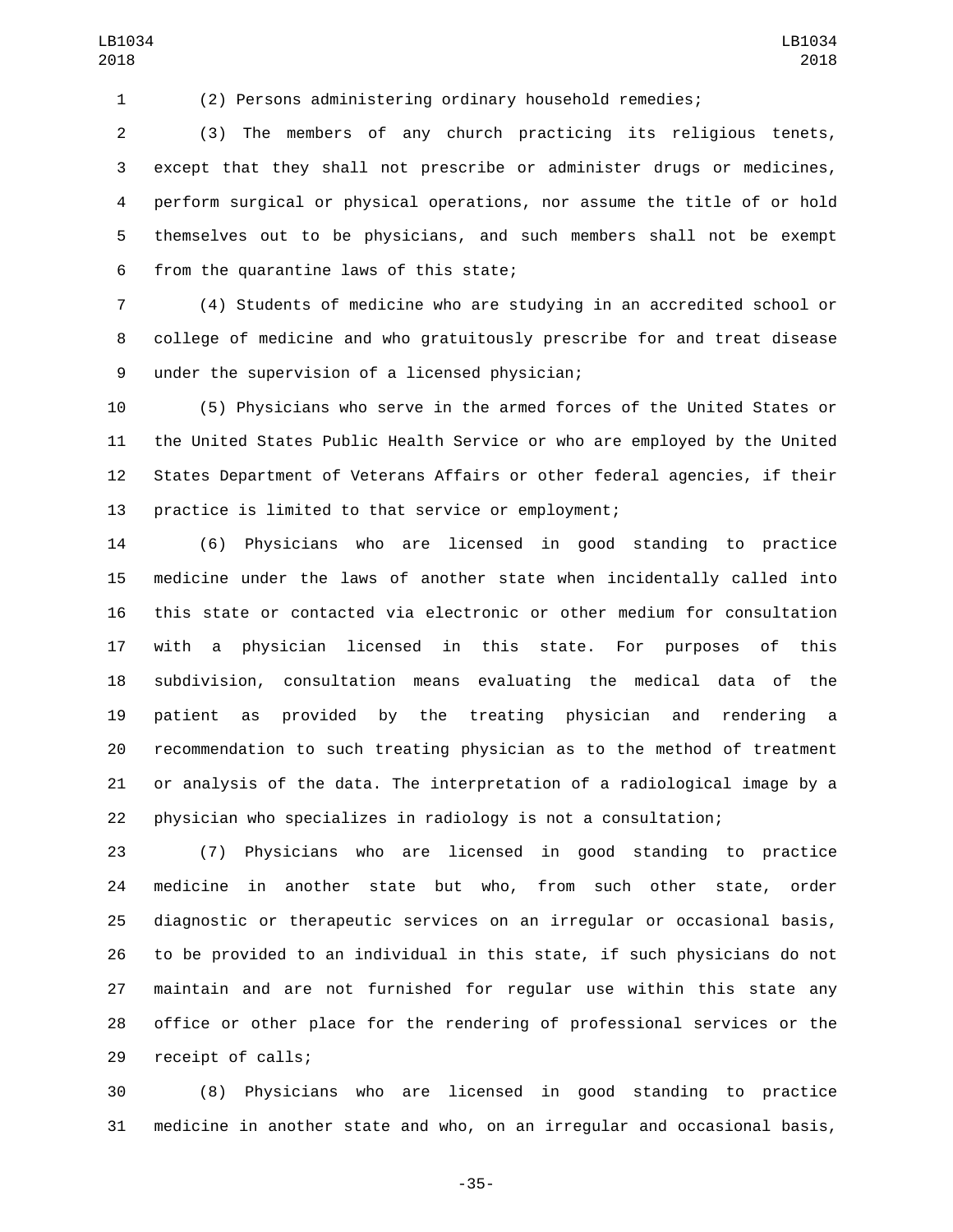(2) Persons administering ordinary household remedies;

 (3) The members of any church practicing its religious tenets, except that they shall not prescribe or administer drugs or medicines, perform surgical or physical operations, nor assume the title of or hold themselves out to be physicians, and such members shall not be exempt 6 from the quarantine laws of this state;

 (4) Students of medicine who are studying in an accredited school or college of medicine and who gratuitously prescribe for and treat disease under the supervision of a licensed physician;9

 (5) Physicians who serve in the armed forces of the United States or the United States Public Health Service or who are employed by the United States Department of Veterans Affairs or other federal agencies, if their practice is limited to that service or employment;

 (6) Physicians who are licensed in good standing to practice medicine under the laws of another state when incidentally called into this state or contacted via electronic or other medium for consultation with a physician licensed in this state. For purposes of this subdivision, consultation means evaluating the medical data of the patient as provided by the treating physician and rendering a recommendation to such treating physician as to the method of treatment or analysis of the data. The interpretation of a radiological image by a physician who specializes in radiology is not a consultation;

 (7) Physicians who are licensed in good standing to practice medicine in another state but who, from such other state, order diagnostic or therapeutic services on an irregular or occasional basis, to be provided to an individual in this state, if such physicians do not maintain and are not furnished for regular use within this state any office or other place for the rendering of professional services or the 29 receipt of calls;

 (8) Physicians who are licensed in good standing to practice medicine in another state and who, on an irregular and occasional basis,

-35-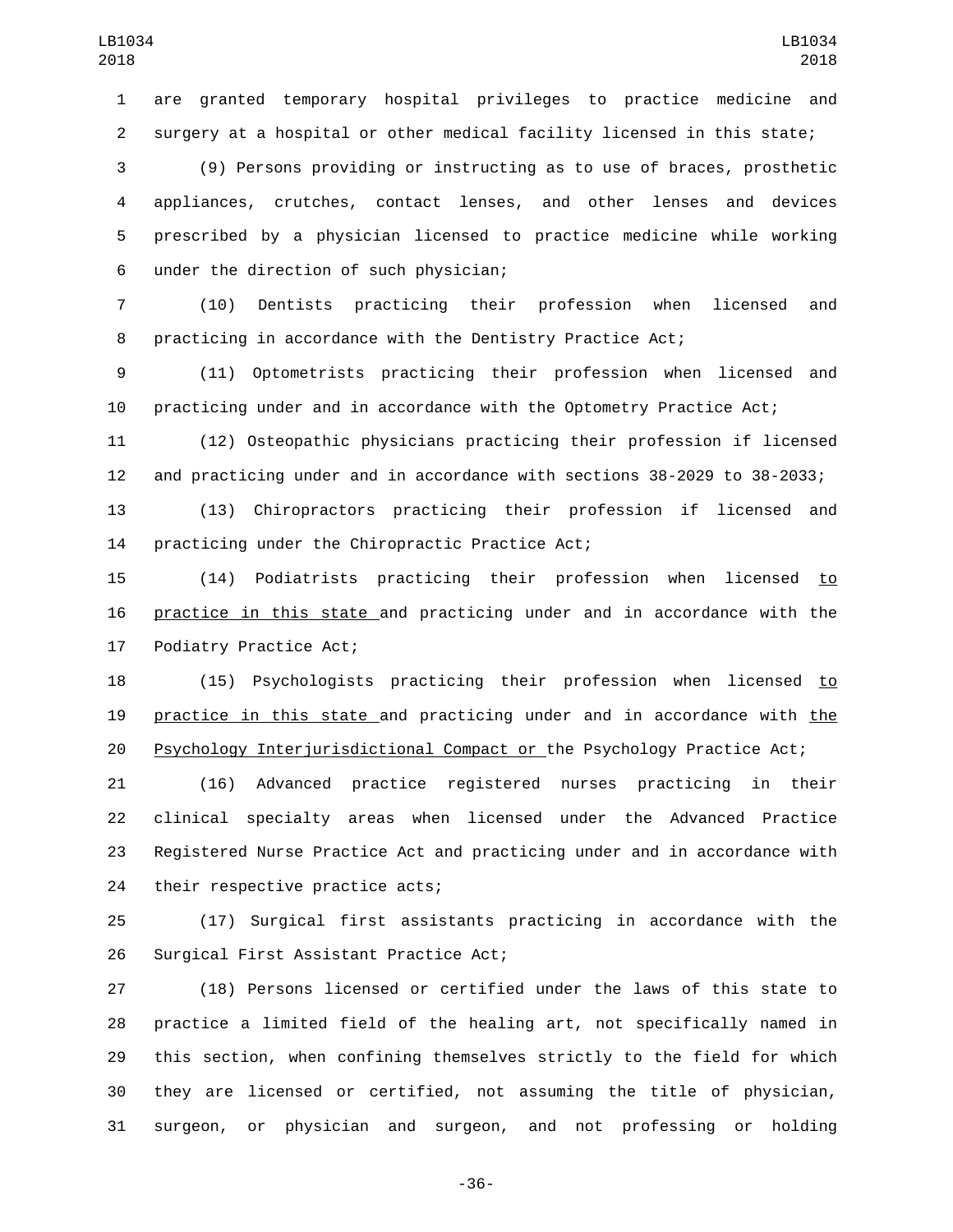are granted temporary hospital privileges to practice medicine and surgery at a hospital or other medical facility licensed in this state;

 (9) Persons providing or instructing as to use of braces, prosthetic appliances, crutches, contact lenses, and other lenses and devices prescribed by a physician licensed to practice medicine while working under the direction of such physician;6

 (10) Dentists practicing their profession when licensed and practicing in accordance with the Dentistry Practice Act;

 (11) Optometrists practicing their profession when licensed and practicing under and in accordance with the Optometry Practice Act;

 (12) Osteopathic physicians practicing their profession if licensed and practicing under and in accordance with sections 38-2029 to 38-2033;

 (13) Chiropractors practicing their profession if licensed and 14 practicing under the Chiropractic Practice Act;

 (14) Podiatrists practicing their profession when licensed to practice in this state and practicing under and in accordance with the 17 Podiatry Practice Act;

 (15) Psychologists practicing their profession when licensed to practice in this state and practicing under and in accordance with the Psychology Interjurisdictional Compact or the Psychology Practice Act;

 (16) Advanced practice registered nurses practicing in their clinical specialty areas when licensed under the Advanced Practice Registered Nurse Practice Act and practicing under and in accordance with 24 their respective practice acts;

 (17) Surgical first assistants practicing in accordance with the 26 Surgical First Assistant Practice Act;

 (18) Persons licensed or certified under the laws of this state to practice a limited field of the healing art, not specifically named in this section, when confining themselves strictly to the field for which they are licensed or certified, not assuming the title of physician, surgeon, or physician and surgeon, and not professing or holding

-36-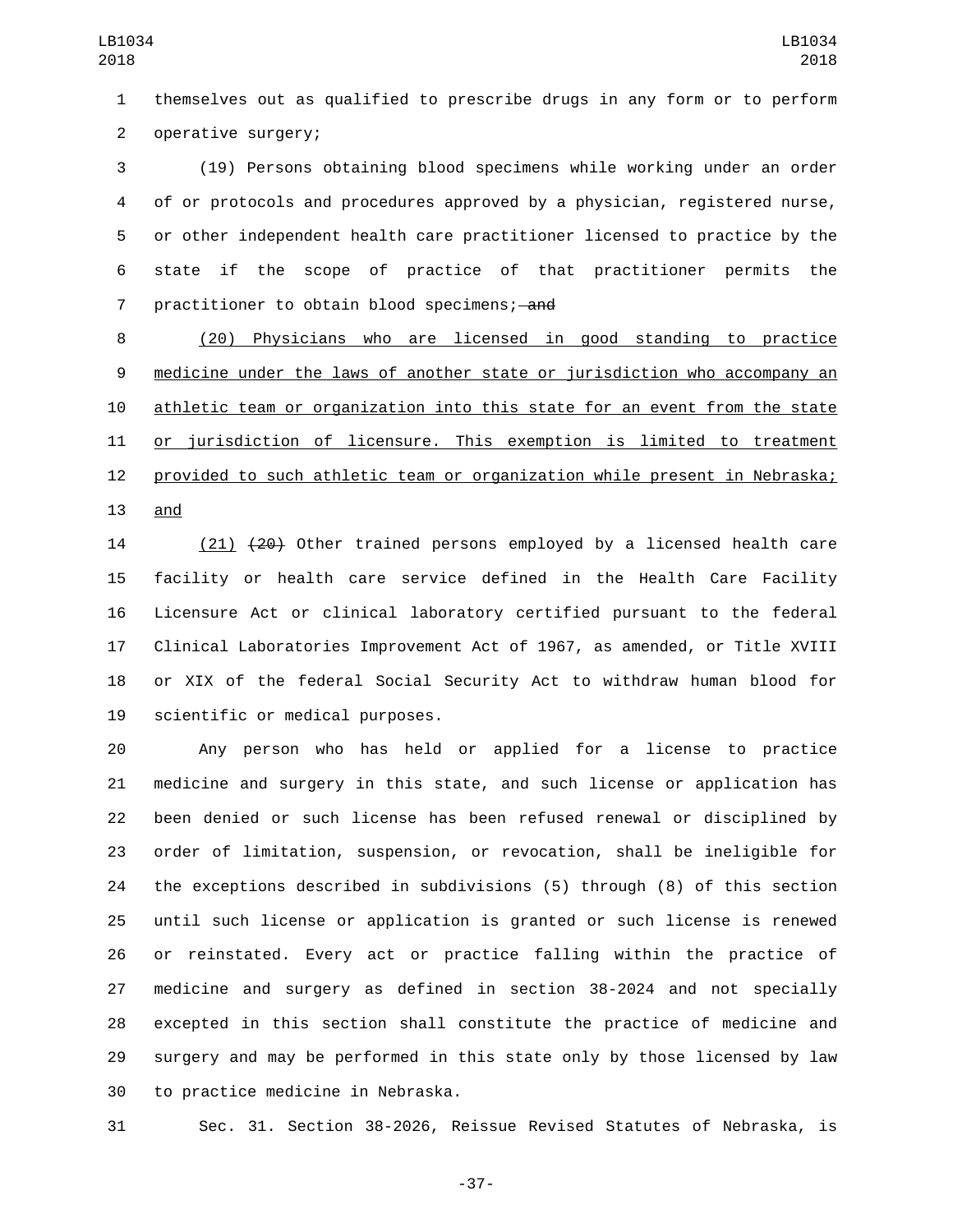themselves out as qualified to prescribe drugs in any form or to perform 2 operative surgery;

 (19) Persons obtaining blood specimens while working under an order of or protocols and procedures approved by a physician, registered nurse, or other independent health care practitioner licensed to practice by the state if the scope of practice of that practitioner permits the 7 practitioner to obtain blood specimens; and

 (20) Physicians who are licensed in good standing to practice medicine under the laws of another state or jurisdiction who accompany an athletic team or organization into this state for an event from the state or jurisdiction of licensure. This exemption is limited to treatment provided to such athletic team or organization while present in Nebraska; and

 (21) (20) Other trained persons employed by a licensed health care facility or health care service defined in the Health Care Facility Licensure Act or clinical laboratory certified pursuant to the federal Clinical Laboratories Improvement Act of 1967, as amended, or Title XVIII or XIX of the federal Social Security Act to withdraw human blood for 19 scientific or medical purposes.

 Any person who has held or applied for a license to practice medicine and surgery in this state, and such license or application has been denied or such license has been refused renewal or disciplined by order of limitation, suspension, or revocation, shall be ineligible for the exceptions described in subdivisions (5) through (8) of this section until such license or application is granted or such license is renewed or reinstated. Every act or practice falling within the practice of medicine and surgery as defined in section 38-2024 and not specially excepted in this section shall constitute the practice of medicine and surgery and may be performed in this state only by those licensed by law 30 to practice medicine in Nebraska.

Sec. 31. Section 38-2026, Reissue Revised Statutes of Nebraska, is

-37-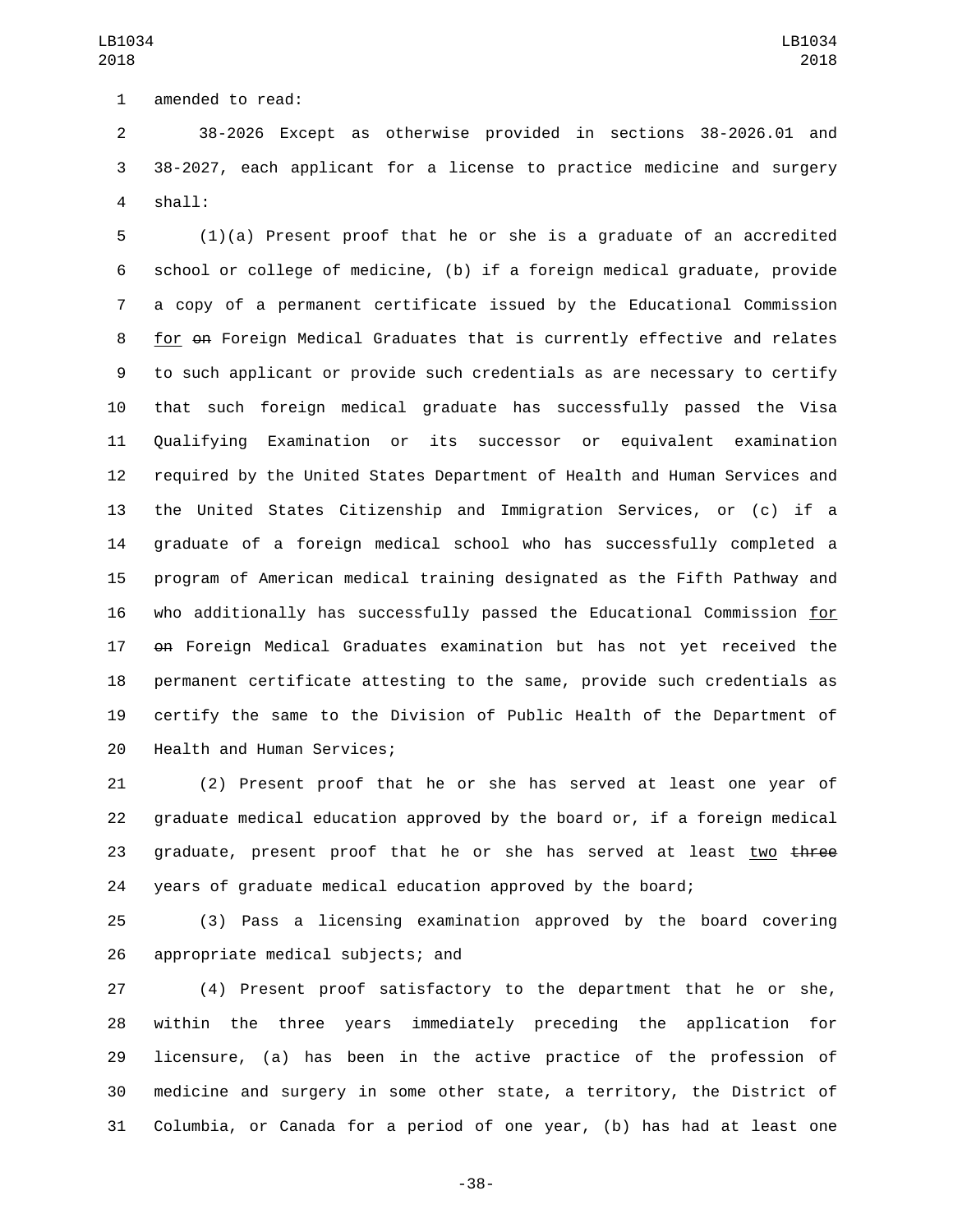1 amended to read:

 38-2026 Except as otherwise provided in sections 38-2026.01 and 38-2027, each applicant for a license to practice medicine and surgery shall:4

 (1)(a) Present proof that he or she is a graduate of an accredited school or college of medicine, (b) if a foreign medical graduate, provide a copy of a permanent certificate issued by the Educational Commission for on Foreign Medical Graduates that is currently effective and relates to such applicant or provide such credentials as are necessary to certify that such foreign medical graduate has successfully passed the Visa Qualifying Examination or its successor or equivalent examination required by the United States Department of Health and Human Services and the United States Citizenship and Immigration Services, or (c) if a graduate of a foreign medical school who has successfully completed a program of American medical training designated as the Fifth Pathway and who additionally has successfully passed the Educational Commission for on Foreign Medical Graduates examination but has not yet received the permanent certificate attesting to the same, provide such credentials as certify the same to the Division of Public Health of the Department of 20 Health and Human Services;

 (2) Present proof that he or she has served at least one year of graduate medical education approved by the board or, if a foreign medical 23 graduate, present proof that he or she has served at least two three years of graduate medical education approved by the board;

 (3) Pass a licensing examination approved by the board covering 26 appropriate medical subjects; and

 (4) Present proof satisfactory to the department that he or she, within the three years immediately preceding the application for licensure, (a) has been in the active practice of the profession of medicine and surgery in some other state, a territory, the District of Columbia, or Canada for a period of one year, (b) has had at least one

-38-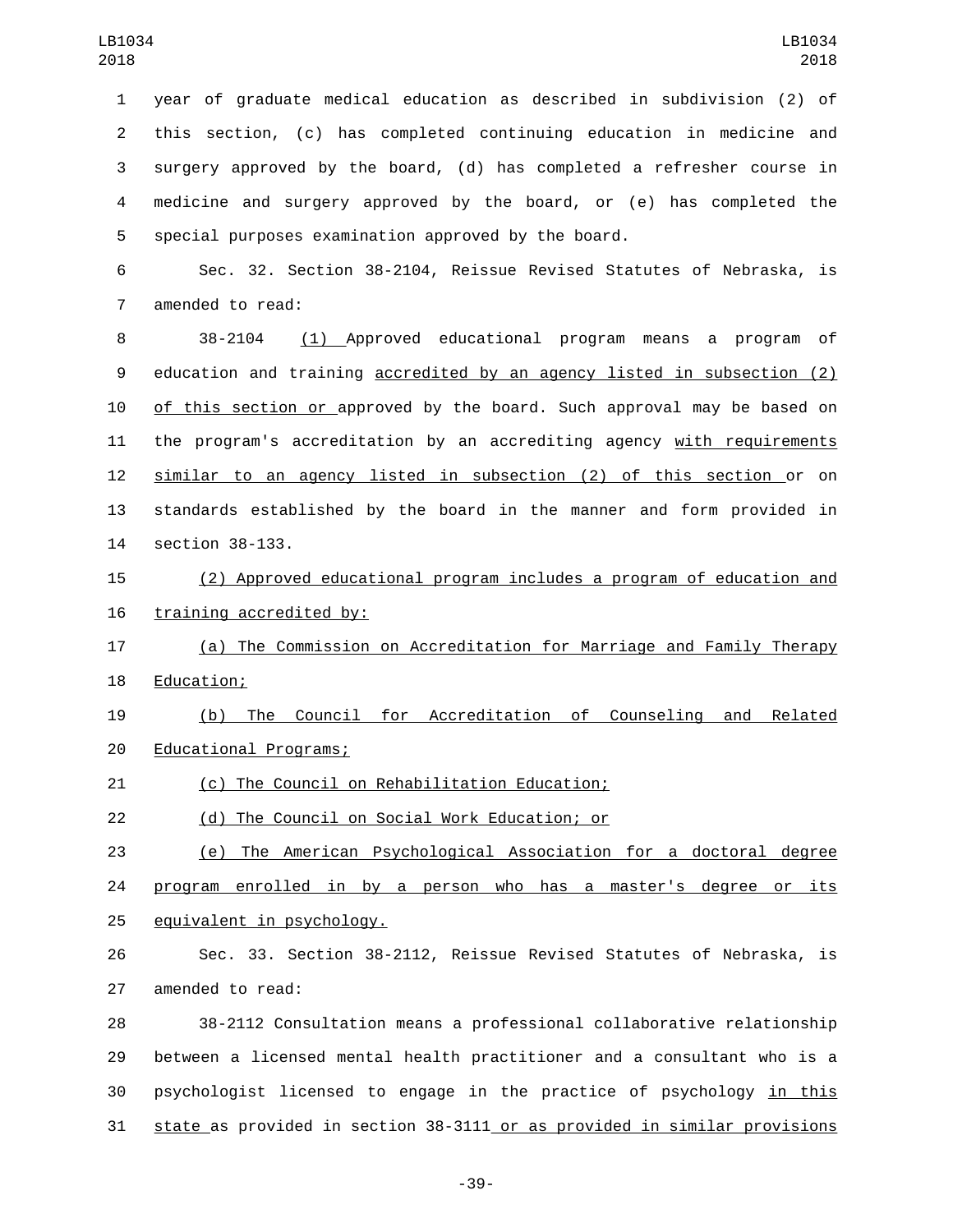year of graduate medical education as described in subdivision (2) of this section, (c) has completed continuing education in medicine and surgery approved by the board, (d) has completed a refresher course in medicine and surgery approved by the board, or (e) has completed the special purposes examination approved by the board.

 Sec. 32. Section 38-2104, Reissue Revised Statutes of Nebraska, is 7 amended to read:

 38-2104 (1) Approved educational program means a program of education and training accredited by an agency listed in subsection (2) of this section or approved by the board. Such approval may be based on the program's accreditation by an accrediting agency with requirements similar to an agency listed in subsection (2) of this section or on standards established by the board in the manner and form provided in 14 section 38-133.

 (2) Approved educational program includes a program of education and 16 training accredited by:

 (a) The Commission on Accreditation for Marriage and Family Therapy 18 Education;

 (b) The Council for Accreditation of Counseling and Related 20 Educational Programs;

21 (c) The Council on Rehabilitation Education;

(d) The Council on Social Work Education; or22

 (e) The American Psychological Association for a doctoral degree 24 program enrolled in by a person who has a master's degree or its 25 equivalent in psychology.

 Sec. 33. Section 38-2112, Reissue Revised Statutes of Nebraska, is 27 amended to read:

 38-2112 Consultation means a professional collaborative relationship between a licensed mental health practitioner and a consultant who is a psychologist licensed to engage in the practice of psychology in this state as provided in section 38-3111 or as provided in similar provisions

-39-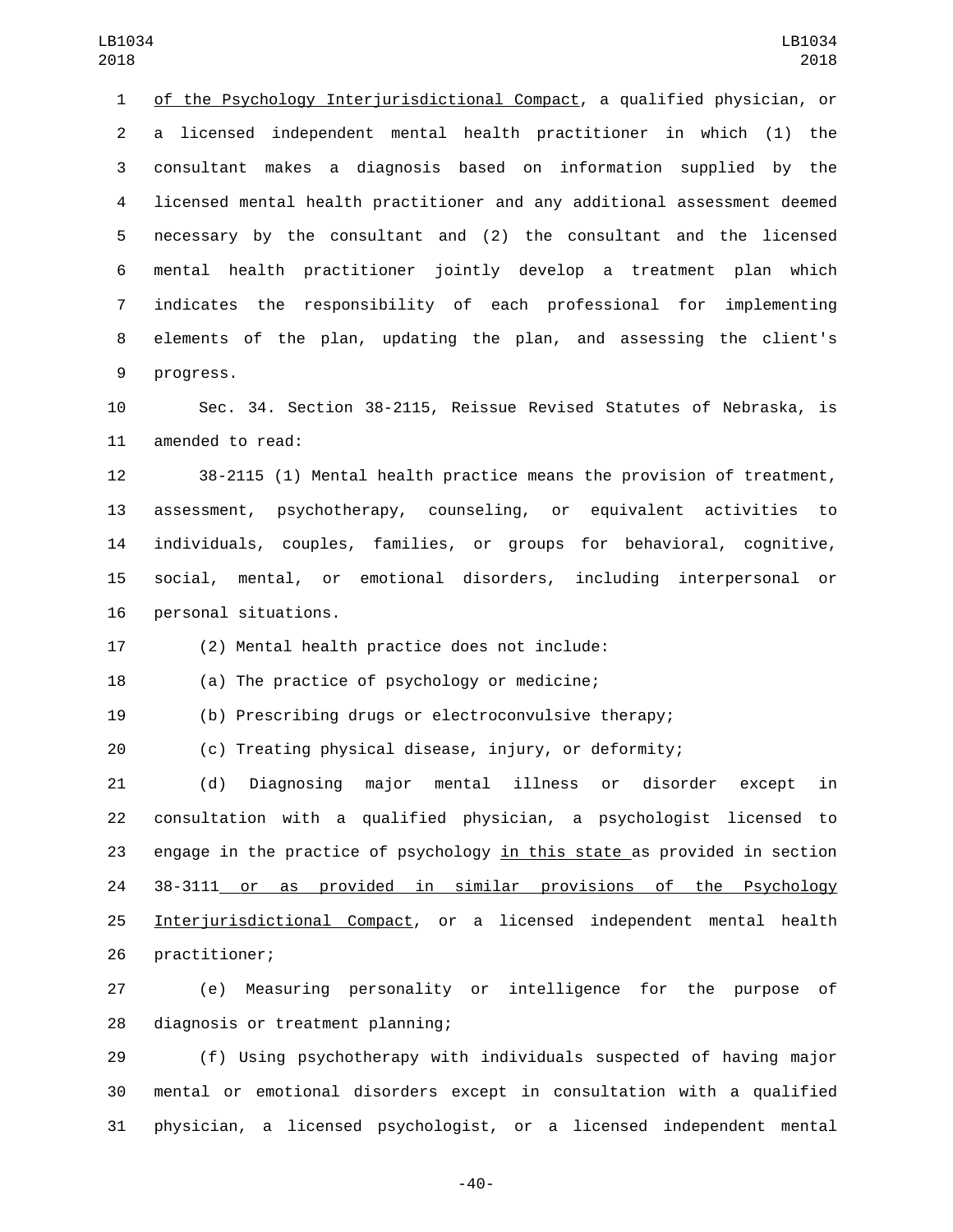1 of the Psychology Interjurisdictional Compact, a qualified physician, or a licensed independent mental health practitioner in which (1) the consultant makes a diagnosis based on information supplied by the licensed mental health practitioner and any additional assessment deemed necessary by the consultant and (2) the consultant and the licensed mental health practitioner jointly develop a treatment plan which indicates the responsibility of each professional for implementing elements of the plan, updating the plan, and assessing the client's 9 progress.

 Sec. 34. Section 38-2115, Reissue Revised Statutes of Nebraska, is 11 amended to read:

 38-2115 (1) Mental health practice means the provision of treatment, assessment, psychotherapy, counseling, or equivalent activities to individuals, couples, families, or groups for behavioral, cognitive, social, mental, or emotional disorders, including interpersonal or 16 personal situations.

17 (2) Mental health practice does not include:

18 (a) The practice of psychology or medicine;

(b) Prescribing drugs or electroconvulsive therapy;

(c) Treating physical disease, injury, or deformity;

 (d) Diagnosing major mental illness or disorder except in consultation with a qualified physician, a psychologist licensed to engage in the practice of psychology in this state as provided in section 38-3111 or as provided in similar provisions of the Psychology Interjurisdictional Compact, or a licensed independent mental health 26 practitioner;

 (e) Measuring personality or intelligence for the purpose of 28 diagnosis or treatment planning;

 (f) Using psychotherapy with individuals suspected of having major mental or emotional disorders except in consultation with a qualified physician, a licensed psychologist, or a licensed independent mental

-40-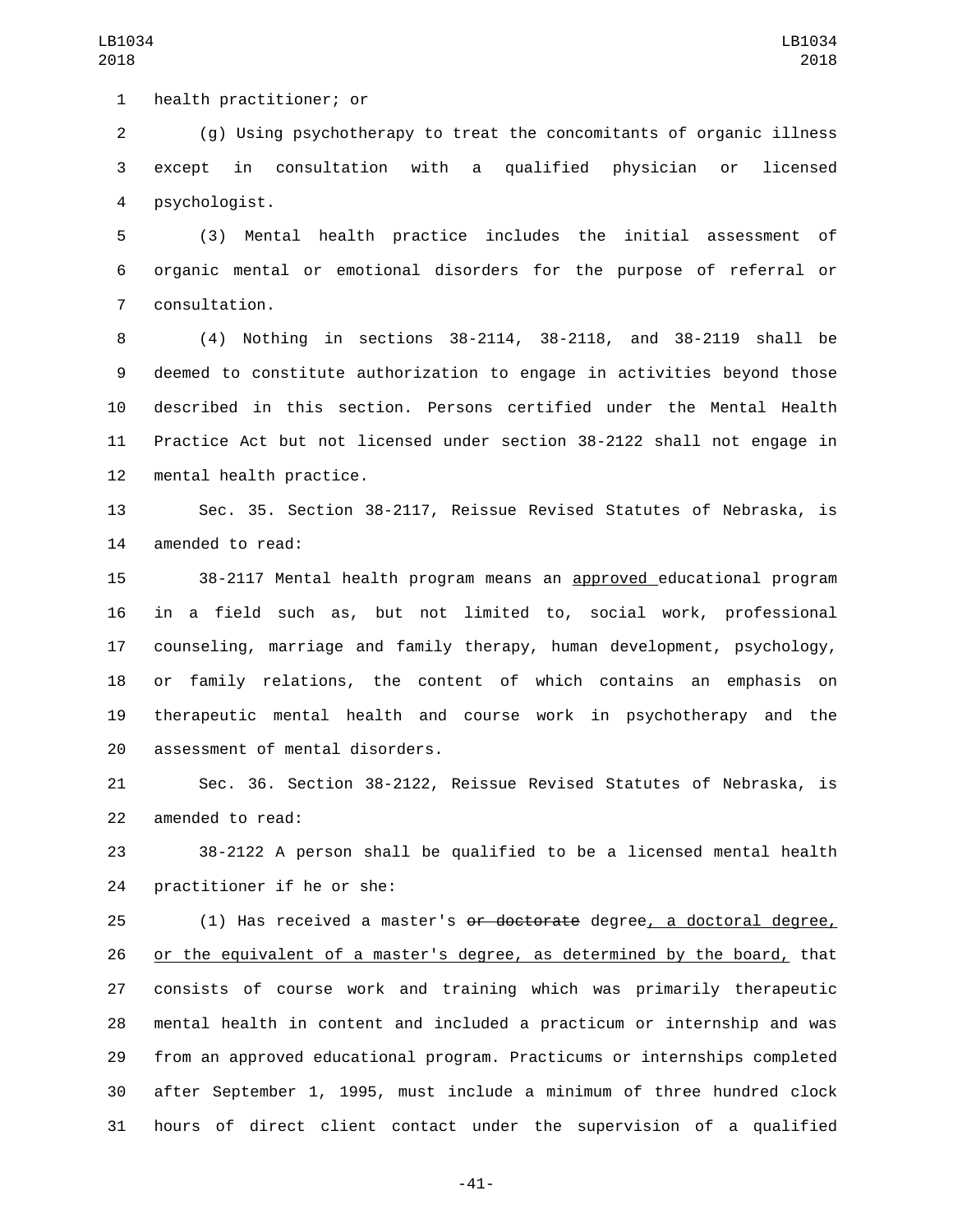1 health practitioner; or

 (g) Using psychotherapy to treat the concomitants of organic illness except in consultation with a qualified physician or licensed psychologist.4

 (3) Mental health practice includes the initial assessment of organic mental or emotional disorders for the purpose of referral or consultation.7

 (4) Nothing in sections 38-2114, 38-2118, and 38-2119 shall be deemed to constitute authorization to engage in activities beyond those described in this section. Persons certified under the Mental Health Practice Act but not licensed under section 38-2122 shall not engage in 12 mental health practice.

 Sec. 35. Section 38-2117, Reissue Revised Statutes of Nebraska, is 14 amended to read:

 38-2117 Mental health program means an approved educational program in a field such as, but not limited to, social work, professional counseling, marriage and family therapy, human development, psychology, or family relations, the content of which contains an emphasis on therapeutic mental health and course work in psychotherapy and the 20 assessment of mental disorders.

 Sec. 36. Section 38-2122, Reissue Revised Statutes of Nebraska, is 22 amended to read:

 38-2122 A person shall be qualified to be a licensed mental health 24 practitioner if he or she:

25 (1) Has received a master's <del>or doctorate</del> degree, a doctoral degree, 26 or the equivalent of a master's degree, as determined by the board, that consists of course work and training which was primarily therapeutic mental health in content and included a practicum or internship and was from an approved educational program. Practicums or internships completed after September 1, 1995, must include a minimum of three hundred clock hours of direct client contact under the supervision of a qualified

-41-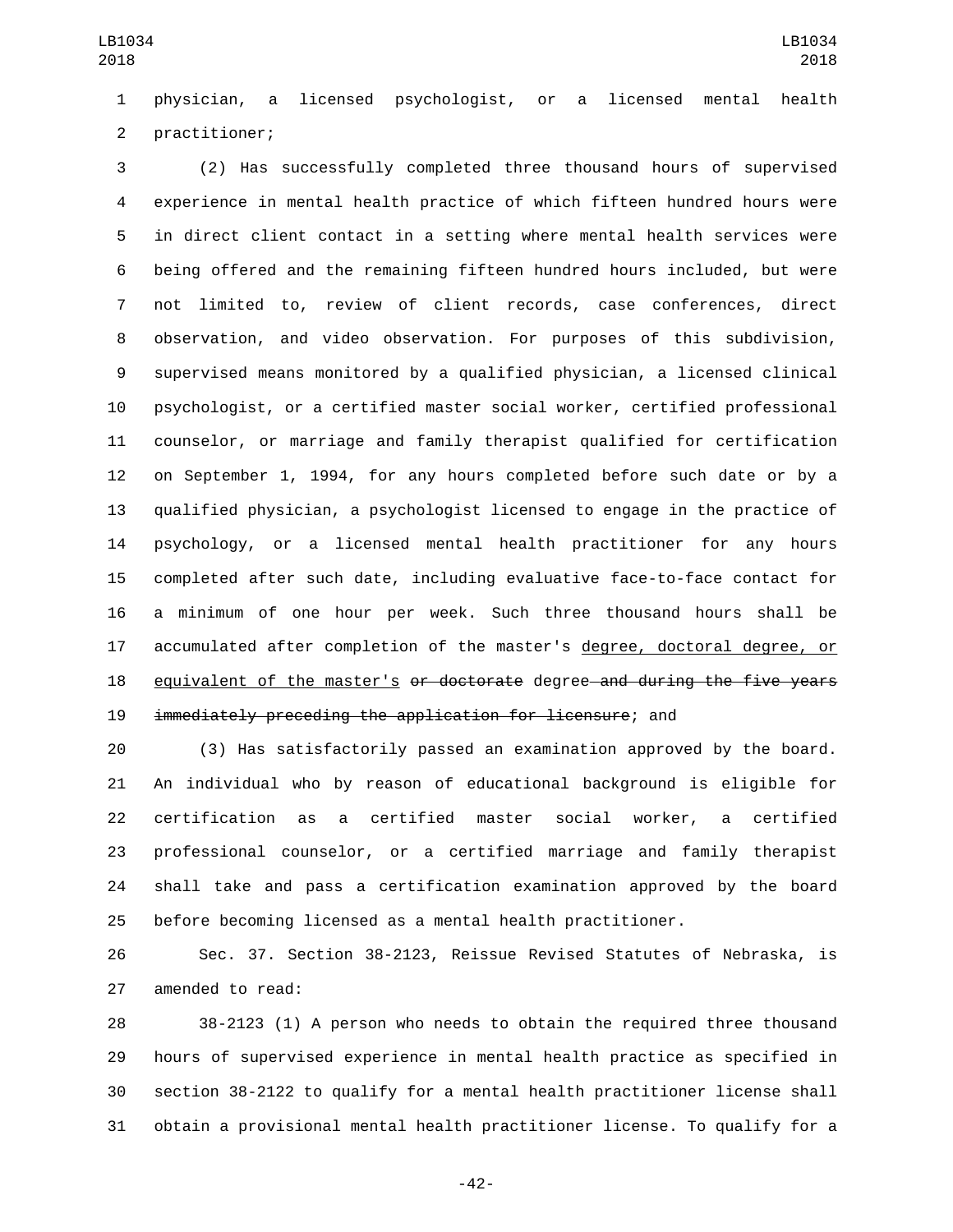physician, a licensed psychologist, or a licensed mental health 2 practitioner;

 (2) Has successfully completed three thousand hours of supervised experience in mental health practice of which fifteen hundred hours were in direct client contact in a setting where mental health services were being offered and the remaining fifteen hundred hours included, but were not limited to, review of client records, case conferences, direct observation, and video observation. For purposes of this subdivision, supervised means monitored by a qualified physician, a licensed clinical psychologist, or a certified master social worker, certified professional counselor, or marriage and family therapist qualified for certification on September 1, 1994, for any hours completed before such date or by a qualified physician, a psychologist licensed to engage in the practice of psychology, or a licensed mental health practitioner for any hours completed after such date, including evaluative face-to-face contact for a minimum of one hour per week. Such three thousand hours shall be accumulated after completion of the master's degree, doctoral degree, or 18 equivalent of the master's <del>or doctorate</del> degree—and during the five years immediately preceding the application for licensure; and

 (3) Has satisfactorily passed an examination approved by the board. An individual who by reason of educational background is eligible for certification as a certified master social worker, a certified professional counselor, or a certified marriage and family therapist shall take and pass a certification examination approved by the board before becoming licensed as a mental health practitioner.

 Sec. 37. Section 38-2123, Reissue Revised Statutes of Nebraska, is 27 amended to read:

 38-2123 (1) A person who needs to obtain the required three thousand hours of supervised experience in mental health practice as specified in section 38-2122 to qualify for a mental health practitioner license shall obtain a provisional mental health practitioner license. To qualify for a

-42-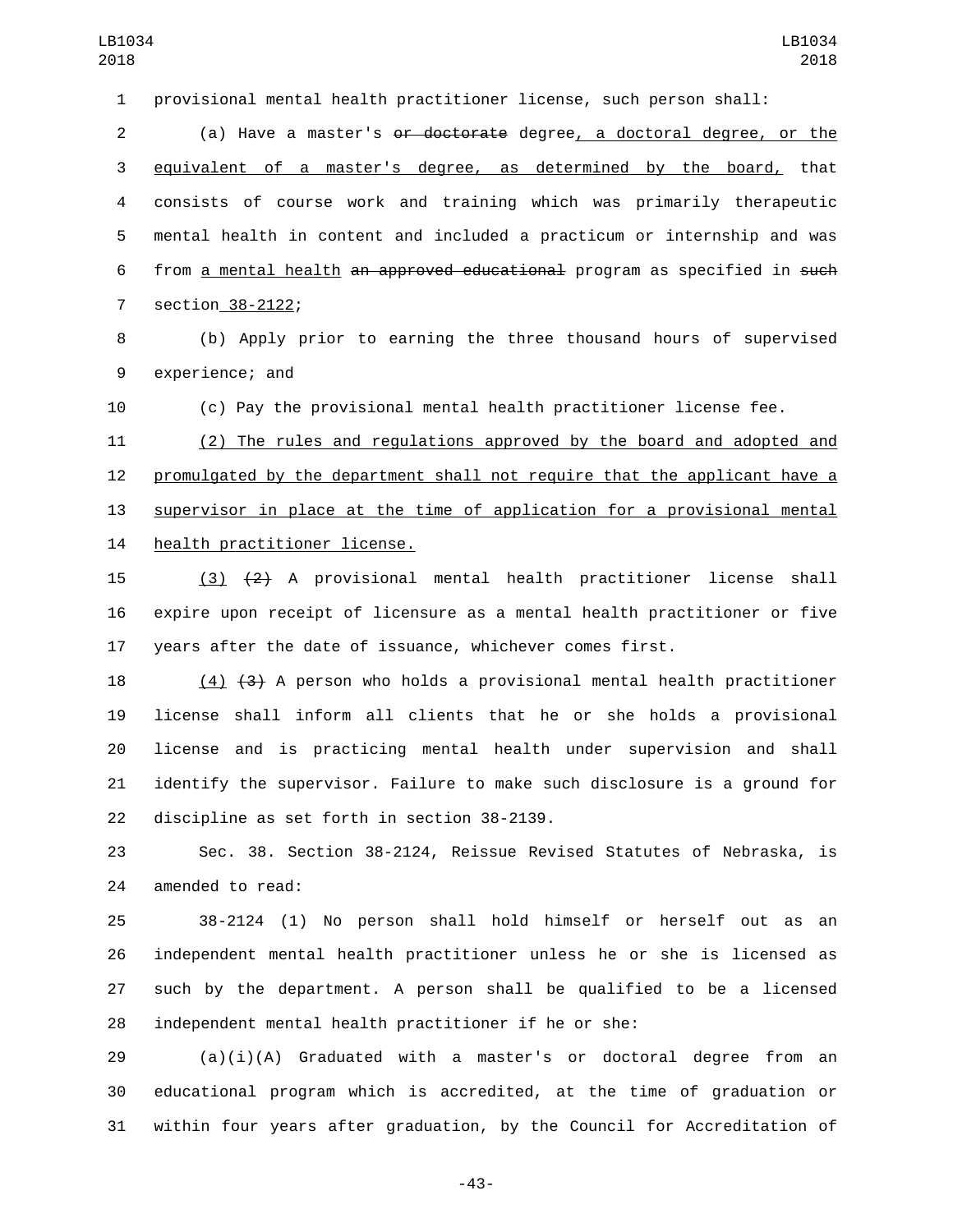provisional mental health practitioner license, such person shall:

 (a) Have a master's or doctorate degree, a doctoral degree, or the equivalent of a master's degree, as determined by the board, that consists of course work and training which was primarily therapeutic mental health in content and included a practicum or internship and was from a mental health an approved educational program as specified in such 7 section 38-2122;

 (b) Apply prior to earning the three thousand hours of supervised 9 experience; and

(c) Pay the provisional mental health practitioner license fee.

 (2) The rules and regulations approved by the board and adopted and promulgated by the department shall not require that the applicant have a supervisor in place at the time of application for a provisional mental 14 health practitioner license.

 (3) (2) A provisional mental health practitioner license shall expire upon receipt of licensure as a mental health practitioner or five years after the date of issuance, whichever comes first.

 (4) (3) A person who holds a provisional mental health practitioner license shall inform all clients that he or she holds a provisional license and is practicing mental health under supervision and shall identify the supervisor. Failure to make such disclosure is a ground for 22 discipline as set forth in section 38-2139.

 Sec. 38. Section 38-2124, Reissue Revised Statutes of Nebraska, is 24 amended to read:

 38-2124 (1) No person shall hold himself or herself out as an independent mental health practitioner unless he or she is licensed as such by the department. A person shall be qualified to be a licensed independent mental health practitioner if he or she:

 (a)(i)(A) Graduated with a master's or doctoral degree from an educational program which is accredited, at the time of graduation or within four years after graduation, by the Council for Accreditation of

-43-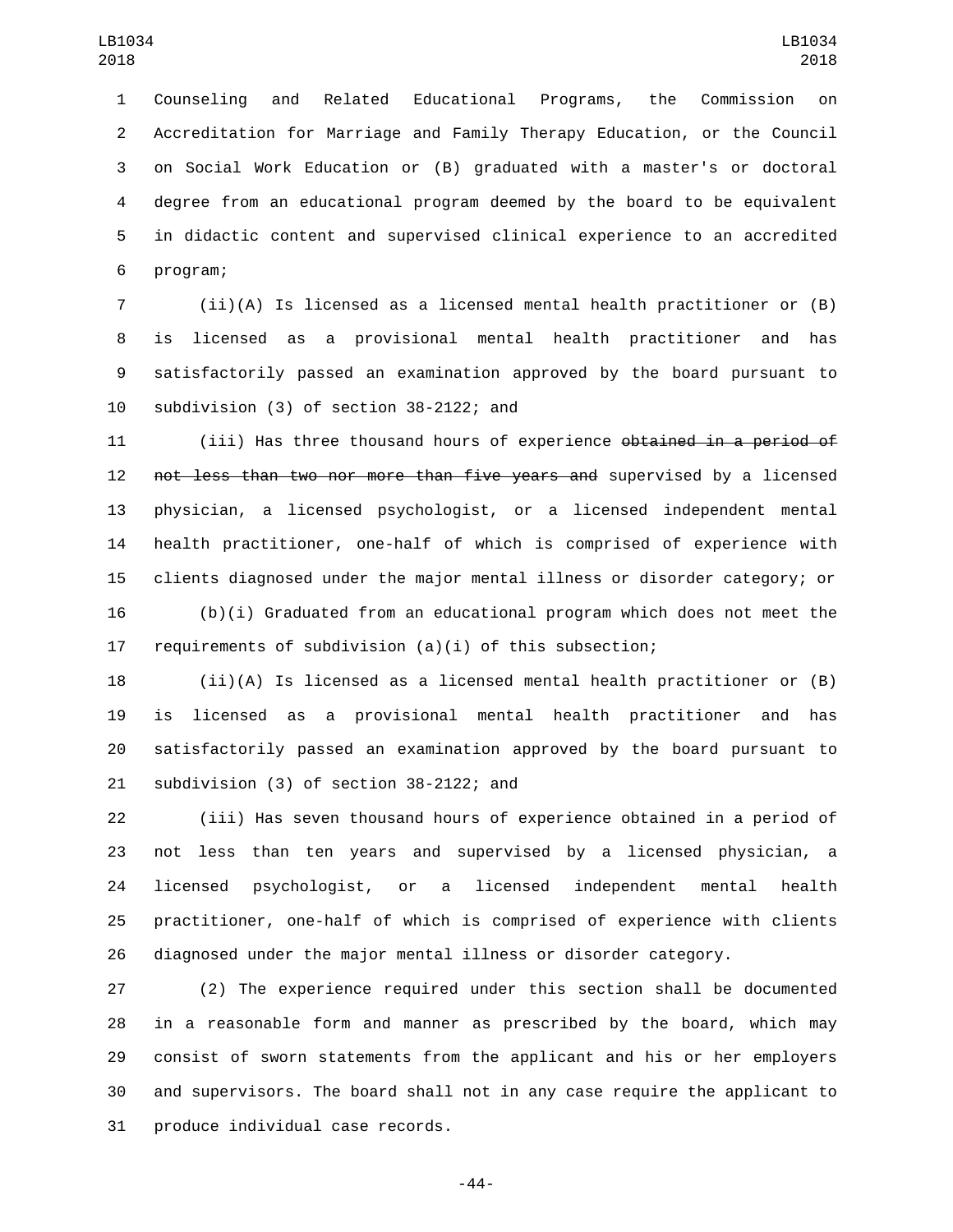Counseling and Related Educational Programs, the Commission on Accreditation for Marriage and Family Therapy Education, or the Council on Social Work Education or (B) graduated with a master's or doctoral degree from an educational program deemed by the board to be equivalent in didactic content and supervised clinical experience to an accredited 6 program;

 (ii)(A) Is licensed as a licensed mental health practitioner or (B) is licensed as a provisional mental health practitioner and has satisfactorily passed an examination approved by the board pursuant to 10 subdivision (3) of section 38-2122; and

11 (iii) Has three thousand hours of experience <del>obtained in a period of</del> not less than two nor more than five years and supervised by a licensed physician, a licensed psychologist, or a licensed independent mental health practitioner, one-half of which is comprised of experience with clients diagnosed under the major mental illness or disorder category; or (b)(i) Graduated from an educational program which does not meet the

 (ii)(A) Is licensed as a licensed mental health practitioner or (B) is licensed as a provisional mental health practitioner and has satisfactorily passed an examination approved by the board pursuant to 21 subdivision (3) of section 38-2122; and

requirements of subdivision (a)(i) of this subsection;

 (iii) Has seven thousand hours of experience obtained in a period of not less than ten years and supervised by a licensed physician, a licensed psychologist, or a licensed independent mental health practitioner, one-half of which is comprised of experience with clients diagnosed under the major mental illness or disorder category.

 (2) The experience required under this section shall be documented in a reasonable form and manner as prescribed by the board, which may consist of sworn statements from the applicant and his or her employers and supervisors. The board shall not in any case require the applicant to 31 produce individual case records.

-44-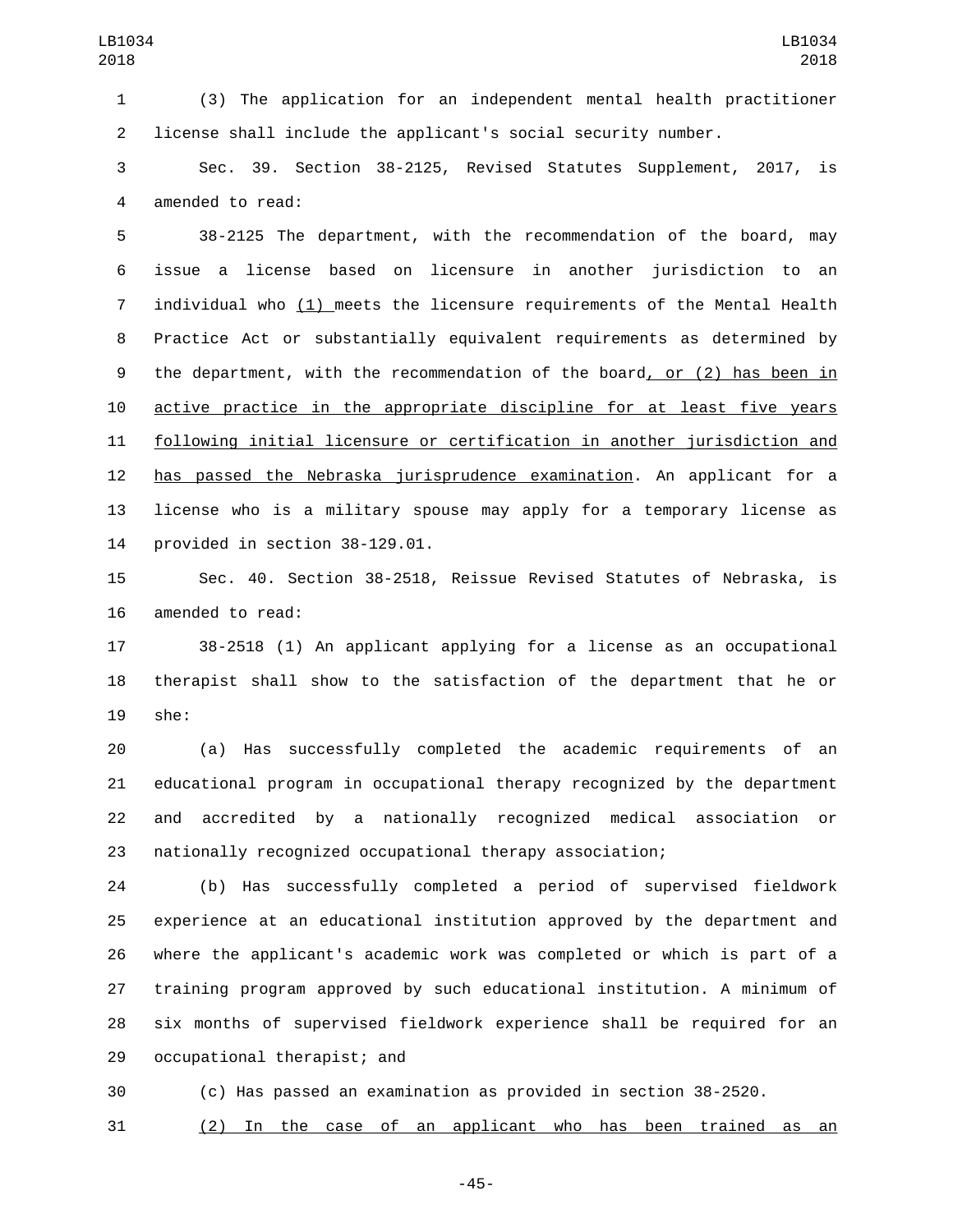(3) The application for an independent mental health practitioner license shall include the applicant's social security number.

 Sec. 39. Section 38-2125, Revised Statutes Supplement, 2017, is 4 amended to read:

 38-2125 The department, with the recommendation of the board, may issue a license based on licensure in another jurisdiction to an individual who (1) meets the licensure requirements of the Mental Health Practice Act or substantially equivalent requirements as determined by the department, with the recommendation of the board, or (2) has been in active practice in the appropriate discipline for at least five years following initial licensure or certification in another jurisdiction and has passed the Nebraska jurisprudence examination. An applicant for a license who is a military spouse may apply for a temporary license as provided in section  $38-129.01$ .

 Sec. 40. Section 38-2518, Reissue Revised Statutes of Nebraska, is 16 amended to read:

 38-2518 (1) An applicant applying for a license as an occupational therapist shall show to the satisfaction of the department that he or 19 she:

 (a) Has successfully completed the academic requirements of an educational program in occupational therapy recognized by the department and accredited by a nationally recognized medical association or nationally recognized occupational therapy association;

 (b) Has successfully completed a period of supervised fieldwork experience at an educational institution approved by the department and where the applicant's academic work was completed or which is part of a training program approved by such educational institution. A minimum of six months of supervised fieldwork experience shall be required for an 29 occupational therapist; and

(c) Has passed an examination as provided in section 38-2520.

(2) In the case of an applicant who has been trained as an

-45-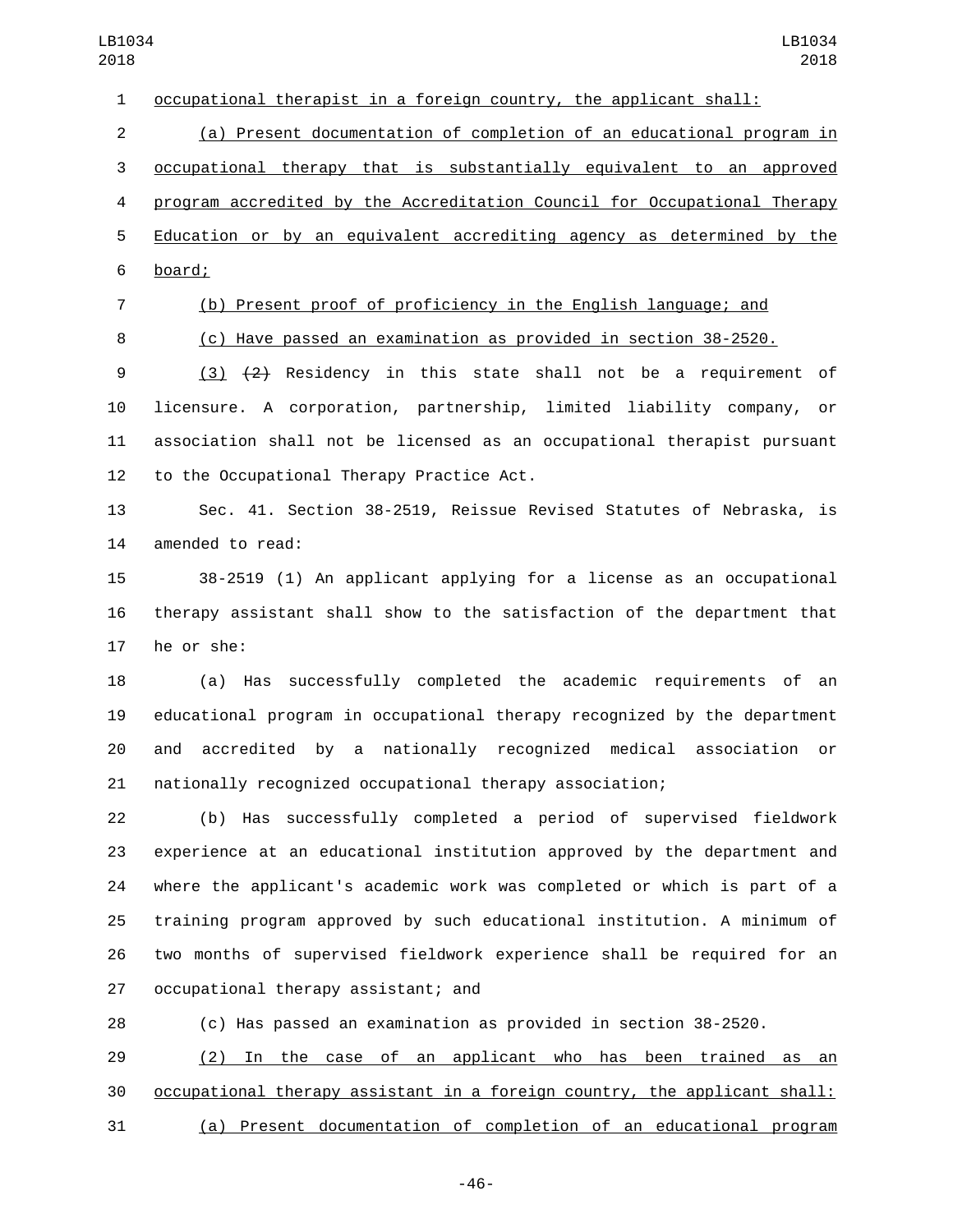occupational therapist in a foreign country, the applicant shall:

(a) Present documentation of completion of an educational program in

occupational therapy that is substantially equivalent to an approved

 program accredited by the Accreditation Council for Occupational Therapy Education or by an equivalent accrediting agency as determined by the

- board;6
- 
- (b) Present proof of proficiency in the English language; and

(c) Have passed an examination as provided in section 38-2520.

 (3) (2) Residency in this state shall not be a requirement of licensure. A corporation, partnership, limited liability company, or association shall not be licensed as an occupational therapist pursuant 12 to the Occupational Therapy Practice Act.

 Sec. 41. Section 38-2519, Reissue Revised Statutes of Nebraska, is 14 amended to read:

 38-2519 (1) An applicant applying for a license as an occupational therapy assistant shall show to the satisfaction of the department that 17 he or she:

 (a) Has successfully completed the academic requirements of an educational program in occupational therapy recognized by the department and accredited by a nationally recognized medical association or nationally recognized occupational therapy association;

 (b) Has successfully completed a period of supervised fieldwork experience at an educational institution approved by the department and where the applicant's academic work was completed or which is part of a training program approved by such educational institution. A minimum of two months of supervised fieldwork experience shall be required for an 27 occupational therapy assistant; and

(c) Has passed an examination as provided in section 38-2520.

 (2) In the case of an applicant who has been trained as an occupational therapy assistant in a foreign country, the applicant shall: (a) Present documentation of completion of an educational program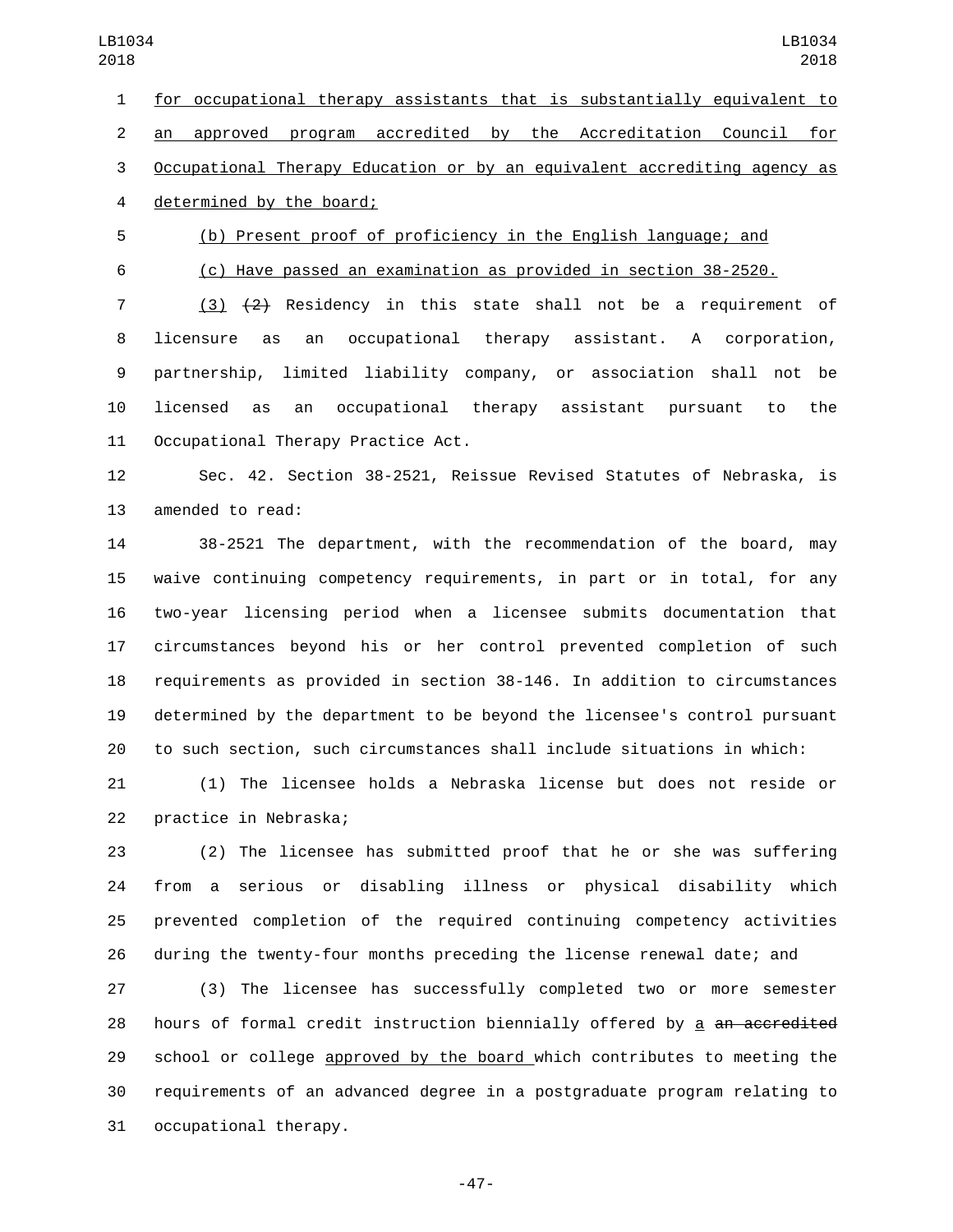for occupational therapy assistants that is substantially equivalent to an approved program accredited by the Accreditation Council for Occupational Therapy Education or by an equivalent accrediting agency as 4 determined by the board;

(b) Present proof of proficiency in the English language; and

(c) Have passed an examination as provided in section 38-2520.

 (3) (2) Residency in this state shall not be a requirement of licensure as an occupational therapy assistant. A corporation, partnership, limited liability company, or association shall not be licensed as an occupational therapy assistant pursuant to the 11 Occupational Therapy Practice Act.

 Sec. 42. Section 38-2521, Reissue Revised Statutes of Nebraska, is 13 amended to read:

 38-2521 The department, with the recommendation of the board, may waive continuing competency requirements, in part or in total, for any two-year licensing period when a licensee submits documentation that circumstances beyond his or her control prevented completion of such requirements as provided in section 38-146. In addition to circumstances determined by the department to be beyond the licensee's control pursuant to such section, such circumstances shall include situations in which:

 (1) The licensee holds a Nebraska license but does not reside or 22 practice in Nebraska;

 (2) The licensee has submitted proof that he or she was suffering from a serious or disabling illness or physical disability which prevented completion of the required continuing competency activities during the twenty-four months preceding the license renewal date; and

 (3) The licensee has successfully completed two or more semester 28 hours of formal credit instruction biennially offered by a an accredited 29 school or college approved by the board which contributes to meeting the requirements of an advanced degree in a postgraduate program relating to 31 occupational therapy.

-47-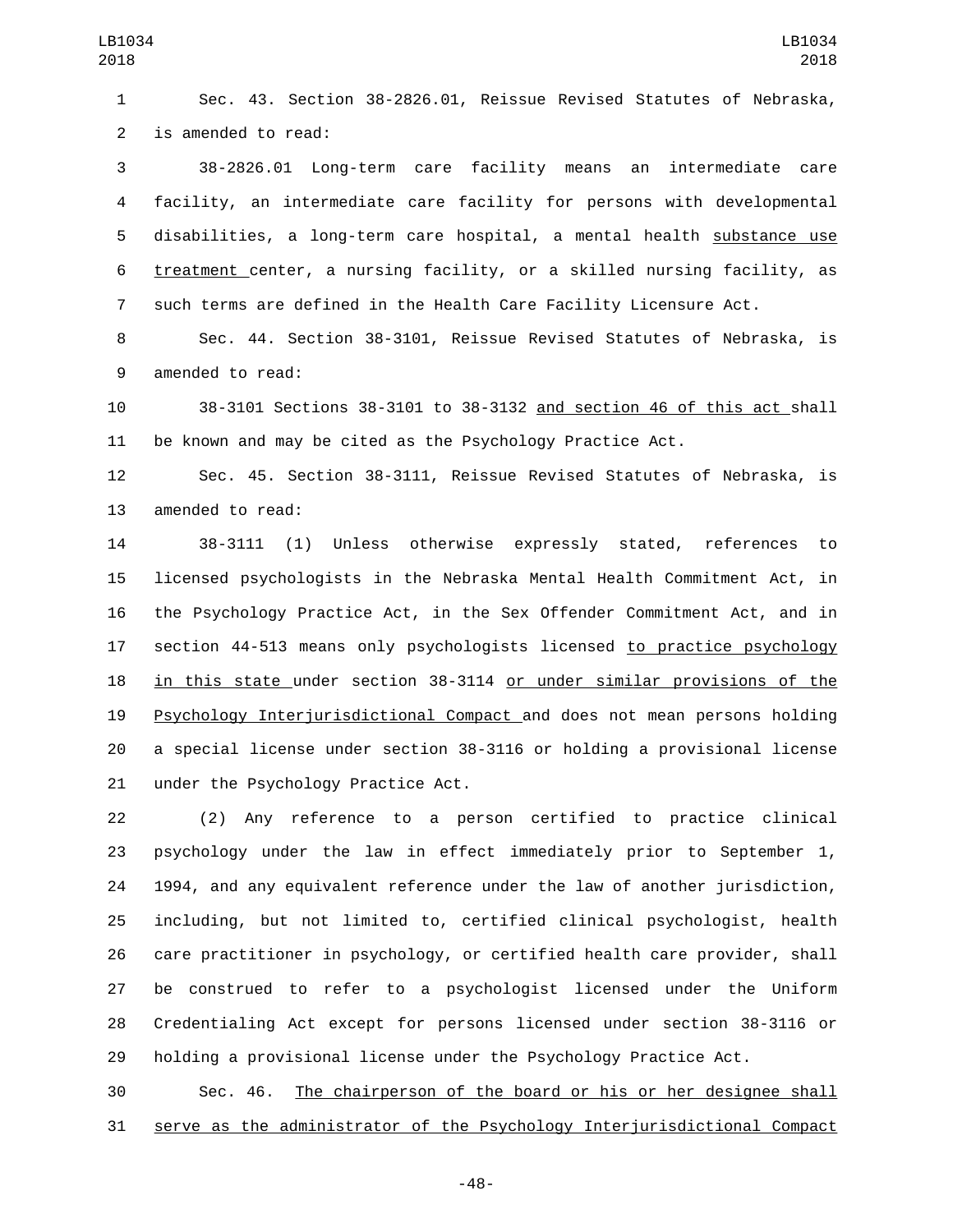Sec. 43. Section 38-2826.01, Reissue Revised Statutes of Nebraska, 2 is amended to read:

 38-2826.01 Long-term care facility means an intermediate care facility, an intermediate care facility for persons with developmental disabilities, a long-term care hospital, a mental health substance use treatment center, a nursing facility, or a skilled nursing facility, as such terms are defined in the Health Care Facility Licensure Act.

 Sec. 44. Section 38-3101, Reissue Revised Statutes of Nebraska, is 9 amended to read:

 38-3101 Sections 38-3101 to 38-3132 and section 46 of this act shall be known and may be cited as the Psychology Practice Act.

 Sec. 45. Section 38-3111, Reissue Revised Statutes of Nebraska, is 13 amended to read:

 38-3111 (1) Unless otherwise expressly stated, references to licensed psychologists in the Nebraska Mental Health Commitment Act, in the Psychology Practice Act, in the Sex Offender Commitment Act, and in section 44-513 means only psychologists licensed to practice psychology in this state under section 38-3114 or under similar provisions of the Psychology Interjurisdictional Compact and does not mean persons holding a special license under section 38-3116 or holding a provisional license 21 under the Psychology Practice Act.

 (2) Any reference to a person certified to practice clinical psychology under the law in effect immediately prior to September 1, 1994, and any equivalent reference under the law of another jurisdiction, including, but not limited to, certified clinical psychologist, health care practitioner in psychology, or certified health care provider, shall be construed to refer to a psychologist licensed under the Uniform Credentialing Act except for persons licensed under section 38-3116 or holding a provisional license under the Psychology Practice Act.

 Sec. 46. The chairperson of the board or his or her designee shall serve as the administrator of the Psychology Interjurisdictional Compact

-48-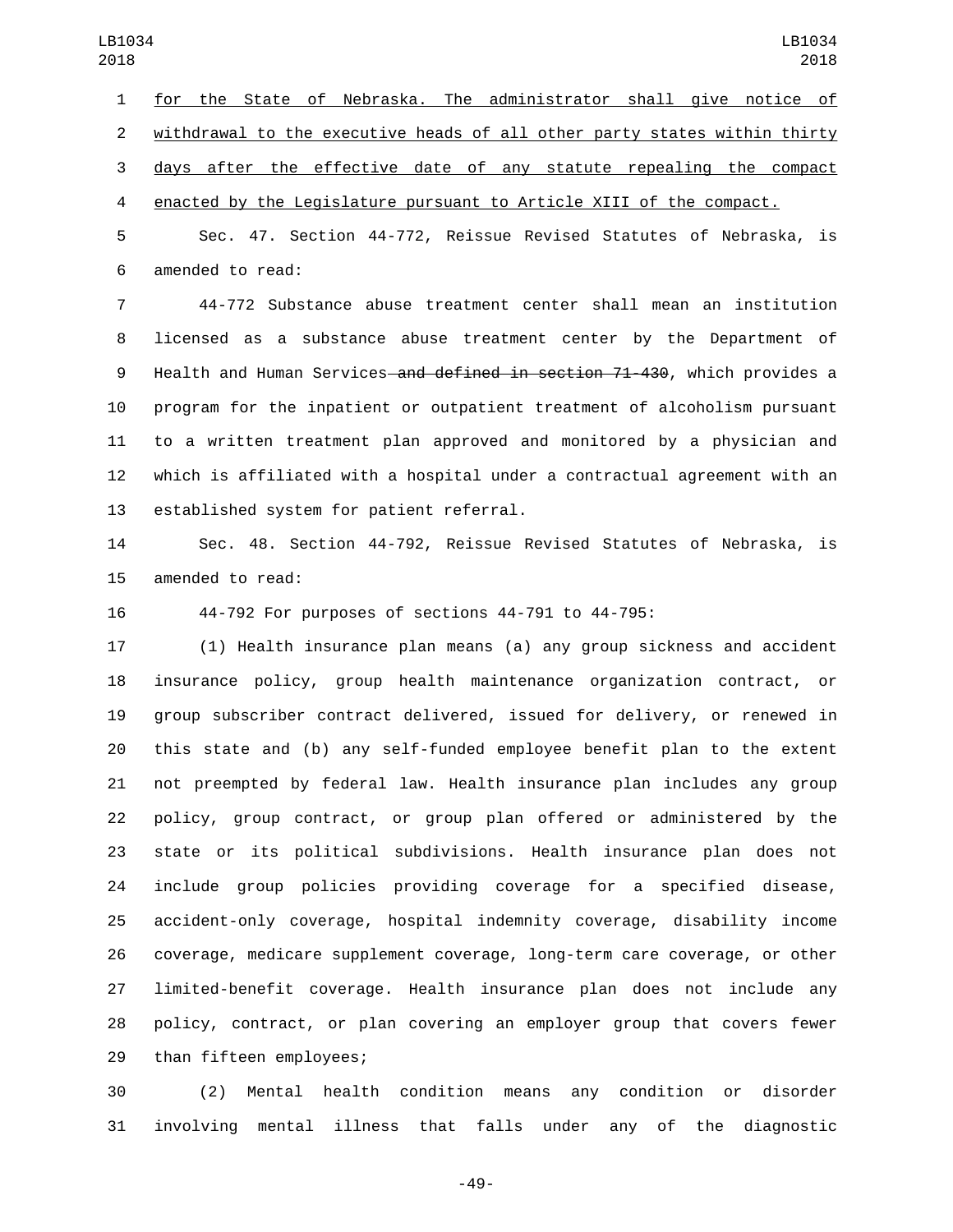for the State of Nebraska. The administrator shall give notice of withdrawal to the executive heads of all other party states within thirty days after the effective date of any statute repealing the compact enacted by the Legislature pursuant to Article XIII of the compact.

 Sec. 47. Section 44-772, Reissue Revised Statutes of Nebraska, is 6 amended to read:

 44-772 Substance abuse treatment center shall mean an institution licensed as a substance abuse treatment center by the Department of 9 Health and Human Services and defined in section 71-430, which provides a program for the inpatient or outpatient treatment of alcoholism pursuant to a written treatment plan approved and monitored by a physician and which is affiliated with a hospital under a contractual agreement with an 13 established system for patient referral.

 Sec. 48. Section 44-792, Reissue Revised Statutes of Nebraska, is 15 amended to read:

44-792 For purposes of sections 44-791 to 44-795:

 (1) Health insurance plan means (a) any group sickness and accident insurance policy, group health maintenance organization contract, or group subscriber contract delivered, issued for delivery, or renewed in this state and (b) any self-funded employee benefit plan to the extent not preempted by federal law. Health insurance plan includes any group policy, group contract, or group plan offered or administered by the state or its political subdivisions. Health insurance plan does not include group policies providing coverage for a specified disease, accident-only coverage, hospital indemnity coverage, disability income coverage, medicare supplement coverage, long-term care coverage, or other limited-benefit coverage. Health insurance plan does not include any policy, contract, or plan covering an employer group that covers fewer 29 than fifteen employees;

 (2) Mental health condition means any condition or disorder involving mental illness that falls under any of the diagnostic

-49-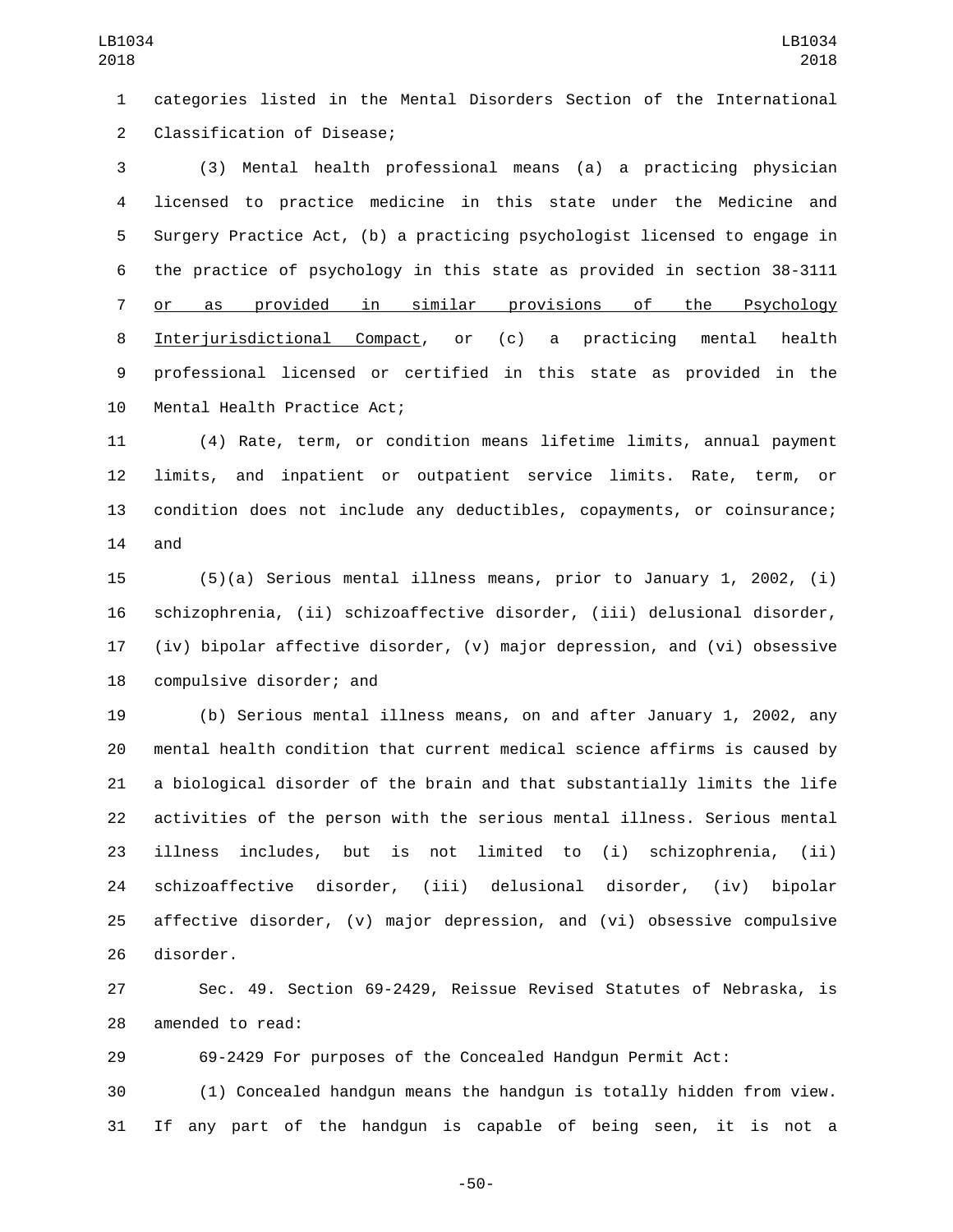categories listed in the Mental Disorders Section of the International 2 Classification of Disease;

 (3) Mental health professional means (a) a practicing physician licensed to practice medicine in this state under the Medicine and Surgery Practice Act, (b) a practicing psychologist licensed to engage in the practice of psychology in this state as provided in section 38-3111 or as provided in similar provisions of the Psychology Interjurisdictional Compact, or (c) a practicing mental health professional licensed or certified in this state as provided in the 10 Mental Health Practice Act;

 (4) Rate, term, or condition means lifetime limits, annual payment limits, and inpatient or outpatient service limits. Rate, term, or condition does not include any deductibles, copayments, or coinsurance; and

 (5)(a) Serious mental illness means, prior to January 1, 2002, (i) schizophrenia, (ii) schizoaffective disorder, (iii) delusional disorder, (iv) bipolar affective disorder, (v) major depression, and (vi) obsessive 18 compulsive disorder; and

 (b) Serious mental illness means, on and after January 1, 2002, any mental health condition that current medical science affirms is caused by a biological disorder of the brain and that substantially limits the life activities of the person with the serious mental illness. Serious mental illness includes, but is not limited to (i) schizophrenia, (ii) schizoaffective disorder, (iii) delusional disorder, (iv) bipolar affective disorder, (v) major depression, and (vi) obsessive compulsive 26 disorder.

 Sec. 49. Section 69-2429, Reissue Revised Statutes of Nebraska, is 28 amended to read:

69-2429 For purposes of the Concealed Handgun Permit Act:

 (1) Concealed handgun means the handgun is totally hidden from view. If any part of the handgun is capable of being seen, it is not a

-50-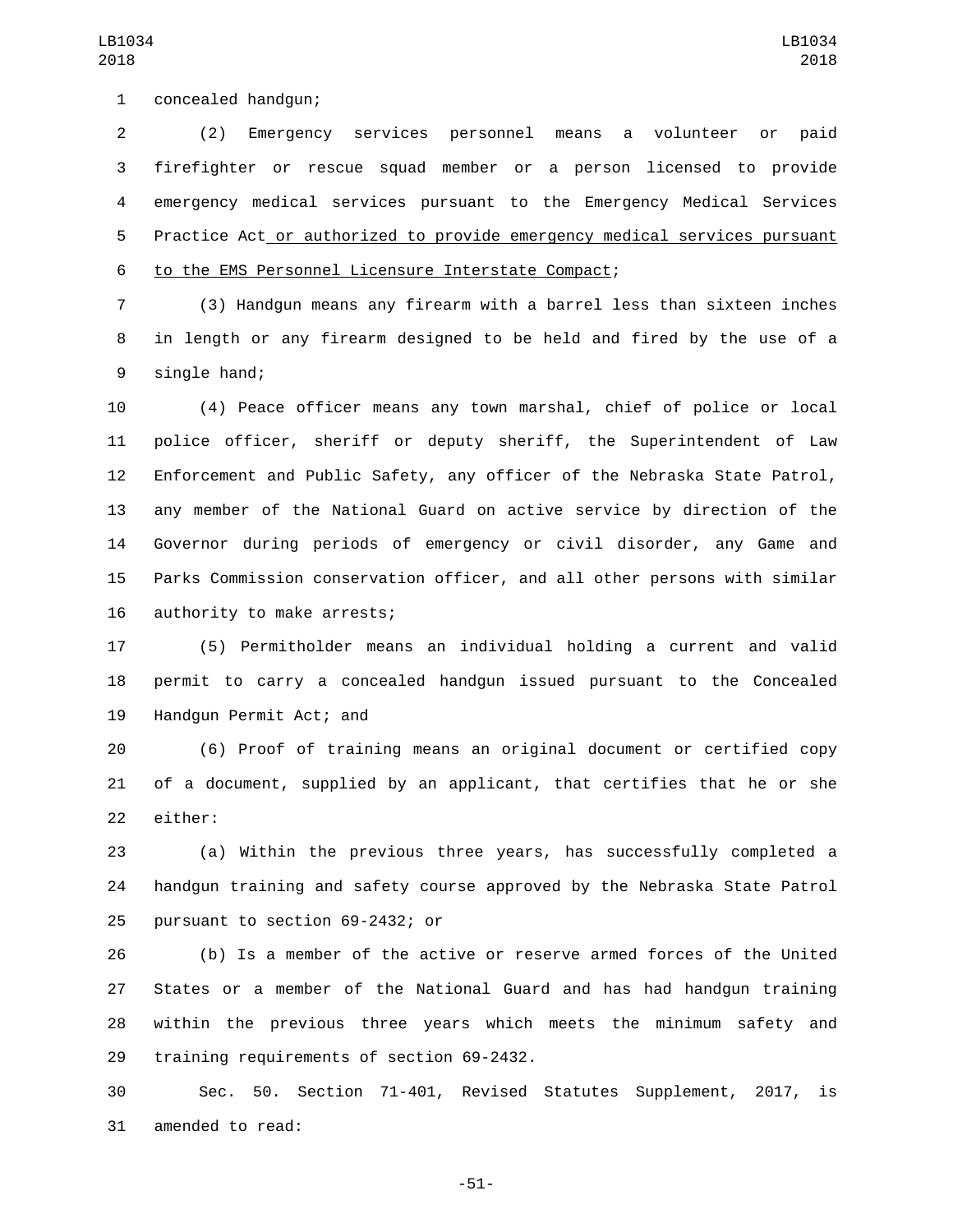(2) Emergency services personnel means a volunteer or paid firefighter or rescue squad member or a person licensed to provide emergency medical services pursuant to the Emergency Medical Services Practice Act or authorized to provide emergency medical services pursuant to the EMS Personnel Licensure Interstate Compact;6

 (3) Handgun means any firearm with a barrel less than sixteen inches in length or any firearm designed to be held and fired by the use of a 9 single hand;

 (4) Peace officer means any town marshal, chief of police or local police officer, sheriff or deputy sheriff, the Superintendent of Law Enforcement and Public Safety, any officer of the Nebraska State Patrol, any member of the National Guard on active service by direction of the Governor during periods of emergency or civil disorder, any Game and Parks Commission conservation officer, and all other persons with similar 16 authority to make arrests;

 (5) Permitholder means an individual holding a current and valid permit to carry a concealed handgun issued pursuant to the Concealed 19 Handgun Permit Act; and

 (6) Proof of training means an original document or certified copy of a document, supplied by an applicant, that certifies that he or she 22 either:

 (a) Within the previous three years, has successfully completed a handgun training and safety course approved by the Nebraska State Patrol 25 pursuant to section 69-2432; or

 (b) Is a member of the active or reserve armed forces of the United States or a member of the National Guard and has had handgun training within the previous three years which meets the minimum safety and 29 training requirements of section 69-2432.

 Sec. 50. Section 71-401, Revised Statutes Supplement, 2017, is 31 amended to read:

-51-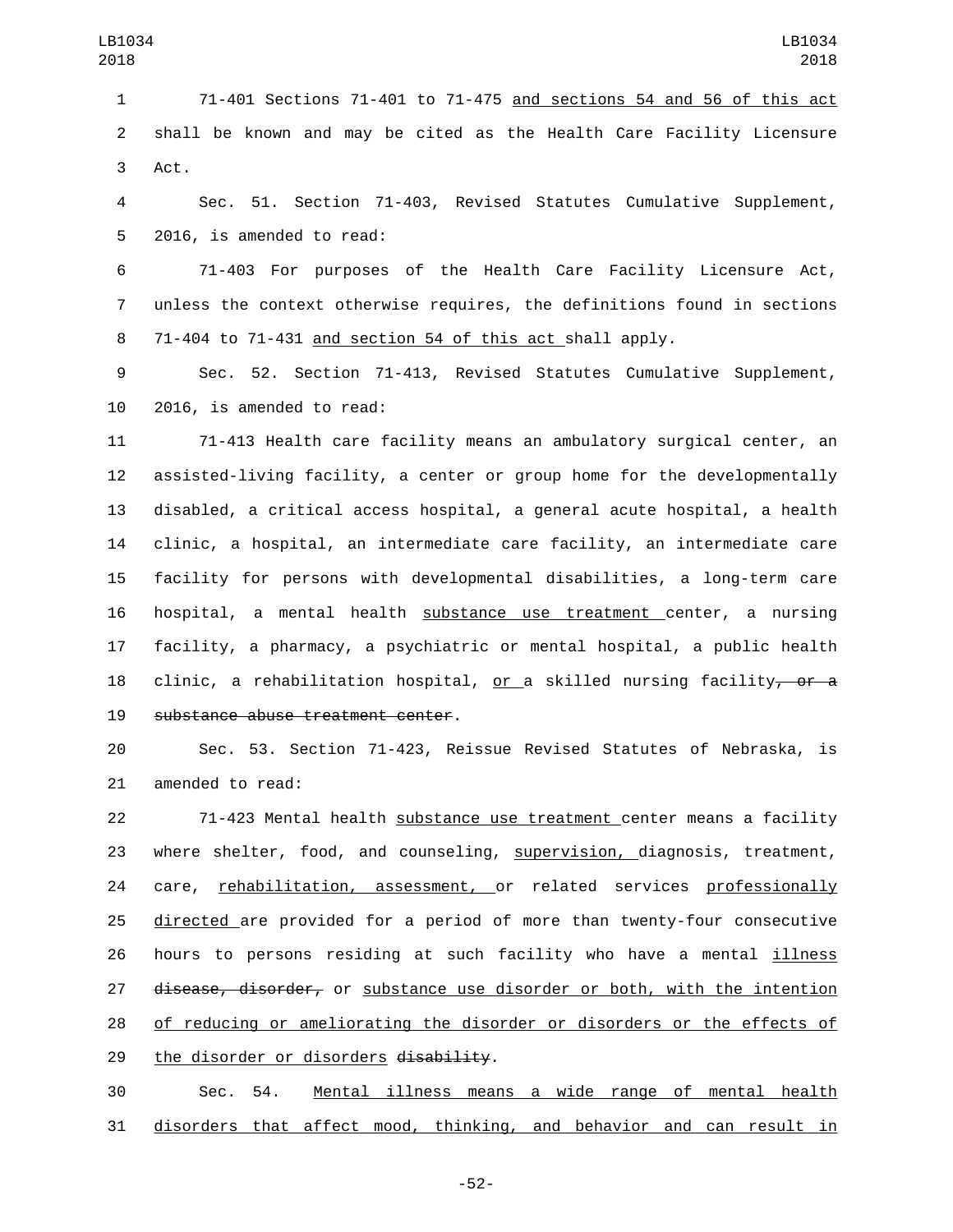71-401 Sections 71-401 to 71-475 and sections 54 and 56 of this act shall be known and may be cited as the Health Care Facility Licensure 3 Act.

 Sec. 51. Section 71-403, Revised Statutes Cumulative Supplement, 5 2016, is amended to read:

 71-403 For purposes of the Health Care Facility Licensure Act, unless the context otherwise requires, the definitions found in sections 71-404 to 71-431 and section 54 of this act shall apply.

 Sec. 52. Section 71-413, Revised Statutes Cumulative Supplement, 10 2016, is amended to read:

 71-413 Health care facility means an ambulatory surgical center, an assisted-living facility, a center or group home for the developmentally disabled, a critical access hospital, a general acute hospital, a health clinic, a hospital, an intermediate care facility, an intermediate care facility for persons with developmental disabilities, a long-term care hospital, a mental health substance use treatment center, a nursing facility, a pharmacy, a psychiatric or mental hospital, a public health 18 clinic, a rehabilitation hospital, or a skilled nursing facility<del>, or a</del> 19 substance abuse treatment center.

 Sec. 53. Section 71-423, Reissue Revised Statutes of Nebraska, is 21 amended to read:

 71-423 Mental health substance use treatment center means a facility where shelter, food, and counseling, supervision, diagnosis, treatment, 24 care, rehabilitation, assessment, or related services professionally directed are provided for a period of more than twenty-four consecutive hours to persons residing at such facility who have a mental illness 27 disease, disorder, or substance use disorder or both, with the intention of reducing or ameliorating the disorder or disorders or the effects of 29 the disorder or disorders disability.

 Sec. 54. Mental illness means a wide range of mental health disorders that affect mood, thinking, and behavior and can result in

-52-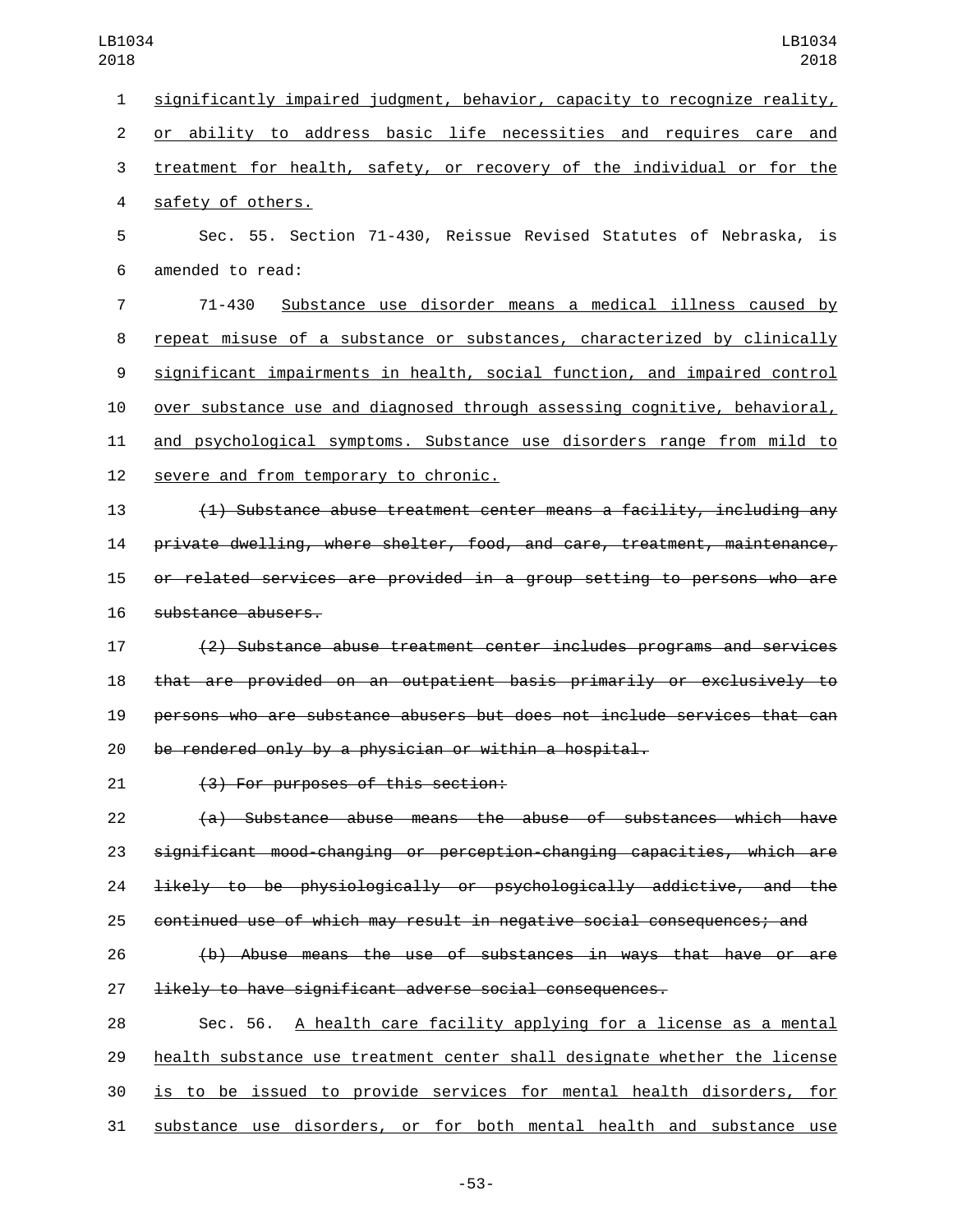significantly impaired judgment, behavior, capacity to recognize reality, or ability to address basic life necessities and requires care and treatment for health, safety, or recovery of the individual or for the 4 safety of others. Sec. 55. Section 71-430, Reissue Revised Statutes of Nebraska, is 6 amended to read: 71-430 Substance use disorder means a medical illness caused by repeat misuse of a substance or substances, characterized by clinically significant impairments in health, social function, and impaired control over substance use and diagnosed through assessing cognitive, behavioral, and psychological symptoms. Substance use disorders range from mild to 12 severe and from temporary to chronic.

 (1) Substance abuse treatment center means a facility, including any private dwelling, where shelter, food, and care, treatment, maintenance, or related services are provided in a group setting to persons who are 16 substance abusers.

 (2) Substance abuse treatment center includes programs and services that are provided on an outpatient basis primarily or exclusively to persons who are substance abusers but does not include services that can be rendered only by a physician or within a hospital.

(3) For purposes of this section:21

 (a) Substance abuse means the abuse of substances which have significant mood-changing or perception-changing capacities, which are likely to be physiologically or psychologically addictive, and the continued use of which may result in negative social consequences; and

 (b) Abuse means the use of substances in ways that have or are likely to have significant adverse social consequences.

 Sec. 56. A health care facility applying for a license as a mental health substance use treatment center shall designate whether the license is to be issued to provide services for mental health disorders, for substance use disorders, or for both mental health and substance use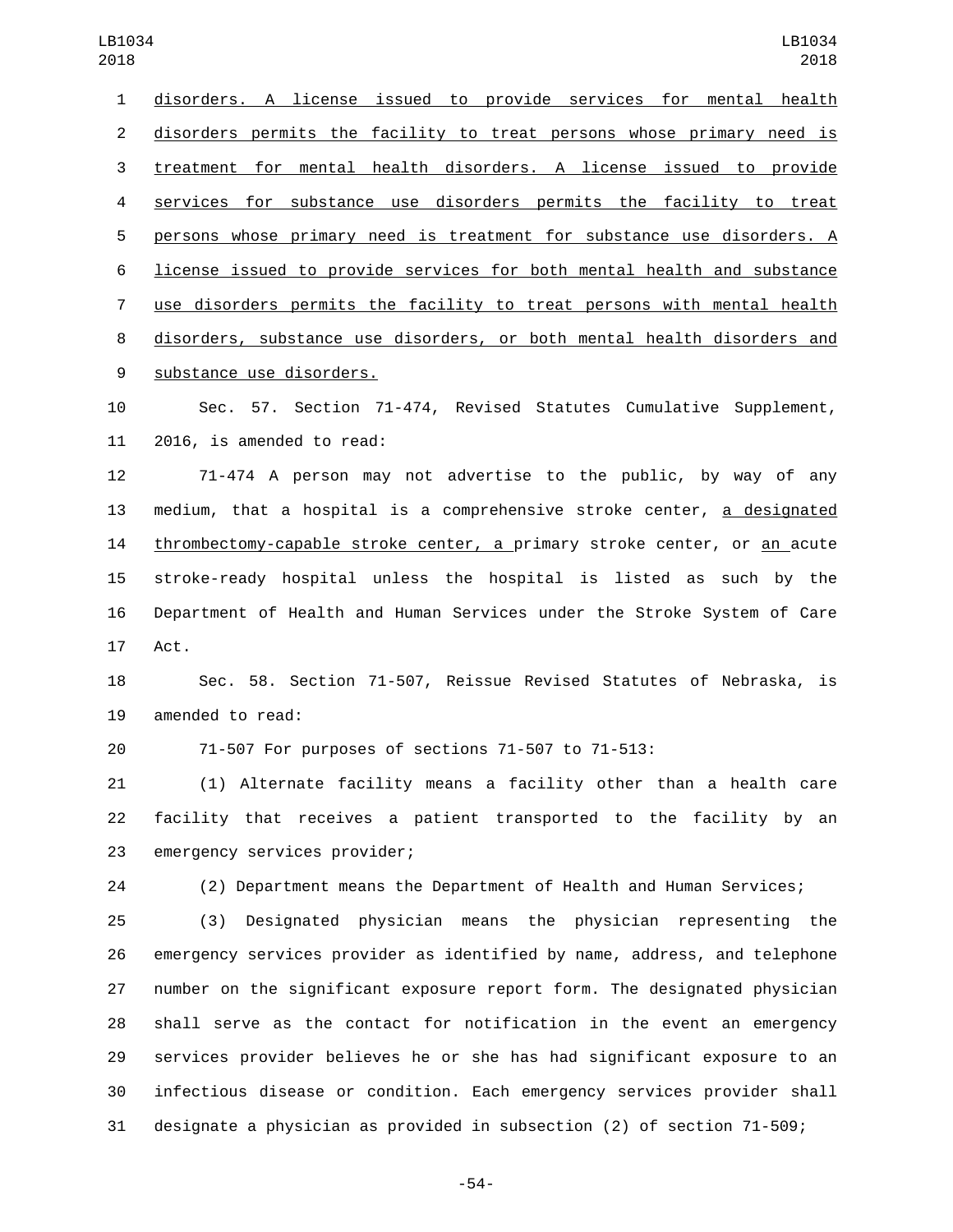| 018            | 2018                                                                      |
|----------------|---------------------------------------------------------------------------|
| $\mathbf{1}$   | disorders. A license issued to provide services for mental health         |
| $\overline{2}$ | disorders permits the facility to treat persons whose primary need is     |
| 3              | treatment for mental health disorders. A license issued to provide        |
| 4              | services for substance use disorders permits the facility to treat        |
| 5              | persons whose primary need is treatment for substance use disorders. A    |
| 6              | license issued to provide services for both mental health and substance   |
| 7              | use disorders permits the facility to treat persons with mental health    |
| 8              | disorders, substance use disorders, or both mental health disorders and   |
| 9              | substance use disorders.                                                  |
| 10             | Sec. 57. Section 71-474, Revised Statutes Cumulative Supplement,          |
| 11             | 2016, is amended to read:                                                 |
| 12             | 71-474 A person may not advertise to the public, by way of any            |
| 13             | medium, that a hospital is a comprehensive stroke center, a designated    |
| 14             | thrombectomy-capable stroke center, a primary stroke center, or an acute  |
| 15             | stroke-ready hospital unless the hospital is listed as such by the        |
| 16             | Department of Health and Human Services under the Stroke System of Care   |
| 17             | Act.                                                                      |
| 18             | Sec. 58. Section 71-507, Reissue Revised Statutes of Nebraska, is         |
| 19             | amended to read:                                                          |
| 20             | 71-507 For purposes of sections 71-507 to 71-513:                         |
| 21             | (1) Alternate facility means a facility other than a health care          |
| 22             | facility that receives a patient transported to the facility by an        |
| 23             | emergency services provider;                                              |
| 24             | (2) Department means the Department of Health and Human Services;         |
| 25             | Designated physician means the physician representing the<br>(3)          |
| 26             | emergency services provider as identified by name, address, and telephone |
| 27             | number on the significant exposure report form. The designated physician  |
| 28             | shall serve as the contact for notification in the event an emergency     |
| 29             | services provider believes he or she has had significant exposure to an   |

designate a physician as provided in subsection (2) of section 71-509;

infectious disease or condition. Each emergency services provider shall

-54-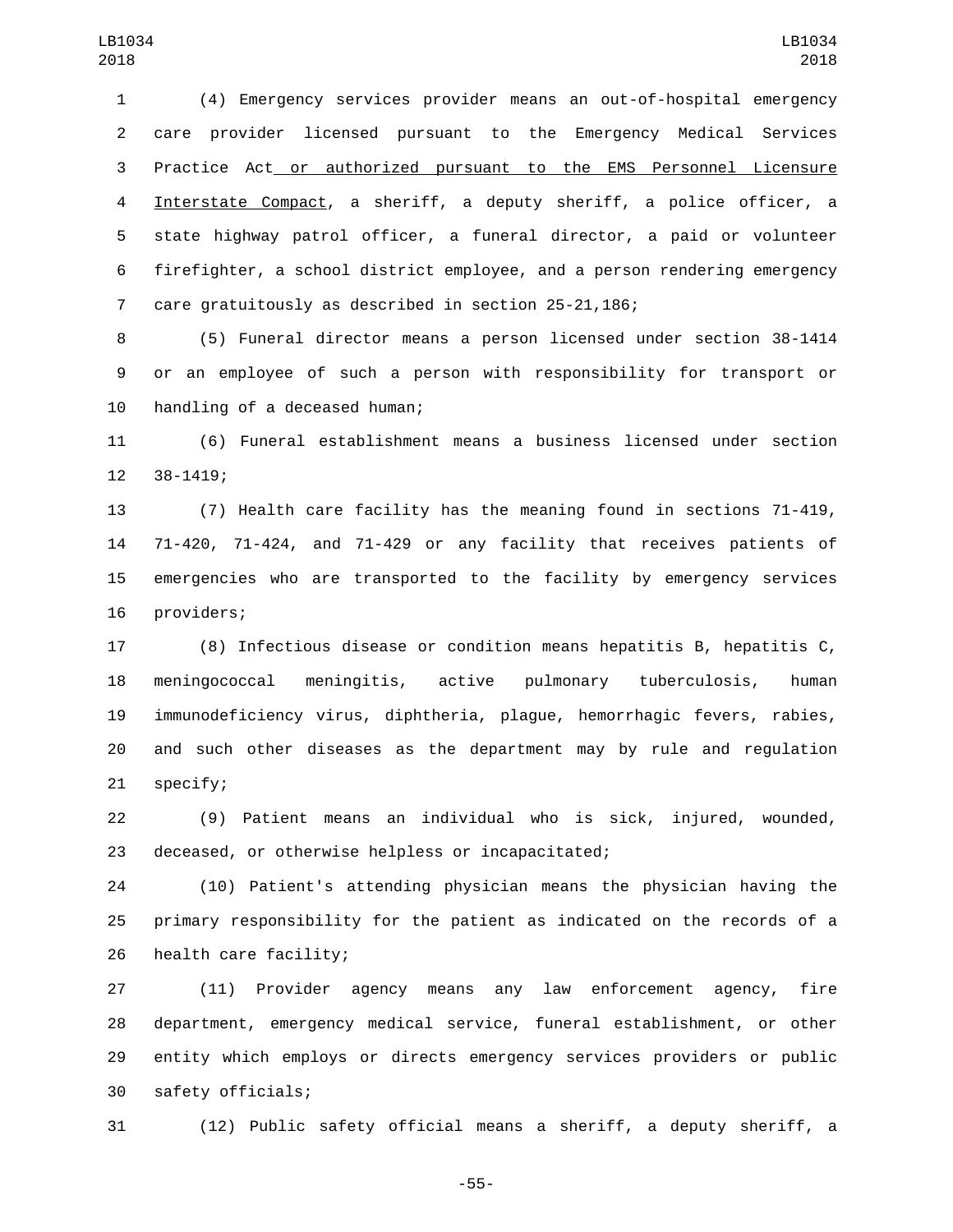(4) Emergency services provider means an out-of-hospital emergency care provider licensed pursuant to the Emergency Medical Services Practice Act or authorized pursuant to the EMS Personnel Licensure Interstate Compact, a sheriff, a deputy sheriff, a police officer, a state highway patrol officer, a funeral director, a paid or volunteer firefighter, a school district employee, and a person rendering emergency care gratuitously as described in section 25-21,186;

 (5) Funeral director means a person licensed under section 38-1414 or an employee of such a person with responsibility for transport or 10 handling of a deceased human;

 (6) Funeral establishment means a business licensed under section 12 38-1419;

 (7) Health care facility has the meaning found in sections 71-419, 71-420, 71-424, and 71-429 or any facility that receives patients of emergencies who are transported to the facility by emergency services 16 providers;

 (8) Infectious disease or condition means hepatitis B, hepatitis C, meningococcal meningitis, active pulmonary tuberculosis, human immunodeficiency virus, diphtheria, plague, hemorrhagic fevers, rabies, and such other diseases as the department may by rule and regulation 21 specify;

 (9) Patient means an individual who is sick, injured, wounded, 23 deceased, or otherwise helpless or incapacitated;

 (10) Patient's attending physician means the physician having the primary responsibility for the patient as indicated on the records of a 26 health care facility;

 (11) Provider agency means any law enforcement agency, fire department, emergency medical service, funeral establishment, or other entity which employs or directs emergency services providers or public 30 safety officials;

(12) Public safety official means a sheriff, a deputy sheriff, a

-55-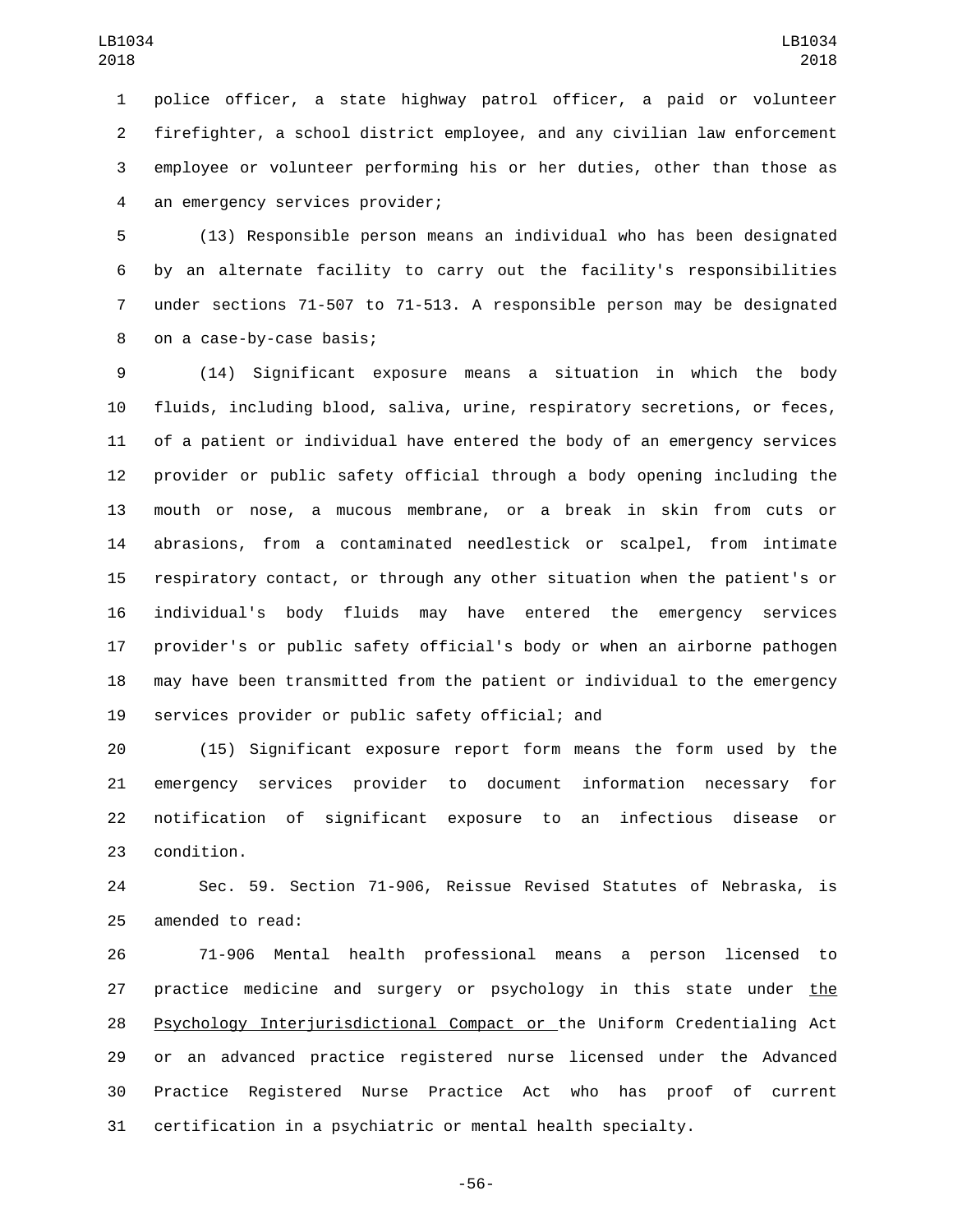police officer, a state highway patrol officer, a paid or volunteer firefighter, a school district employee, and any civilian law enforcement employee or volunteer performing his or her duties, other than those as 4 an emergency services provider;

 (13) Responsible person means an individual who has been designated by an alternate facility to carry out the facility's responsibilities under sections 71-507 to 71-513. A responsible person may be designated 8 on a case-by-case basis;

 (14) Significant exposure means a situation in which the body fluids, including blood, saliva, urine, respiratory secretions, or feces, of a patient or individual have entered the body of an emergency services provider or public safety official through a body opening including the mouth or nose, a mucous membrane, or a break in skin from cuts or abrasions, from a contaminated needlestick or scalpel, from intimate respiratory contact, or through any other situation when the patient's or individual's body fluids may have entered the emergency services provider's or public safety official's body or when an airborne pathogen may have been transmitted from the patient or individual to the emergency 19 services provider or public safety official; and

 (15) Significant exposure report form means the form used by the emergency services provider to document information necessary for notification of significant exposure to an infectious disease or 23 condition.

 Sec. 59. Section 71-906, Reissue Revised Statutes of Nebraska, is 25 amended to read:

 71-906 Mental health professional means a person licensed to practice medicine and surgery or psychology in this state under the Psychology Interjurisdictional Compact or the Uniform Credentialing Act or an advanced practice registered nurse licensed under the Advanced Practice Registered Nurse Practice Act who has proof of current certification in a psychiatric or mental health specialty.

-56-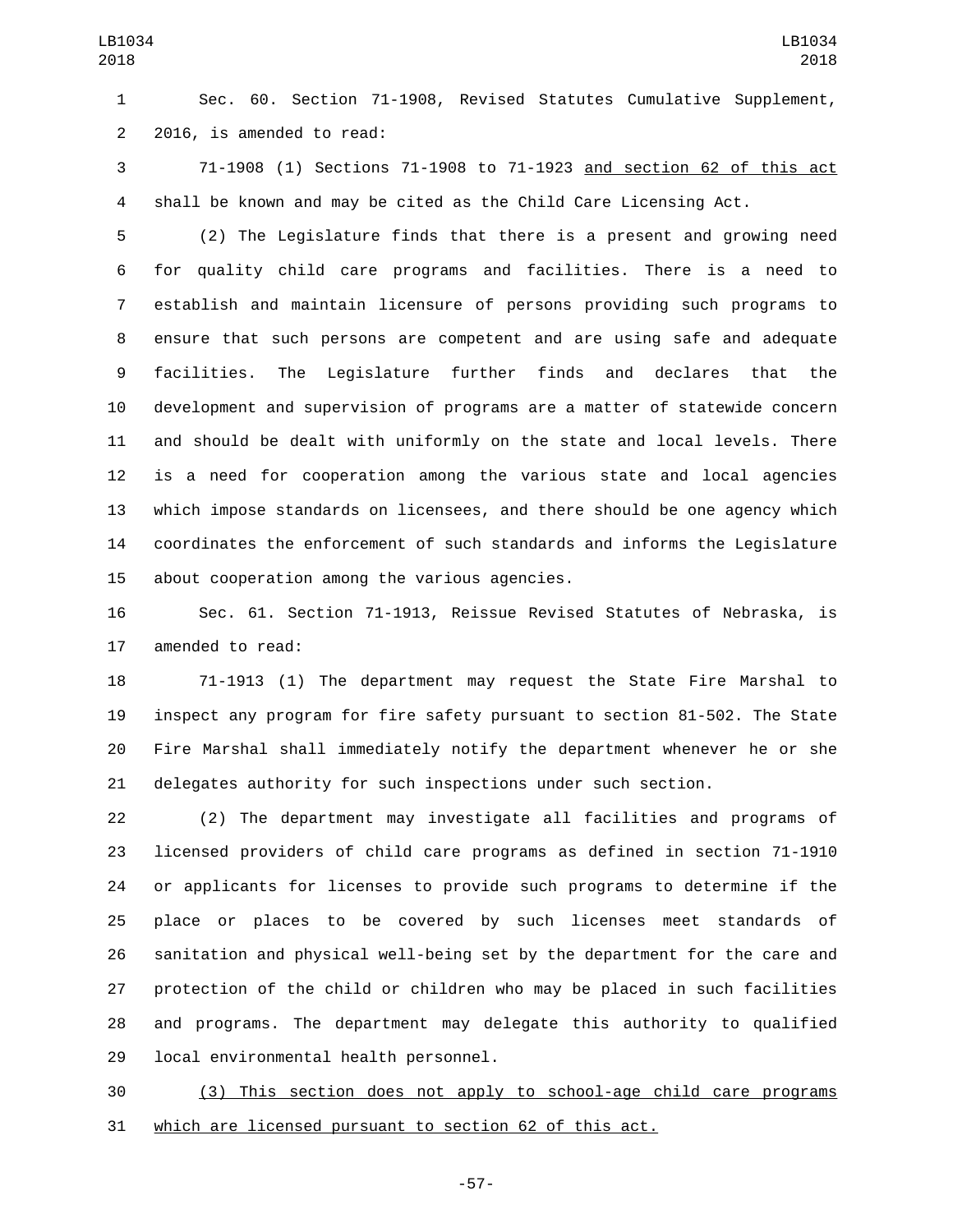Sec. 60. Section 71-1908, Revised Statutes Cumulative Supplement, 2 2016, is amended to read:

 71-1908 (1) Sections 71-1908 to 71-1923 and section 62 of this act shall be known and may be cited as the Child Care Licensing Act.

 (2) The Legislature finds that there is a present and growing need for quality child care programs and facilities. There is a need to establish and maintain licensure of persons providing such programs to ensure that such persons are competent and are using safe and adequate facilities. The Legislature further finds and declares that the development and supervision of programs are a matter of statewide concern and should be dealt with uniformly on the state and local levels. There is a need for cooperation among the various state and local agencies which impose standards on licensees, and there should be one agency which coordinates the enforcement of such standards and informs the Legislature 15 about cooperation among the various agencies.

 Sec. 61. Section 71-1913, Reissue Revised Statutes of Nebraska, is 17 amended to read:

 71-1913 (1) The department may request the State Fire Marshal to inspect any program for fire safety pursuant to section 81-502. The State Fire Marshal shall immediately notify the department whenever he or she delegates authority for such inspections under such section.

 (2) The department may investigate all facilities and programs of licensed providers of child care programs as defined in section 71-1910 or applicants for licenses to provide such programs to determine if the place or places to be covered by such licenses meet standards of sanitation and physical well-being set by the department for the care and protection of the child or children who may be placed in such facilities and programs. The department may delegate this authority to qualified 29 local environmental health personnel.

 (3) This section does not apply to school-age child care programs which are licensed pursuant to section 62 of this act.

-57-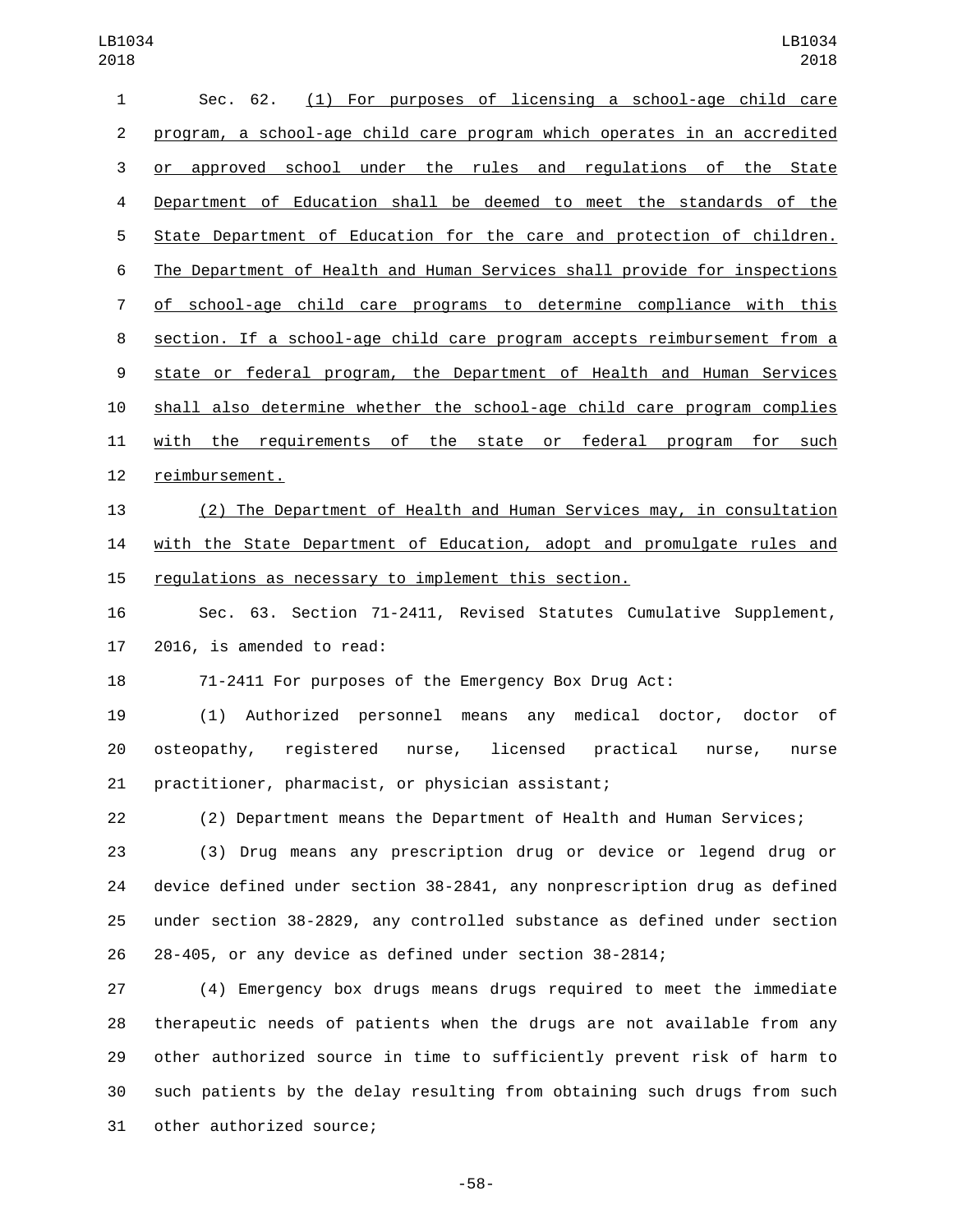| $\mathbf{1}$   | Sec. 62. (1) For purposes of licensing a school-age child care            |
|----------------|---------------------------------------------------------------------------|
| $\overline{2}$ | program, a school-age child care program which operates in an accredited  |
| 3              | or approved school under the rules and regulations of the State           |
| 4              | Department of Education shall be deemed to meet the standards of the      |
| 5              | State Department of Education for the care and protection of children.    |
| 6              | The Department of Health and Human Services shall provide for inspections |
| $\overline{7}$ | of school-age child care programs to determine compliance with this       |
| 8              | section. If a school-age child care program accepts reimbursement from a  |
| 9              | state or federal program, the Department of Health and Human Services     |
| 10             | shall also determine whether the school-age child care program complies   |
| 11             | with the requirements of the state or federal program for such            |
| 12             | reimbursement.                                                            |
| 13             | (2) The Department of Health and Human Services may, in consultation      |
| 14             | with the State Department of Education, adopt and promulgate rules and    |
| 15             | regulations as necessary to implement this section.                       |
| 16             | Sec. 63. Section 71-2411, Revised Statutes Cumulative Supplement,         |
| 17             | 2016, is amended to read:                                                 |
| 18             | 71-2411 For purposes of the Emergency Box Drug Act:                       |
| 19             | (1) Authorized personnel means any medical doctor, doctor of              |
| 20             | osteopathy, registered nurse, licensed practical nurse,<br>nurse          |
| 21             | practitioner, pharmacist, or physician assistant;                         |
| 22             | (2) Department means the Department of Health and Human Services;         |
| 23             | (3) Drug means any prescription drug or device or legend drug or          |
| 24             | device defined under section 38-2841, any nonprescription drug as defined |
| 25             | under section 38-2829, any controlled substance as defined under section  |
| 26             | 28-405, or any device as defined under section 38-2814;                   |
| 27             | (4) Emergency box drugs means drugs required to meet the immediate        |
| 28             | therapeutic needs of patients when the drugs are not available from any   |
| 29             | other authorized source in time to sufficiently prevent risk of harm to   |

31 other authorized source;

-58-

such patients by the delay resulting from obtaining such drugs from such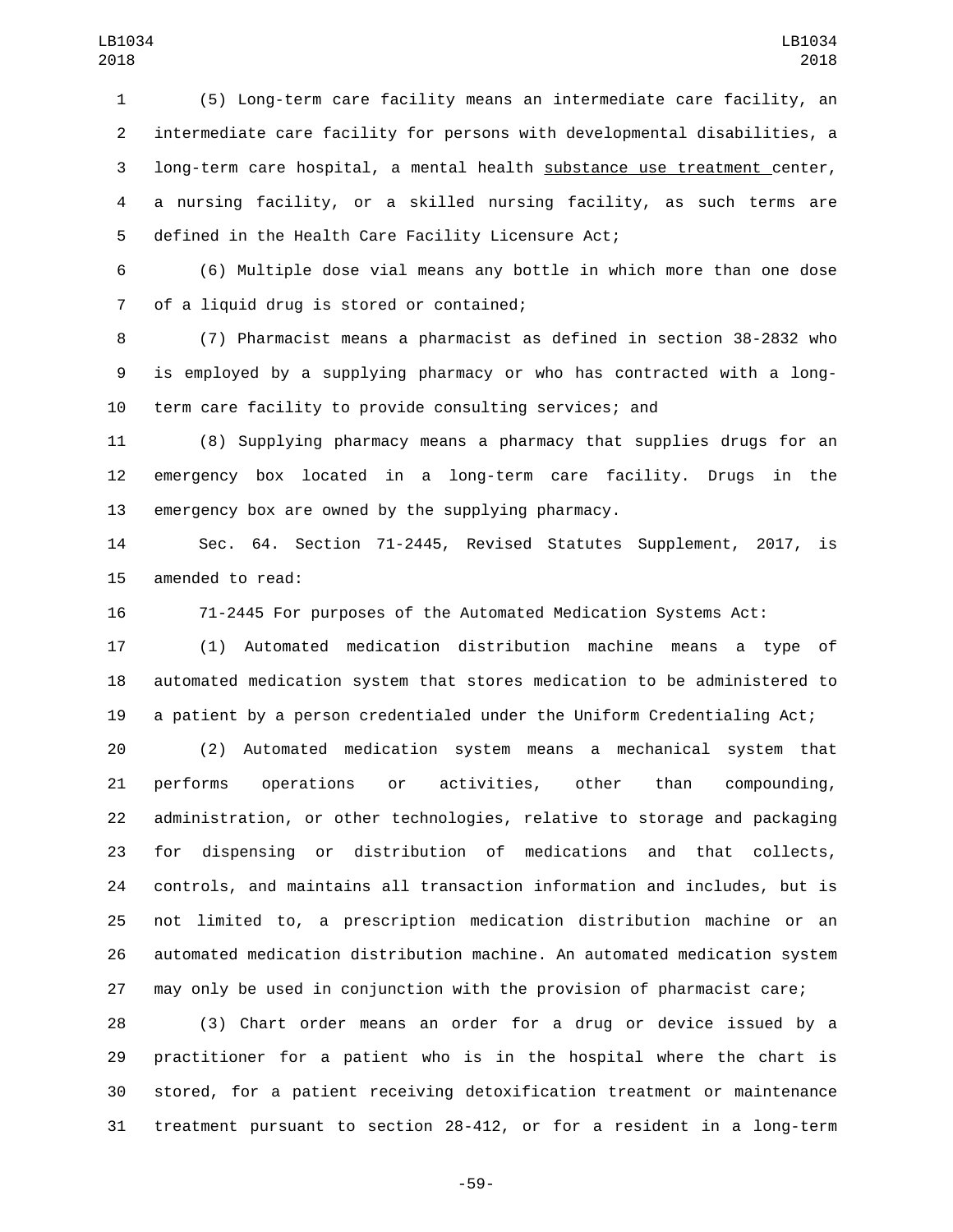(5) Long-term care facility means an intermediate care facility, an intermediate care facility for persons with developmental disabilities, a long-term care hospital, a mental health substance use treatment center, a nursing facility, or a skilled nursing facility, as such terms are 5 defined in the Health Care Facility Licensure Act;

 (6) Multiple dose vial means any bottle in which more than one dose 7 of a liquid drug is stored or contained;

 (7) Pharmacist means a pharmacist as defined in section 38-2832 who is employed by a supplying pharmacy or who has contracted with a long-term care facility to provide consulting services; and

 (8) Supplying pharmacy means a pharmacy that supplies drugs for an emergency box located in a long-term care facility. Drugs in the emergency box are owned by the supplying pharmacy.

 Sec. 64. Section 71-2445, Revised Statutes Supplement, 2017, is 15 amended to read:

71-2445 For purposes of the Automated Medication Systems Act:

 (1) Automated medication distribution machine means a type of automated medication system that stores medication to be administered to a patient by a person credentialed under the Uniform Credentialing Act;

 (2) Automated medication system means a mechanical system that performs operations or activities, other than compounding, administration, or other technologies, relative to storage and packaging for dispensing or distribution of medications and that collects, controls, and maintains all transaction information and includes, but is not limited to, a prescription medication distribution machine or an automated medication distribution machine. An automated medication system may only be used in conjunction with the provision of pharmacist care;

 (3) Chart order means an order for a drug or device issued by a practitioner for a patient who is in the hospital where the chart is stored, for a patient receiving detoxification treatment or maintenance treatment pursuant to section 28-412, or for a resident in a long-term

-59-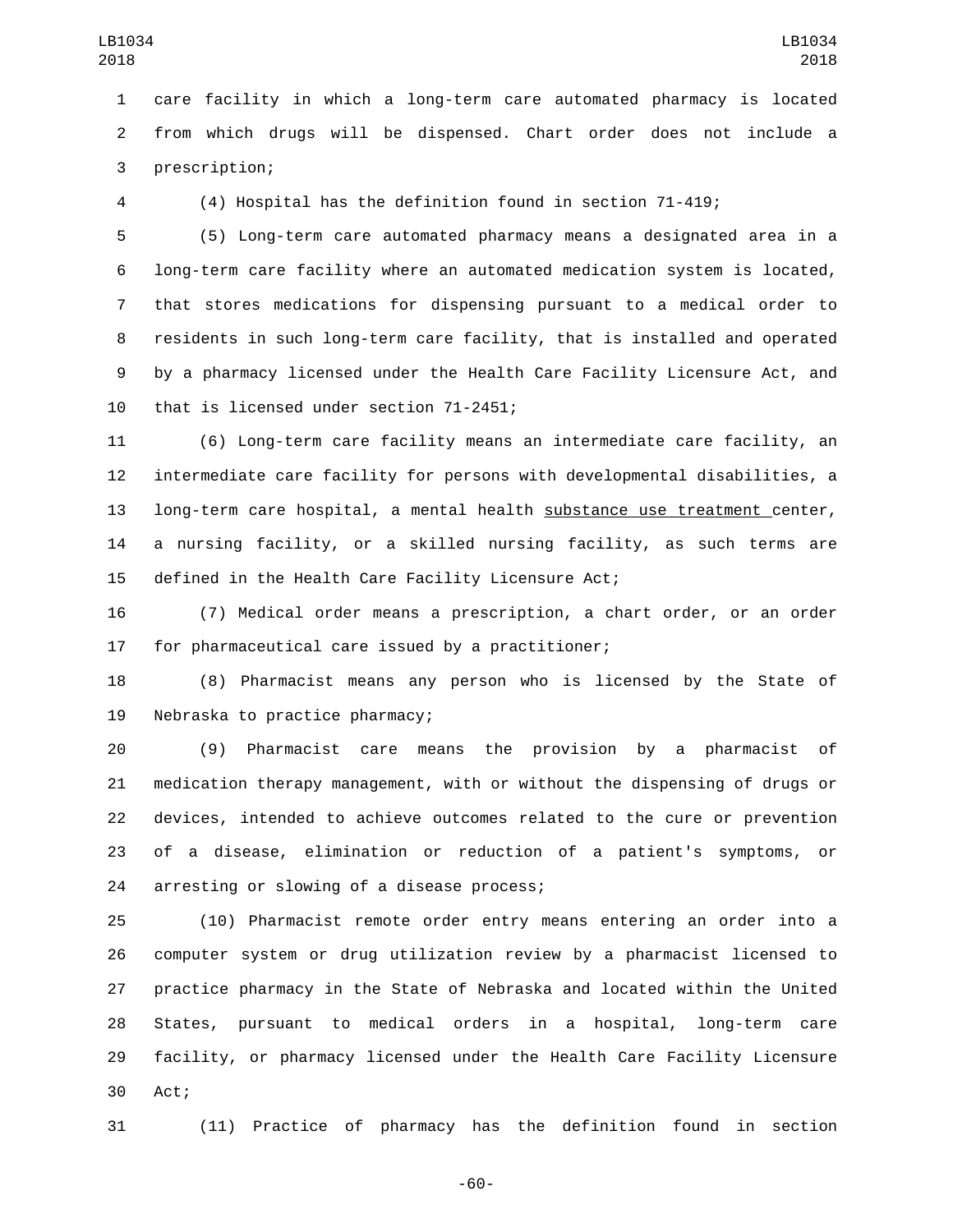care facility in which a long-term care automated pharmacy is located from which drugs will be dispensed. Chart order does not include a 3 prescription;

(4) Hospital has the definition found in section 71-419;

 (5) Long-term care automated pharmacy means a designated area in a long-term care facility where an automated medication system is located, that stores medications for dispensing pursuant to a medical order to residents in such long-term care facility, that is installed and operated by a pharmacy licensed under the Health Care Facility Licensure Act, and 10 that is licensed under section 71-2451;

 (6) Long-term care facility means an intermediate care facility, an intermediate care facility for persons with developmental disabilities, a long-term care hospital, a mental health substance use treatment center, a nursing facility, or a skilled nursing facility, as such terms are defined in the Health Care Facility Licensure Act;

 (7) Medical order means a prescription, a chart order, or an order 17 for pharmaceutical care issued by a practitioner;

 (8) Pharmacist means any person who is licensed by the State of 19 Nebraska to practice pharmacy;

 (9) Pharmacist care means the provision by a pharmacist of medication therapy management, with or without the dispensing of drugs or devices, intended to achieve outcomes related to the cure or prevention of a disease, elimination or reduction of a patient's symptoms, or 24 arresting or slowing of a disease process;

 (10) Pharmacist remote order entry means entering an order into a computer system or drug utilization review by a pharmacist licensed to practice pharmacy in the State of Nebraska and located within the United States, pursuant to medical orders in a hospital, long-term care facility, or pharmacy licensed under the Health Care Facility Licensure 30 Act;

(11) Practice of pharmacy has the definition found in section

-60-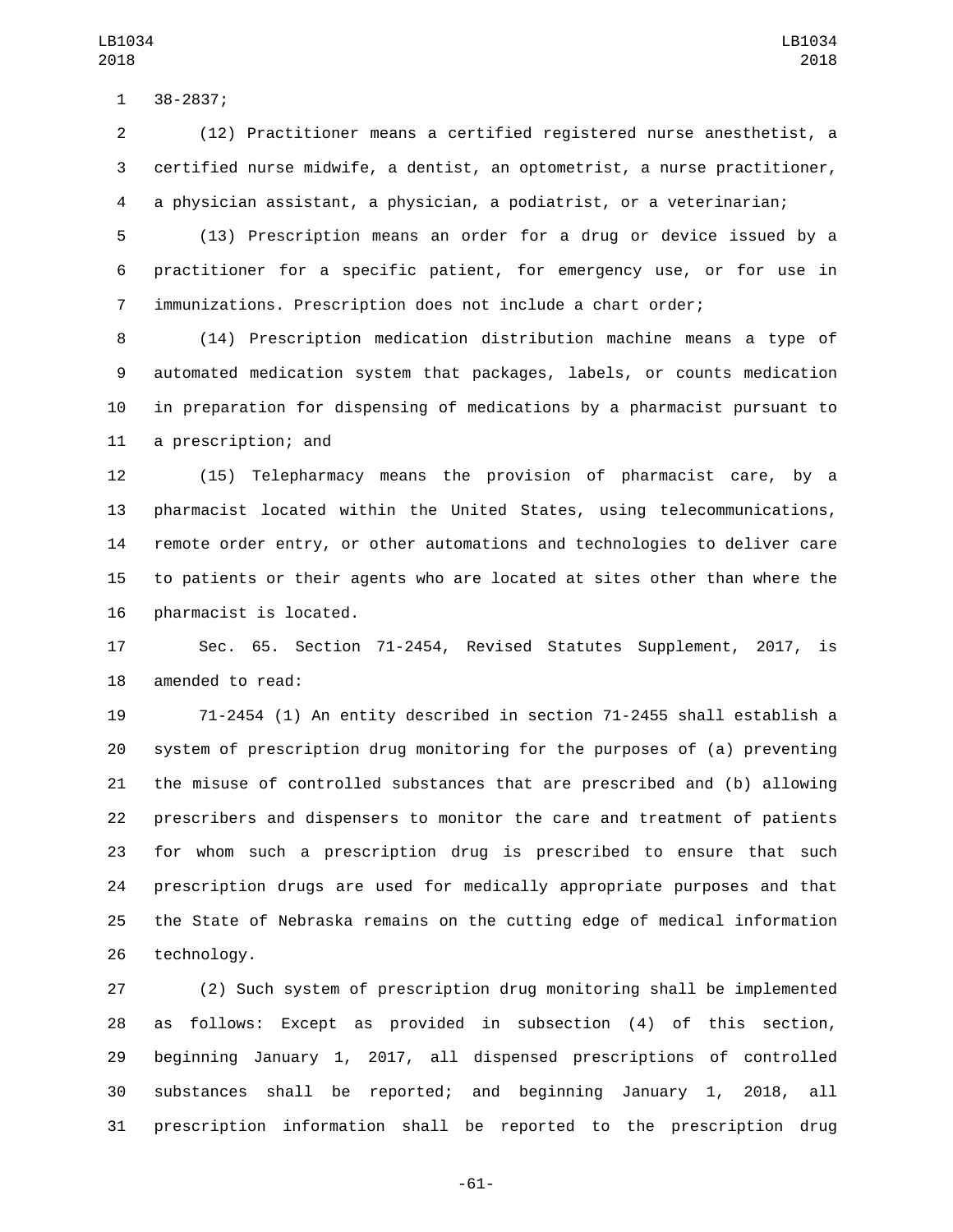38-2837;1

 (12) Practitioner means a certified registered nurse anesthetist, a certified nurse midwife, a dentist, an optometrist, a nurse practitioner, a physician assistant, a physician, a podiatrist, or a veterinarian;

 (13) Prescription means an order for a drug or device issued by a practitioner for a specific patient, for emergency use, or for use in immunizations. Prescription does not include a chart order;

 (14) Prescription medication distribution machine means a type of automated medication system that packages, labels, or counts medication in preparation for dispensing of medications by a pharmacist pursuant to 11 a prescription; and

 (15) Telepharmacy means the provision of pharmacist care, by a pharmacist located within the United States, using telecommunications, remote order entry, or other automations and technologies to deliver care to patients or their agents who are located at sites other than where the 16 pharmacist is located.

 Sec. 65. Section 71-2454, Revised Statutes Supplement, 2017, is 18 amended to read:

 71-2454 (1) An entity described in section 71-2455 shall establish a system of prescription drug monitoring for the purposes of (a) preventing the misuse of controlled substances that are prescribed and (b) allowing prescribers and dispensers to monitor the care and treatment of patients for whom such a prescription drug is prescribed to ensure that such prescription drugs are used for medically appropriate purposes and that the State of Nebraska remains on the cutting edge of medical information 26 technology.

 (2) Such system of prescription drug monitoring shall be implemented as follows: Except as provided in subsection (4) of this section, beginning January 1, 2017, all dispensed prescriptions of controlled substances shall be reported; and beginning January 1, 2018, all prescription information shall be reported to the prescription drug

-61-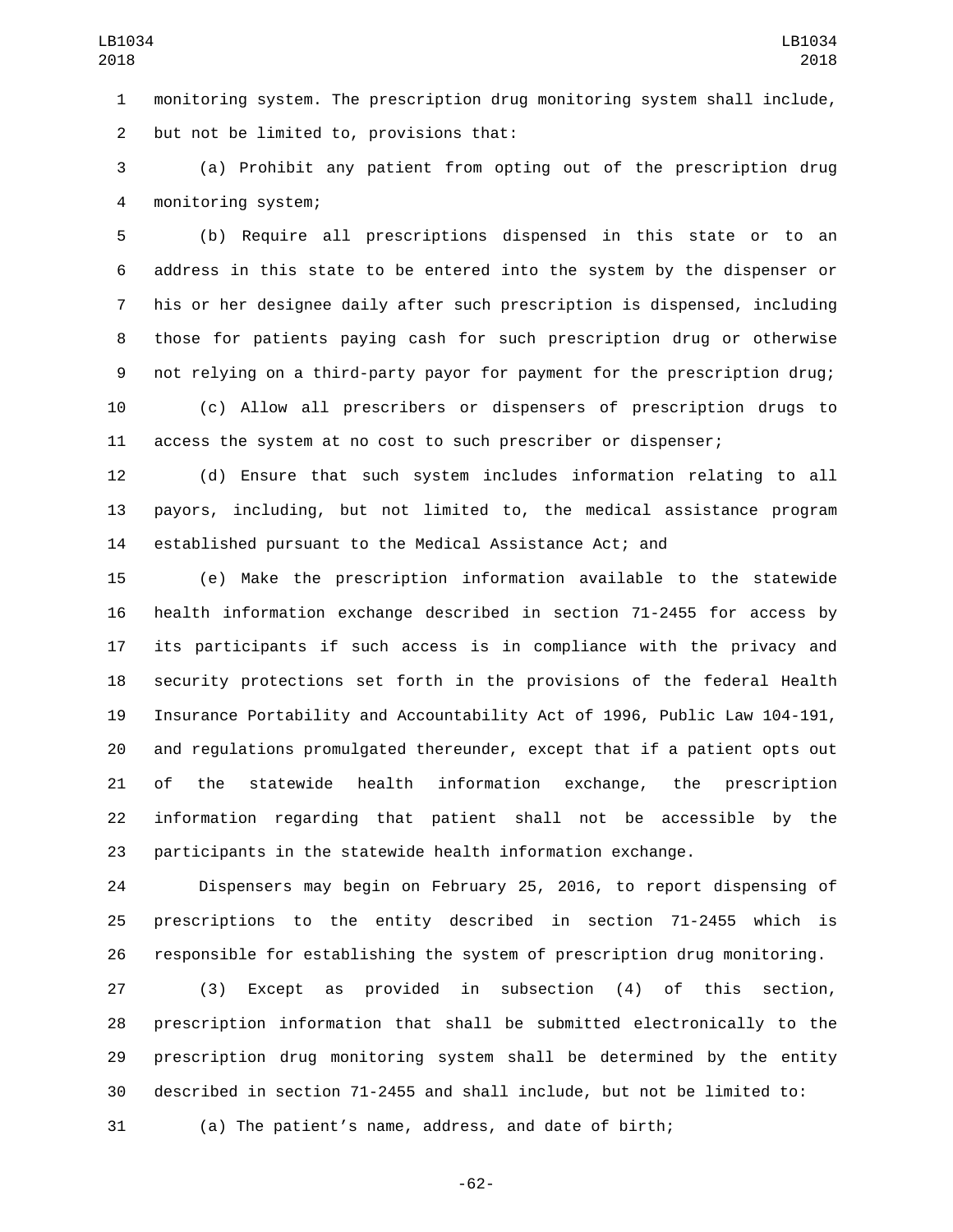monitoring system. The prescription drug monitoring system shall include, 2 but not be limited to, provisions that:

 (a) Prohibit any patient from opting out of the prescription drug monitoring system;4

 (b) Require all prescriptions dispensed in this state or to an address in this state to be entered into the system by the dispenser or his or her designee daily after such prescription is dispensed, including those for patients paying cash for such prescription drug or otherwise not relying on a third-party payor for payment for the prescription drug; (c) Allow all prescribers or dispensers of prescription drugs to access the system at no cost to such prescriber or dispenser;

 (d) Ensure that such system includes information relating to all payors, including, but not limited to, the medical assistance program established pursuant to the Medical Assistance Act; and

 (e) Make the prescription information available to the statewide health information exchange described in section 71-2455 for access by its participants if such access is in compliance with the privacy and security protections set forth in the provisions of the federal Health Insurance Portability and Accountability Act of 1996, Public Law 104-191, and regulations promulgated thereunder, except that if a patient opts out of the statewide health information exchange, the prescription information regarding that patient shall not be accessible by the participants in the statewide health information exchange.

 Dispensers may begin on February 25, 2016, to report dispensing of prescriptions to the entity described in section 71-2455 which is responsible for establishing the system of prescription drug monitoring.

 (3) Except as provided in subsection (4) of this section, prescription information that shall be submitted electronically to the prescription drug monitoring system shall be determined by the entity described in section 71-2455 and shall include, but not be limited to:

(a) The patient's name, address, and date of birth;

-62-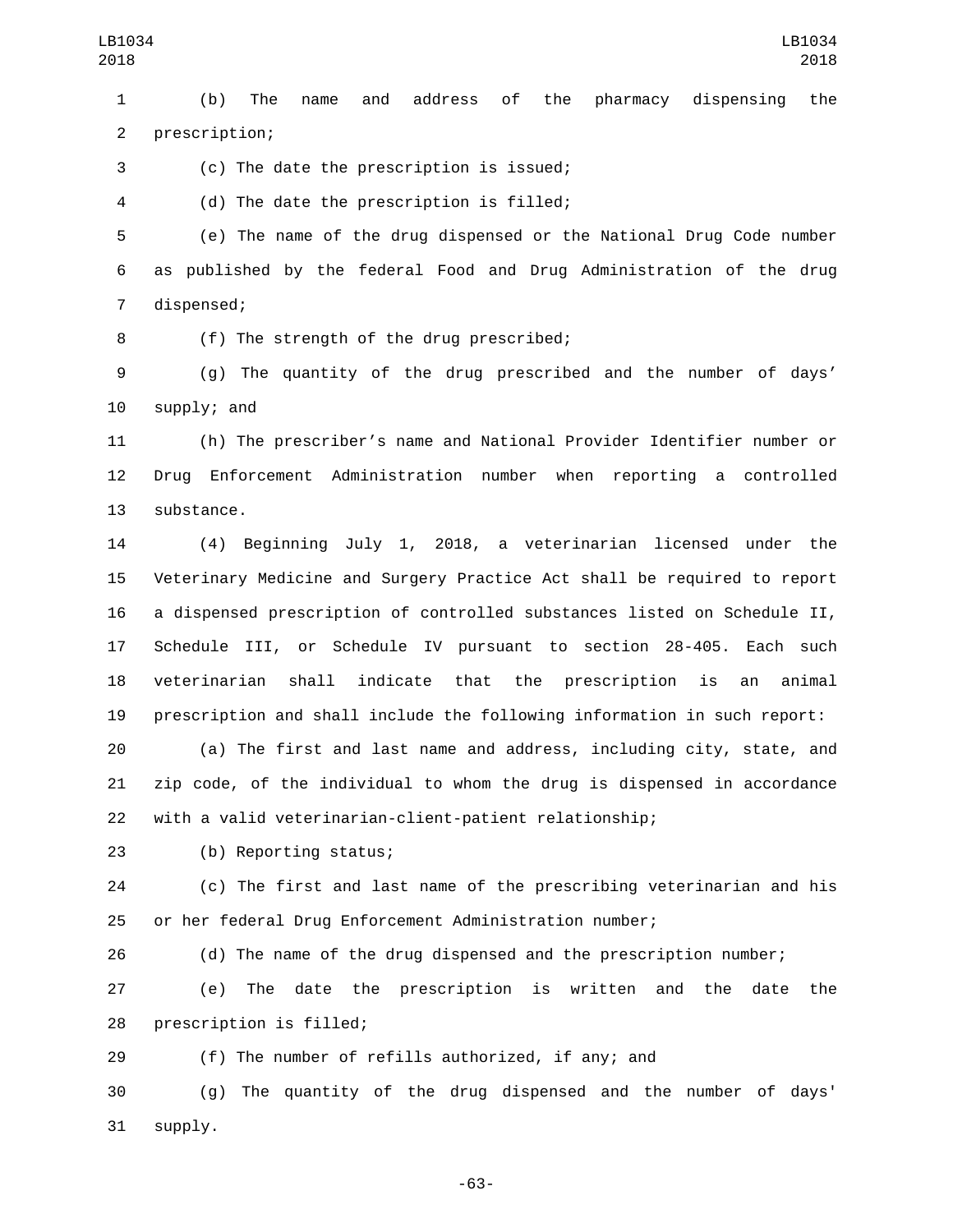(b) The name and address of the pharmacy dispensing the 2 prescription;

(c) The date the prescription is issued;3

(d) The date the prescription is filled;4

 (e) The name of the drug dispensed or the National Drug Code number as published by the federal Food and Drug Administration of the drug 7 dispensed;

8 (f) The strength of the drug prescribed;

 (g) The quantity of the drug prescribed and the number of days' supply; and

 (h) The prescriber's name and National Provider Identifier number or Drug Enforcement Administration number when reporting a controlled 13 substance.

 (4) Beginning July 1, 2018, a veterinarian licensed under the Veterinary Medicine and Surgery Practice Act shall be required to report a dispensed prescription of controlled substances listed on Schedule II, Schedule III, or Schedule IV pursuant to section 28-405. Each such veterinarian shall indicate that the prescription is an animal prescription and shall include the following information in such report:

 (a) The first and last name and address, including city, state, and zip code, of the individual to whom the drug is dispensed in accordance with a valid veterinarian-client-patient relationship;

(b) Reporting status;23

 (c) The first and last name of the prescribing veterinarian and his or her federal Drug Enforcement Administration number;

(d) The name of the drug dispensed and the prescription number;

 (e) The date the prescription is written and the date the 28 prescription is filled;

(f) The number of refills authorized, if any; and

 (g) The quantity of the drug dispensed and the number of days' 31 supply.

-63-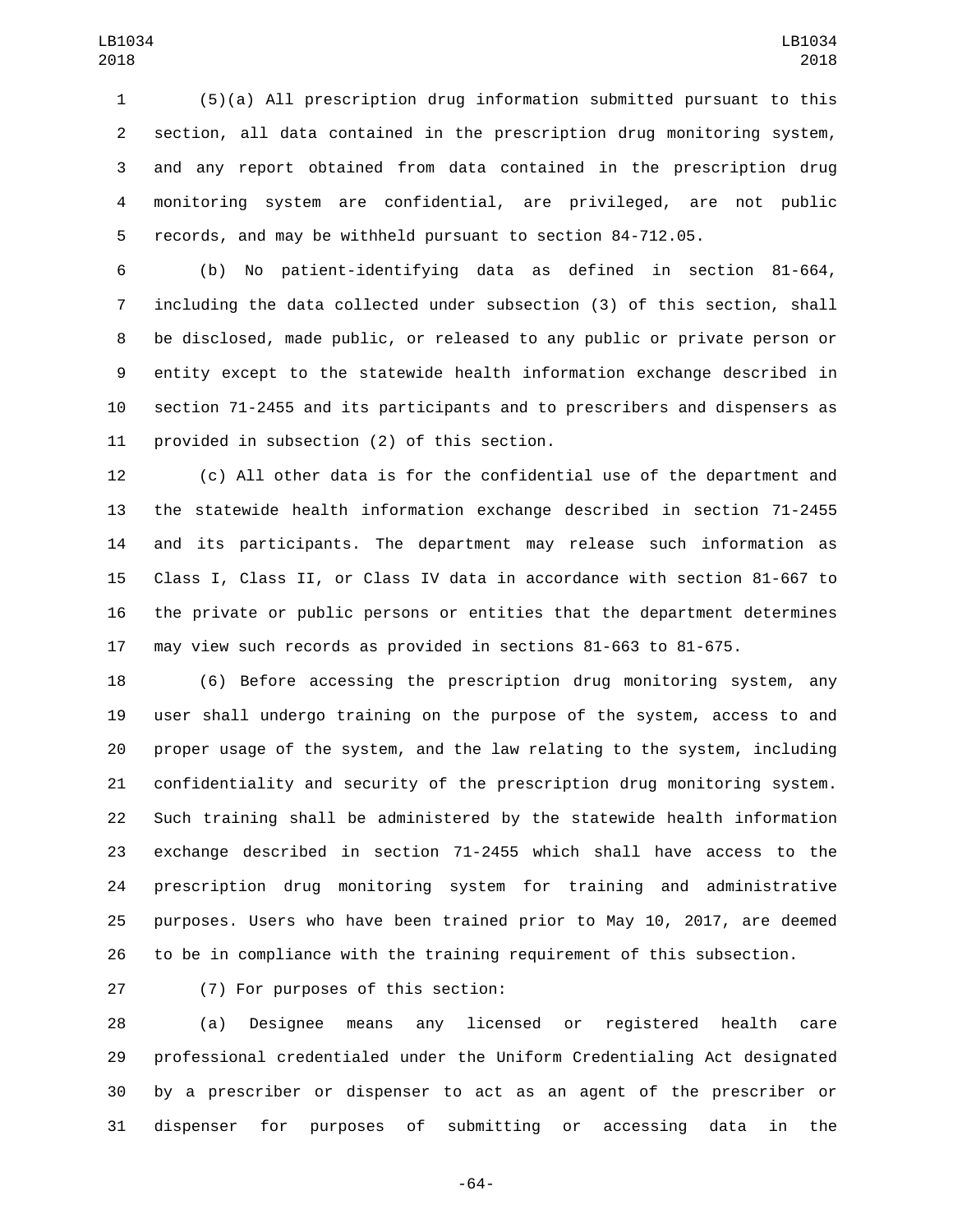(5)(a) All prescription drug information submitted pursuant to this section, all data contained in the prescription drug monitoring system, and any report obtained from data contained in the prescription drug monitoring system are confidential, are privileged, are not public records, and may be withheld pursuant to section 84-712.05.

 (b) No patient-identifying data as defined in section 81-664, including the data collected under subsection (3) of this section, shall be disclosed, made public, or released to any public or private person or entity except to the statewide health information exchange described in section 71-2455 and its participants and to prescribers and dispensers as 11 provided in subsection (2) of this section.

 (c) All other data is for the confidential use of the department and the statewide health information exchange described in section 71-2455 and its participants. The department may release such information as Class I, Class II, or Class IV data in accordance with section 81-667 to the private or public persons or entities that the department determines may view such records as provided in sections 81-663 to 81-675.

 (6) Before accessing the prescription drug monitoring system, any user shall undergo training on the purpose of the system, access to and proper usage of the system, and the law relating to the system, including confidentiality and security of the prescription drug monitoring system. Such training shall be administered by the statewide health information exchange described in section 71-2455 which shall have access to the prescription drug monitoring system for training and administrative purposes. Users who have been trained prior to May 10, 2017, are deemed to be in compliance with the training requirement of this subsection.

(7) For purposes of this section:27

 (a) Designee means any licensed or registered health care professional credentialed under the Uniform Credentialing Act designated by a prescriber or dispenser to act as an agent of the prescriber or dispenser for purposes of submitting or accessing data in the

-64-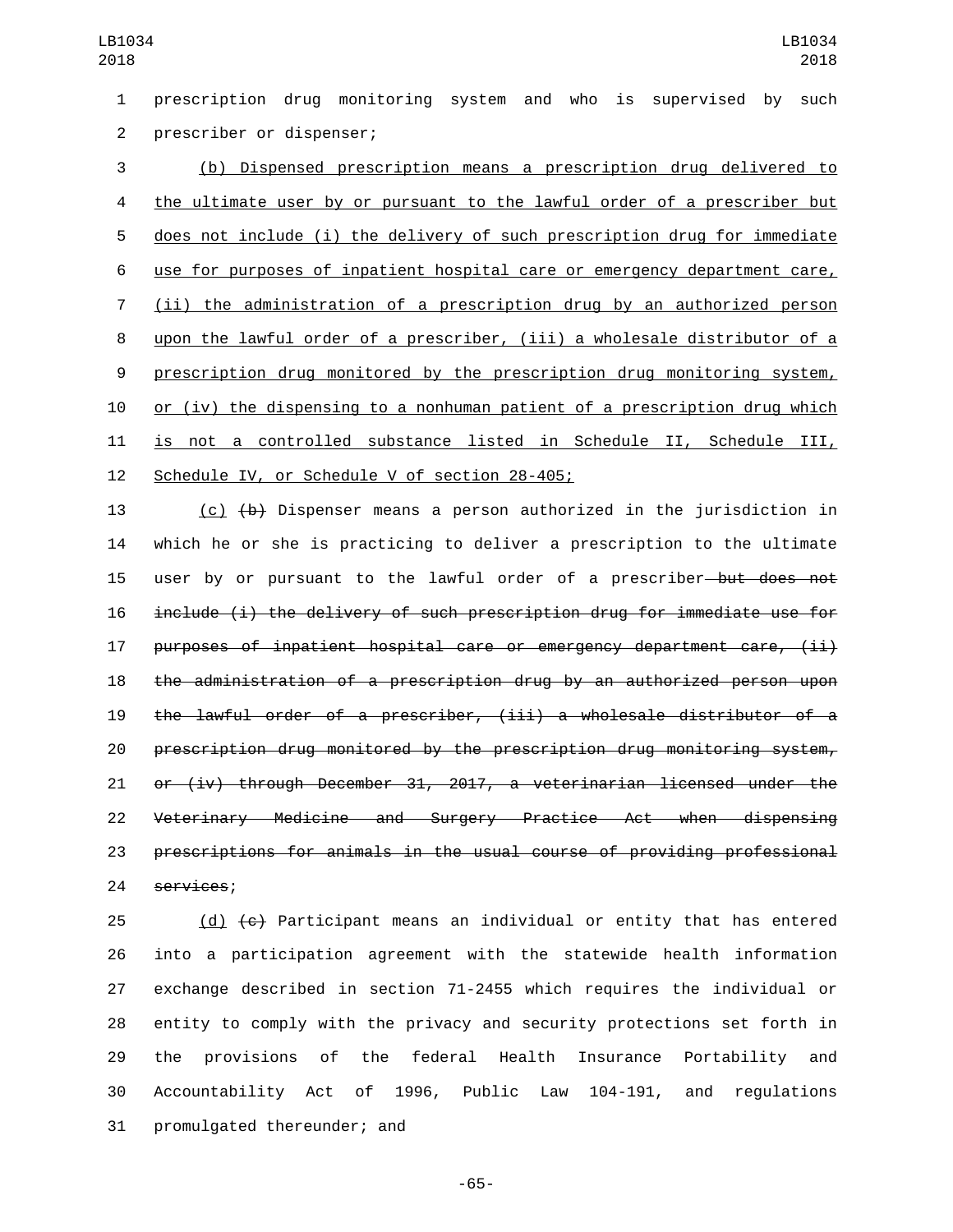prescription drug monitoring system and who is supervised by such 2 prescriber or dispenser;

 (b) Dispensed prescription means a prescription drug delivered to 4 the ultimate user by or pursuant to the lawful order of a prescriber but does not include (i) the delivery of such prescription drug for immediate use for purposes of inpatient hospital care or emergency department care, (ii) the administration of a prescription drug by an authorized person upon the lawful order of a prescriber, (iii) a wholesale distributor of a prescription drug monitored by the prescription drug monitoring system, or (iv) the dispensing to a nonhuman patient of a prescription drug which is not a controlled substance listed in Schedule II, Schedule III, 12 Schedule IV, or Schedule V of section 28-405;

 (c) (b) Dispenser means a person authorized in the jurisdiction in which he or she is practicing to deliver a prescription to the ultimate 15 user by or pursuant to the lawful order of a prescriber—but does not include (i) the delivery of such prescription drug for immediate use for purposes of inpatient hospital care or emergency department care, (ii) the administration of a prescription drug by an authorized person upon the lawful order of a prescriber, (iii) a wholesale distributor of a prescription drug monitored by the prescription drug monitoring system, or (iv) through December 31, 2017, a veterinarian licensed under the Veterinary Medicine and Surgery Practice Act when dispensing prescriptions for animals in the usual course of providing professional 24 services;

 $(d)$  (d)  $\left\lbrace \epsilon \right\rbrace$  Participant means an individual or entity that has entered into a participation agreement with the statewide health information exchange described in section 71-2455 which requires the individual or entity to comply with the privacy and security protections set forth in the provisions of the federal Health Insurance Portability and Accountability Act of 1996, Public Law 104-191, and regulations 31 promulgated thereunder; and

-65-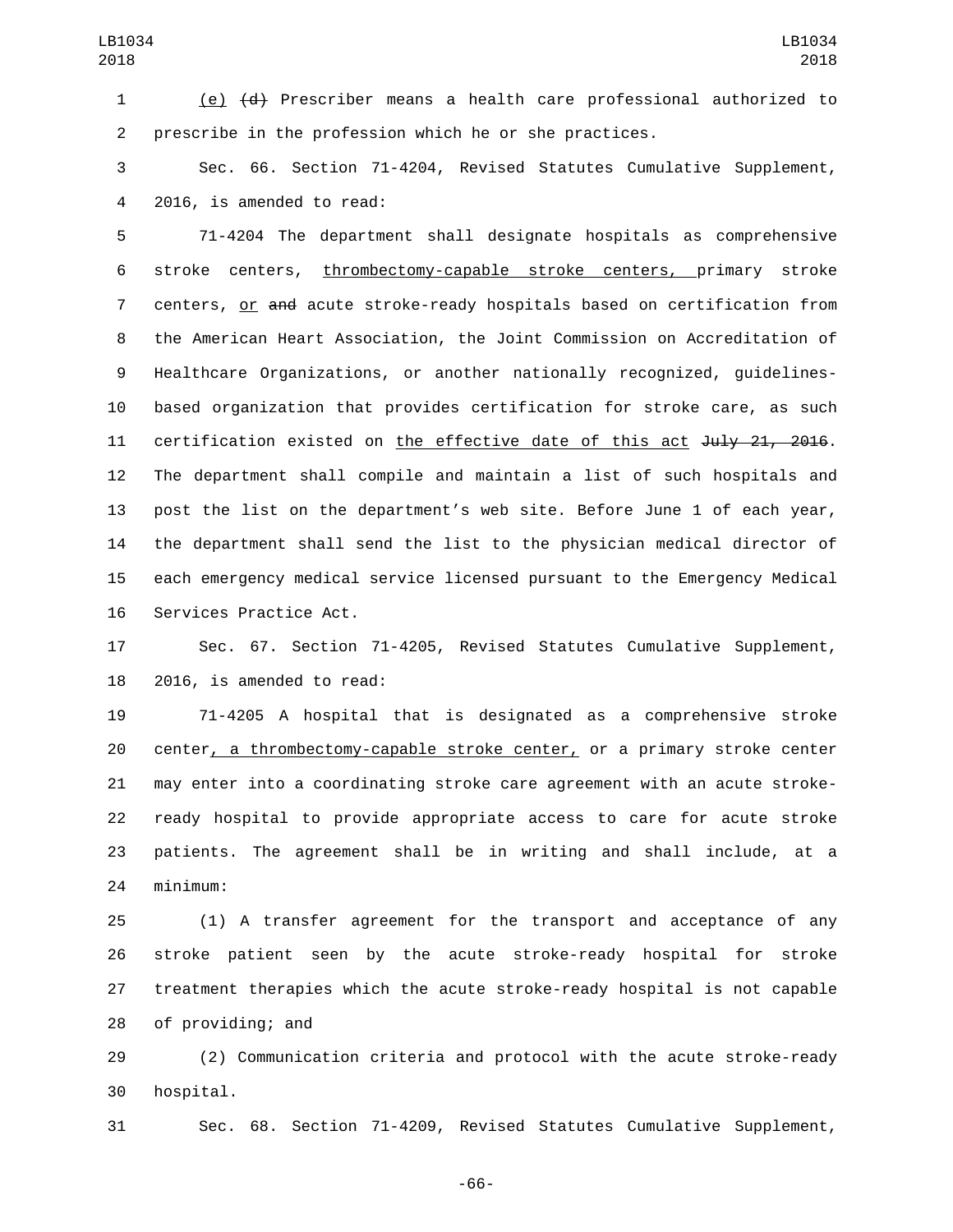(e) (d) Prescriber means a health care professional authorized to prescribe in the profession which he or she practices.

 Sec. 66. Section 71-4204, Revised Statutes Cumulative Supplement, 2016, is amended to read:4

 71-4204 The department shall designate hospitals as comprehensive stroke centers, thrombectomy-capable stroke centers, primary stroke centers, or and acute stroke-ready hospitals based on certification from the American Heart Association, the Joint Commission on Accreditation of Healthcare Organizations, or another nationally recognized, guidelines- based organization that provides certification for stroke care, as such 11 certification existed on the effective date of this act July 21, 2016. The department shall compile and maintain a list of such hospitals and post the list on the department's web site. Before June 1 of each year, the department shall send the list to the physician medical director of each emergency medical service licensed pursuant to the Emergency Medical 16 Services Practice Act.

 Sec. 67. Section 71-4205, Revised Statutes Cumulative Supplement, 2016, is amended to read:

 71-4205 A hospital that is designated as a comprehensive stroke center, a thrombectomy-capable stroke center, or a primary stroke center may enter into a coordinating stroke care agreement with an acute stroke- ready hospital to provide appropriate access to care for acute stroke patients. The agreement shall be in writing and shall include, at a minimum:24

 (1) A transfer agreement for the transport and acceptance of any stroke patient seen by the acute stroke-ready hospital for stroke treatment therapies which the acute stroke-ready hospital is not capable 28 of providing; and

 (2) Communication criteria and protocol with the acute stroke-ready 30 hospital.

Sec. 68. Section 71-4209, Revised Statutes Cumulative Supplement,

-66-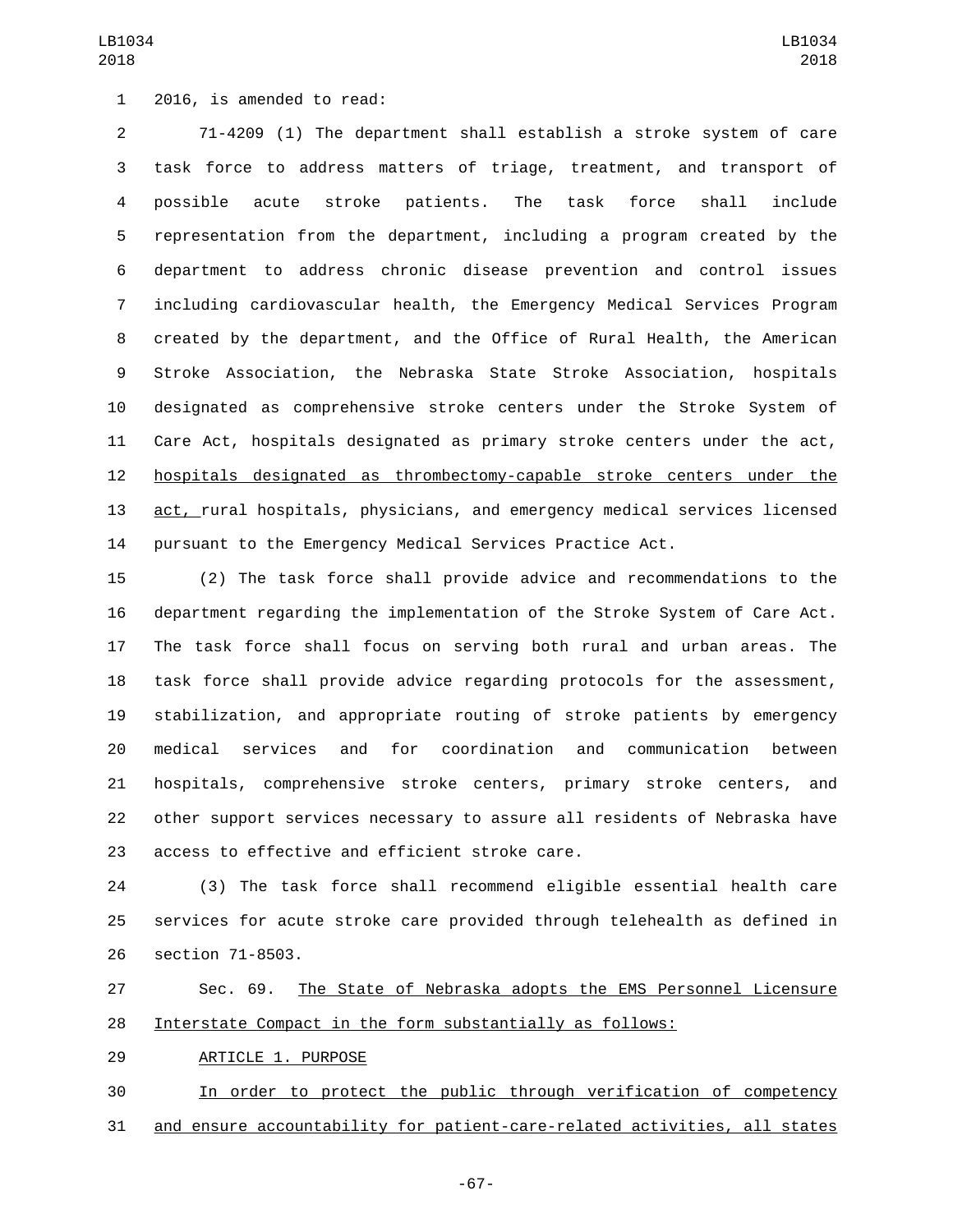1 2016, is amended to read:

 71-4209 (1) The department shall establish a stroke system of care task force to address matters of triage, treatment, and transport of possible acute stroke patients. The task force shall include representation from the department, including a program created by the department to address chronic disease prevention and control issues including cardiovascular health, the Emergency Medical Services Program created by the department, and the Office of Rural Health, the American Stroke Association, the Nebraska State Stroke Association, hospitals designated as comprehensive stroke centers under the Stroke System of Care Act, hospitals designated as primary stroke centers under the act, hospitals designated as thrombectomy-capable stroke centers under the act, rural hospitals, physicians, and emergency medical services licensed pursuant to the Emergency Medical Services Practice Act.

 (2) The task force shall provide advice and recommendations to the department regarding the implementation of the Stroke System of Care Act. The task force shall focus on serving both rural and urban areas. The task force shall provide advice regarding protocols for the assessment, stabilization, and appropriate routing of stroke patients by emergency medical services and for coordination and communication between hospitals, comprehensive stroke centers, primary stroke centers, and other support services necessary to assure all residents of Nebraska have 23 access to effective and efficient stroke care.

 (3) The task force shall recommend eligible essential health care services for acute stroke care provided through telehealth as defined in 26 section 71-8503.

 Sec. 69. The State of Nebraska adopts the EMS Personnel Licensure Interstate Compact in the form substantially as follows:

29 ARTICLE 1. PURPOSE

 In order to protect the public through verification of competency and ensure accountability for patient-care-related activities, all states

-67-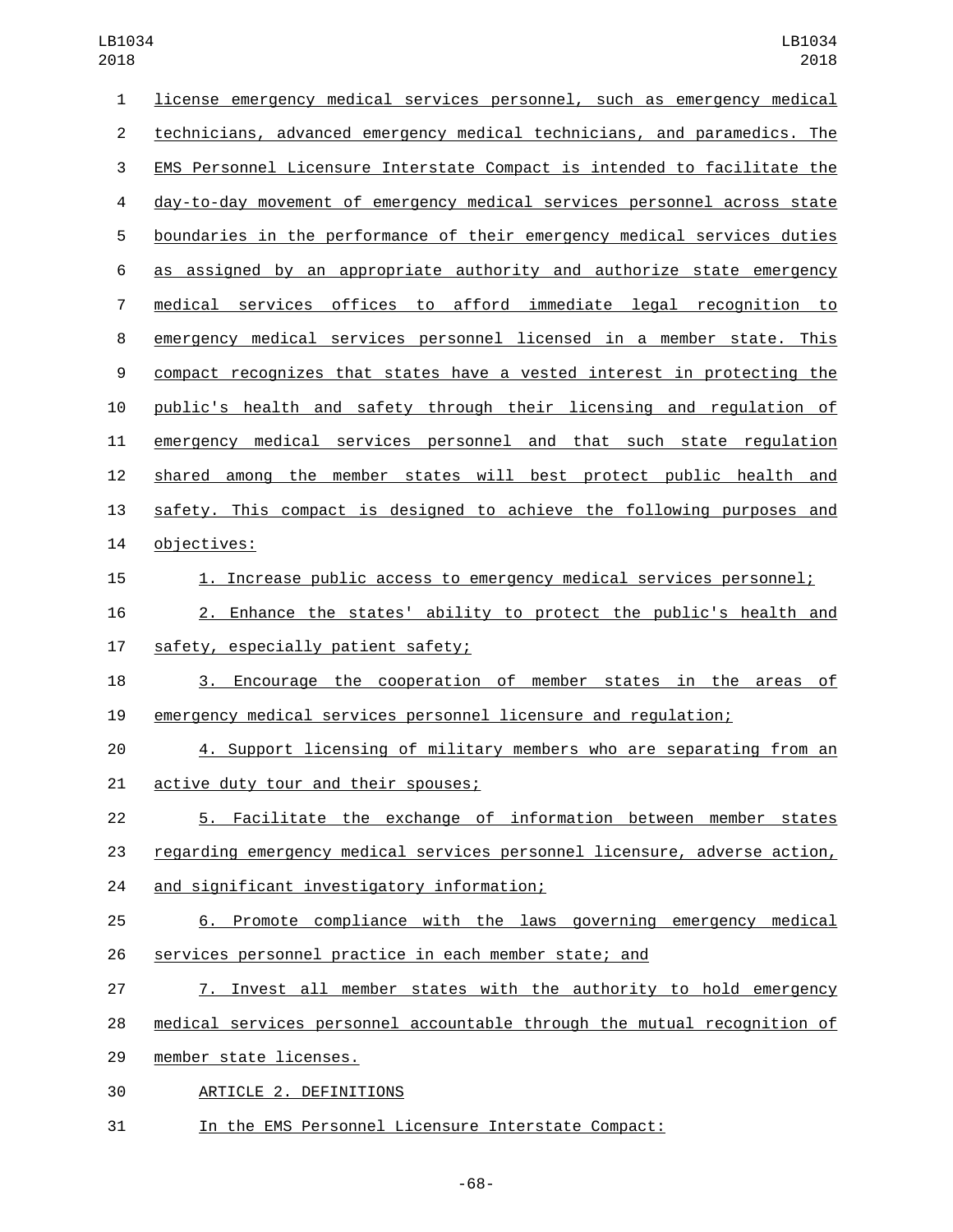| $\mathbf{1}$     | license emergency medical services personnel, such as emergency medical   |
|------------------|---------------------------------------------------------------------------|
| $\overline{c}$   | technicians, advanced emergency medical technicians, and paramedics. The  |
| 3                | EMS Personnel Licensure Interstate Compact is intended to facilitate the  |
| 4                | day-to-day movement of emergency medical services personnel across state  |
| 5                | boundaries in the performance of their emergency medical services duties  |
| 6                | as assigned by an appropriate authority and authorize state emergency     |
| $\overline{7}$   | medical services offices to afford immediate legal recognition to         |
| 8                | emergency medical services personnel licensed in a member state. This     |
| $\boldsymbol{9}$ | compact recognizes that states have a vested interest in protecting the   |
| 10               | public's health and safety through their licensing and regulation of      |
| 11               | emergency medical services personnel and that such state regulation       |
| 12               | shared among the member states will best protect public health and        |
| 13               | safety. This compact is designed to achieve the following purposes and    |
| 14               | objectives:                                                               |
| 15               | 1. Increase public access to emergency medical services personnel;        |
| 16               | 2. Enhance the states' ability to protect the public's health and         |
| 17               | safety, especially patient safety;                                        |
| 18               | 3. Encourage the cooperation of member states in the areas of             |
| 19               | emergency medical services personnel licensure and regulation;            |
| 20               | 4. Support licensing of military members who are separating from an       |
| 21               | active duty tour and their spouses;                                       |
| 22               | 5. Facilitate the exchange of information between member states           |
| 23               | regarding emergency medical services personnel licensure, adverse action, |
| 24               | and significant investigatory information;                                |
| 25               | 6. Promote compliance with the laws governing emergency medical           |
| 26               | services personnel practice in each member state; and                     |
| 27               | 7. Invest all member states with the authority to hold emergency          |
| 28               | medical services personnel accountable through the mutual recognition of  |
| 29               | member state licenses.                                                    |
| 30               | ARTICLE 2. DEFINITIONS                                                    |
| 31               | In the EMS Personnel Licensure Interstate Compact:                        |

-68-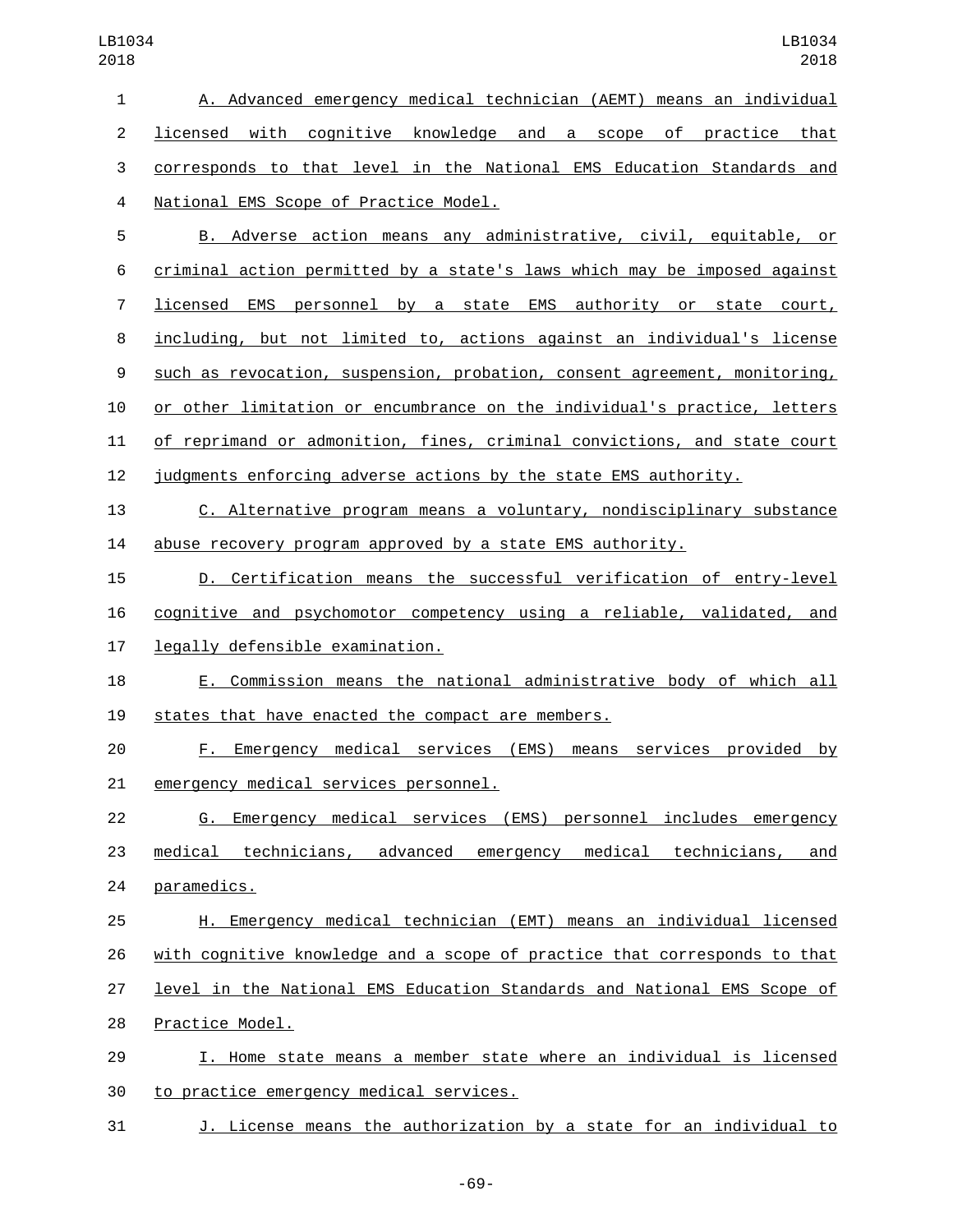A. Advanced emergency medical technician (AEMT) means an individual licensed with cognitive knowledge and a scope of practice that corresponds to that level in the National EMS Education Standards and 4 National EMS Scope of Practice Model.

 B. Adverse action means any administrative, civil, equitable, or criminal action permitted by a state's laws which may be imposed against licensed EMS personnel by a state EMS authority or state court, including, but not limited to, actions against an individual's license such as revocation, suspension, probation, consent agreement, monitoring, or other limitation or encumbrance on the individual's practice, letters of reprimand or admonition, fines, criminal convictions, and state court judgments enforcing adverse actions by the state EMS authority.

 C. Alternative program means a voluntary, nondisciplinary substance abuse recovery program approved by a state EMS authority.

 D. Certification means the successful verification of entry-level cognitive and psychomotor competency using a reliable, validated, and 17 legally defensible examination.

 E. Commission means the national administrative body of which all 19 states that have enacted the compact are members.

 F. Emergency medical services (EMS) means services provided by 21 emergency medical services personnel.

 G. Emergency medical services (EMS) personnel includes emergency medical technicians, advanced emergency medical technicians, and 24 paramedics.

 H. Emergency medical technician (EMT) means an individual licensed with cognitive knowledge and a scope of practice that corresponds to that level in the National EMS Education Standards and National EMS Scope of 28 Practice Model.

 I. Home state means a member state where an individual is licensed 30 to practice emergency medical services.

J. License means the authorization by a state for an individual to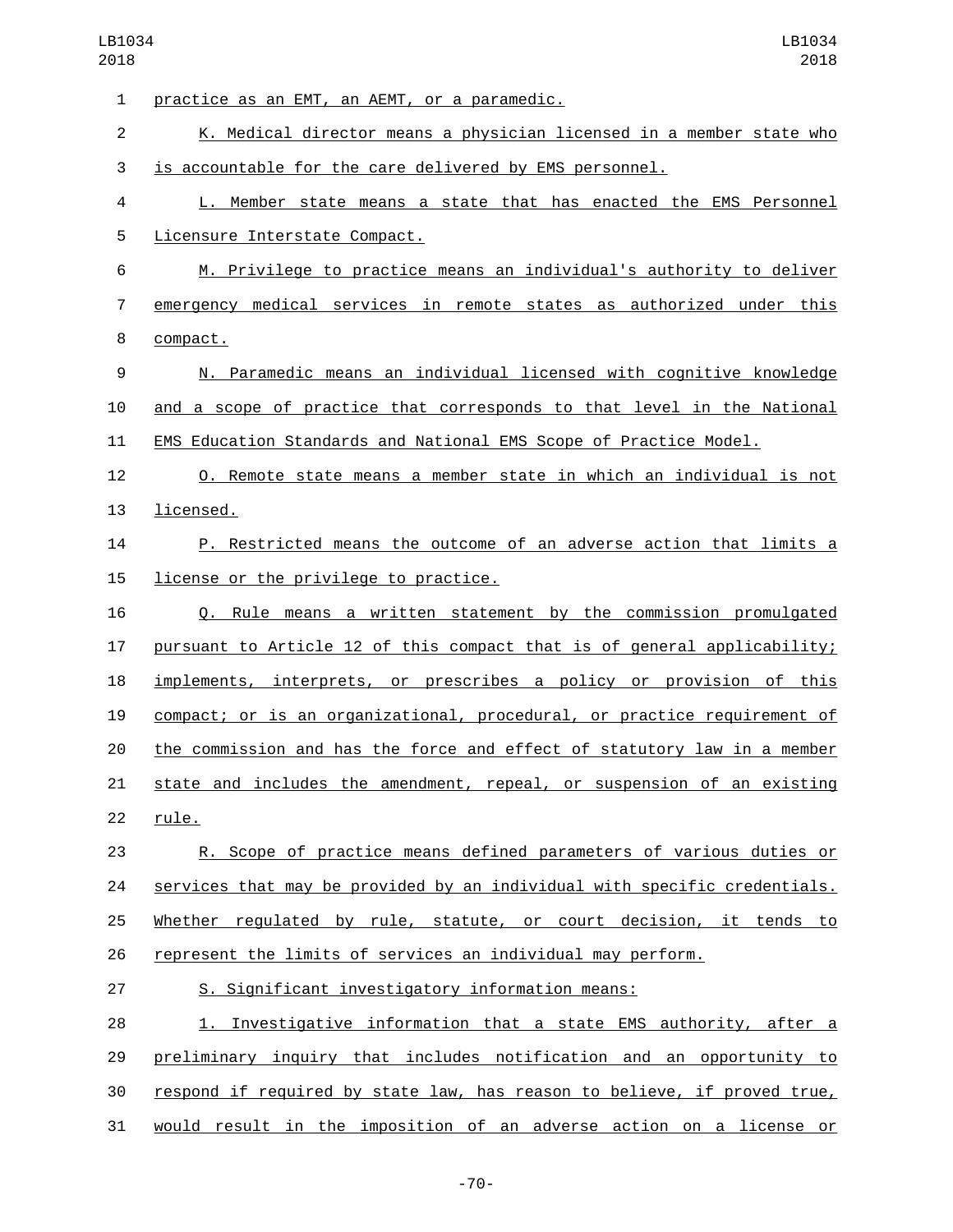| 1              | practice as an EMT, an AEMT, or a paramedic.                              |
|----------------|---------------------------------------------------------------------------|
| $\overline{c}$ | K. Medical director means a physician licensed in a member state who      |
| 3              | is accountable for the care delivered by EMS personnel.                   |
| 4              | L. Member state means a state that has enacted the EMS Personnel          |
| 5              | Licensure Interstate Compact.                                             |
| 6              | M. Privilege to practice means an individual's authority to deliver       |
| 7              | emergency medical services in remote states as authorized under this      |
| 8              | compact.                                                                  |
| 9              | N. Paramedic means an individual licensed with cognitive knowledge        |
| 10             | and a scope of practice that corresponds to that level in the National    |
| 11             | EMS Education Standards and National EMS Scope of Practice Model.         |
| 12             | <u>O. Remote state means a member state in which an individual is not</u> |
| 13             | licensed.                                                                 |
| 14             | P. Restricted means the outcome of an adverse action that limits a        |
| 15             | license or the privilege to practice.                                     |
| 16             | Q. Rule means a written statement by the commission promulgated           |
| 17             | pursuant to Article 12 of this compact that is of general applicability;  |
| 18             | implements, interprets, or prescribes a policy or provision of this       |
| 19             | compact; or is an organizational, procedural, or practice requirement of  |
| 20             | the commission and has the force and effect of statutory law in a member  |
| 21             | state and includes the amendment, repeal, or suspension of an existing    |
| 22             | rule.                                                                     |
| 23             | R. Scope of practice means defined parameters of various duties or        |
| 24             | services that may be provided by an individual with specific credentials. |
| 25             | Whether regulated by rule, statute, or court decision, it tends to        |
| 26             | represent the limits of services an individual may perform.               |
| 27             | S. Significant investigatory information means:                           |
| 28             | 1. Investigative information that a state EMS authority, after a          |
| 29             | preliminary inquiry that includes notification and an opportunity to      |
| 30             | respond if required by state law, has reason to believe, if proved true,  |
| 31             | would result in the imposition of an adverse action on a license or       |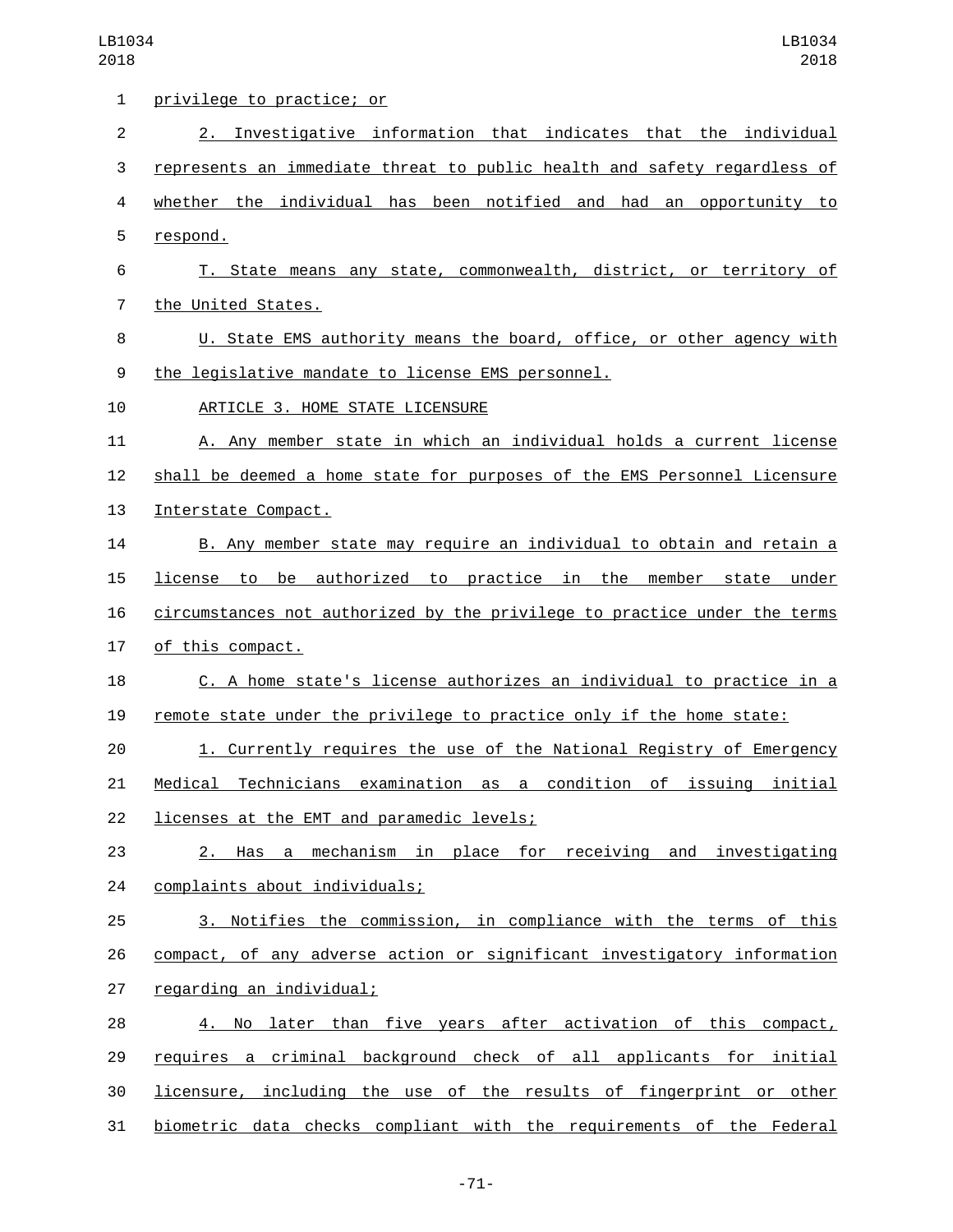| $\mathbf{1}$   | privilege to practice; or                                                 |
|----------------|---------------------------------------------------------------------------|
| $\overline{2}$ | 2. Investigative information that indicates that the individual           |
| 3              | represents an immediate threat to public health and safety regardless of  |
| 4              | whether the individual has been notified and had an opportunity to        |
| 5              | respond.                                                                  |
| 6              | T. State means any state, commonwealth, district, or territory of         |
| 7              | the United States.                                                        |
| 8              | U. State EMS authority means the board, office, or other agency with      |
| 9              | the legislative mandate to license EMS personnel.                         |
| 10             | ARTICLE 3. HOME STATE LICENSURE                                           |
| 11             | A. Any member state in which an individual holds a current license        |
| 12             | shall be deemed a home state for purposes of the EMS Personnel Licensure  |
| 13             | Interstate Compact.                                                       |
| 14             | B. Any member state may require an individual to obtain and retain a      |
| 15             | license to be authorized to practice in the member state under            |
| 16             | circumstances not authorized by the privilege to practice under the terms |
| 17             | of this compact.                                                          |
| 18             | C. A home state's license authorizes an individual to practice in a       |
| 19             | remote state under the privilege to practice only if the home state:      |
| 20             | 1. Currently requires the use of the National Registry of Emergency       |
| 21             | Medical Technicians examination as a condition of issuing initial         |
| 22             | licenses at the EMT and paramedic levels;                                 |
| 23             | 2. Has a mechanism in place for receiving and investigating               |
| 24             | complaints about individuals;                                             |
| 25             | 3. Notifies the commission, in compliance with the terms of this          |
| 26             | compact, of any adverse action or significant investigatory information   |
| 27             | regarding an individual;                                                  |
| 28             | 4. No later than five years after activation of this compact,             |
| 29             | requires a criminal background check of all applicants for initial        |
| 30             | licensure, including the use of the results of fingerprint or other       |
| 31             | biometric data checks compliant with the requirements of the Federal      |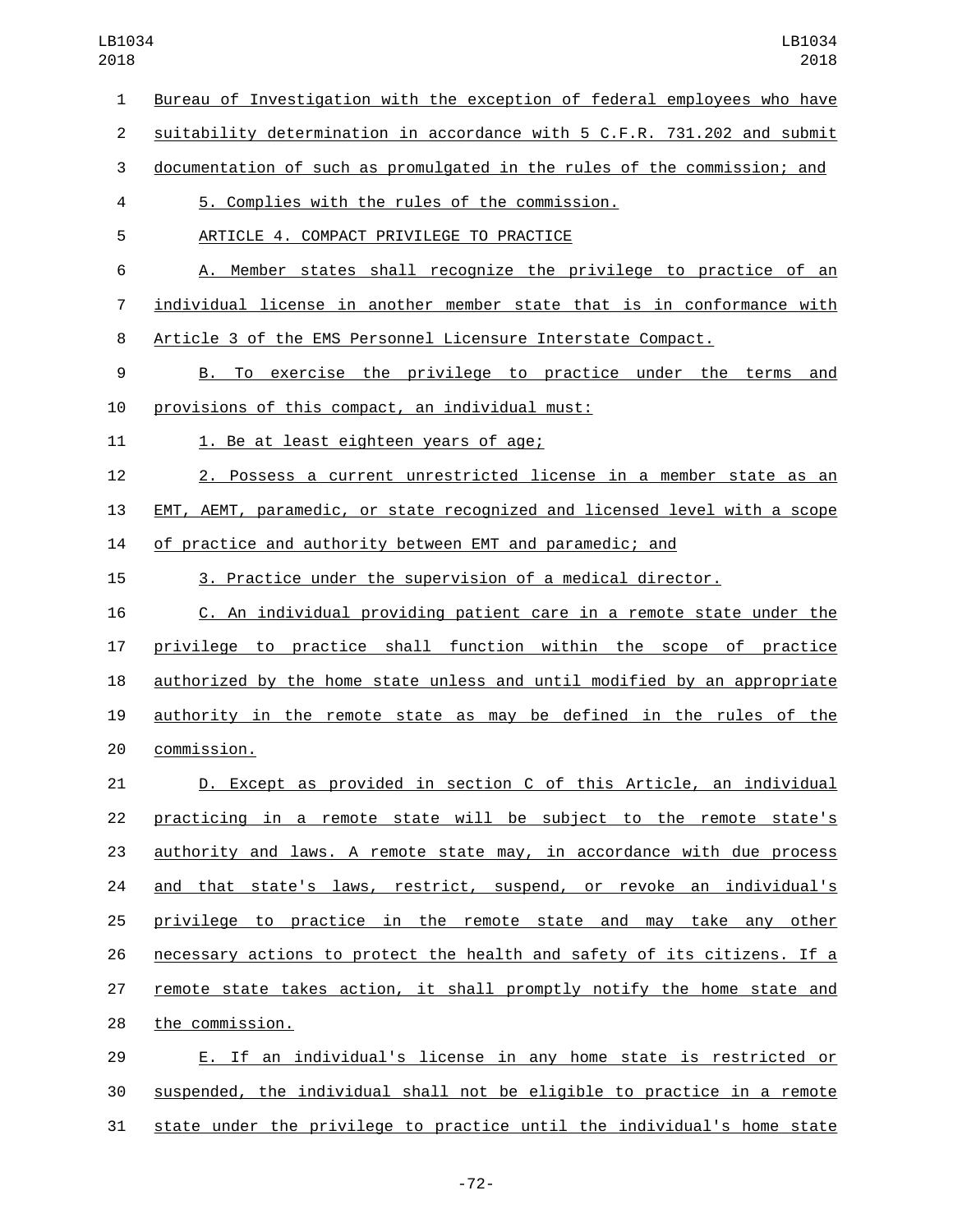Bureau of Investigation with the exception of federal employees who have suitability determination in accordance with 5 C.F.R. 731.202 and submit documentation of such as promulgated in the rules of the commission; and 5. Complies with the rules of the commission.4 5 ARTICLE 4. COMPACT PRIVILEGE TO PRACTICE A. Member states shall recognize the privilege to practice of an individual license in another member state that is in conformance with Article 3 of the EMS Personnel Licensure Interstate Compact. B. To exercise the privilege to practice under the terms and 10 provisions of this compact, an individual must: 11 1. Be at least eighteen years of age; 2. Possess a current unrestricted license in a member state as an EMT, AEMT, paramedic, or state recognized and licensed level with a scope of practice and authority between EMT and paramedic; and 3. Practice under the supervision of a medical director. C. An individual providing patient care in a remote state under the privilege to practice shall function within the scope of practice authorized by the home state unless and until modified by an appropriate authority in the remote state as may be defined in the rules of the commission.20 D. Except as provided in section C of this Article, an individual practicing in a remote state will be subject to the remote state's authority and laws. A remote state may, in accordance with due process 24 and that state's laws, restrict, suspend, or revoke an individual's privilege to practice in the remote state and may take any other necessary actions to protect the health and safety of its citizens. If a remote state takes action, it shall promptly notify the home state and 28 the commission. E. If an individual's license in any home state is restricted or

 suspended, the individual shall not be eligible to practice in a remote state under the privilege to practice until the individual's home state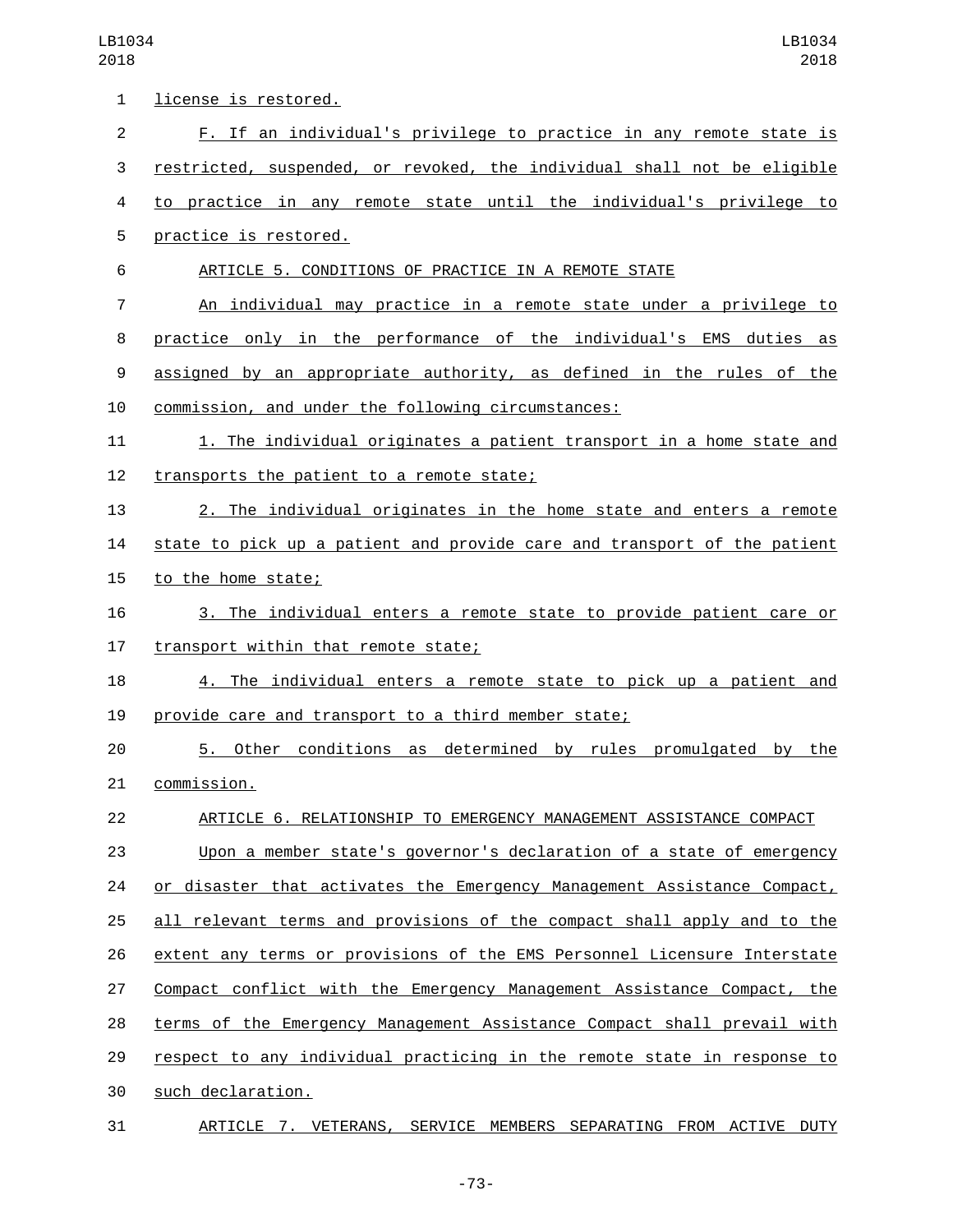| 1              | license is restored.                                                     |
|----------------|--------------------------------------------------------------------------|
| $\overline{c}$ | F. If an individual's privilege to practice in any remote state is       |
| 3              | restricted, suspended, or revoked, the individual shall not be eligible  |
| 4              | to practice in any remote state until the individual's privilege to      |
| 5              | practice is restored.                                                    |
| 6              | ARTICLE 5. CONDITIONS OF PRACTICE IN A REMOTE STATE                      |
| 7              | An individual may practice in a remote state under a privilege to        |
| 8              | practice only in the performance of the individual's EMS duties as       |
| 9              | assigned by an appropriate authority, as defined in the rules of the     |
| 10             | commission, and under the following circumstances:                       |
| 11             | 1. The individual originates a patient transport in a home state and     |
| 12             | transports the patient to a remote state;                                |
| 13             | 2. The individual originates in the home state and enters a remote       |
| 14             | state to pick up a patient and provide care and transport of the patient |
| 15             | to the home state;                                                       |
| 16             | 3. The individual enters a remote state to provide patient care or       |
| 17             | transport within that remote state;                                      |
| 18             | 4. The individual enters a remote state to pick up a patient and         |
| 19             | provide care and transport to a third member state;                      |
| 20             | 5. Other conditions as determined by rules promulgated<br>by<br>the      |
| 21             | commission.                                                              |
| 22             | ARTICLE 6. RELATIONSHIP TO EMERGENCY MANAGEMENT ASSISTANCE COMPACT       |
| 23             | Upon a member state's governor's declaration of a state of emergency     |
| 24             | or disaster that activates the Emergency Management Assistance Compact,  |
| 25             | all relevant terms and provisions of the compact shall apply and to the  |
| 26             | extent any terms or provisions of the EMS Personnel Licensure Interstate |
| 27             | Compact conflict with the Emergency Management Assistance Compact, the   |
| 28             | terms of the Emergency Management Assistance Compact shall prevail with  |
| 29             | respect to any individual practicing in the remote state in response to  |
| 30             | such declaration.                                                        |
| 31             | ARTICLE 7. VETERANS, SERVICE MEMBERS SEPARATING FROM ACTIVE DUTY         |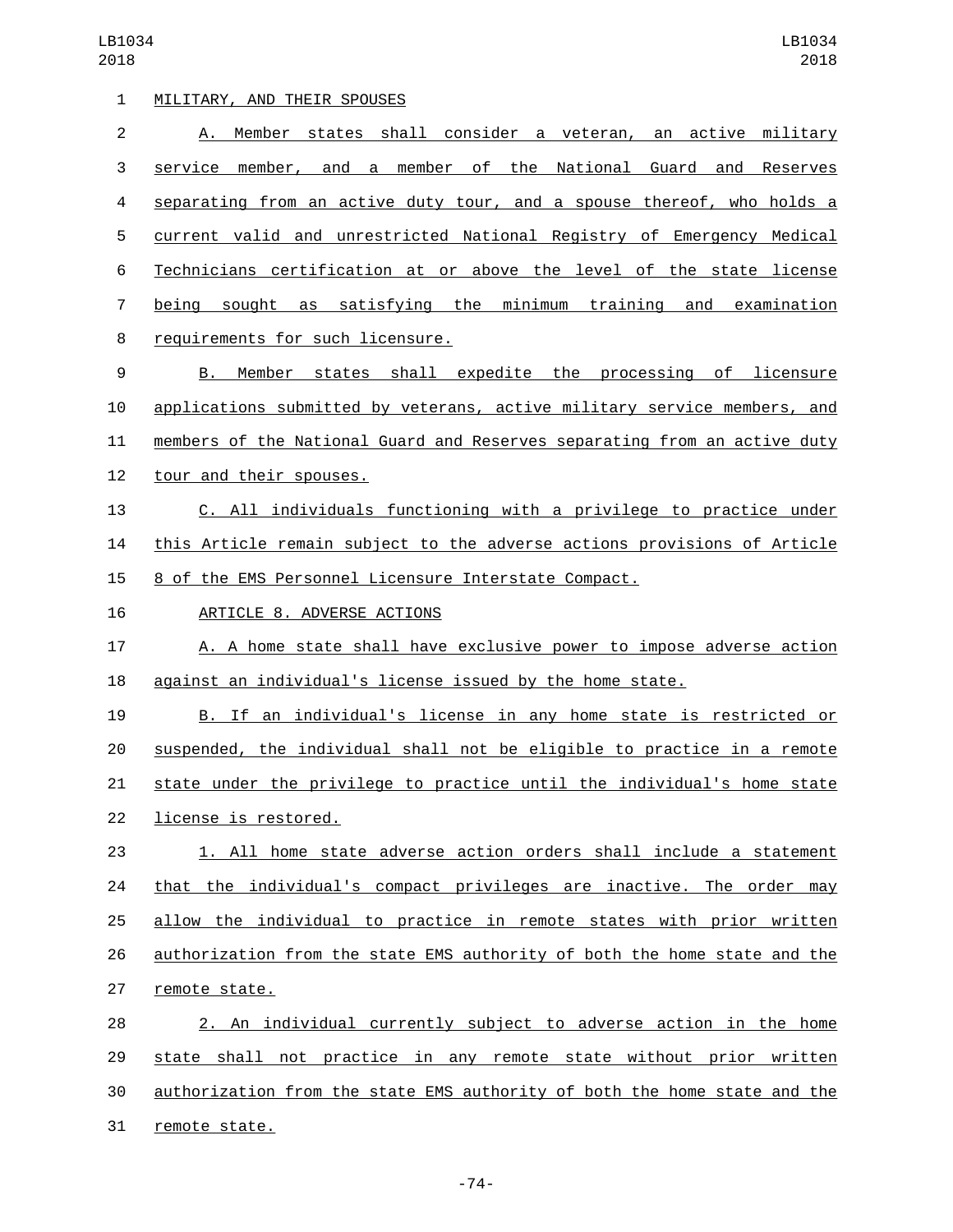| 1              | MILITARY, AND THEIR SPOUSES                                               |
|----------------|---------------------------------------------------------------------------|
| $\overline{2}$ | Member states shall consider a veteran, an active military<br>А.          |
| 3              | service member, and a member of the National Guard and<br>Reserves        |
| 4              | separating from an active duty tour, and a spouse thereof, who holds a    |
| 5              | current valid and unrestricted National Registry of Emergency Medical     |
| 6              | Technicians certification at or above the level of the state license      |
| 7              | being sought as satisfying the minimum training and examination           |
| 8              | requirements for such licensure.                                          |
| 9              | Member states shall expedite the processing of licensure<br>B.            |
| 10             | applications submitted by veterans, active military service members, and  |
| 11             | members of the National Guard and Reserves separating from an active duty |
| 12             | tour and their spouses.                                                   |
| 13             | C. All individuals functioning with a privilege to practice under         |
| 14             | this Article remain subject to the adverse actions provisions of Article  |
| 15             | 8 of the EMS Personnel Licensure Interstate Compact.                      |
| 16             | ARTICLE 8. ADVERSE ACTIONS                                                |
| 17             | A. A home state shall have exclusive power to impose adverse action       |
| 18             | against an individual's license issued by the home state.                 |
| 19             | B. If an individual's license in any home state is restricted or          |
| 20             | suspended, the individual shall not be eligible to practice in a remote   |
| 21             | state under the privilege to practice until the individual's home state   |
| 22             | license is restored.                                                      |
| 23             | 1. All home state adverse action orders shall include a statement         |
| 24             | that the individual's compact privileges are inactive. The order may      |
| 25             | allow the individual to practice in remote states with prior written      |
| 26             | authorization from the state EMS authority of both the home state and the |
| 27             | remote state.                                                             |
| 28             | 2. An individual currently subject to adverse action in the home          |
| 29             | state shall not practice in any remote state without prior written        |
| 30             | authorization from the state EMS authority of both the home state and the |
| 31             | remote state.                                                             |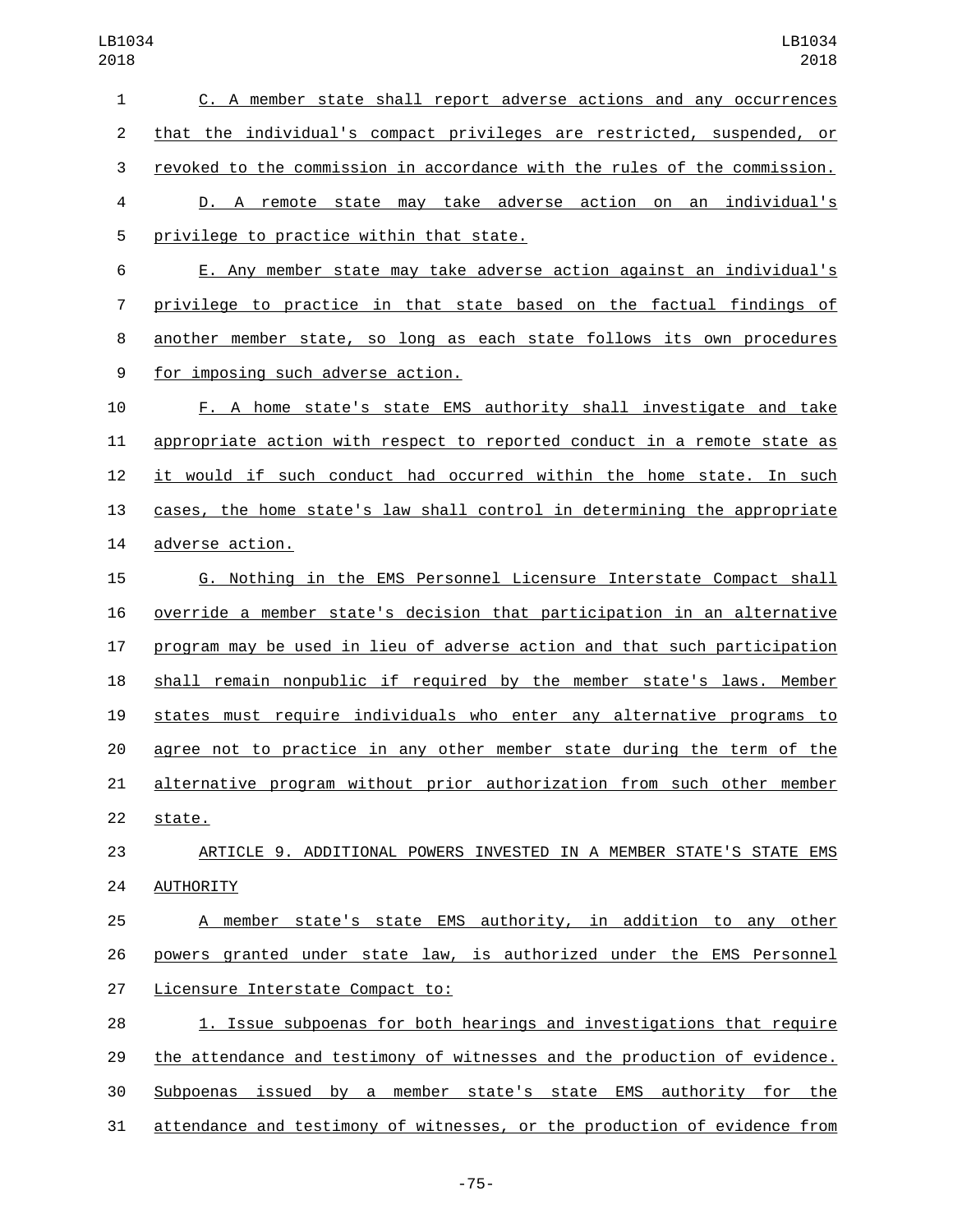C. A member state shall report adverse actions and any occurrences that the individual's compact privileges are restricted, suspended, or revoked to the commission in accordance with the rules of the commission. D. A remote state may take adverse action on an individual's 5 privilege to practice within that state. E. Any member state may take adverse action against an individual's privilege to practice in that state based on the factual findings of another member state, so long as each state follows its own procedures 9 for imposing such adverse action. F. A home state's state EMS authority shall investigate and take appropriate action with respect to reported conduct in a remote state as it would if such conduct had occurred within the home state. In such 13 cases, the home state's law shall control in determining the appropriate 14 adverse action. G. Nothing in the EMS Personnel Licensure Interstate Compact shall override a member state's decision that participation in an alternative program may be used in lieu of adverse action and that such participation shall remain nonpublic if required by the member state's laws. Member states must require individuals who enter any alternative programs to agree not to practice in any other member state during the term of the alternative program without prior authorization from such other member 22 state. ARTICLE 9. ADDITIONAL POWERS INVESTED IN A MEMBER STATE'S STATE EMS 24 AUTHORITY A member state's state EMS authority, in addition to any other powers granted under state law, is authorized under the EMS Personnel 27 Licensure Interstate Compact to: 1. Issue subpoenas for both hearings and investigations that require the attendance and testimony of witnesses and the production of evidence. Subpoenas issued by a member state's state EMS authority for the attendance and testimony of witnesses, or the production of evidence from

-75-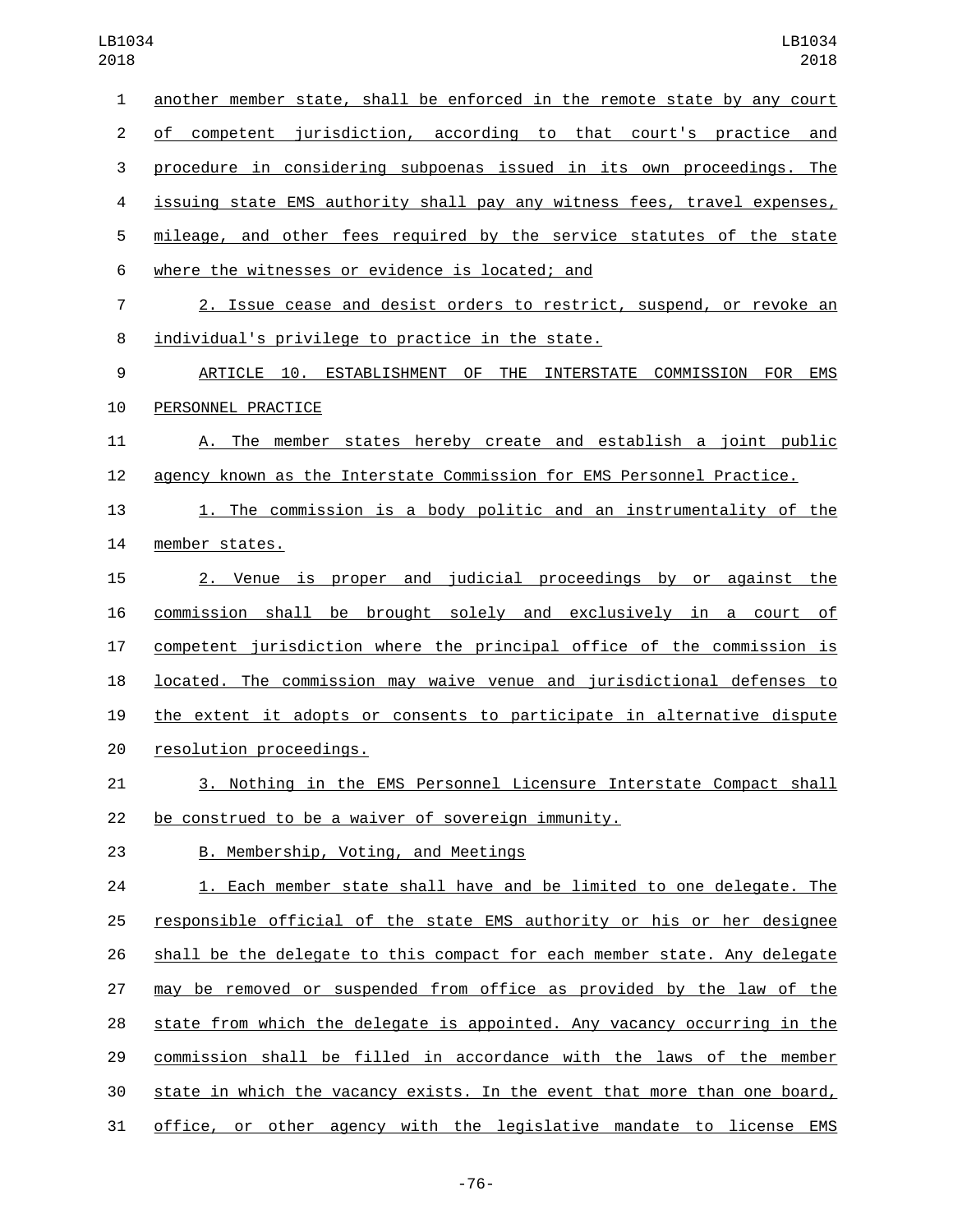| $\mathbf{1}$   | another member state, shall be enforced in the remote state by any court  |
|----------------|---------------------------------------------------------------------------|
| $\overline{c}$ | of competent jurisdiction, according to that court's practice and         |
| 3              | procedure in considering subpoenas issued in its own proceedings. The     |
| 4              | issuing state EMS authority shall pay any witness fees, travel expenses,  |
| 5              | mileage, and other fees required by the service statutes of the state     |
| 6              | where the witnesses or evidence is located; and                           |
| $\overline{7}$ | 2. Issue cease and desist orders to restrict, suspend, or revoke an       |
| 8              | individual's privilege to practice in the state.                          |
| 9              | ARTICLE 10. ESTABLISHMENT OF THE INTERSTATE COMMISSION FOR EMS            |
| 10             | PERSONNEL PRACTICE                                                        |
| 11             | A. The member states hereby create and establish a joint public           |
| 12             | agency known as the Interstate Commission for EMS Personnel Practice.     |
| 13             | 1. The commission is a body politic and an instrumentality of the         |
| 14             | member states.                                                            |
| 15             | 2. Venue is proper and judicial proceedings by or against the             |
| 16             | commission shall be brought solely and exclusively in a court of          |
| 17             | competent jurisdiction where the principal office of the commission is    |
| 18             | located. The commission may waive venue and jurisdictional defenses to    |
| 19             | the extent it adopts or consents to participate in alternative dispute    |
| 20             | resolution proceedings.                                                   |
| 21             | <u>3. Nothing in the EMS Personnel Licensure Interstate Compact shall</u> |
| 22             | be construed to be a waiver of sovereign immunity.                        |
| 23             | B. Membership, Voting, and Meetings                                       |
| 24             | 1. Each member state shall have and be limited to one delegate. The       |
| 25             | responsible official of the state EMS authority or his or her designee    |
| 26             | shall be the delegate to this compact for each member state. Any delegate |
| 27             | may be removed or suspended from office as provided by the law of the     |
| 28             | state from which the delegate is appointed. Any vacancy occurring in the  |
| 29             | commission shall be filled in accordance with the laws of the member      |
| 30             | state in which the vacancy exists. In the event that more than one board, |
| 31             | office, or other agency with the legislative mandate to license EMS       |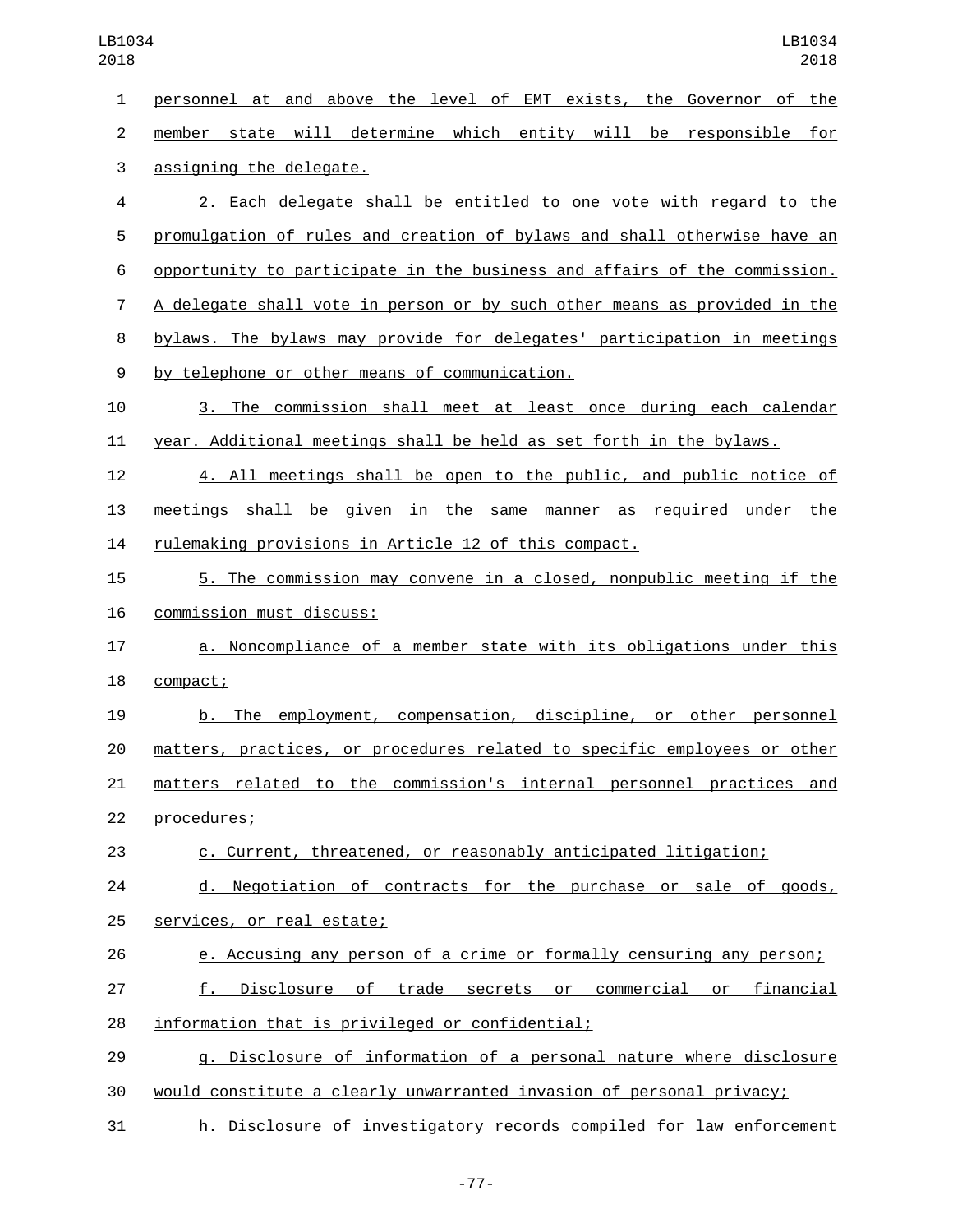personnel at and above the level of EMT exists, the Governor of the member state will determine which entity will be responsible for 3 assigning the delegate. 2. Each delegate shall be entitled to one vote with regard to the promulgation of rules and creation of bylaws and shall otherwise have an opportunity to participate in the business and affairs of the commission. A delegate shall vote in person or by such other means as provided in the bylaws. The bylaws may provide for delegates' participation in meetings 9 by telephone or other means of communication. 3. The commission shall meet at least once during each calendar year. Additional meetings shall be held as set forth in the bylaws. 4. All meetings shall be open to the public, and public notice of meetings shall be given in the same manner as required under the rulemaking provisions in Article 12 of this compact. 5. The commission may convene in a closed, nonpublic meeting if the 16 commission must discuss: a. Noncompliance of a member state with its obligations under this 18 compact; b. The employment, compensation, discipline, or other personnel matters, practices, or procedures related to specific employees or other matters related to the commission's internal personnel practices and 22 procedures; c. Current, threatened, or reasonably anticipated litigation; d. Negotiation of contracts for the purchase or sale of goods, 25 services, or real estate; e. Accusing any person of a crime or formally censuring any person; f. Disclosure of trade secrets or commercial or financial 28 information that is privileged or confidential; g. Disclosure of information of a personal nature where disclosure would constitute a clearly unwarranted invasion of personal privacy; h. Disclosure of investigatory records compiled for law enforcement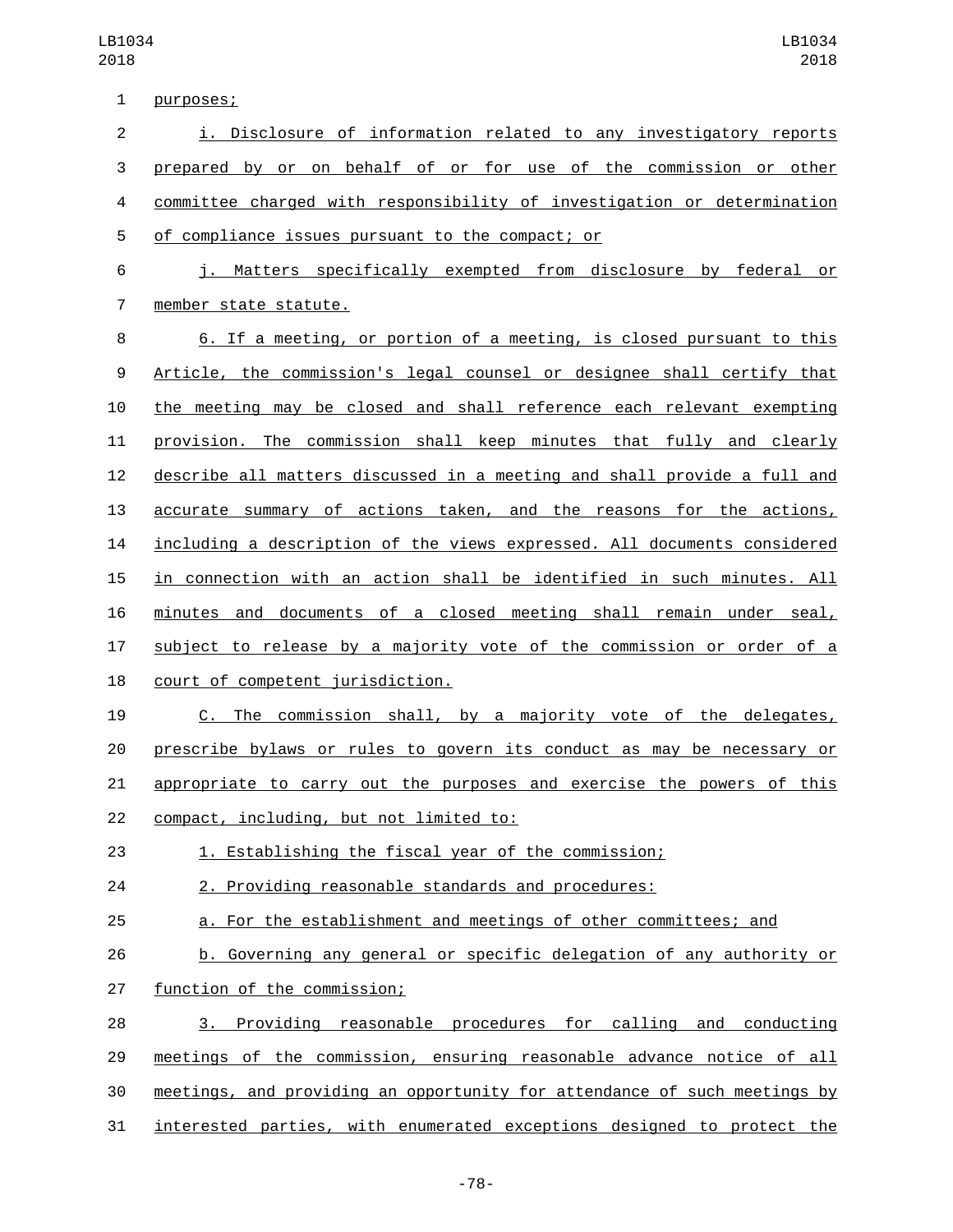1 purposes;

 i. Disclosure of information related to any investigatory reports prepared by or on behalf of or for use of the commission or other committee charged with responsibility of investigation or determination 5 of compliance issues pursuant to the compact; or j. Matters specifically exempted from disclosure by federal or 7 member state statute. 6. If a meeting, or portion of a meeting, is closed pursuant to this Article, the commission's legal counsel or designee shall certify that the meeting may be closed and shall reference each relevant exempting provision. The commission shall keep minutes that fully and clearly describe all matters discussed in a meeting and shall provide a full and accurate summary of actions taken, and the reasons for the actions, including a description of the views expressed. All documents considered in connection with an action shall be identified in such minutes. All minutes and documents of a closed meeting shall remain under seal, subject to release by a majority vote of the commission or order of a 18 court of competent jurisdiction. C. The commission shall, by a majority vote of the delegates, prescribe bylaws or rules to govern its conduct as may be necessary or appropriate to carry out the purposes and exercise the powers of this 22 compact, including, but not limited to: 1. Establishing the fiscal year of the commission; 2. Providing reasonable standards and procedures: a. For the establishment and meetings of other committees; and b. Governing any general or specific delegation of any authority or 27 function of the commission; 3. Providing reasonable procedures for calling and conducting meetings of the commission, ensuring reasonable advance notice of all meetings, and providing an opportunity for attendance of such meetings by interested parties, with enumerated exceptions designed to protect the

-78-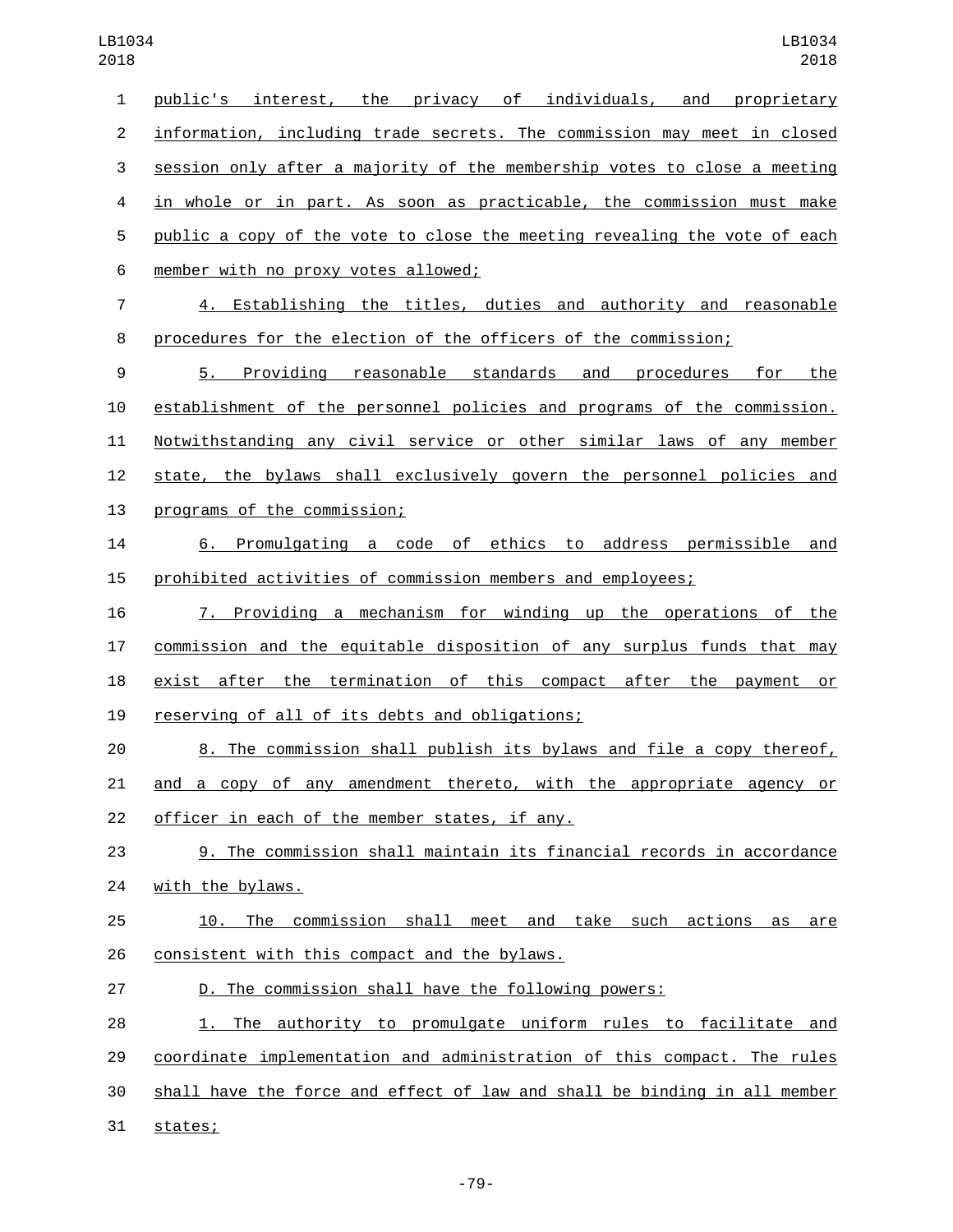public's interest, the privacy of individuals, and proprietary information, including trade secrets. The commission may meet in closed session only after a majority of the membership votes to close a meeting in whole or in part. As soon as practicable, the commission must make public a copy of the vote to close the meeting revealing the vote of each member with no proxy votes allowed;6 4. Establishing the titles, duties and authority and reasonable procedures for the election of the officers of the commission; 5. Providing reasonable standards and procedures for the establishment of the personnel policies and programs of the commission. Notwithstanding any civil service or other similar laws of any member state, the bylaws shall exclusively govern the personnel policies and 13 programs of the commission; 6. Promulgating a code of ethics to address permissible and prohibited activities of commission members and employees; 7. Providing a mechanism for winding up the operations of the commission and the equitable disposition of any surplus funds that may exist after the termination of this compact after the payment or 19 reserving of all of its debts and obligations; 8. The commission shall publish its bylaws and file a copy thereof, and a copy of any amendment thereto, with the appropriate agency or 22 officer in each of the member states, if any. 9. The commission shall maintain its financial records in accordance 24 with the bylaws. 25 10. The commission shall meet and take such actions as are 26 consistent with this compact and the bylaws. D. The commission shall have the following powers: 1. The authority to promulgate uniform rules to facilitate and coordinate implementation and administration of this compact. The rules shall have the force and effect of law and shall be binding in all member 31 states;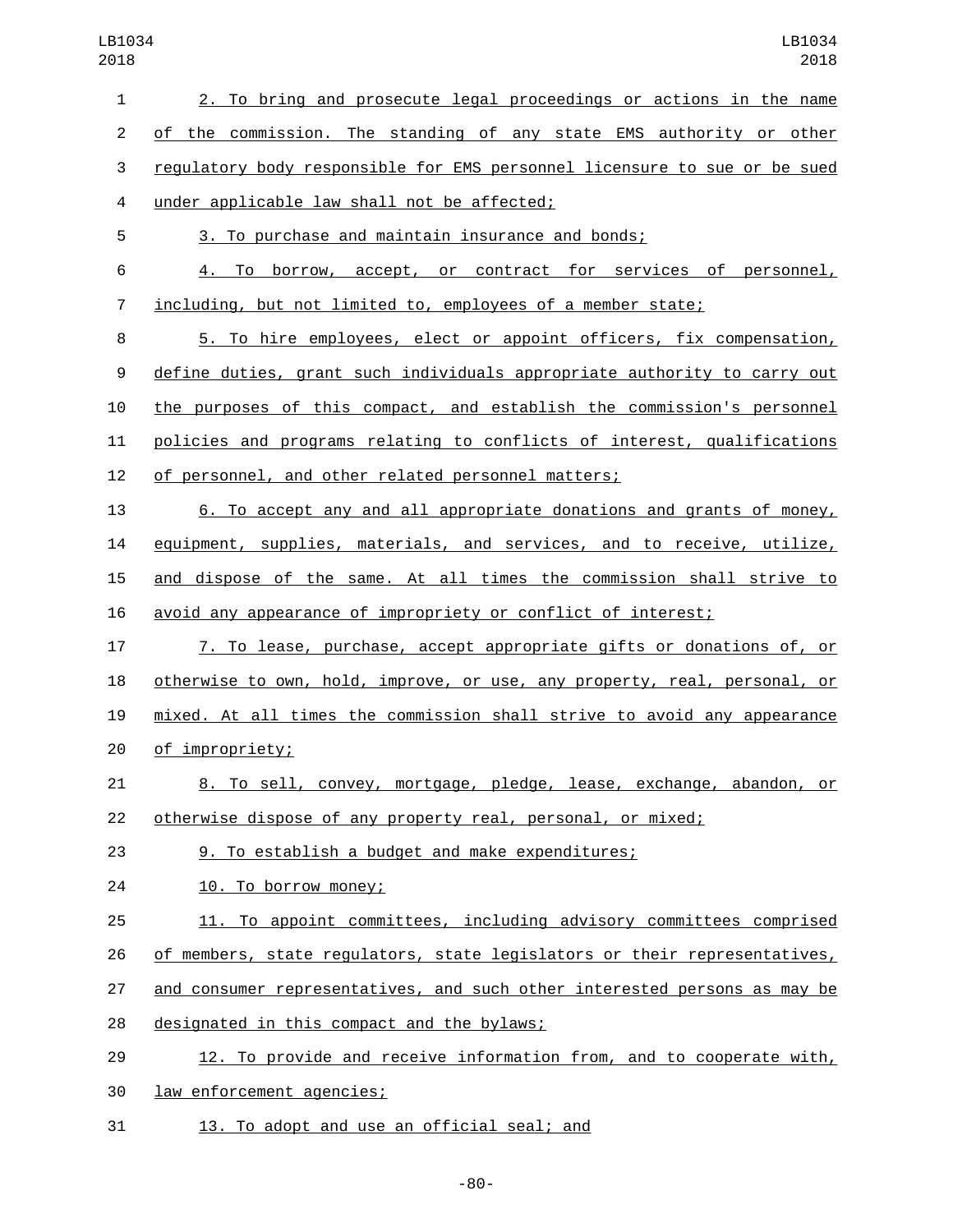| $\mathbf{1}$   | 2. To bring and prosecute legal proceedings or actions in the name        |
|----------------|---------------------------------------------------------------------------|
| $\overline{c}$ | of the commission. The standing of any state EMS authority or other       |
| 3              | regulatory body responsible for EMS personnel licensure to sue or be sued |
| $\overline{4}$ | under applicable law shall not be affected;                               |
| 5              | 3. To purchase and maintain insurance and bonds;                          |
| 6              | 4. To borrow, accept, or contract for services of personnel,              |
| 7              | including, but not limited to, employees of a member state;               |
| 8              | 5. To hire employees, elect or appoint officers, fix compensation,        |
| 9              | define duties, grant such individuals appropriate authority to carry out  |
| 10             | the purposes of this compact, and establish the commission's personnel    |
| 11             | policies and programs relating to conflicts of interest, qualifications   |
| 12             | of personnel, and other related personnel matters;                        |
| 13             | 6. To accept any and all appropriate donations and grants of money,       |
| 14             | equipment, supplies, materials, and services, and to receive, utilize,    |
| 15             | and dispose of the same. At all times the commission shall strive to      |
| 16             | avoid any appearance of impropriety or conflict of interest;              |
| 17             | 7. To lease, purchase, accept appropriate gifts or donations of, or       |
| 18             | otherwise to own, hold, improve, or use, any property, real, personal, or |
| 19             | mixed. At all times the commission shall strive to avoid any appearance   |
| 20             | of impropriety;                                                           |
| 21             | 8. To sell, convey, mortgage, pledge, lease, exchange, abandon, or        |
| 22             | otherwise dispose of any property real, personal, or mixed;               |
| 23             | 9. To establish a budget and make expenditures;                           |
| 24             | 10. To borrow money;                                                      |
| 25             | 11. To appoint committees, including advisory committees comprised        |
| 26             | of members, state regulators, state legislators or their representatives, |
| 27             | and consumer representatives, and such other interested persons as may be |
| 28             | designated in this compact and the bylaws;                                |
| 29             | 12. To provide and receive information from, and to cooperate with,       |
| 30             | law enforcement agencies;                                                 |
| 31             | 13. To adopt and use an official seal; and                                |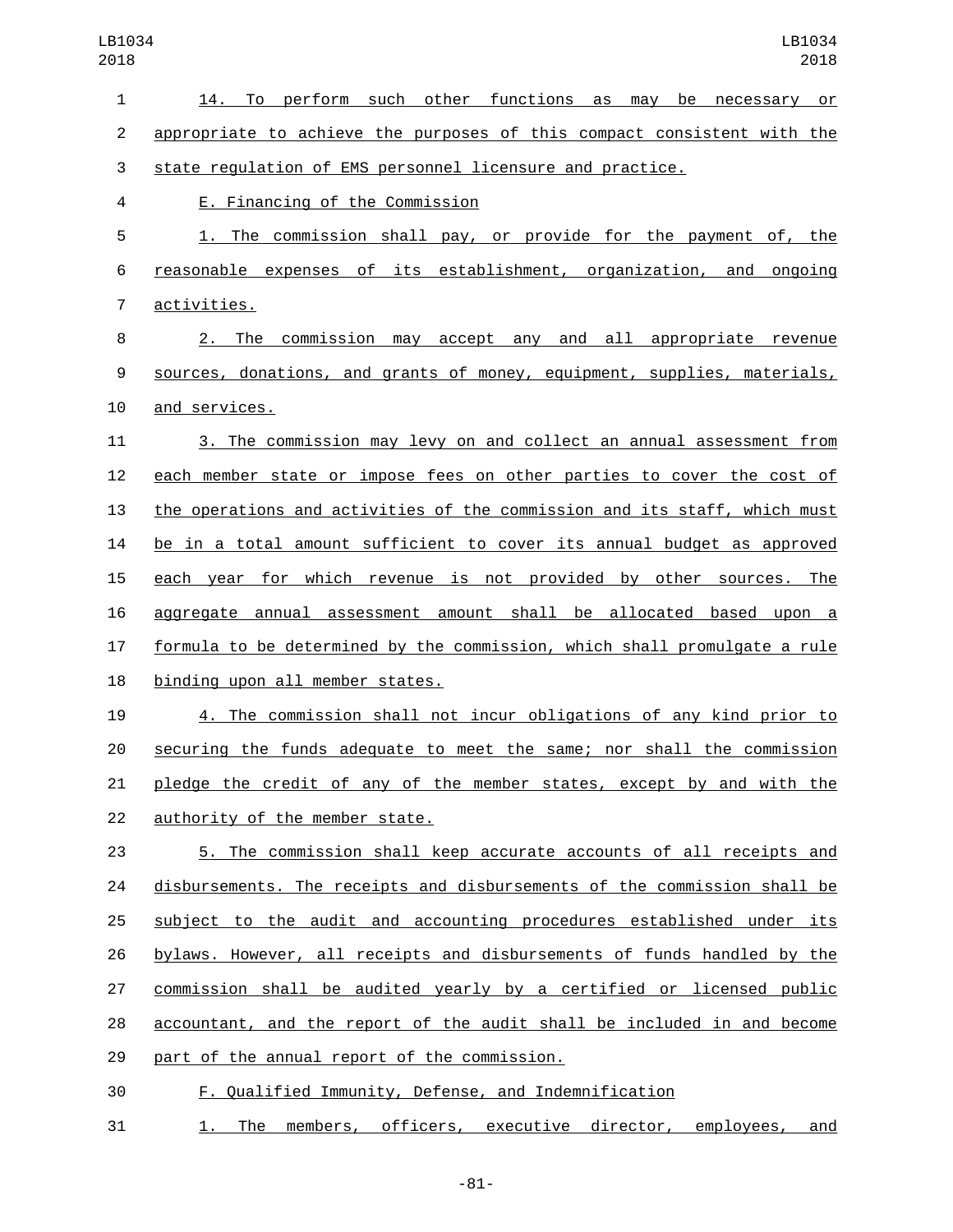14. To perform such other functions as may be necessary or appropriate to achieve the purposes of this compact consistent with the state regulation of EMS personnel licensure and practice. E. Financing of the Commission4 1. The commission shall pay, or provide for the payment of, the reasonable expenses of its establishment, organization, and ongoing 7 activities. 2. The commission may accept any and all appropriate revenue sources, donations, and grants of money, equipment, supplies, materials, 10 and services. 3. The commission may levy on and collect an annual assessment from each member state or impose fees on other parties to cover the cost of the operations and activities of the commission and its staff, which must be in a total amount sufficient to cover its annual budget as approved each year for which revenue is not provided by other sources. The aggregate annual assessment amount shall be allocated based upon a formula to be determined by the commission, which shall promulgate a rule 18 binding upon all member states. 4. The commission shall not incur obligations of any kind prior to securing the funds adequate to meet the same; nor shall the commission pledge the credit of any of the member states, except by and with the 22 authority of the member state. 5. The commission shall keep accurate accounts of all receipts and disbursements. The receipts and disbursements of the commission shall be subject to the audit and accounting procedures established under its bylaws. However, all receipts and disbursements of funds handled by the commission shall be audited yearly by a certified or licensed public accountant, and the report of the audit shall be included in and become 29 part of the annual report of the commission. F. Qualified Immunity, Defense, and Indemnification

31 1. The members, officers, executive director, employees, and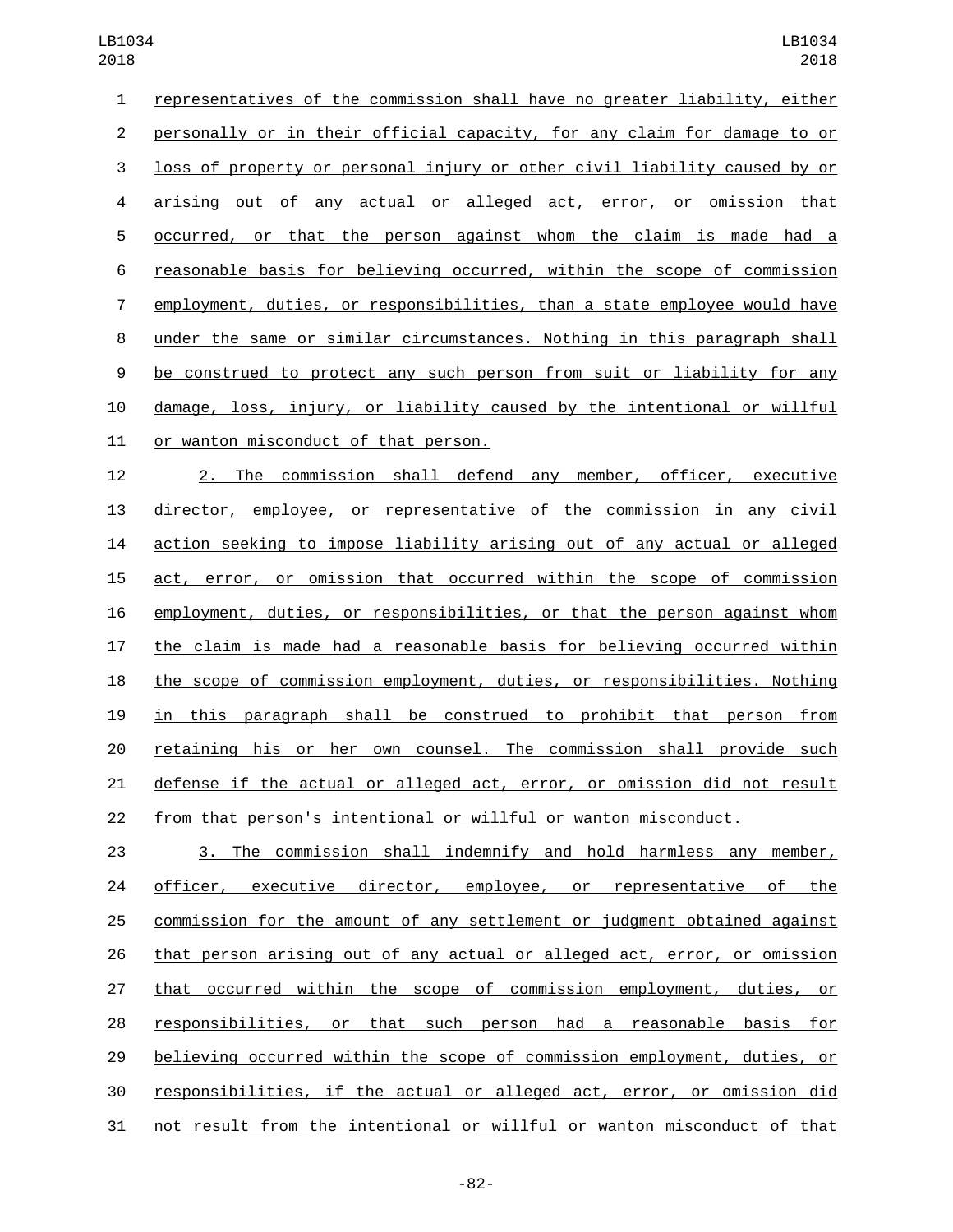| 1              | representatives of the commission shall have no greater liability, either |
|----------------|---------------------------------------------------------------------------|
| 2              | personally or in their official capacity, for any claim for damage to or  |
| 3              | loss of property or personal injury or other civil liability caused by or |
| 4              | arising out of any actual or alleged act, error, or omission that         |
| 5              | occurred, or that the person against whom the claim is made had a         |
| 6              | reasonable basis for believing occurred, within the scope of commission   |
| $\overline{7}$ | employment, duties, or responsibilities, than a state employee would have |
| 8              | under the same or similar circumstances. Nothing in this paragraph shall  |
| 9              | be construed to protect any such person from suit or liability for any    |
| 10             | damage, loss, injury, or liability caused by the intentional or willful   |
| 11             | or wanton misconduct of that person.                                      |
|                |                                                                           |

 2. The commission shall defend any member, officer, executive director, employee, or representative of the commission in any civil action seeking to impose liability arising out of any actual or alleged act, error, or omission that occurred within the scope of commission employment, duties, or responsibilities, or that the person against whom the claim is made had a reasonable basis for believing occurred within the scope of commission employment, duties, or responsibilities. Nothing in this paragraph shall be construed to prohibit that person from retaining his or her own counsel. The commission shall provide such defense if the actual or alleged act, error, or omission did not result from that person's intentional or willful or wanton misconduct.

 3. The commission shall indemnify and hold harmless any member, 24 officer, executive director, employee, or representative of the commission for the amount of any settlement or judgment obtained against that person arising out of any actual or alleged act, error, or omission that occurred within the scope of commission employment, duties, or responsibilities, or that such person had a reasonable basis for believing occurred within the scope of commission employment, duties, or responsibilities, if the actual or alleged act, error, or omission did not result from the intentional or willful or wanton misconduct of that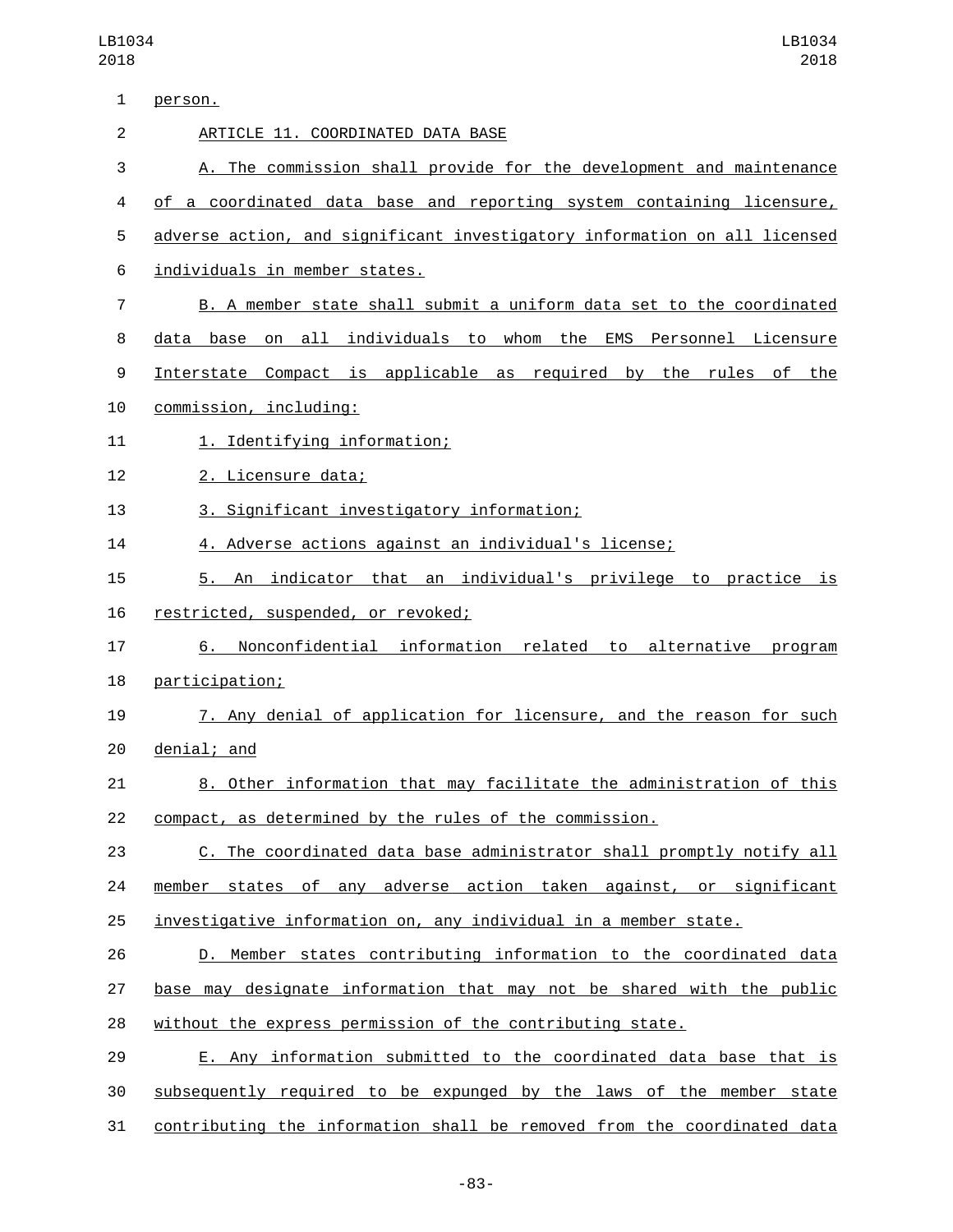| $\mathbf{1}$   | person.                                                                   |
|----------------|---------------------------------------------------------------------------|
| $\overline{2}$ | ARTICLE 11. COORDINATED DATA BASE                                         |
| 3              | A. The commission shall provide for the development and maintenance       |
| 4              | of a coordinated data base and reporting system containing licensure,     |
| 5              | adverse action, and significant investigatory information on all licensed |
| 6              | individuals in member states.                                             |
| 7              | B. A member state shall submit a uniform data set to the coordinated      |
| 8              | data base on all individuals to whom the EMS Personnel Licensure          |
| 9              | Interstate Compact is applicable as required by the rules<br>of<br>the    |
| 10             | commission, including:                                                    |
| 11             | 1. Identifying information;                                               |
| 12             | 2. Licensure data;                                                        |
| 13             | 3. Significant investigatory information;                                 |
| 14             | 4. Adverse actions against an individual's license;                       |
| 15             | 5. An indicator that an individual's privilege to practice is             |
| 16             | restricted, suspended, or revoked;                                        |
| 17             | Nonconfidential information related to alternative program<br>6.          |
| 18             | participation;                                                            |
| 19             | 7. Any denial of application for licensure, and the reason for such       |
| 20             | denial; and                                                               |
| 21             | 8. Other information that may facilitate the administration of this       |
| 22             | compact, as determined by the rules of the commission.                    |
| 23             | C. The coordinated data base administrator shall promptly notify all      |
| 24             | member states of any adverse action taken against, or significant         |
| 25             | investigative information on, any individual in a member state.           |
| 26             | D. Member states contributing information to the coordinated data         |
| 27             | base may designate information that may not be shared with the public     |
| 28             | without the express permission of the contributing state.                 |
| 29             | E. Any information submitted to the coordinated data base that is         |
| 30             | subsequently required to be expunged by the laws of the member state      |
| 31             | contributing the information shall be removed from the coordinated data   |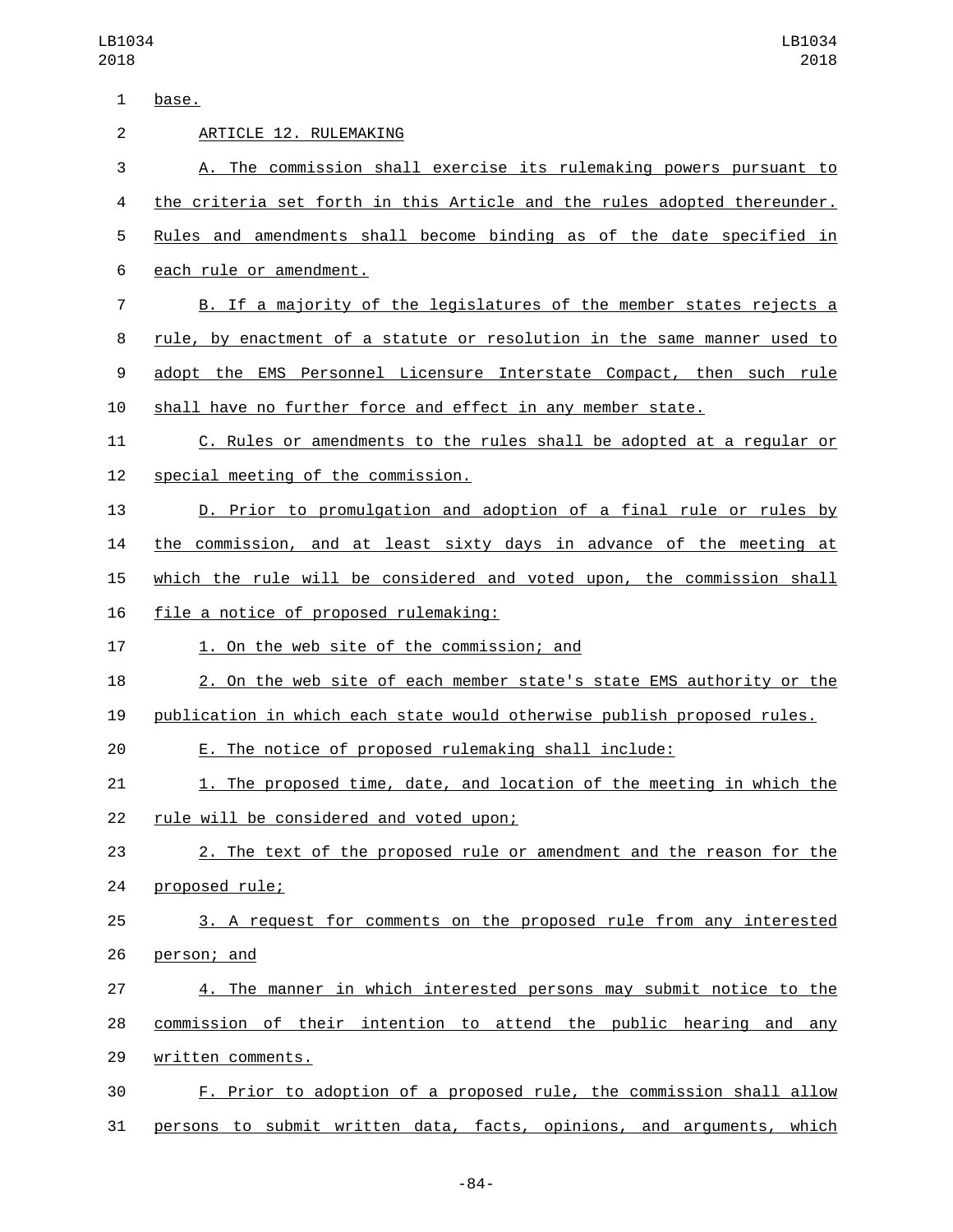| $\mathbf{1}$   | base.                                                                    |
|----------------|--------------------------------------------------------------------------|
| $\overline{2}$ | ARTICLE 12. RULEMAKING                                                   |
| 3              | A. The commission shall exercise its rulemaking powers pursuant to       |
| 4              | the criteria set forth in this Article and the rules adopted thereunder. |
| 5              | Rules and amendments shall become binding as of the date specified in    |
| 6              | each rule or amendment.                                                  |
| $\overline{7}$ | B. If a majority of the legislatures of the member states rejects a      |
| 8              | rule, by enactment of a statute or resolution in the same manner used to |
| 9              | adopt the EMS Personnel Licensure Interstate Compact, then such rule     |
| 10             | shall have no further force and effect in any member state.              |
| 11             | C. Rules or amendments to the rules shall be adopted at a regular or     |
| 12             | special meeting of the commission.                                       |
| 13             | D. Prior to promulgation and adoption of a final rule or rules by        |
| 14             | the commission, and at least sixty days in advance of the meeting at     |
| 15             | which the rule will be considered and voted upon, the commission shall   |
| 16             | file a notice of proposed rulemaking:                                    |
| 17             | 1. On the web site of the commission; and                                |
| 18             | 2. On the web site of each member state's state EMS authority or the     |
| 19             | publication in which each state would otherwise publish proposed rules.  |
| 20             | E. The notice of proposed rulemaking shall include:                      |
| 21             | 1. The proposed time, date, and location of the meeting in which the     |
| 22             | rule will be considered and voted upon;                                  |
| 23             | 2. The text of the proposed rule or amendment and the reason for the     |
| 24             | proposed rule;                                                           |
| 25             | 3. A request for comments on the proposed rule from any interested       |
| 26             | person; and                                                              |
| 27             | 4. The manner in which interested persons may submit notice to the       |
| 28             | commission of their intention to attend the public hearing and any       |
| 29             | written comments.                                                        |
| 30             | F. Prior to adoption of a proposed rule, the commission shall allow      |
| 31             | persons to submit written data, facts, opinions, and arguments, which    |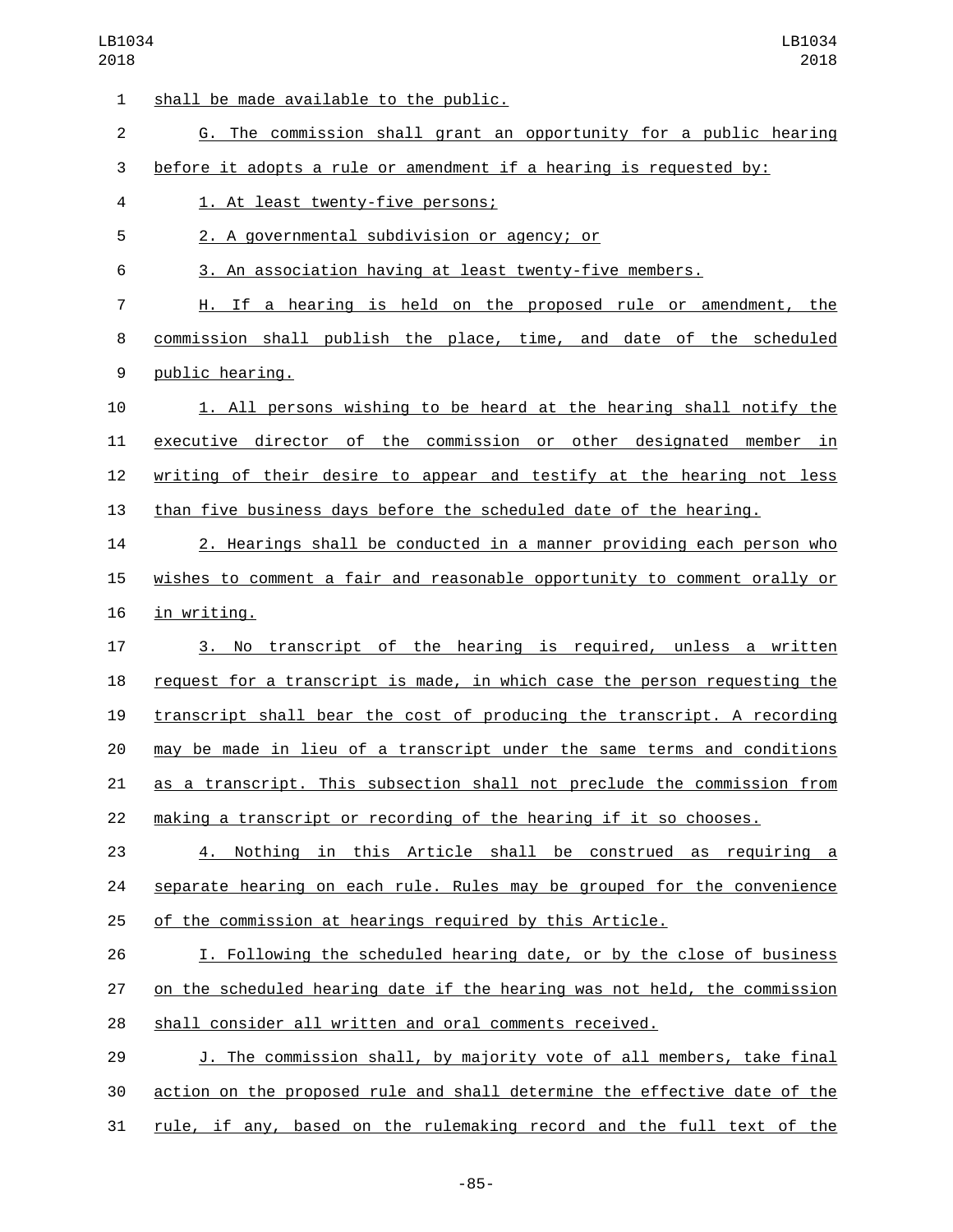| $\mathbf{1}$   | shall be made available to the public.                                    |
|----------------|---------------------------------------------------------------------------|
| $\overline{2}$ | G. The commission shall grant an opportunity for a public hearing         |
| 3              | before it adopts a rule or amendment if a hearing is requested by:        |
| 4              | 1. At least twenty-five persons;                                          |
| 5              | 2. A governmental subdivision or agency; or                               |
| 6              | 3. An association having at least twenty-five members.                    |
| 7              | H. If a hearing is held on the proposed rule or amendment, the            |
| 8              | commission shall publish the place, time, and date of the scheduled       |
| 9              | public hearing.                                                           |
| 10             | 1. All persons wishing to be heard at the hearing shall notify the        |
| 11             | executive director of the commission or other designated member in        |
| 12             | writing of their desire to appear and testify at the hearing not less     |
| 13             | than five business days before the scheduled date of the hearing.         |
| 14             | 2. Hearings shall be conducted in a manner providing each person who      |
| 15             | wishes to comment a fair and reasonable opportunity to comment orally or  |
| 16             | in writing.                                                               |
| 17             | No transcript of the hearing is required, unless a written<br>3.          |
| 18             | request for a transcript is made, in which case the person requesting the |
| 19             | transcript shall bear the cost of producing the transcript. A recording   |
| 20             | may be made in lieu of a transcript under the same terms and conditions   |
| 21             | as a transcript. This subsection shall not preclude the commission from   |
| 22             | making a transcript or recording of the hearing if it so chooses.         |
| 23             | 4. Nothing in this Article shall be construed as requiring a              |
| 24             | separate hearing on each rule. Rules may be grouped for the convenience   |
| 25             | of the commission at hearings required by this Article.                   |
| 26             | I. Following the scheduled hearing date, or by the close of business      |
| 27             | on the scheduled hearing date if the hearing was not held, the commission |
| 28             | shall consider all written and oral comments received.                    |
| 29             | J. The commission shall, by majority vote of all members, take final      |
| 30             | action on the proposed rule and shall determine the effective date of the |
| 31             | rule, if any, based on the rulemaking record and the full text of the     |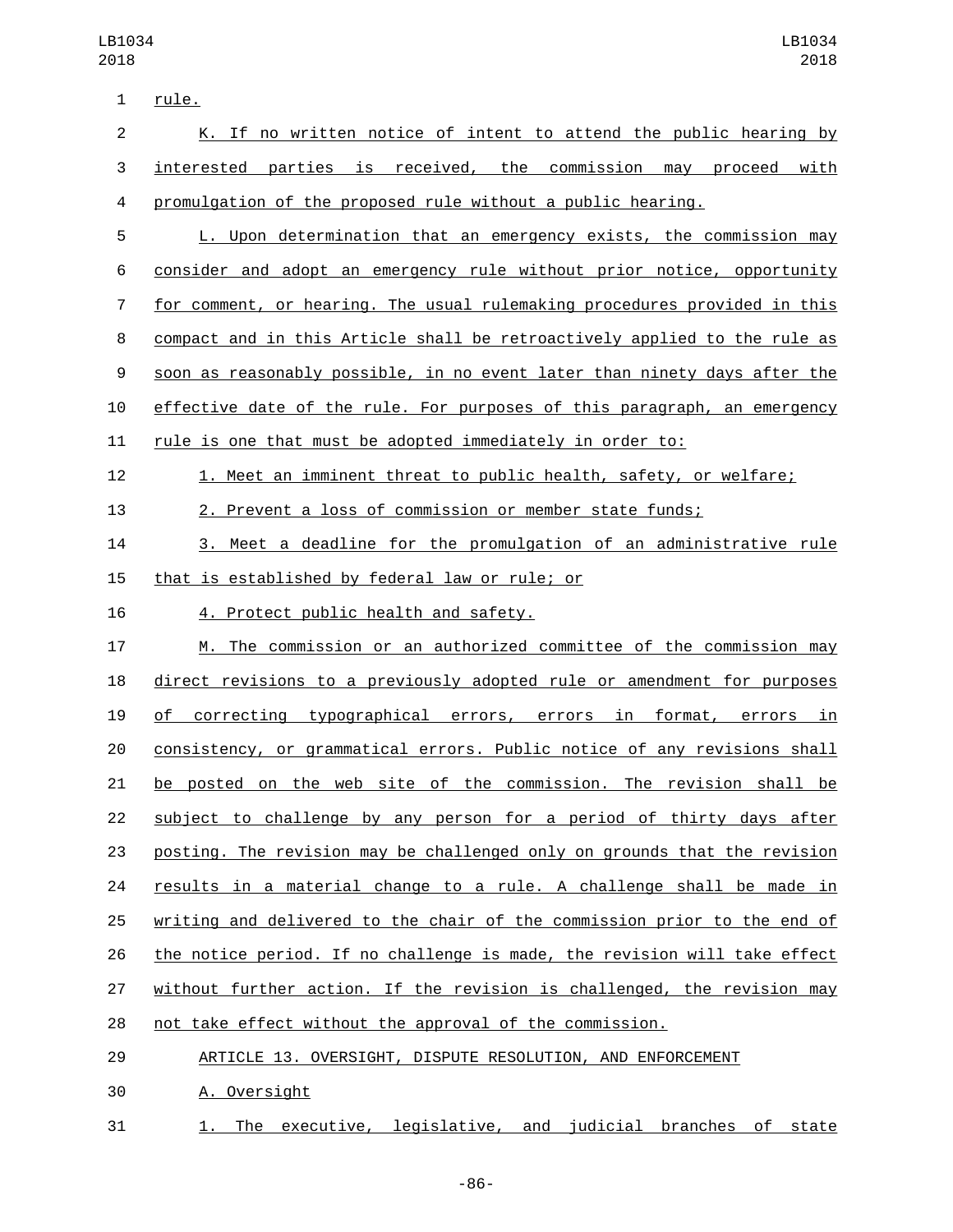| $\mathbf{1}$   | rule.                                                                     |
|----------------|---------------------------------------------------------------------------|
| $\overline{c}$ | K. If no written notice of intent to attend the public hearing by         |
| 3              | interested parties is received, the commission may proceed with           |
| 4              | promulgation of the proposed rule without a public hearing.               |
| 5              | L. Upon determination that an emergency exists, the commission may        |
| 6              | consider and adopt an emergency rule without prior notice, opportunity    |
| $\overline{7}$ | for comment, or hearing. The usual rulemaking procedures provided in this |
| 8              | compact and in this Article shall be retroactively applied to the rule as |
| 9              | soon as reasonably possible, in no event later than ninety days after the |
| 10             | effective date of the rule. For purposes of this paragraph, an emergency  |
| 11             | rule is one that must be adopted immediately in order to:                 |
| 12             | 1. Meet an imminent threat to public health, safety, or welfare;          |
| 13             | 2. Prevent a loss of commission or member state funds;                    |
| 14             | 3. Meet a deadline for the promulgation of an administrative rule         |
| 15             | that is established by federal law or rule; or                            |
| 16             | 4. Protect public health and safety.                                      |
| 17             | M. The commission or an authorized committee of the commission may        |
| 18             | direct revisions to a previously adopted rule or amendment for purposes   |
| 19             | of correcting typographical errors, errors in format, errors in           |
| 20             | consistency, or grammatical errors. Public notice of any revisions shall  |
| 21             | be posted on the web site of the commission. The revision shall be        |
| 22             | subject to challenge by any person for a period of thirty days after      |
| 23             | posting. The revision may be challenged only on grounds that the revision |
| 24             | results in a material change to a rule. A challenge shall be made in      |
| 25             | writing and delivered to the chair of the commission prior to the end of  |
| 26             | the notice period. If no challenge is made, the revision will take effect |
| 27             | without further action. If the revision is challenged, the revision may   |
| 28             | not take effect without the approval of the commission.                   |
| 29             | ARTICLE 13. OVERSIGHT, DISPUTE RESOLUTION, AND ENFORCEMENT                |

- 30 A. Oversight
- 31 1. The executive, legislative, and judicial branches of state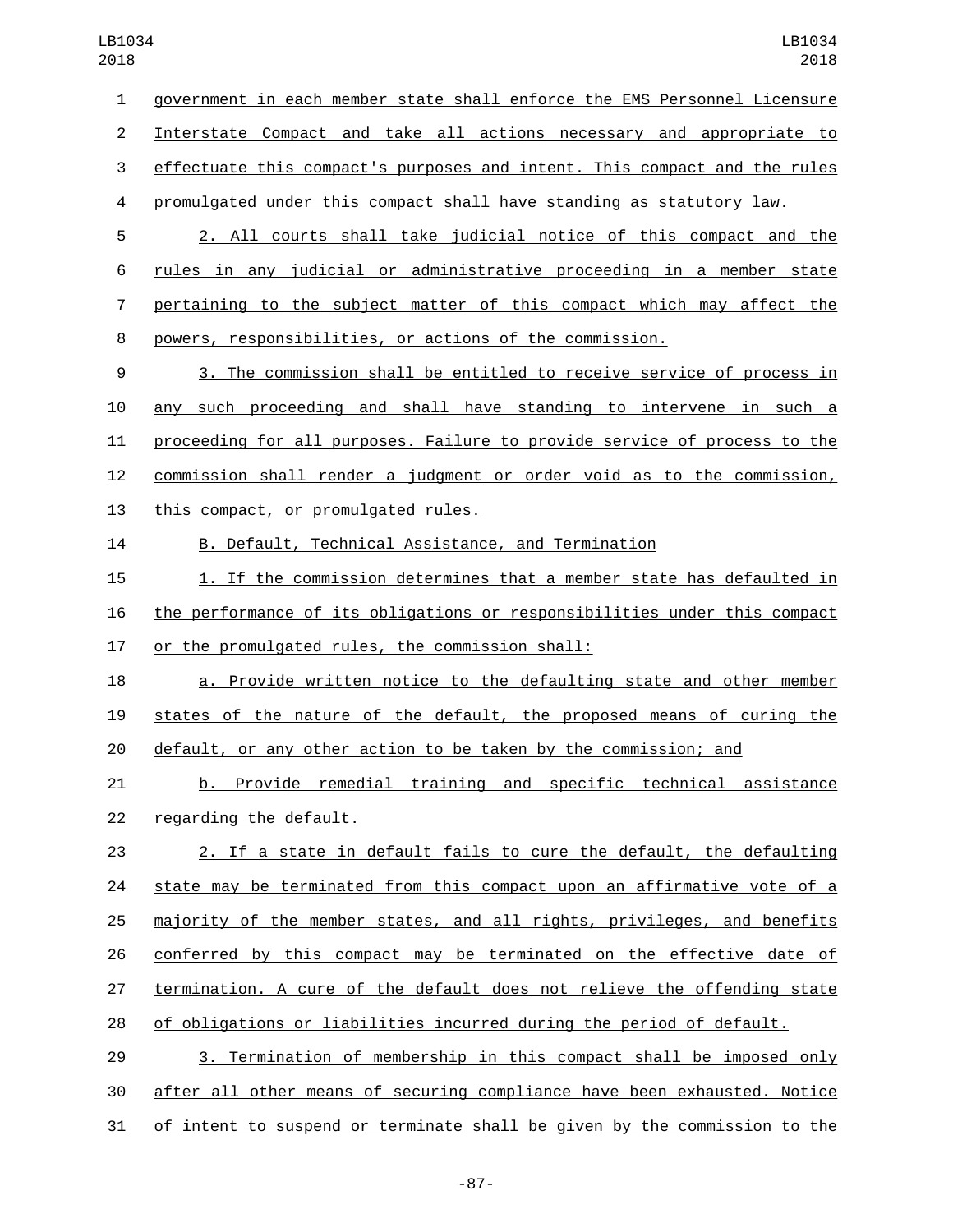government in each member state shall enforce the EMS Personnel Licensure Interstate Compact and take all actions necessary and appropriate to effectuate this compact's purposes and intent. This compact and the rules promulgated under this compact shall have standing as statutory law. 2. All courts shall take judicial notice of this compact and the rules in any judicial or administrative proceeding in a member state pertaining to the subject matter of this compact which may affect the

powers, responsibilities, or actions of the commission.

 3. The commission shall be entitled to receive service of process in any such proceeding and shall have standing to intervene in such a proceeding for all purposes. Failure to provide service of process to the commission shall render a judgment or order void as to the commission, 13 this compact, or promulgated rules.

B. Default, Technical Assistance, and Termination

 1. If the commission determines that a member state has defaulted in the performance of its obligations or responsibilities under this compact 17 or the promulgated rules, the commission shall:

 a. Provide written notice to the defaulting state and other member states of the nature of the default, the proposed means of curing the default, or any other action to be taken by the commission; and

 b. Provide remedial training and specific technical assistance 22 regarding the default.

 2. If a state in default fails to cure the default, the defaulting state may be terminated from this compact upon an affirmative vote of a majority of the member states, and all rights, privileges, and benefits conferred by this compact may be terminated on the effective date of termination. A cure of the default does not relieve the offending state of obligations or liabilities incurred during the period of default.

 3. Termination of membership in this compact shall be imposed only after all other means of securing compliance have been exhausted. Notice of intent to suspend or terminate shall be given by the commission to the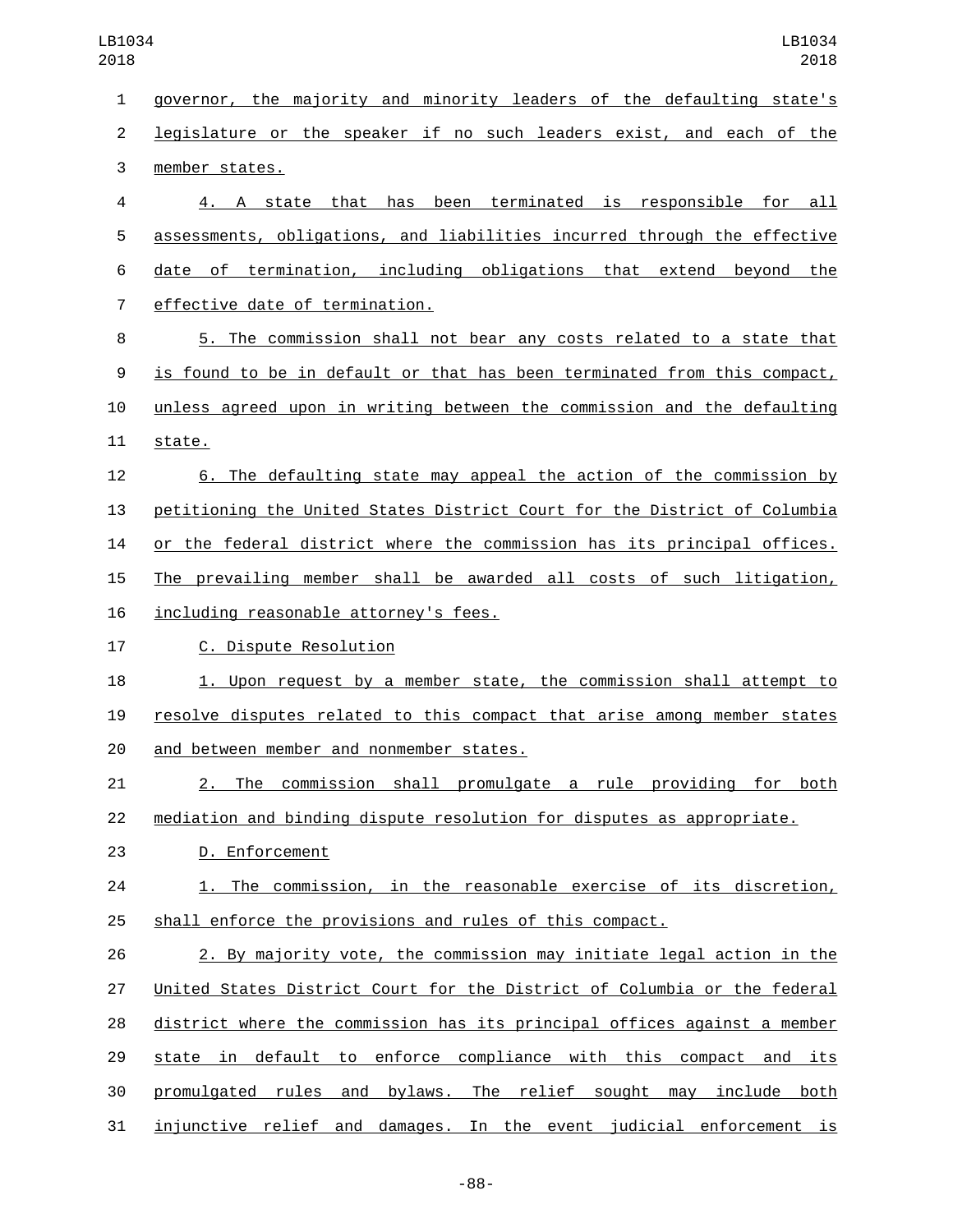governor, the majority and minority leaders of the defaulting state's legislature or the speaker if no such leaders exist, and each of the 3 member states. 4. A state that has been terminated is responsible for all assessments, obligations, and liabilities incurred through the effective date of termination, including obligations that extend beyond the 7 effective date of termination. 5. The commission shall not bear any costs related to a state that is found to be in default or that has been terminated from this compact, unless agreed upon in writing between the commission and the defaulting 11 state. 6. The defaulting state may appeal the action of the commission by petitioning the United States District Court for the District of Columbia or the federal district where the commission has its principal offices. The prevailing member shall be awarded all costs of such litigation, 16 including reasonable attorney's fees. 17 C. Dispute Resolution 1. Upon request by a member state, the commission shall attempt to resolve disputes related to this compact that arise among member states 20 and between member and nonmember states. 2. The commission shall promulgate a rule providing for both mediation and binding dispute resolution for disputes as appropriate. 23 D. Enforcement 1. The commission, in the reasonable exercise of its discretion, shall enforce the provisions and rules of this compact. 2. By majority vote, the commission may initiate legal action in the United States District Court for the District of Columbia or the federal district where the commission has its principal offices against a member state in default to enforce compliance with this compact and its promulgated rules and bylaws. The relief sought may include both injunctive relief and damages. In the event judicial enforcement is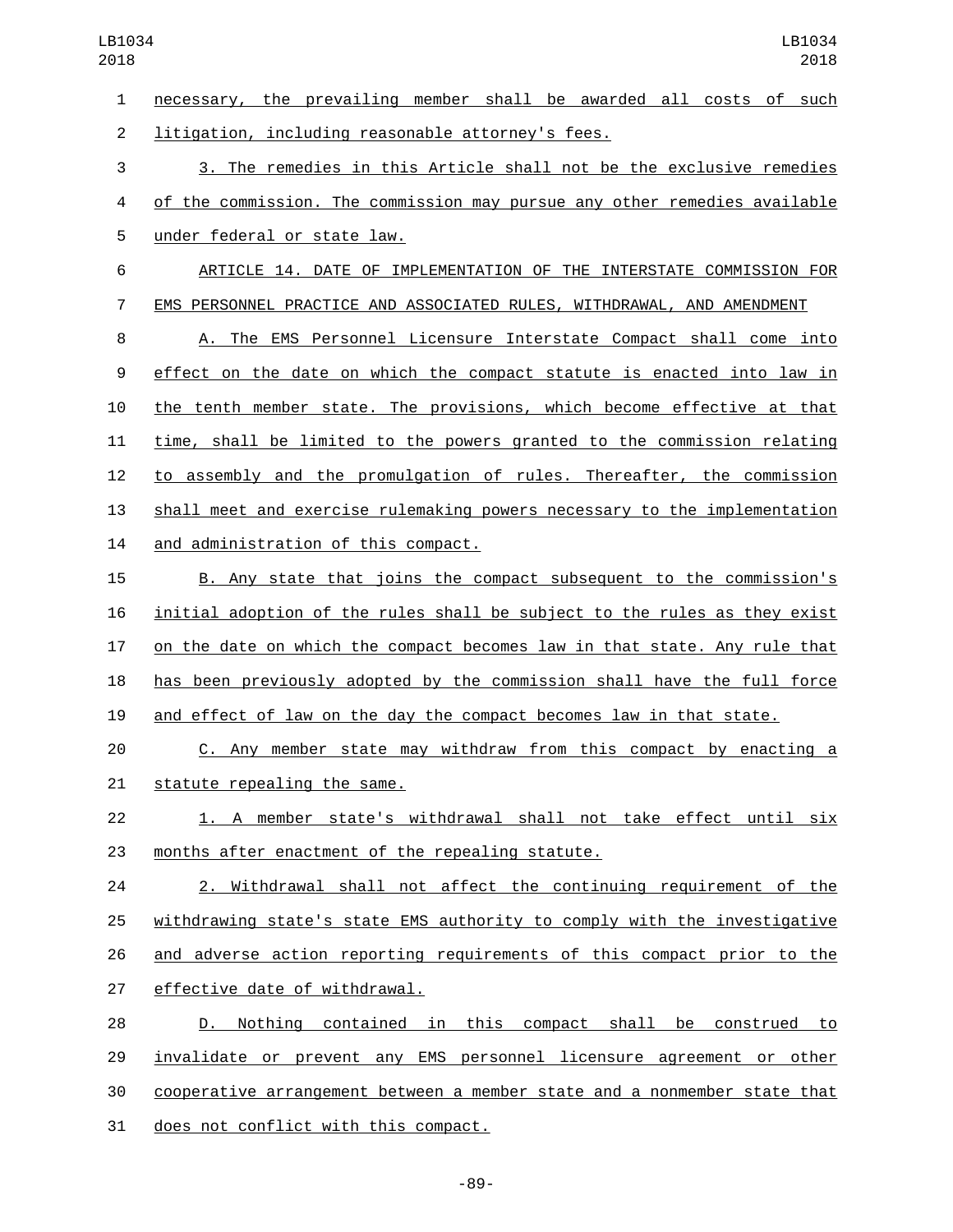necessary, the prevailing member shall be awarded all costs of such 2 litigation, including reasonable attorney's fees. 3. The remedies in this Article shall not be the exclusive remedies of the commission. The commission may pursue any other remedies available 5 under federal or state law. ARTICLE 14. DATE OF IMPLEMENTATION OF THE INTERSTATE COMMISSION FOR EMS PERSONNEL PRACTICE AND ASSOCIATED RULES, WITHDRAWAL, AND AMENDMENT A. The EMS Personnel Licensure Interstate Compact shall come into effect on the date on which the compact statute is enacted into law in the tenth member state. The provisions, which become effective at that time, shall be limited to the powers granted to the commission relating to assembly and the promulgation of rules. Thereafter, the commission shall meet and exercise rulemaking powers necessary to the implementation 14 and administration of this compact. B. Any state that joins the compact subsequent to the commission's initial adoption of the rules shall be subject to the rules as they exist on the date on which the compact becomes law in that state. Any rule that has been previously adopted by the commission shall have the full force and effect of law on the day the compact becomes law in that state. C. Any member state may withdraw from this compact by enacting a 21 statute repealing the same. 1. A member state's withdrawal shall not take effect until six 23 months after enactment of the repealing statute. 2. Withdrawal shall not affect the continuing requirement of the withdrawing state's state EMS authority to comply with the investigative and adverse action reporting requirements of this compact prior to the 27 effective date of withdrawal. D. Nothing contained in this compact shall be construed to invalidate or prevent any EMS personnel licensure agreement or other

cooperative arrangement between a member state and a nonmember state that

31 does not conflict with this compact.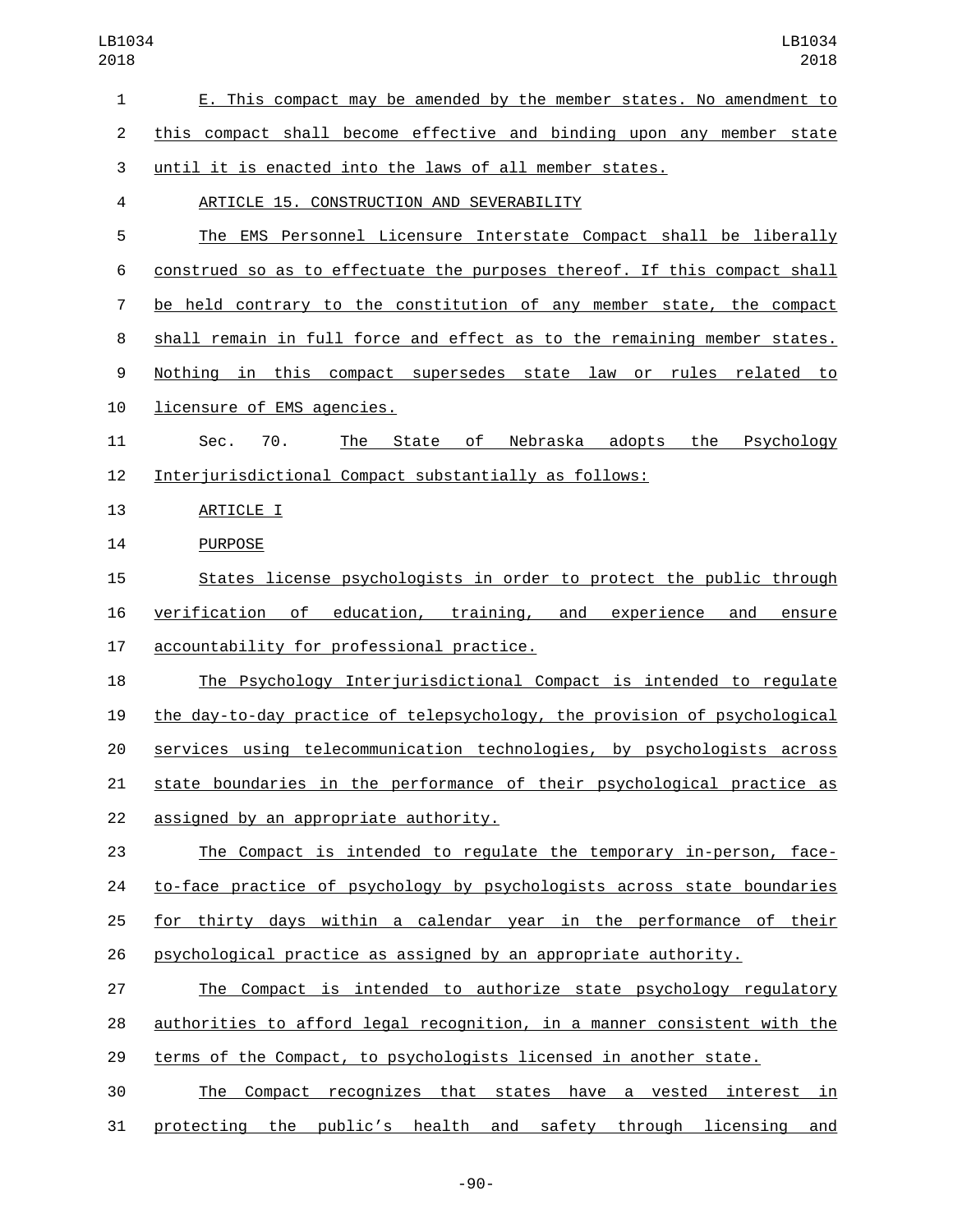| $\mathbf{1}$   | E. This compact may be amended by the member states. No amendment to      |
|----------------|---------------------------------------------------------------------------|
| $\overline{2}$ | this compact shall become effective and binding upon any member state     |
| 3              | <u>until it is enacted into the laws of all member states.</u>            |
| 4              | ARTICLE 15. CONSTRUCTION AND SEVERABILITY                                 |
| 5              | The EMS Personnel Licensure Interstate Compact shall be liberally         |
| 6              | construed so as to effectuate the purposes thereof. If this compact shall |
| 7              | be held contrary to the constitution of any member state, the compact     |
| 8              | shall remain in full force and effect as to the remaining member states.  |
| 9              | Nothing in this compact supersedes state law or rules related<br>to       |
| 10             | licensure of EMS agencies.                                                |
| 11             | Nebraska adopts the<br>Psychology<br>Sec.<br>70.<br>The State of          |
| 12             | Interjurisdictional Compact substantially as follows:                     |
| 13             | ARTICLE I                                                                 |
| 14             | <b>PURPOSE</b>                                                            |
| 15             | States license psychologists in order to protect the public through       |
| 16             | verification of education, training, and experience<br>and<br>ensure      |
| 17             | accountability for professional practice.                                 |
| 18             | The Psychology Interjurisdictional Compact is intended to regulate        |
| 19             | the day-to-day practice of telepsychology, the provision of psychological |
| 20             | services using telecommunication technologies, by psychologists across    |
| 21             | state boundaries in the performance of their psychological practice as    |
| 22             | assigned by an appropriate authority.                                     |
| 23             | The Compact is intended to regulate the temporary in-person, face-        |
| 24             | to-face practice of psychology by psychologists across state boundaries   |
| 25             | for thirty days within a calendar year in the performance of their        |
| 26             | psychological practice as assigned by an appropriate authority.           |
| 27             | The Compact is intended to authorize state psychology regulatory          |
| 28             | authorities to afford legal recognition, in a manner consistent with the  |
| 29             | terms of the Compact, to psychologists licensed in another state.         |
| 30             | Compact recognizes that states have a vested interest in<br>The           |
| 31             | protecting the public's health and safety through licensing and           |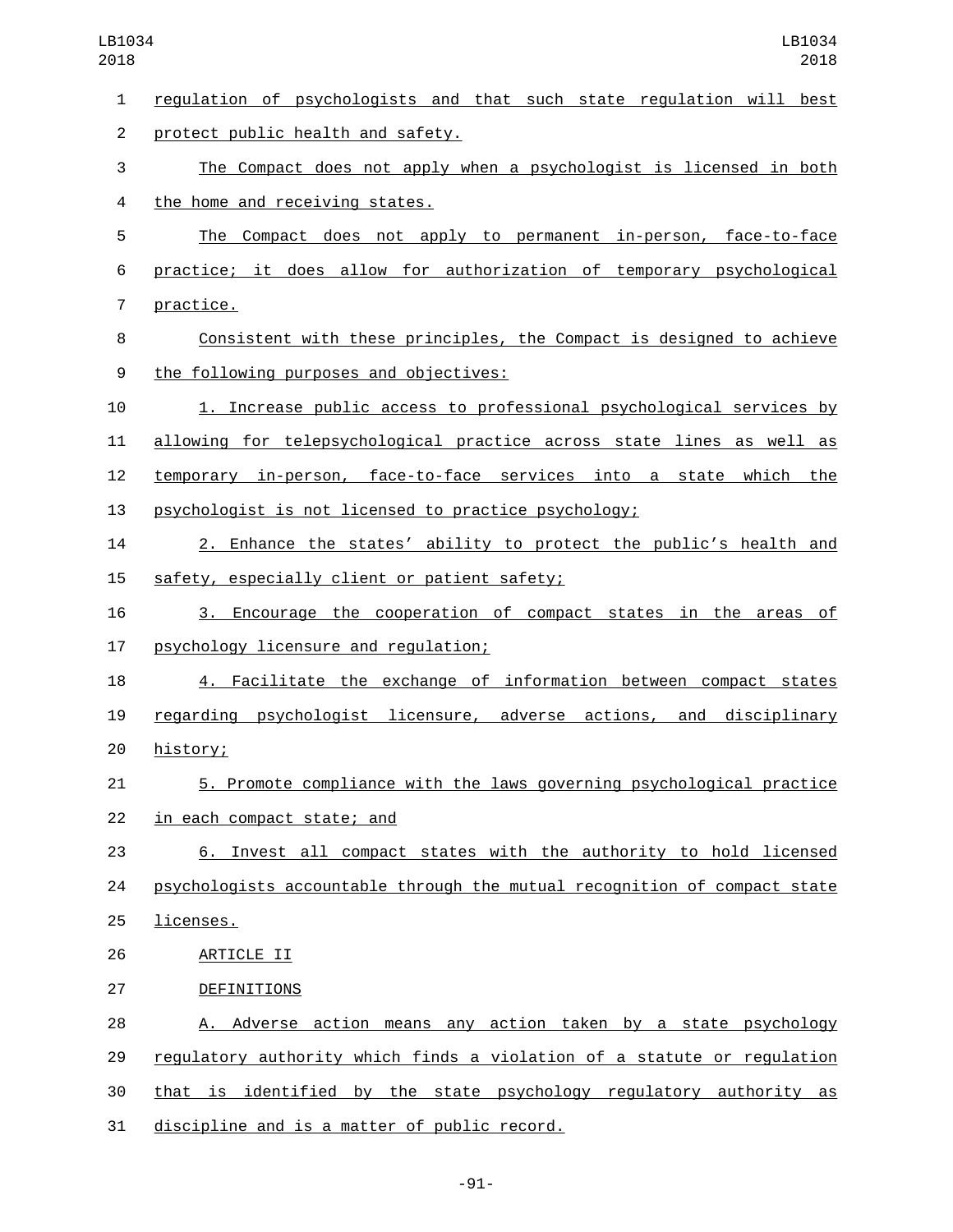regulation of psychologists and that such state regulation will best 2 protect public health and safety. The Compact does not apply when a psychologist is licensed in both 4 the home and receiving states. The Compact does not apply to permanent in-person, face-to-face practice; it does allow for authorization of temporary psychological 7 practice. Consistent with these principles, the Compact is designed to achieve the following purposes and objectives:9 1. Increase public access to professional psychological services by allowing for telepsychological practice across state lines as well as temporary in-person, face-to-face services into a state which the psychologist is not licensed to practice psychology; 2. Enhance the states' ability to protect the public's health and 15 safety, especially client or patient safety; 3. Encourage the cooperation of compact states in the areas of 17 psychology licensure and regulation; 4. Facilitate the exchange of information between compact states regarding psychologist licensure, adverse actions, and disciplinary 20 history; 5. Promote compliance with the laws governing psychological practice 22 in each compact state; and 6. Invest all compact states with the authority to hold licensed psychologists accountable through the mutual recognition of compact state 25 licenses. 26 ARTICLE II 27 DEFINITIONS A. Adverse action means any action taken by a state psychology regulatory authority which finds a violation of a statute or regulation that is identified by the state psychology regulatory authority as 31 discipline and is a matter of public record.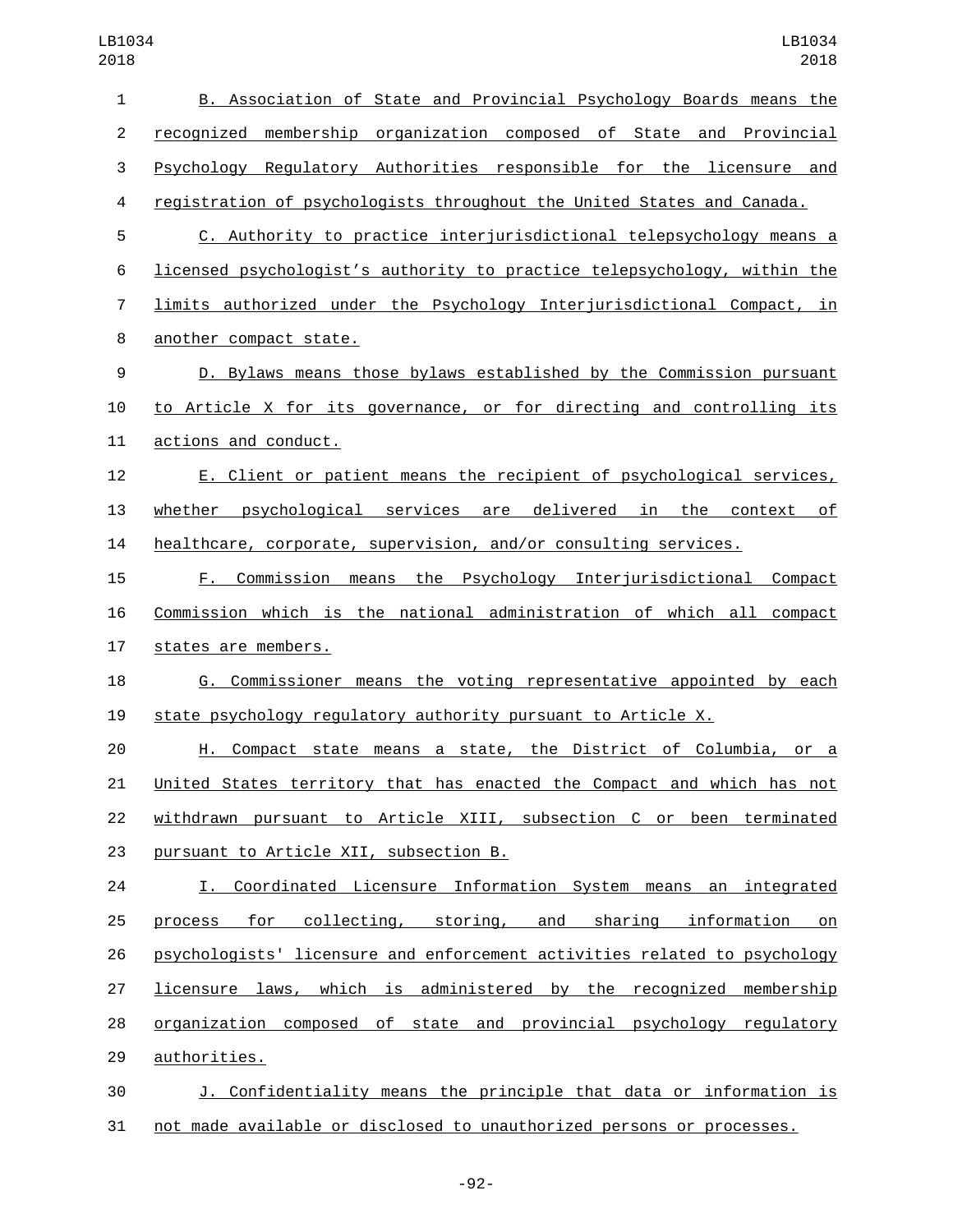| $\mathbf{1}$   | B. Association of State and Provincial Psychology Boards means the        |
|----------------|---------------------------------------------------------------------------|
| $\overline{2}$ | recognized membership organization composed of State and Provincial       |
| 3              | Psychology Regulatory Authorities responsible for the licensure and       |
| 4              | registration of psychologists throughout the United States and Canada.    |
| 5              | C. Authority to practice interjurisdictional telepsychology means a       |
| 6              | licensed psychologist's authority to practice telepsychology, within the  |
| 7              | limits authorized under the Psychology Interjurisdictional Compact, in    |
| 8              | another compact state.                                                    |
| 9              | D. Bylaws means those bylaws established by the Commission pursuant       |
| 10             | to Article X for its governance, or for directing and controlling its     |
| 11             | actions and conduct.                                                      |
| 12             | E. Client or patient means the recipient of psychological services,       |
| 13             | whether psychological services are delivered in the context of            |
| 14             | healthcare, corporate, supervision, and/or consulting services.           |
| 15             | Commission means the Psychology Interjurisdictional Compact<br>F.         |
| 16             | Commission which is the national administration of which all compact      |
| 17             | states are members.                                                       |
| 18             | G. Commissioner means the voting representative appointed by each         |
| 19             | state psychology regulatory authority pursuant to Article X.              |
| 20             | H. Compact state means a state, the District of Columbia, or a            |
| 21             | United States territory that has enacted the Compact and which has not    |
| 22             | withdrawn pursuant to Article XIII, subsection C or been terminated       |
| 23             | pursuant to Article XII, subsection B.                                    |
| 24             | I. Coordinated Licensure Information System means an integrated           |
| 25             | process for collecting, storing, and sharing information on               |
| 26             | psychologists' licensure and enforcement activities related to psychology |
| 27             | licensure laws, which is administered by the recognized membership        |
| 28             | organization composed of state and provincial psychology regulatory       |
| 29             | authorities.                                                              |
| 30             | J. Confidentiality means the principle that data or information is        |
| 31             | not made available or disclosed to unauthorized persons or processes.     |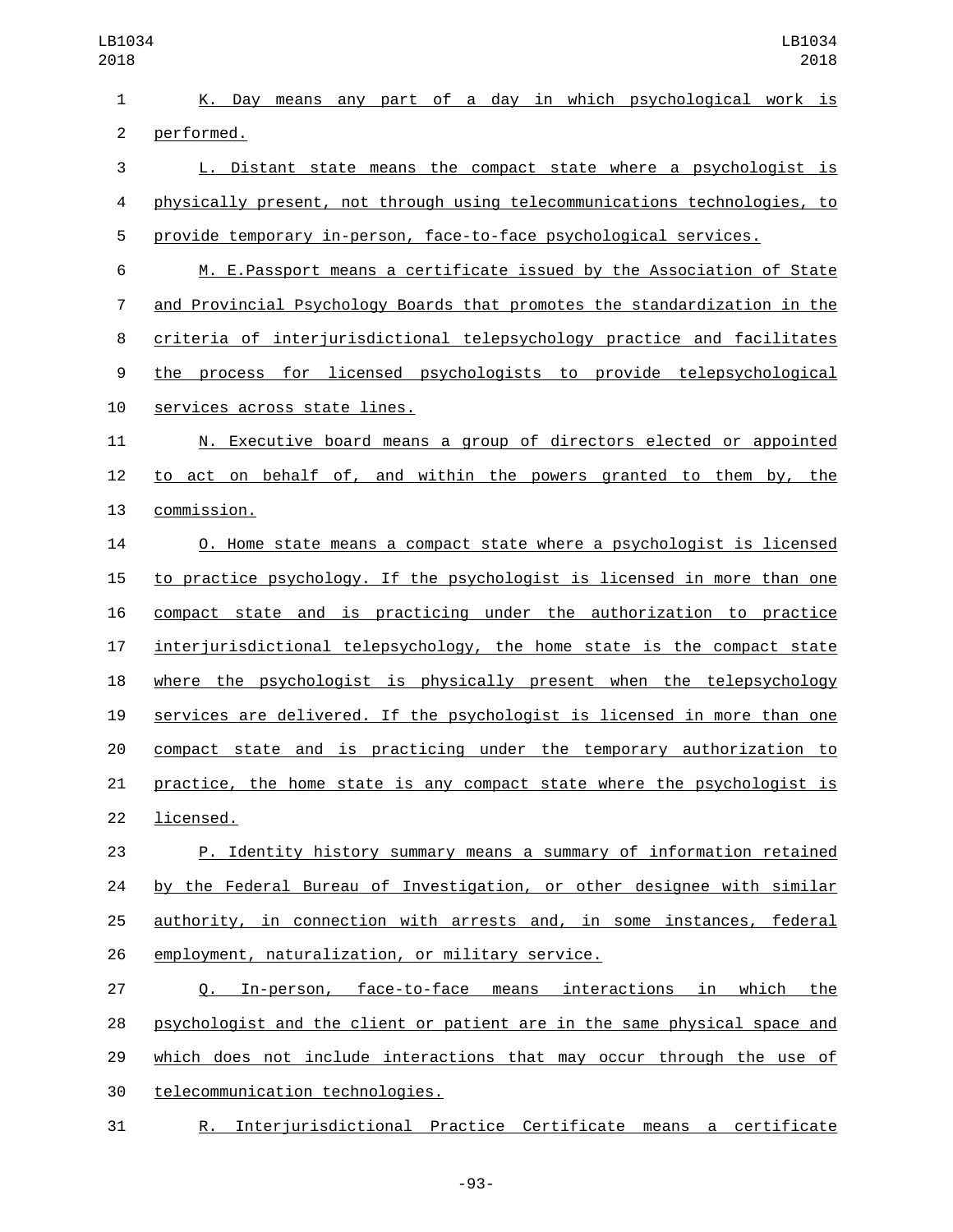| $\mathbf{1}$   | K. Day means any part of a day in which psychological work is               |
|----------------|-----------------------------------------------------------------------------|
| $\overline{c}$ | performed.                                                                  |
| 3              | L. Distant state means the compact state where a psychologist is            |
| 4              | physically present, not through using telecommunications technologies, to   |
| 5              | provide temporary in-person, face-to-face psychological services.           |
| 6              | M. E.Passport means a certificate issued by the Association of State        |
| $\overline{7}$ | and Provincial Psychology Boards that promotes the standardization in the   |
| 8              | criteria of interjurisdictional telepsychology practice and facilitates     |
| 9              | the process for licensed psychologists to provide telepsychological         |
| 10             | services across state lines.                                                |
| 11             | N. Executive board means a group of directors elected or appointed          |
| 12             | to act on behalf of, and within the powers granted to them by, the          |
| 13             | commission.                                                                 |
| 14             | <u>O. Home state means a compact state where a psychologist is licensed</u> |
| 15             | to practice psychology. If the psychologist is licensed in more than one    |
| 16             | compact state and is practicing under the authorization to practice         |
| 17             | interjurisdictional telepsychology, the home state is the compact state     |
| 18             | where the psychologist is physically present when the telepsychology        |
| 19             | services are delivered. If the psychologist is licensed in more than one    |
| 20             | compact state and is practicing under the temporary authorization to        |
| 21             | practice, the home state is any compact state where the psychologist is     |
| 22             | licensed.                                                                   |
| 23             | P. Identity history summary means a summary of information retained         |
| 24             | by the Federal Bureau of Investigation, or other designee with similar      |
| 25             | authority, in connection with arrests and, in some instances, federal       |
| 26             | employment, naturalization, or military service.                            |
| 27             | Q. In-person, face-to-face means interactions in which<br>the               |
| 28             | psychologist and the client or patient are in the same physical space and   |
| 29             | which does not include interactions that may occur through the use of       |
| 30             | telecommunication technologies.                                             |

R. Interjurisdictional Practice Certificate means a certificate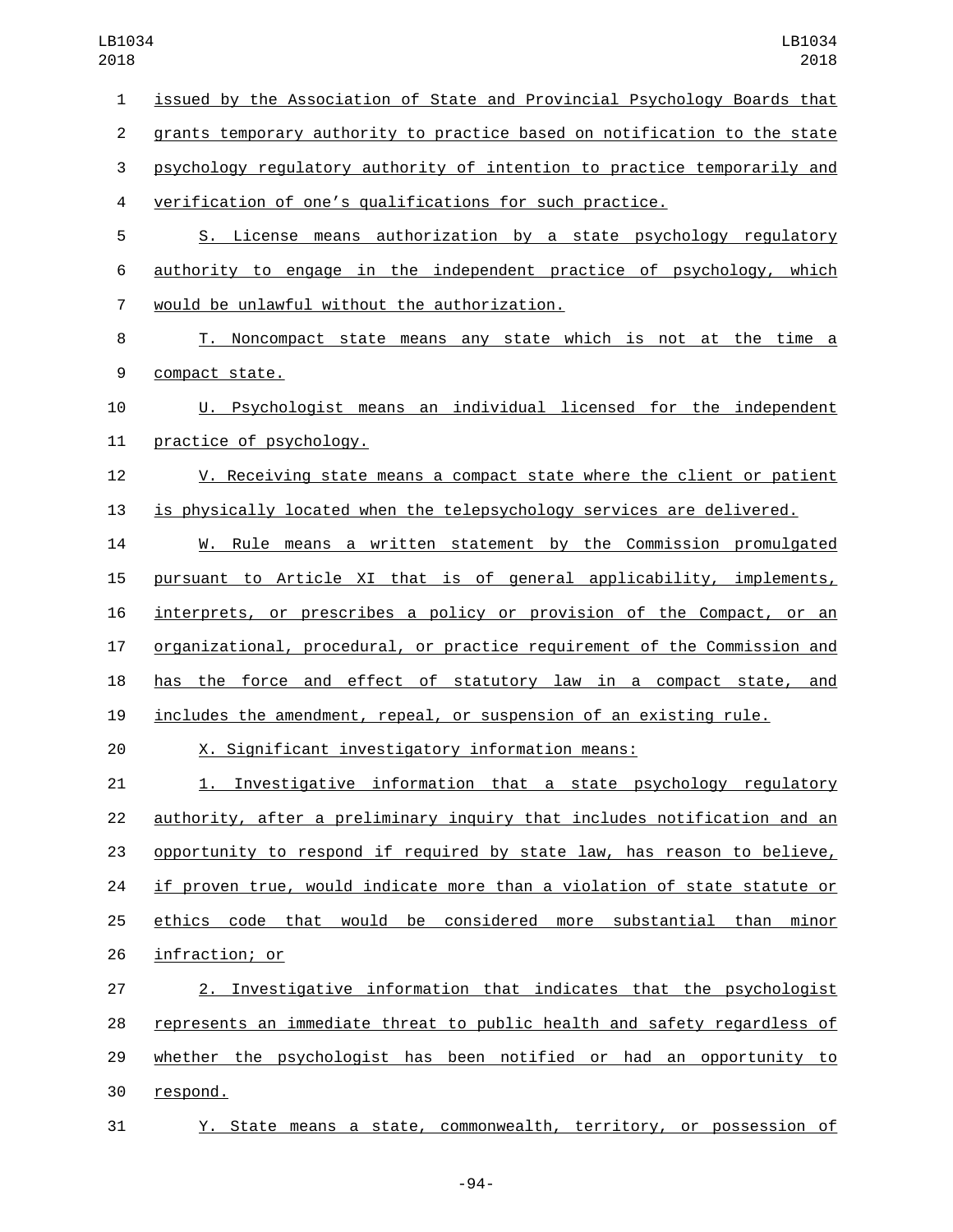issued by the Association of State and Provincial Psychology Boards that grants temporary authority to practice based on notification to the state psychology regulatory authority of intention to practice temporarily and verification of one's qualifications for such practice. S. License means authorization by a state psychology regulatory authority to engage in the independent practice of psychology, which would be unlawful without the authorization.7 T. Noncompact state means any state which is not at the time a 9 compact state. U. Psychologist means an individual licensed for the independent 11 practice of psychology. V. Receiving state means a compact state where the client or patient is physically located when the telepsychology services are delivered. W. Rule means a written statement by the Commission promulgated pursuant to Article XI that is of general applicability, implements, interprets, or prescribes a policy or provision of the Compact, or an organizational, procedural, or practice requirement of the Commission and has the force and effect of statutory law in a compact state, and includes the amendment, repeal, or suspension of an existing rule. X. Significant investigatory information means: 1. Investigative information that a state psychology regulatory authority, after a preliminary inquiry that includes notification and an opportunity to respond if required by state law, has reason to believe, if proven true, would indicate more than a violation of state statute or ethics code that would be considered more substantial than minor 26 infraction; or 2. Investigative information that indicates that the psychologist represents an immediate threat to public health and safety regardless of whether the psychologist has been notified or had an opportunity to 30 respond. Y. State means a state, commonwealth, territory, or possession of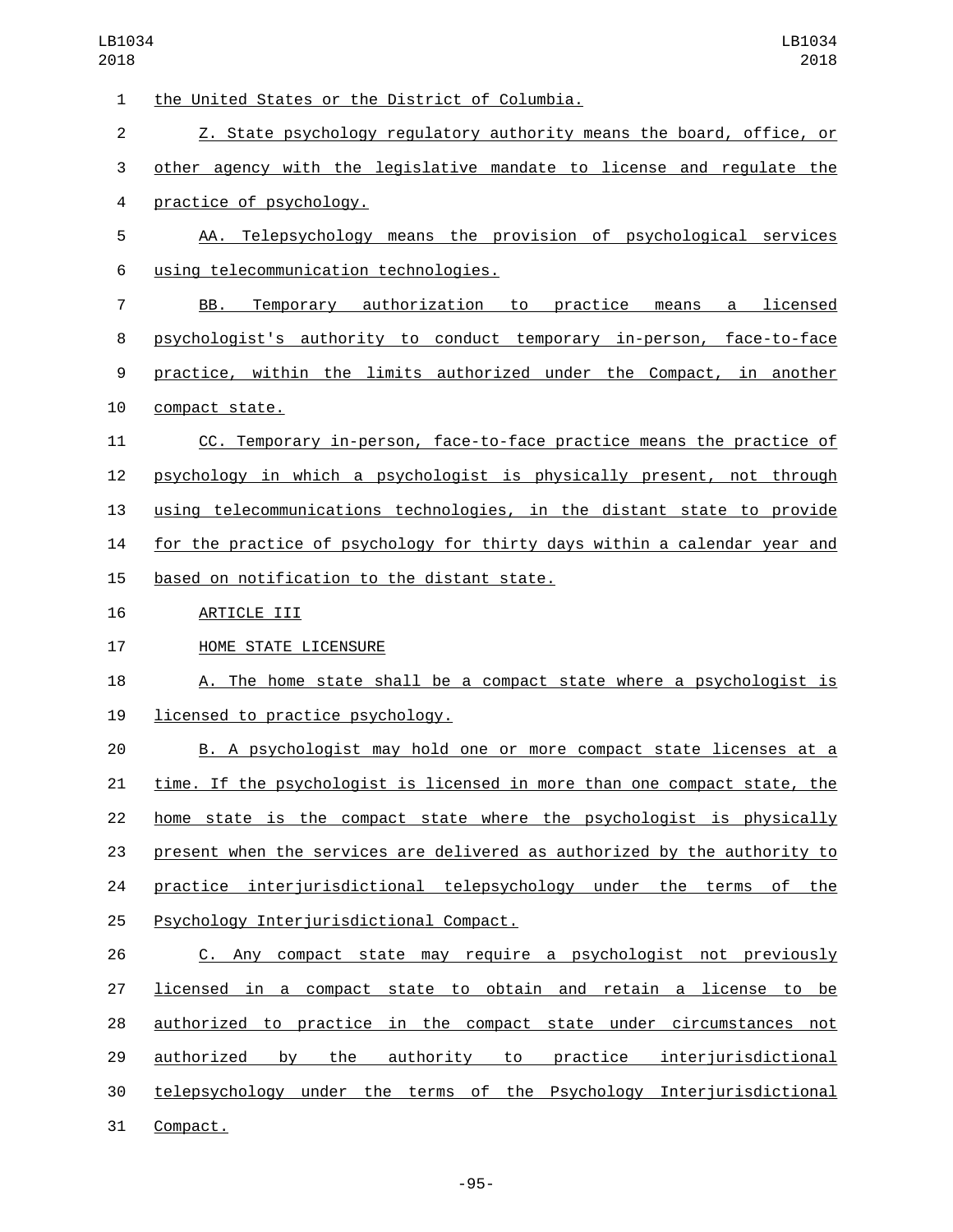1 the United States or the District of Columbia. Z. State psychology regulatory authority means the board, office, or other agency with the legislative mandate to license and regulate the practice of psychology.4 AA. Telepsychology means the provision of psychological services using telecommunication technologies.6 BB. Temporary authorization to practice means a licensed psychologist's authority to conduct temporary in-person, face-to-face practice, within the limits authorized under the Compact, in another 10 compact state. CC. Temporary in-person, face-to-face practice means the practice of psychology in which a psychologist is physically present, not through using telecommunications technologies, in the distant state to provide for the practice of psychology for thirty days within a calendar year and 15 based on notification to the distant state. 16 ARTICLE III 17 HOME STATE LICENSURE 18 A. The home state shall be a compact state where a psychologist is 19 licensed to practice psychology. B. A psychologist may hold one or more compact state licenses at a time. If the psychologist is licensed in more than one compact state, the home state is the compact state where the psychologist is physically present when the services are delivered as authorized by the authority to 24 practice interjurisdictional telepsychology under the terms of the 25 Psychology Interjurisdictional Compact. C. Any compact state may require a psychologist not previously licensed in a compact state to obtain and retain a license to be authorized to practice in the compact state under circumstances not authorized by the authority to practice interjurisdictional telepsychology under the terms of the Psychology Interjurisdictional 31 Compact.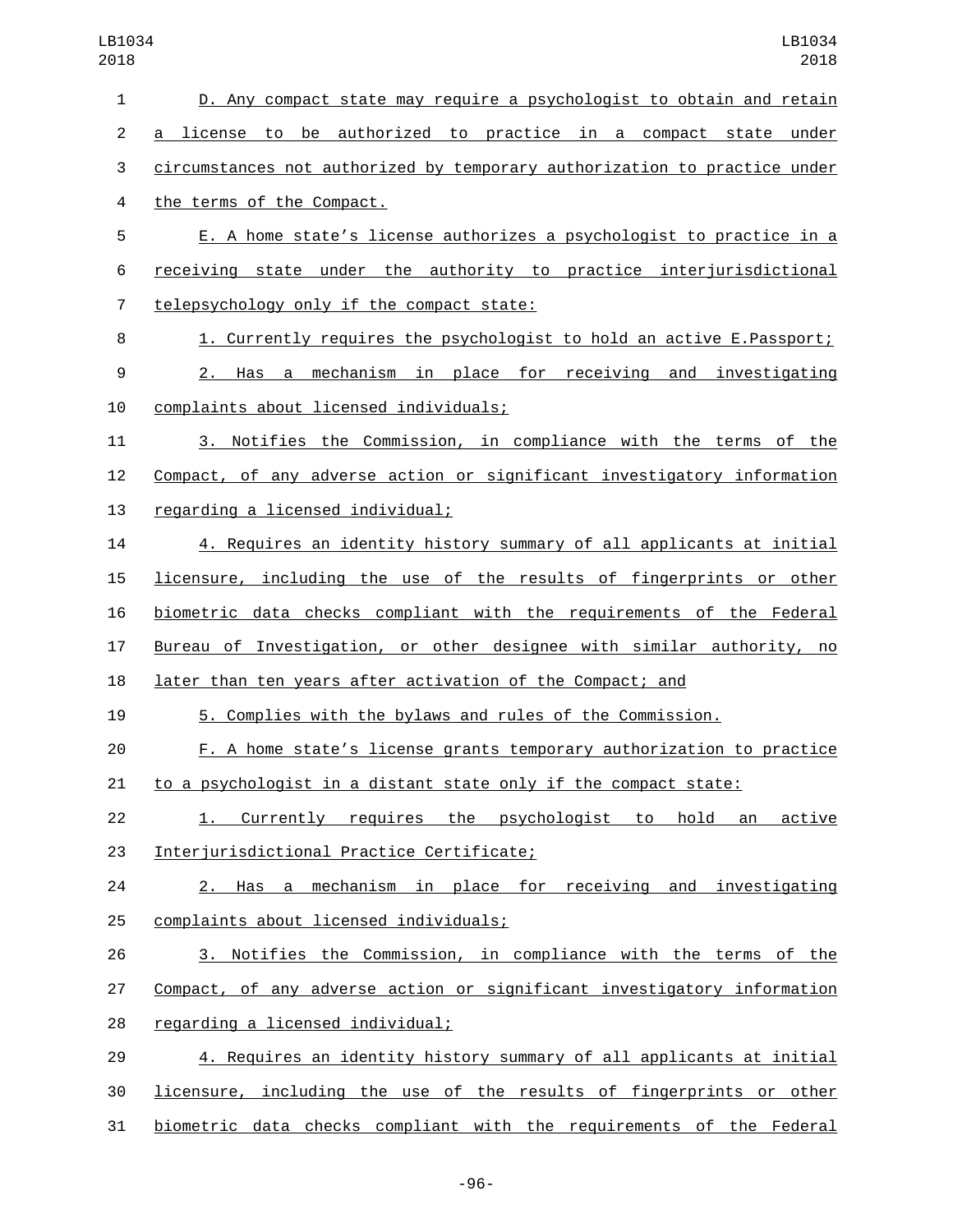|                | D. Any compact state may require a psychologist to obtain and retain      |
|----------------|---------------------------------------------------------------------------|
| $\overline{c}$ | a license to be authorized to practice in a compact state under           |
| 3              | circumstances not authorized by temporary authorization to practice under |
| 4              | the terms of the Compact.                                                 |
| 5              | E. A home state's license authorizes a psychologist to practice in a      |
| 6              | receiving state under the authority to practice interjurisdictional       |
| $\overline{7}$ | telepsychology only if the compact state:                                 |
| 8              | 1. Currently requires the psychologist to hold an active E. Passport;     |
| 9              | 2. Has a mechanism in place for receiving and investigating               |
| 10             | complaints about licensed individuals;                                    |
| 11             | 3. Notifies the Commission, in compliance with the terms of the           |
| 12             | Compact, of any adverse action or significant investigatory information   |
| 13             | regarding a licensed individual;                                          |
| 14             | 4. Requires an identity history summary of all applicants at initial      |
| 15             | licensure, including the use of the results of fingerprints or other      |
| 16             | biometric data checks compliant with the requirements of the Federal      |
| 17             | Bureau of Investigation, or other designee with similar authority, no     |
| 18             | later than ten years after activation of the Compact; and                 |
| 19             | 5. Complies with the bylaws and rules of the Commission.                  |
| 20             | F. A home state's license grants temporary authorization to practice      |
| 21             | to a psychologist in a distant state only if the compact state:           |
| 22             | 1. Currently requires the psychologist to hold an active                  |
| 23             | Interjurisdictional Practice Certificate;                                 |
| 24             | 2. Has a mechanism in place for receiving and investigating               |
| 25             | complaints about licensed individuals;                                    |
| 26             | 3. Notifies the Commission, in compliance with the terms of the           |
| 27             | Compact, of any adverse action or significant investigatory information   |
|                | regarding a licensed individual;                                          |
| 28             |                                                                           |
| 29             | 4. Requires an identity history summary of all applicants at initial      |

biometric data checks compliant with the requirements of the Federal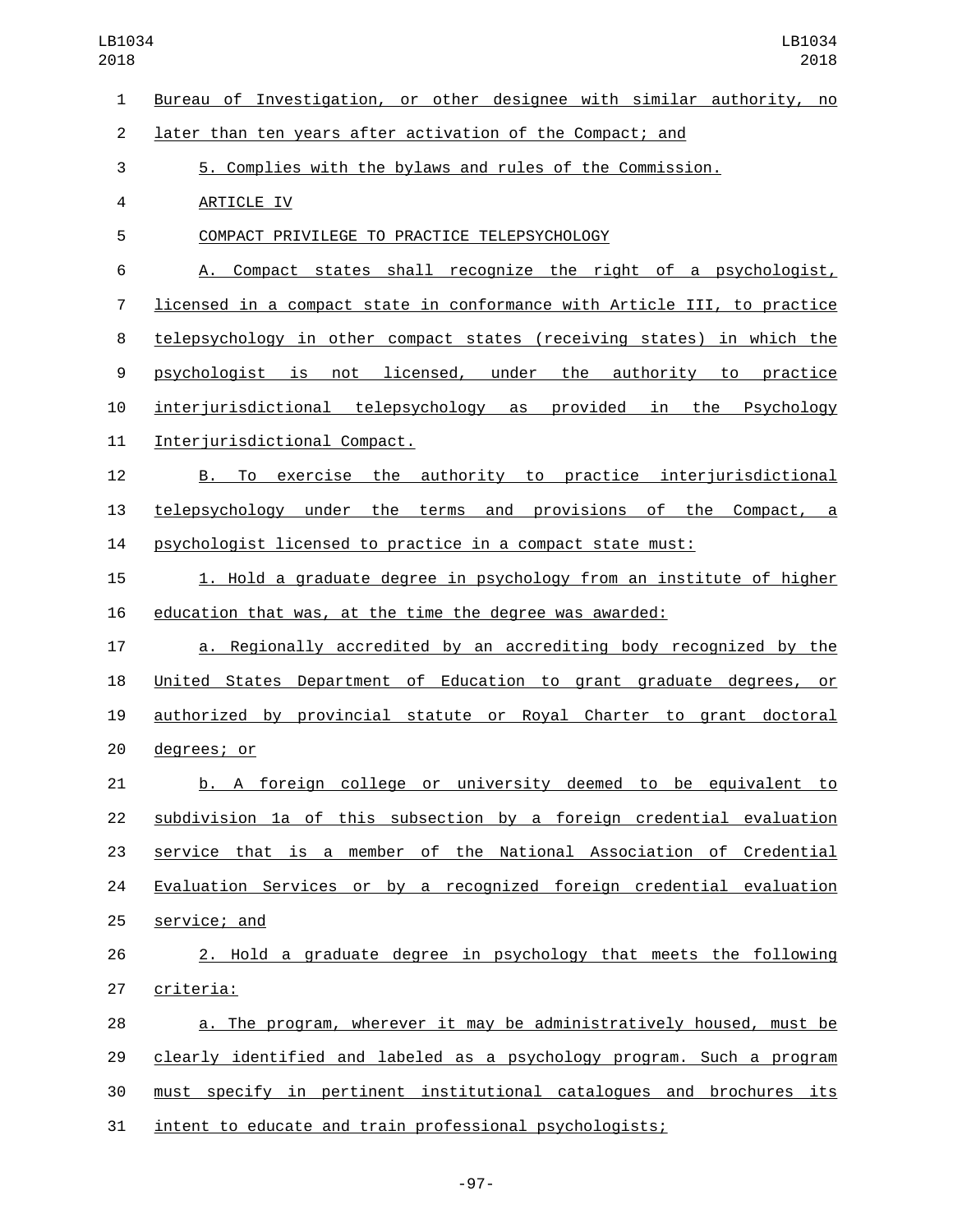| $\mathbf{1}$     | Bureau of Investigation, or other designee with similar authority, no    |
|------------------|--------------------------------------------------------------------------|
| $\overline{2}$   | later than ten years after activation of the Compact; and                |
| 3                | 5. Complies with the bylaws and rules of the Commission.                 |
| 4                | ARTICLE IV                                                               |
| 5                | COMPACT PRIVILEGE TO PRACTICE TELEPSYCHOLOGY                             |
| 6                | A. Compact states shall recognize the right of a psychologist,           |
| 7                | licensed in a compact state in conformance with Article III, to practice |
| 8                | telepsychology in other compact states (receiving states) in which the   |
| $\boldsymbol{9}$ | psychologist is not licensed, under the authority to practice            |
| 10               | interjurisdictional telepsychology as provided in the Psychology         |
| 11               | Interjurisdictional Compact.                                             |
| 12               | To exercise the authority to practice interjurisdictional<br>B.,         |
| 13               | telepsychology under the terms and provisions of the Compact, a          |
| 14               | psychologist licensed to practice in a compact state must:               |
| 15               | 1. Hold a graduate degree in psychology from an institute of higher      |
| 16               | education that was, at the time the degree was awarded:                  |
| 17               | a. Regionally accredited by an accrediting body recognized by the        |
| 18               | United States Department of Education to grant graduate degrees, or      |
| 19               | authorized by provincial statute or Royal Charter to grant doctoral      |
| 20               | degrees; or                                                              |
| 21               | b. A foreign college or university deemed to be equivalent to            |
| 22               | subdivision 1a of this subsection by a foreign credential evaluation     |
| 23               | service that is a member of the National Association of Credential       |
| 24               | Evaluation Services or by a recognized foreign credential evaluation     |
| 25               | service; and                                                             |
| 26               | 2. Hold a graduate degree in psychology that meets the following         |
| 27               | criteria:                                                                |
| 28               | a. The program, wherever it may be administratively housed, must be      |
| 29               | clearly identified and labeled as a psychology program. Such a program   |
| 30               | must specify in pertinent institutional catalogues and brochures its     |
| 31               | intent to educate and train professional psychologists;                  |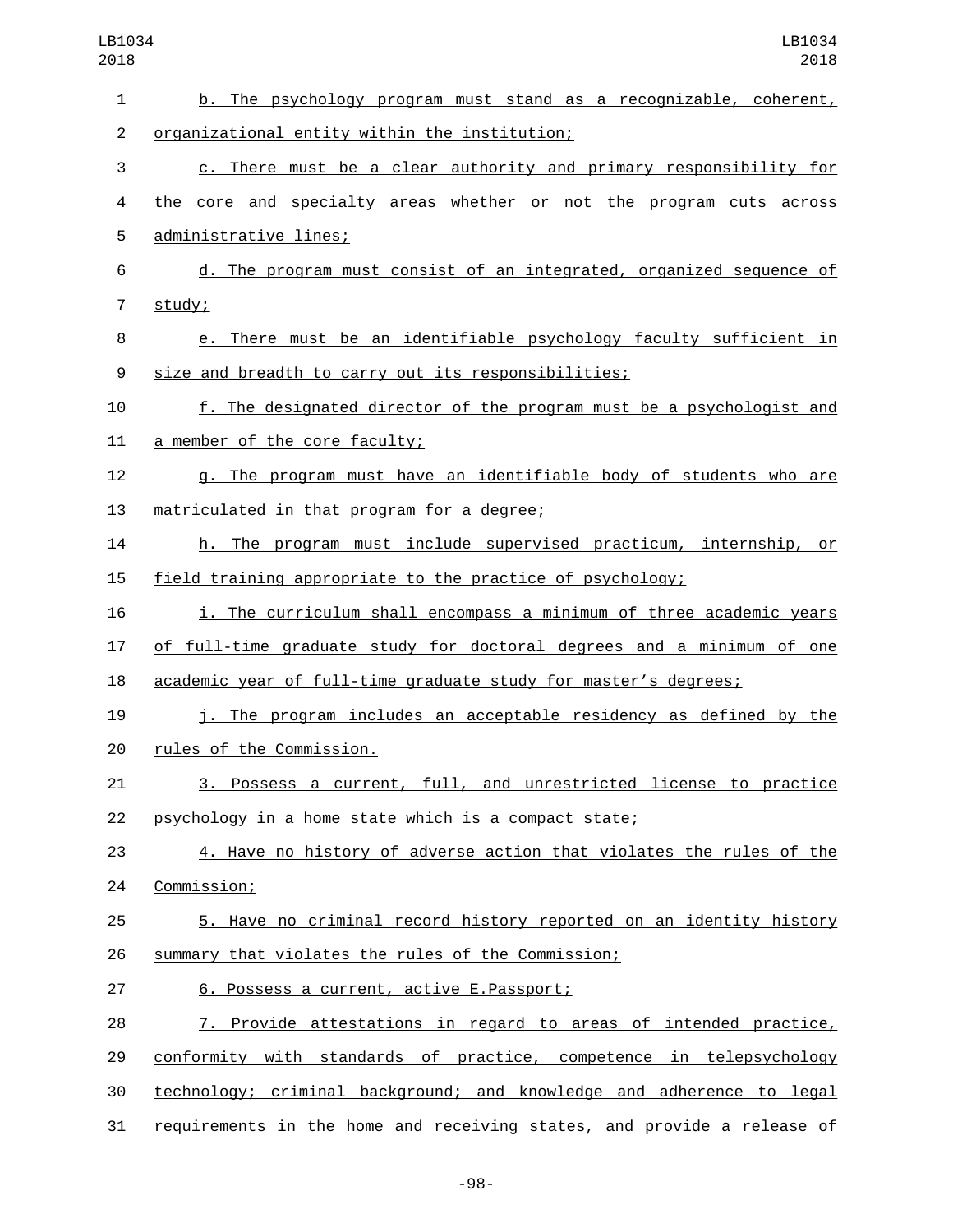| 1              | b. The psychology program must stand as a recognizable, coherent,       |
|----------------|-------------------------------------------------------------------------|
| $\overline{2}$ | organizational entity within the institution;                           |
| 3              | c. There must be a clear authority and primary responsibility for       |
| 4              | the core and specialty areas whether or not the program cuts across     |
| 5              | administrative lines;                                                   |
| 6              | d. The program must consist of an integrated, organized sequence of     |
| 7              | study;                                                                  |
| 8              | e. There must be an identifiable psychology faculty sufficient in       |
| 9              | size and breadth to carry out its responsibilities;                     |
| 10             | f. The designated director of the program must be a psychologist and    |
| 11             | a member of the core faculty;                                           |
| 12             | g. The program must have an identifiable body of students who are       |
| 13             | matriculated in that program for a degree;                              |
| 14             | h. The program must include supervised practicum, internship, or        |
| 15             | field training appropriate to the practice of psychology;               |
| 16             | i. The curriculum shall encompass a minimum of three academic years     |
| 17             | of full-time graduate study for doctoral degrees and a minimum of one   |
| 18             | academic year of full-time graduate study for master's degrees;         |
| 19             | j. The program includes an acceptable residency as defined by the       |
| 20             | rules of the Commission.                                                |
| 21             | 3. Possess a current, full, and unrestricted license to practice        |
| 22             | psychology in a home state which is a compact state;                    |
| 23             | 4. Have no history of adverse action that violates the rules of the     |
| 24             | Commission;                                                             |
| 25             | 5. Have no criminal record history reported on an identity history      |
| 26             | summary that violates the rules of the Commission;                      |
| 27             | 6. Possess a current, active E.Passport;                                |
| 28             | 7. Provide attestations in regard to areas of intended practice,        |
| 29             | conformity with standards of practice, competence in telepsychology     |
| 30             | technology; criminal background; and knowledge and adherence to legal   |
| 31             | requirements in the home and receiving states, and provide a release of |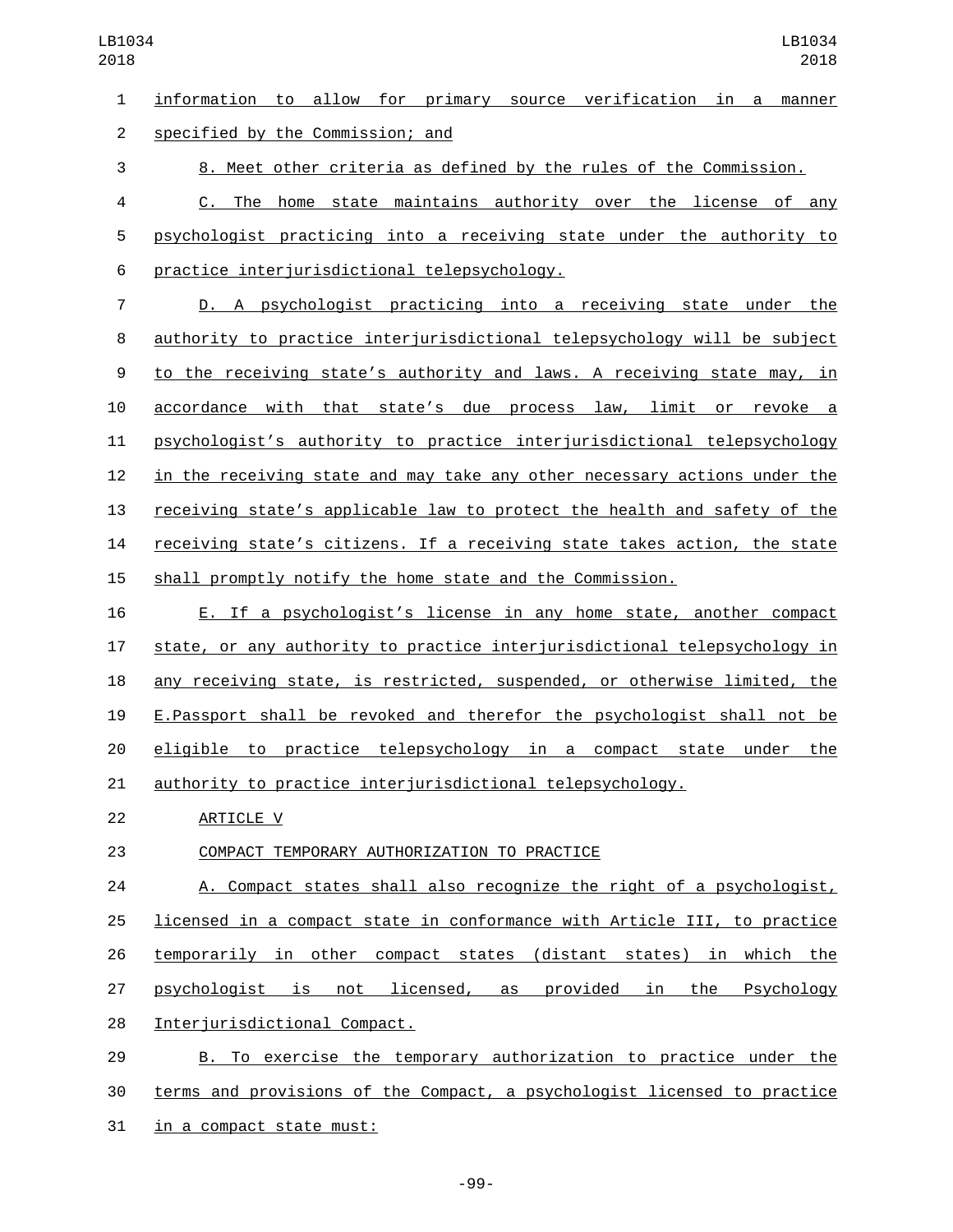information to allow for primary source verification in a manner specified by the Commission; and2 8. Meet other criteria as defined by the rules of the Commission. C. The home state maintains authority over the license of any psychologist practicing into a receiving state under the authority to practice interjurisdictional telepsychology.6 D. A psychologist practicing into a receiving state under the authority to practice interjurisdictional telepsychology will be subject to the receiving state's authority and laws. A receiving state may, in accordance with that state's due process law, limit or revoke a psychologist's authority to practice interjurisdictional telepsychology in the receiving state and may take any other necessary actions under the

 receiving state's applicable law to protect the health and safety of the receiving state's citizens. If a receiving state takes action, the state shall promptly notify the home state and the Commission.

 E. If a psychologist's license in any home state, another compact state, or any authority to practice interjurisdictional telepsychology in any receiving state, is restricted, suspended, or otherwise limited, the E.Passport shall be revoked and therefor the psychologist shall not be eligible to practice telepsychology in a compact state under the authority to practice interjurisdictional telepsychology.

22 ARTICLE V

23 COMPACT TEMPORARY AUTHORIZATION TO PRACTICE

 A. Compact states shall also recognize the right of a psychologist, licensed in a compact state in conformance with Article III, to practice temporarily in other compact states (distant states) in which the psychologist is not licensed, as provided in the Psychology 28 Interjurisdictional Compact.

 B. To exercise the temporary authorization to practice under the terms and provisions of the Compact, a psychologist licensed to practice 31 in a compact state must:

-99-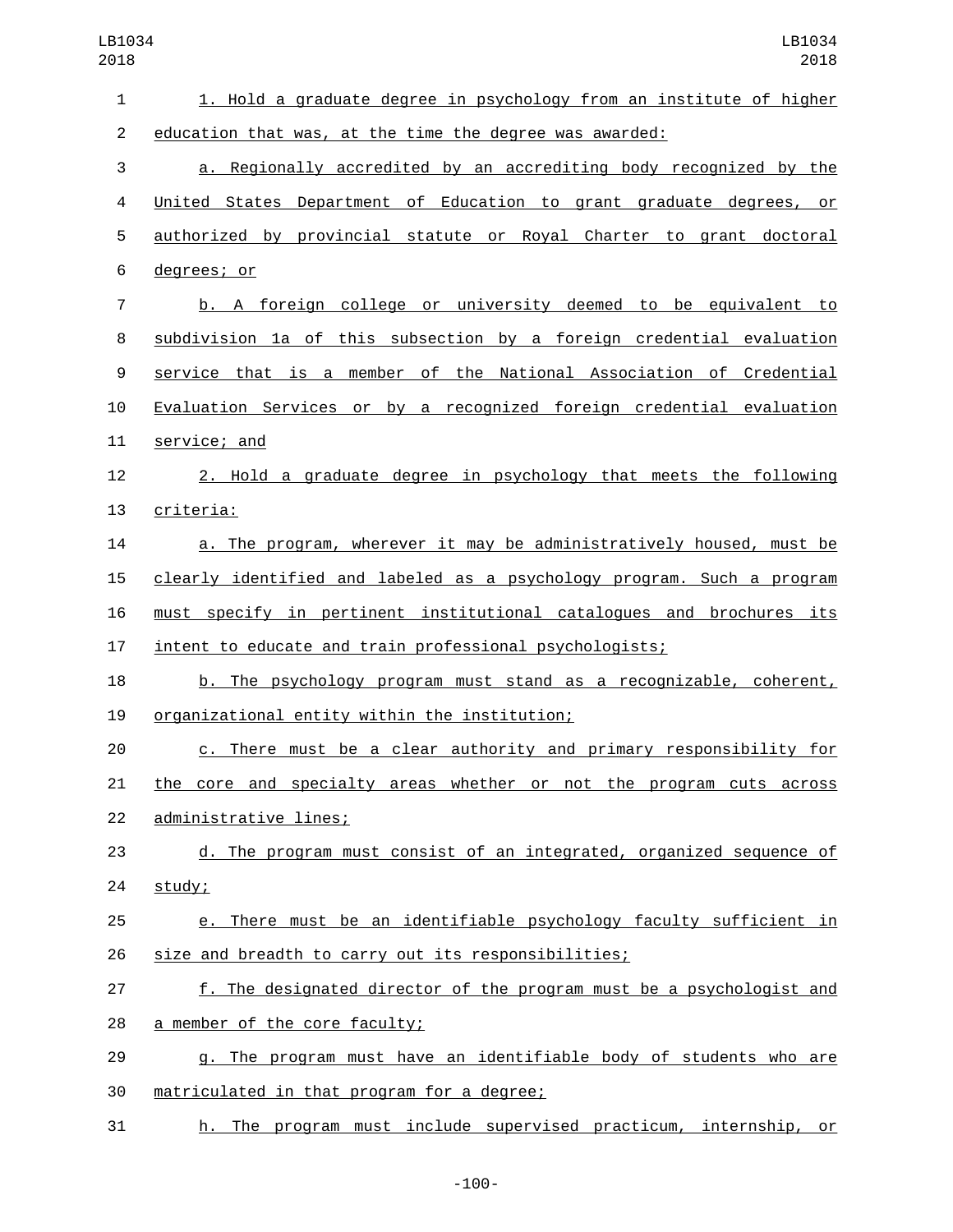| $\mathbf{1}$   | 1. Hold a graduate degree in psychology from an institute of higher        |
|----------------|----------------------------------------------------------------------------|
| $\overline{2}$ | education that was, at the time the degree was awarded:                    |
| 3              | a. Regionally accredited by an accrediting body recognized by the          |
| 4              | United States Department of Education to grant graduate degrees, or        |
| 5              | authorized by provincial statute or Royal Charter to grant doctoral        |
| 6              | degrees; or                                                                |
| $\overline{7}$ | b. A foreign college or university deemed to be equivalent to              |
| 8              | subdivision 1a of this subsection by a foreign credential evaluation       |
| 9              | service that is a member of the National Association of Credential         |
| 10             | Evaluation Services or by a recognized foreign credential evaluation       |
| 11             | service; and                                                               |
| 12             | 2. Hold a graduate degree in psychology that meets the following           |
| 13             | criteria:                                                                  |
| 14             | a. The program, wherever it may be administratively housed, must be        |
| 15             | clearly identified and labeled as a psychology program. Such a program     |
| 16             | must specify in pertinent institutional catalogues and brochures its       |
| 17             | intent to educate and train professional psychologists;                    |
| 18             | b. The psychology program must stand as a recognizable, coherent,          |
| 19             | organizational entity within the institution;                              |
| 20             | c. There must be a clear authority and primary responsibility for          |
| 21             | <u>the core and specialty areas whether or not the program cuts across</u> |
| 22             | administrative lines;                                                      |
| 23             | d. The program must consist of an integrated, organized sequence of        |
| 24             | study;                                                                     |
| 25             | e. There must be an identifiable psychology faculty sufficient in          |
| 26             | size and breadth to carry out its responsibilities;                        |
| 27             | f. The designated director of the program must be a psychologist and       |
| 28             | a member of the core faculty;                                              |
| 29             | g. The program must have an identifiable body of students who are          |
| 30             | matriculated in that program for a degree;                                 |
| 31             | h. The program must include supervised practicum, internship, or           |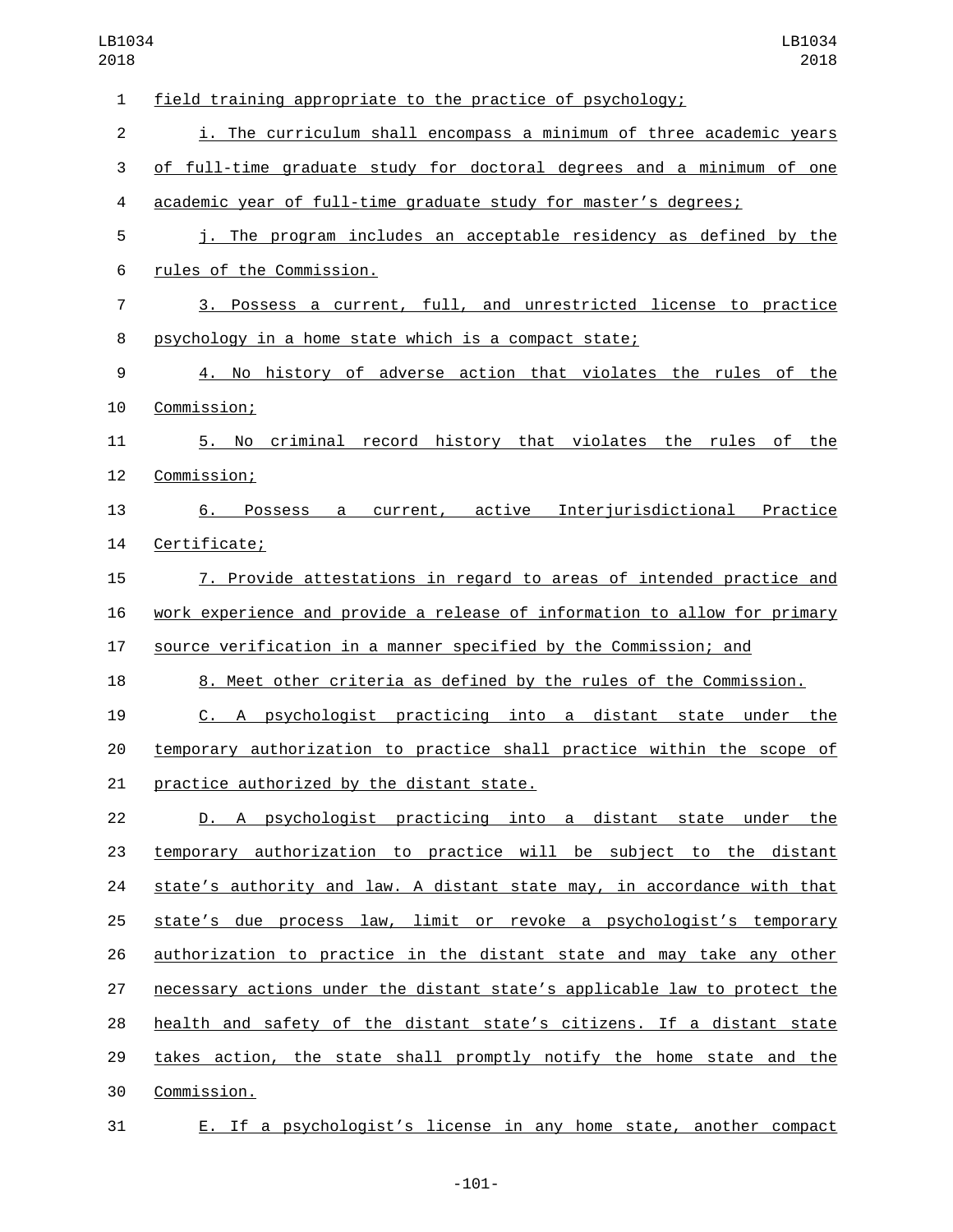| $\mathbf{1}$   | field training appropriate to the practice of psychology;                 |
|----------------|---------------------------------------------------------------------------|
| $\overline{2}$ | i. The curriculum shall encompass a minimum of three academic years       |
| 3              | of full-time graduate study for doctoral degrees and a minimum of one     |
| 4              | academic year of full-time graduate study for master's degrees;           |
| 5              | j. The program includes an acceptable residency as defined by the         |
| 6              | rules of the Commission.                                                  |
| 7              | 3. Possess a current, full, and unrestricted license to practice          |
| 8              | psychology in a home state which is a compact state;                      |
| 9              | 4. No history of adverse action that violates the rules of the            |
| 10             | Commission;                                                               |
| 11             | criminal record history that violates the rules of the<br>5. No           |
| 12             | Commission;                                                               |
| 13             | 6. Possess a current, active Interjurisdictional Practice                 |
| 14             | Certificate;                                                              |
| 15             | 7. Provide attestations in regard to areas of intended practice and       |
| 16             | work experience and provide a release of information to allow for primary |
| 17             | source verification in a manner specified by the Commission; and          |
| 18             | 8. Meet other criteria as defined by the rules of the Commission.         |
| 19             | C. A psychologist practicing into a distant state under the               |
| 20             | temporary authorization to practice shall practice within the scope of    |
| 21             | practice authorized by the distant state.                                 |
| 22             | D. A psychologist practicing into a distant state under the               |
| 23             | temporary authorization to practice will be subject to the distant        |
| 24             | state's authority and law. A distant state may, in accordance with that   |
| 25             | state's due process law, limit or revoke a psychologist's temporary       |
| 26             | authorization to practice in the distant state and may take any other     |
| 27             | necessary actions under the distant state's applicable law to protect the |
| 28             | health and safety of the distant state's citizens. If a distant state     |
| 29             | takes action, the state shall promptly notify the home state and the      |
| 30             | Commission.                                                               |
| 31             | E. If a psychologist's license in any home state, another compact         |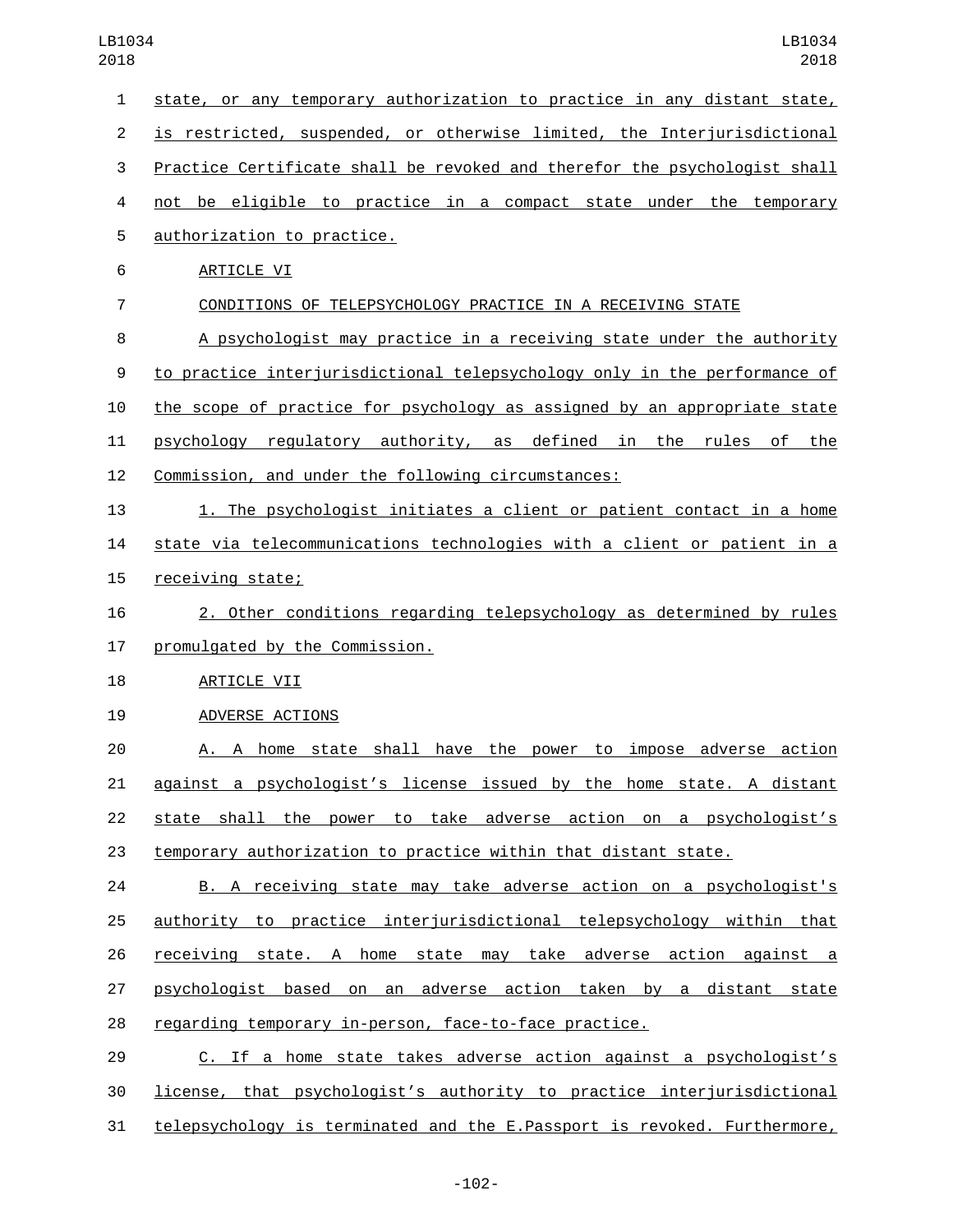state, or any temporary authorization to practice in any distant state, is restricted, suspended, or otherwise limited, the Interjurisdictional Practice Certificate shall be revoked and therefor the psychologist shall not be eligible to practice in a compact state under the temporary 5 authorization to practice. 6 ARTICLE VI CONDITIONS OF TELEPSYCHOLOGY PRACTICE IN A RECEIVING STATE A psychologist may practice in a receiving state under the authority to practice interjurisdictional telepsychology only in the performance of the scope of practice for psychology as assigned by an appropriate state psychology regulatory authority, as defined in the rules of the Commission, and under the following circumstances: 1. The psychologist initiates a client or patient contact in a home state via telecommunications technologies with a client or patient in a 15 receiving state; 2. Other conditions regarding telepsychology as determined by rules 17 promulgated by the Commission. 18 ARTICLE VII 19 ADVERSE ACTIONS A. A home state shall have the power to impose adverse action against a psychologist's license issued by the home state. A distant state shall the power to take adverse action on a psychologist's temporary authorization to practice within that distant state. B. A receiving state may take adverse action on a psychologist's authority to practice interjurisdictional telepsychology within that receiving state. A home state may take adverse action against a psychologist based on an adverse action taken by a distant state regarding temporary in-person, face-to-face practice. C. If a home state takes adverse action against a psychologist's license, that psychologist's authority to practice interjurisdictional

telepsychology is terminated and the E.Passport is revoked. Furthermore,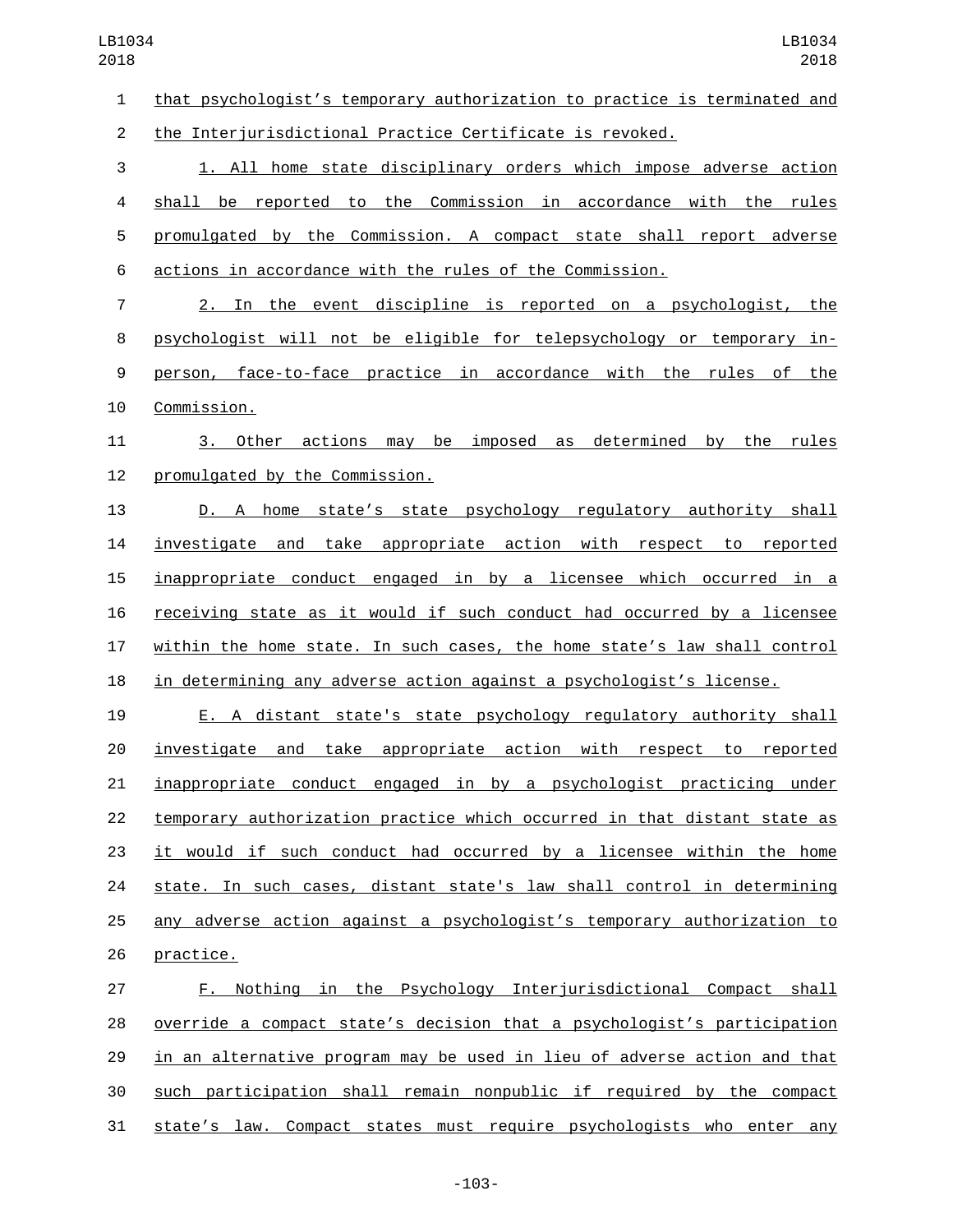that psychologist's temporary authorization to practice is terminated and

the Interjurisdictional Practice Certificate is revoked.

 1. All home state disciplinary orders which impose adverse action shall be reported to the Commission in accordance with the rules promulgated by the Commission. A compact state shall report adverse actions in accordance with the rules of the Commission.

 2. In the event discipline is reported on a psychologist, the psychologist will not be eligible for telepsychology or temporary in- person, face-to-face practice in accordance with the rules of the 10 Commission.

 3. Other actions may be imposed as determined by the rules 12 promulgated by the Commission.

 D. A home state's state psychology regulatory authority shall investigate and take appropriate action with respect to reported inappropriate conduct engaged in by a licensee which occurred in a receiving state as it would if such conduct had occurred by a licensee within the home state. In such cases, the home state's law shall control in determining any adverse action against a psychologist's license.

 E. A distant state's state psychology regulatory authority shall investigate and take appropriate action with respect to reported inappropriate conduct engaged in by a psychologist practicing under temporary authorization practice which occurred in that distant state as it would if such conduct had occurred by a licensee within the home state. In such cases, distant state's law shall control in determining any adverse action against a psychologist's temporary authorization to 26 practice.

 F. Nothing in the Psychology Interjurisdictional Compact shall override a compact state's decision that a psychologist's participation in an alternative program may be used in lieu of adverse action and that such participation shall remain nonpublic if required by the compact state's law. Compact states must require psychologists who enter any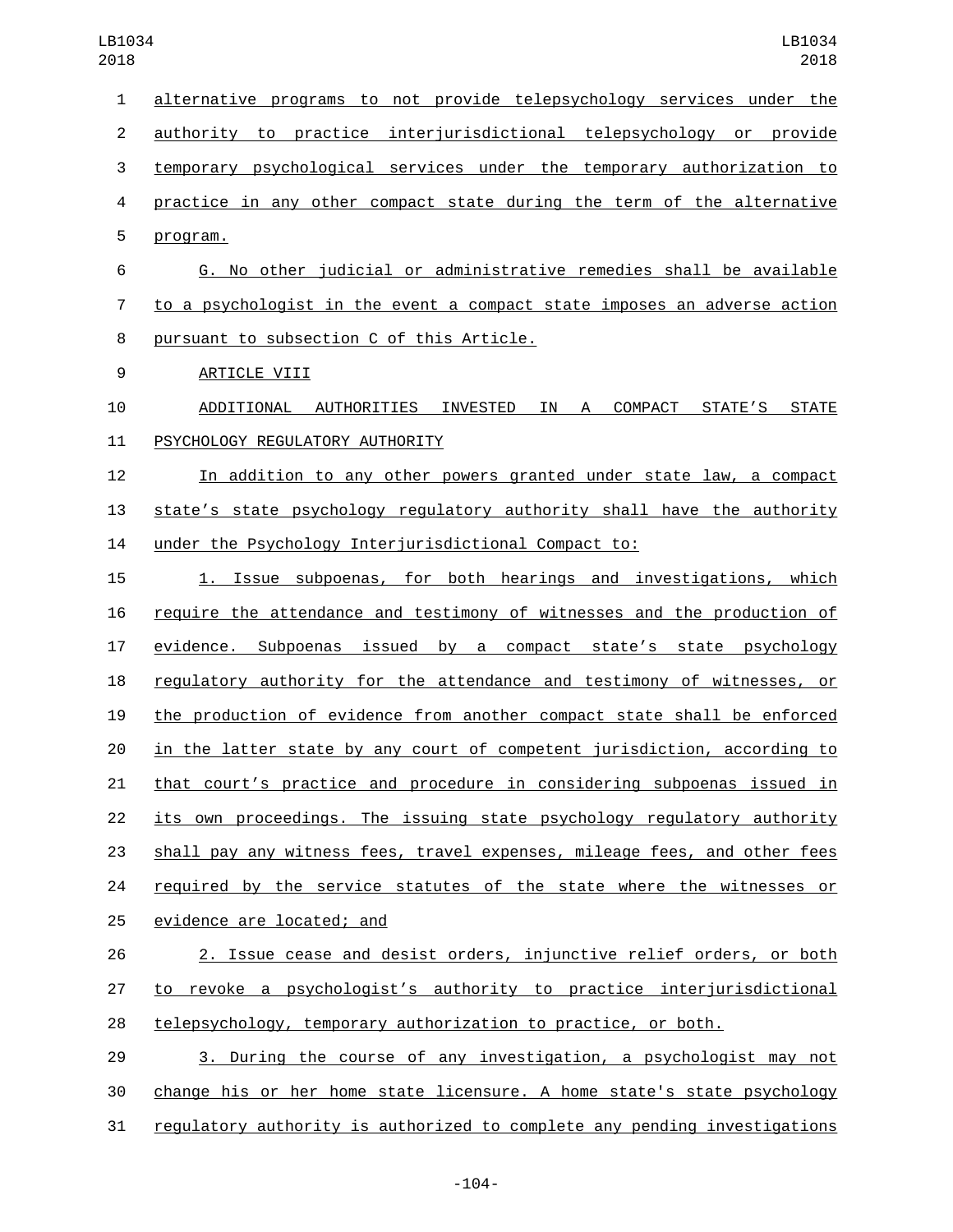| alternative programs to not provide telepsychology services under the<br>$\mathbf{1}$<br>authority to practice interjurisdictional telepsychology or provide<br>$\overline{2}$<br>3<br>temporary psychological services under the temporary authorization to<br>practice in any other compact state during the term of the alternative<br>4<br>5<br>program.<br>G. No other judicial or administrative remedies shall be available<br>6<br>to a psychologist in the event a compact state imposes an adverse action<br>7<br>8<br>pursuant to subsection C of this Article.<br>9<br>ARTICLE VIII<br>ADDITIONAL AUTHORITIES INVESTED IN A COMPACT STATE'S STATE<br>10<br>PSYCHOLOGY REGULATORY AUTHORITY<br>11<br>12<br>In addition to any other powers granted under state law, a compact<br>13<br>state's state psychology regulatory authority shall have the authority<br>under the Psychology Interjurisdictional Compact to:<br>14<br>Issue subpoenas, for both hearings and investigations, which<br>15<br>1.<br>require the attendance and testimony of witnesses and the production of<br>16<br>evidence. Subpoenas issued by a compact state's state psychology<br>17<br>regulatory authority for the attendance and testimony of witnesses, or<br>18<br>the production of evidence from another compact state shall be enforced<br>19<br>in the latter state by any court of competent jurisdiction, according to<br>20<br>that court's practice and procedure in considering subpoenas issued in<br>21<br>22<br>its own proceedings. The issuing state psychology regulatory authority<br>shall pay any witness fees, travel expenses, mileage fees, and other fees<br>23<br>required by the service statutes of the state where the witnesses or<br>24<br>25<br>evidence are located; and<br>2. Issue cease and desist orders, injunctive relief orders, or both<br>26<br>to revoke a psychologist's authority to practice interjurisdictional<br>27<br>telepsychology, temporary authorization to practice, or both.<br>28 |  |
|----------------------------------------------------------------------------------------------------------------------------------------------------------------------------------------------------------------------------------------------------------------------------------------------------------------------------------------------------------------------------------------------------------------------------------------------------------------------------------------------------------------------------------------------------------------------------------------------------------------------------------------------------------------------------------------------------------------------------------------------------------------------------------------------------------------------------------------------------------------------------------------------------------------------------------------------------------------------------------------------------------------------------------------------------------------------------------------------------------------------------------------------------------------------------------------------------------------------------------------------------------------------------------------------------------------------------------------------------------------------------------------------------------------------------------------------------------------------------------------------------------------------------------------------------------------------------------------------------------------------------------------------------------------------------------------------------------------------------------------------------------------------------------------------------------------------------------------------------------------------------------------------------------------------------------------------------------------------------------------------------------------------------------------|--|
|                                                                                                                                                                                                                                                                                                                                                                                                                                                                                                                                                                                                                                                                                                                                                                                                                                                                                                                                                                                                                                                                                                                                                                                                                                                                                                                                                                                                                                                                                                                                                                                                                                                                                                                                                                                                                                                                                                                                                                                                                                        |  |
|                                                                                                                                                                                                                                                                                                                                                                                                                                                                                                                                                                                                                                                                                                                                                                                                                                                                                                                                                                                                                                                                                                                                                                                                                                                                                                                                                                                                                                                                                                                                                                                                                                                                                                                                                                                                                                                                                                                                                                                                                                        |  |
|                                                                                                                                                                                                                                                                                                                                                                                                                                                                                                                                                                                                                                                                                                                                                                                                                                                                                                                                                                                                                                                                                                                                                                                                                                                                                                                                                                                                                                                                                                                                                                                                                                                                                                                                                                                                                                                                                                                                                                                                                                        |  |
|                                                                                                                                                                                                                                                                                                                                                                                                                                                                                                                                                                                                                                                                                                                                                                                                                                                                                                                                                                                                                                                                                                                                                                                                                                                                                                                                                                                                                                                                                                                                                                                                                                                                                                                                                                                                                                                                                                                                                                                                                                        |  |
|                                                                                                                                                                                                                                                                                                                                                                                                                                                                                                                                                                                                                                                                                                                                                                                                                                                                                                                                                                                                                                                                                                                                                                                                                                                                                                                                                                                                                                                                                                                                                                                                                                                                                                                                                                                                                                                                                                                                                                                                                                        |  |
|                                                                                                                                                                                                                                                                                                                                                                                                                                                                                                                                                                                                                                                                                                                                                                                                                                                                                                                                                                                                                                                                                                                                                                                                                                                                                                                                                                                                                                                                                                                                                                                                                                                                                                                                                                                                                                                                                                                                                                                                                                        |  |
|                                                                                                                                                                                                                                                                                                                                                                                                                                                                                                                                                                                                                                                                                                                                                                                                                                                                                                                                                                                                                                                                                                                                                                                                                                                                                                                                                                                                                                                                                                                                                                                                                                                                                                                                                                                                                                                                                                                                                                                                                                        |  |
|                                                                                                                                                                                                                                                                                                                                                                                                                                                                                                                                                                                                                                                                                                                                                                                                                                                                                                                                                                                                                                                                                                                                                                                                                                                                                                                                                                                                                                                                                                                                                                                                                                                                                                                                                                                                                                                                                                                                                                                                                                        |  |
|                                                                                                                                                                                                                                                                                                                                                                                                                                                                                                                                                                                                                                                                                                                                                                                                                                                                                                                                                                                                                                                                                                                                                                                                                                                                                                                                                                                                                                                                                                                                                                                                                                                                                                                                                                                                                                                                                                                                                                                                                                        |  |
|                                                                                                                                                                                                                                                                                                                                                                                                                                                                                                                                                                                                                                                                                                                                                                                                                                                                                                                                                                                                                                                                                                                                                                                                                                                                                                                                                                                                                                                                                                                                                                                                                                                                                                                                                                                                                                                                                                                                                                                                                                        |  |
|                                                                                                                                                                                                                                                                                                                                                                                                                                                                                                                                                                                                                                                                                                                                                                                                                                                                                                                                                                                                                                                                                                                                                                                                                                                                                                                                                                                                                                                                                                                                                                                                                                                                                                                                                                                                                                                                                                                                                                                                                                        |  |
|                                                                                                                                                                                                                                                                                                                                                                                                                                                                                                                                                                                                                                                                                                                                                                                                                                                                                                                                                                                                                                                                                                                                                                                                                                                                                                                                                                                                                                                                                                                                                                                                                                                                                                                                                                                                                                                                                                                                                                                                                                        |  |
|                                                                                                                                                                                                                                                                                                                                                                                                                                                                                                                                                                                                                                                                                                                                                                                                                                                                                                                                                                                                                                                                                                                                                                                                                                                                                                                                                                                                                                                                                                                                                                                                                                                                                                                                                                                                                                                                                                                                                                                                                                        |  |
|                                                                                                                                                                                                                                                                                                                                                                                                                                                                                                                                                                                                                                                                                                                                                                                                                                                                                                                                                                                                                                                                                                                                                                                                                                                                                                                                                                                                                                                                                                                                                                                                                                                                                                                                                                                                                                                                                                                                                                                                                                        |  |
|                                                                                                                                                                                                                                                                                                                                                                                                                                                                                                                                                                                                                                                                                                                                                                                                                                                                                                                                                                                                                                                                                                                                                                                                                                                                                                                                                                                                                                                                                                                                                                                                                                                                                                                                                                                                                                                                                                                                                                                                                                        |  |
|                                                                                                                                                                                                                                                                                                                                                                                                                                                                                                                                                                                                                                                                                                                                                                                                                                                                                                                                                                                                                                                                                                                                                                                                                                                                                                                                                                                                                                                                                                                                                                                                                                                                                                                                                                                                                                                                                                                                                                                                                                        |  |
|                                                                                                                                                                                                                                                                                                                                                                                                                                                                                                                                                                                                                                                                                                                                                                                                                                                                                                                                                                                                                                                                                                                                                                                                                                                                                                                                                                                                                                                                                                                                                                                                                                                                                                                                                                                                                                                                                                                                                                                                                                        |  |
|                                                                                                                                                                                                                                                                                                                                                                                                                                                                                                                                                                                                                                                                                                                                                                                                                                                                                                                                                                                                                                                                                                                                                                                                                                                                                                                                                                                                                                                                                                                                                                                                                                                                                                                                                                                                                                                                                                                                                                                                                                        |  |
|                                                                                                                                                                                                                                                                                                                                                                                                                                                                                                                                                                                                                                                                                                                                                                                                                                                                                                                                                                                                                                                                                                                                                                                                                                                                                                                                                                                                                                                                                                                                                                                                                                                                                                                                                                                                                                                                                                                                                                                                                                        |  |
|                                                                                                                                                                                                                                                                                                                                                                                                                                                                                                                                                                                                                                                                                                                                                                                                                                                                                                                                                                                                                                                                                                                                                                                                                                                                                                                                                                                                                                                                                                                                                                                                                                                                                                                                                                                                                                                                                                                                                                                                                                        |  |
|                                                                                                                                                                                                                                                                                                                                                                                                                                                                                                                                                                                                                                                                                                                                                                                                                                                                                                                                                                                                                                                                                                                                                                                                                                                                                                                                                                                                                                                                                                                                                                                                                                                                                                                                                                                                                                                                                                                                                                                                                                        |  |
|                                                                                                                                                                                                                                                                                                                                                                                                                                                                                                                                                                                                                                                                                                                                                                                                                                                                                                                                                                                                                                                                                                                                                                                                                                                                                                                                                                                                                                                                                                                                                                                                                                                                                                                                                                                                                                                                                                                                                                                                                                        |  |
|                                                                                                                                                                                                                                                                                                                                                                                                                                                                                                                                                                                                                                                                                                                                                                                                                                                                                                                                                                                                                                                                                                                                                                                                                                                                                                                                                                                                                                                                                                                                                                                                                                                                                                                                                                                                                                                                                                                                                                                                                                        |  |
|                                                                                                                                                                                                                                                                                                                                                                                                                                                                                                                                                                                                                                                                                                                                                                                                                                                                                                                                                                                                                                                                                                                                                                                                                                                                                                                                                                                                                                                                                                                                                                                                                                                                                                                                                                                                                                                                                                                                                                                                                                        |  |
|                                                                                                                                                                                                                                                                                                                                                                                                                                                                                                                                                                                                                                                                                                                                                                                                                                                                                                                                                                                                                                                                                                                                                                                                                                                                                                                                                                                                                                                                                                                                                                                                                                                                                                                                                                                                                                                                                                                                                                                                                                        |  |
|                                                                                                                                                                                                                                                                                                                                                                                                                                                                                                                                                                                                                                                                                                                                                                                                                                                                                                                                                                                                                                                                                                                                                                                                                                                                                                                                                                                                                                                                                                                                                                                                                                                                                                                                                                                                                                                                                                                                                                                                                                        |  |
|                                                                                                                                                                                                                                                                                                                                                                                                                                                                                                                                                                                                                                                                                                                                                                                                                                                                                                                                                                                                                                                                                                                                                                                                                                                                                                                                                                                                                                                                                                                                                                                                                                                                                                                                                                                                                                                                                                                                                                                                                                        |  |
|                                                                                                                                                                                                                                                                                                                                                                                                                                                                                                                                                                                                                                                                                                                                                                                                                                                                                                                                                                                                                                                                                                                                                                                                                                                                                                                                                                                                                                                                                                                                                                                                                                                                                                                                                                                                                                                                                                                                                                                                                                        |  |
| 3. During the course of any investigation, a psychologist may not<br>29                                                                                                                                                                                                                                                                                                                                                                                                                                                                                                                                                                                                                                                                                                                                                                                                                                                                                                                                                                                                                                                                                                                                                                                                                                                                                                                                                                                                                                                                                                                                                                                                                                                                                                                                                                                                                                                                                                                                                                |  |

change his or her home state licensure. A home state's state psychology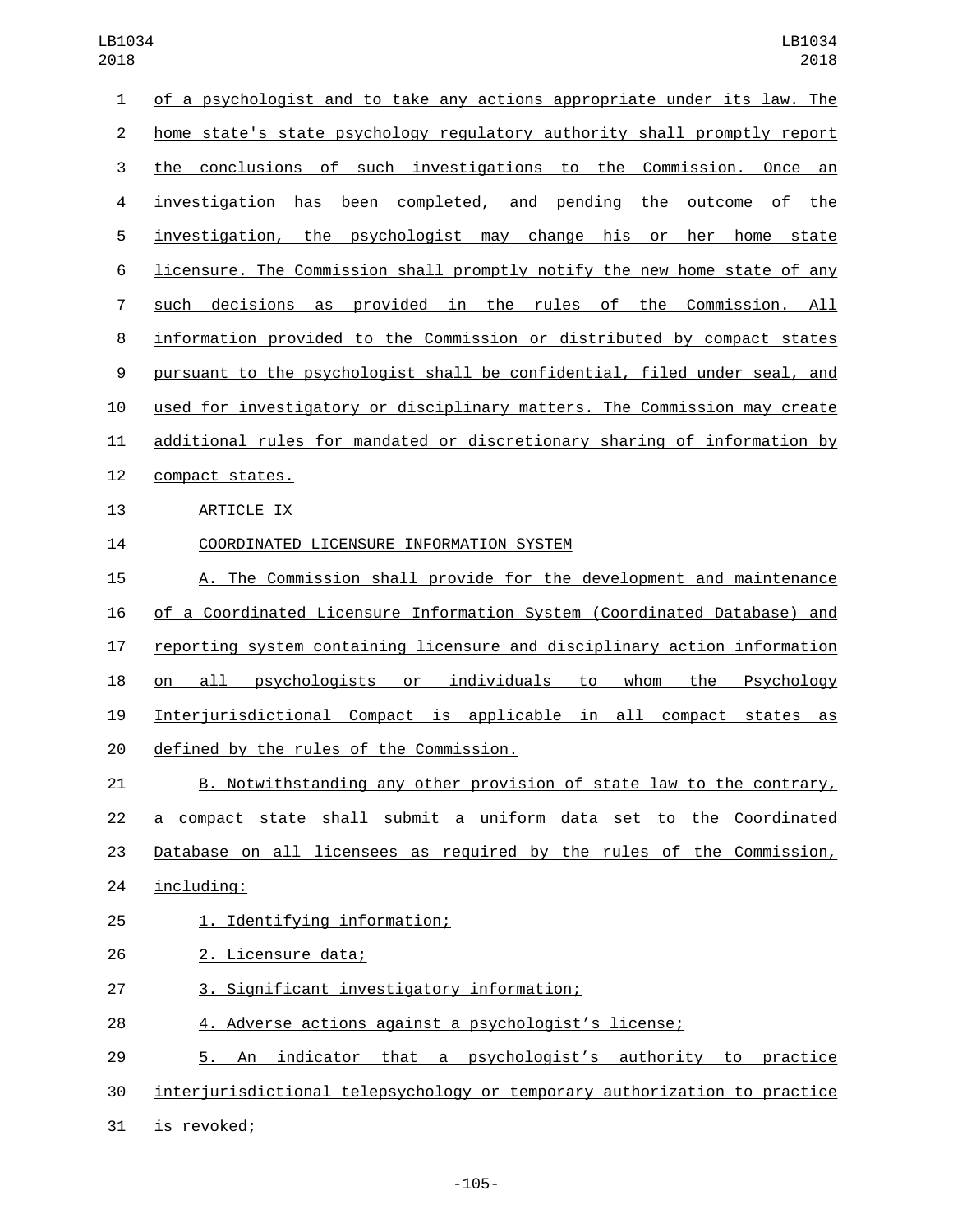| 1                | of a psychologist and to take any actions appropriate under its law. The         |
|------------------|----------------------------------------------------------------------------------|
| $\overline{2}$   | home state's state psychology regulatory authority shall promptly report         |
| 3                | the conclusions of such investigations to the Commission. Once an                |
| 4                | investigation has been completed, and pending the outcome of the                 |
| 5                | investigation, the psychologist may change his or<br>her<br>home<br>state        |
| 6                | licensure. The Commission shall promptly notify the new home state of any        |
| 7                | decisions as provided in the rules of the Commission. All<br>such                |
| 8                | information provided to the Commission or distributed by compact states          |
| $\boldsymbol{9}$ | pursuant to the psychologist shall be confidential, filed under seal, and        |
| 10               | used for investigatory or disciplinary matters. The Commission may create        |
| 11               | additional rules for mandated or discretionary sharing of information by         |
| 12               | compact states.                                                                  |
| 13               | ARTICLE IX                                                                       |
| 14               | COORDINATED LICENSURE INFORMATION SYSTEM                                         |
| 15               | A. The Commission shall provide for the development and maintenance              |
| 16               | of a Coordinated Licensure Information System (Coordinated Database) and         |
| 17               | reporting system containing licensure and disciplinary action information        |
| 18               | psychologists or individuals<br>all<br>to<br>whom<br>the<br>Psychology<br>on     |
| 19               | Interjurisdictional Compact is applicable in all compact states as               |
| 20               | defined by the rules of the Commission.                                          |
| 21               | B. Notwithstanding any other provision of state law to the contrary,             |
| 22               | a compact state shall submit a uniform data set to the Coordinated               |
| 23               | Database on all licensees as required by the rules of the Commission,            |
| 24               | including:                                                                       |
| 25               | 1. Identifying information;                                                      |
| 26               | 2. Licensure data;                                                               |
| 27               | 3. Significant investigatory information;                                        |
| 28               | 4. Adverse actions against a psychologist's license;                             |
| 29               | indicator that a psychologist's authority to practice<br><u>5. </u><br><u>An</u> |
|                  |                                                                                  |

interjurisdictional telepsychology or temporary authorization to practice

31 is revoked;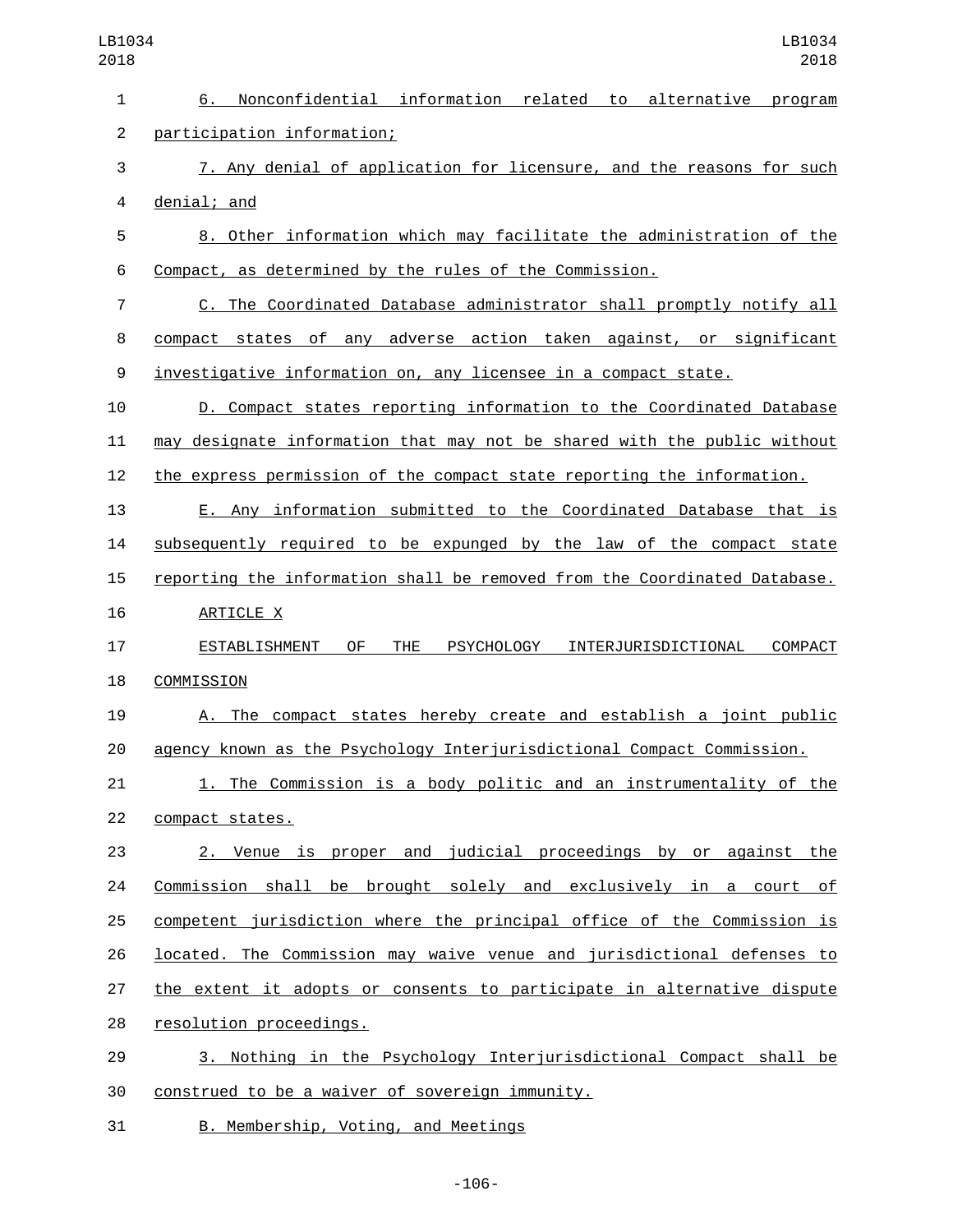| LB1034<br>2018 | LB1034<br>2018                                                                           |
|----------------|------------------------------------------------------------------------------------------|
| 1              | Nonconfidential information related<br>6.<br>to alternative<br>program                   |
| $\overline{c}$ | participation information;                                                               |
| 3              | 7. Any denial of application for licensure, and the reasons for such                     |
| 4              | denial; and                                                                              |
| 5              | 8. Other information which may facilitate the administration of the                      |
| 6              | Compact, as determined by the rules of the Commission.                                   |
| $\overline{7}$ | C. The Coordinated Database administrator shall promptly notify all                      |
| 8              | compact states of any adverse action taken against, or significant                       |
| 9              | investigative information on, any licensee in a compact state.                           |
| 10             | D. Compact states reporting information to the Coordinated Database                      |
| 11             | may designate information that may not be shared with the public without                 |
| 12             | the express permission of the compact state reporting the information.                   |
| 13             | E. Any information submitted to the Coordinated Database that is                         |
| 14             | subsequently required to be expunged by the law of the compact state                     |
| 15             | reporting the information shall be removed from the Coordinated Database.                |
| 16             | ARTICLE X                                                                                |
| 17             | 0F<br><b>THE</b><br>COMPACT<br>ESTABLISHMENT<br><b>PSYCHOLOGY</b><br>INTERJURISDICTIONAL |
| 18             | COMMISSION                                                                               |
| 19             | A. The compact states hereby create and establish a joint public                         |
| 20             | agency known as the Psychology Interjurisdictional Compact Commission.                   |
| 21             | 1. The Commission is a body politic and an instrumentality of the                        |
| 22             | compact states.                                                                          |
| 23             | 2. Venue is proper and judicial proceedings by or against the                            |
| 24             | Commission shall be brought solely and exclusively in a court of                         |
| 25             | competent jurisdiction where the principal office of the Commission is                   |
| 26             | located. The Commission may waive venue and jurisdictional defenses to                   |
| 27             | the extent it adopts or consents to participate in alternative dispute                   |
| 28             | resolution proceedings.                                                                  |
| 29             | 3. Nothing in the Psychology Interjurisdictional Compact shall be                        |
| 30             | construed to be a waiver of sovereign immunity.                                          |
| 31             | B. Membership, Voting, and Meetings                                                      |

-106-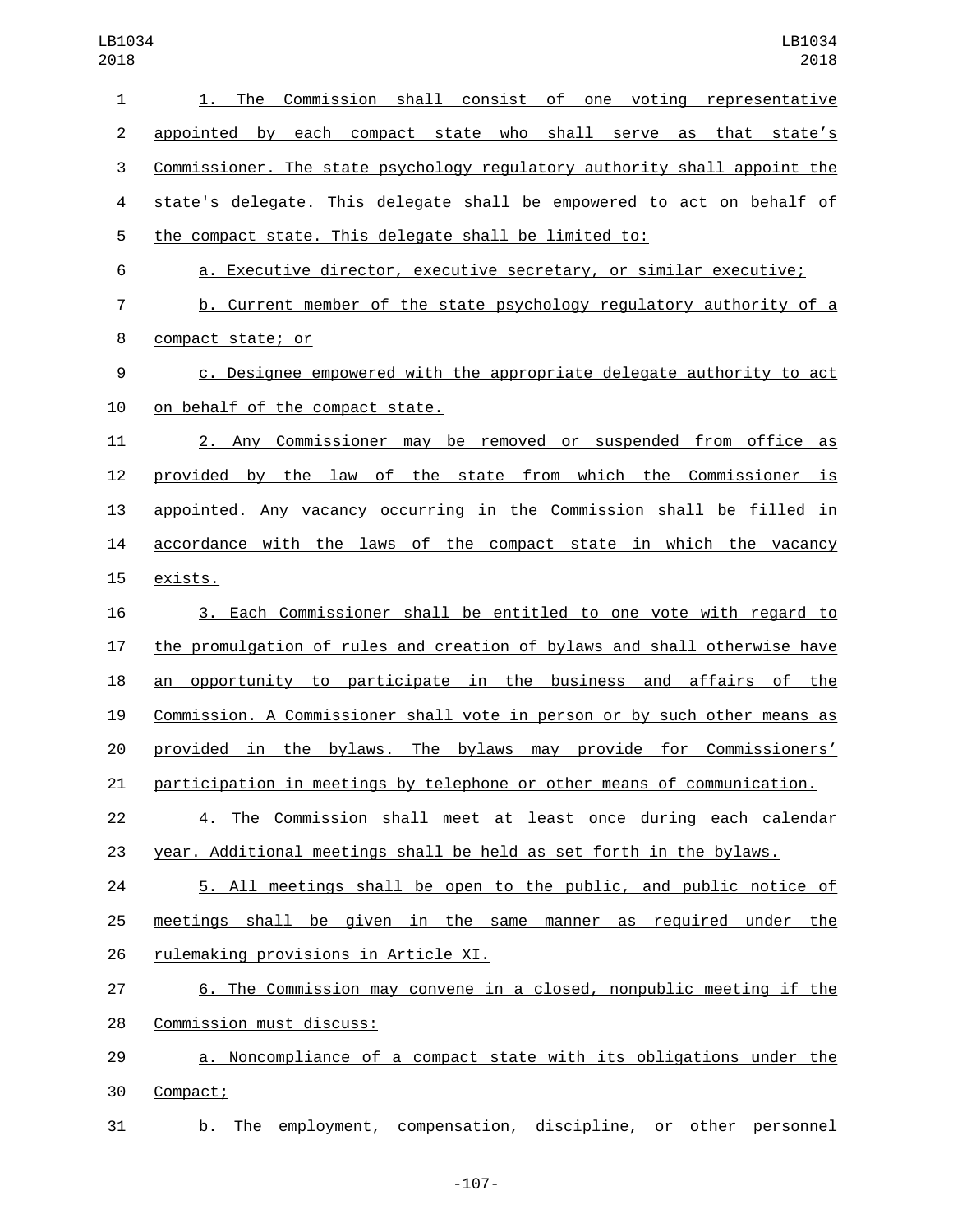| 1              | 1. The Commission shall consist of one voting representative              |
|----------------|---------------------------------------------------------------------------|
| $\overline{c}$ | appointed by each compact state who shall serve as that state's           |
| 3              | Commissioner. The state psychology regulatory authority shall appoint the |
| 4              | state's delegate. This delegate shall be empowered to act on behalf of    |
| 5              | the compact state. This delegate shall be limited to:                     |
| 6              | a. Executive director, executive secretary, or similar executive;         |
| 7              | b. Current member of the state psychology regulatory authority of a       |
| 8              | compact state; or                                                         |
| 9              | c. Designee empowered with the appropriate delegate authority to act      |
| 10             | on behalf of the compact state.                                           |
| 11             | 2. Any Commissioner may be removed or suspended from office as            |
| 12             | by the law of the state from which the Commissioner is<br>provided        |
| 13             | appointed. Any vacancy occurring in the Commission shall be filled in     |
| 14             | accordance with the laws of the compact state in which the vacancy        |
| 15             | exists.                                                                   |
| 16             | 3. Each Commissioner shall be entitled to one vote with regard to         |
| 17             | the promulgation of rules and creation of bylaws and shall otherwise have |
| 18             | opportunity to participate in the business and affairs of the<br>an       |
| 19             | Commission. A Commissioner shall vote in person or by such other means as |
| 20             | in the bylaws. The bylaws may provide for Commissioners'<br>provided      |
| 21             | participation in meetings by telephone or other means of communication.   |
| 22             | 4. The Commission shall meet at least once during each calendar           |
| 23             | year. Additional meetings shall be held as set forth in the bylaws.       |
| 24             | 5. All meetings shall be open to the public, and public notice of         |
| 25             | meetings shall be given in the same manner as required under the          |
| 26             | rulemaking provisions in Article XI.                                      |
| 27             | 6. The Commission may convene in a closed, nonpublic meeting if the       |
| 28             | Commission must discuss:                                                  |
| 29             | a. Noncompliance of a compact state with its obligations under the        |
| 30             | Compact;                                                                  |
| 31             | b. The employment, compensation, discipline, or other personnel           |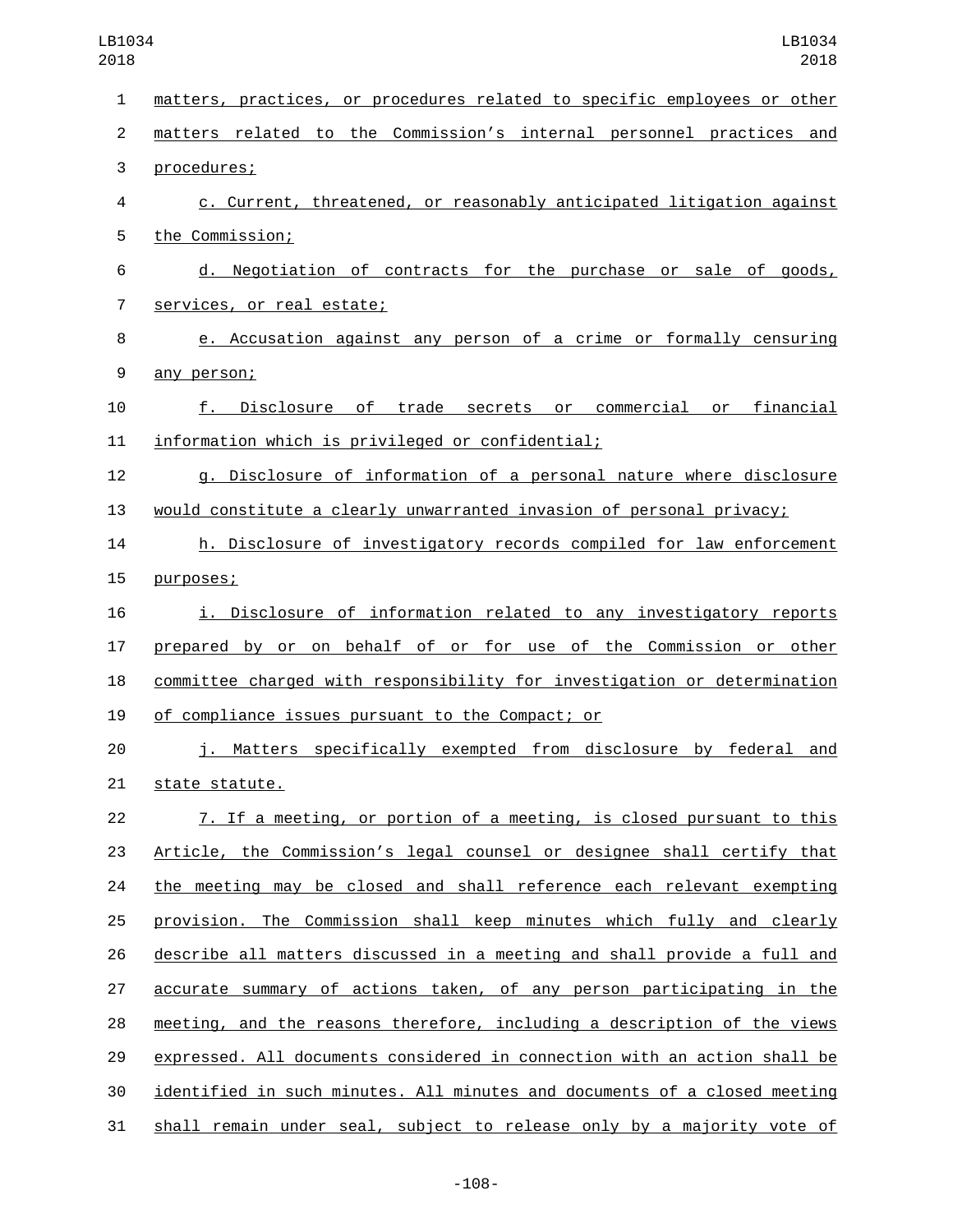| $\mathbf{1}$   | matters, practices, or procedures related to specific employees or other  |
|----------------|---------------------------------------------------------------------------|
| $\overline{2}$ | matters related to the Commission's internal personnel practices and      |
| 3              | procedures;                                                               |
| 4              | c. Current, threatened, or reasonably anticipated litigation against      |
| 5              | the Commission;                                                           |
| 6              | d. Negotiation of contracts for the purchase or sale of goods,            |
| $\overline{7}$ | services, or real estate;                                                 |
| 8              | e. Accusation against any person of a crime or formally censuring         |
| 9              | any person;                                                               |
| 10             | Disclosure of trade secrets or commercial<br>or financial<br>f.           |
| 11             | information which is privileged or confidential;                          |
| 12             | g. Disclosure of information of a personal nature where disclosure        |
| 13             | would constitute a clearly unwarranted invasion of personal privacy;      |
| 14             | h. Disclosure of investigatory records compiled for law enforcement       |
| 15             | purposes;                                                                 |
| 16             | i. Disclosure of information related to any investigatory reports         |
| 17             | prepared by or on behalf of or for use of the Commission or other         |
| 18             | committee charged with responsibility for investigation or determination  |
| 19             | of compliance issues pursuant to the Compact; or                          |
| 20             | j. Matters specifically exempted from disclosure by federal and           |
| 21             | state statute.                                                            |
| 22             | 7. If a meeting, or portion of a meeting, is closed pursuant to this      |
| 23             | Article, the Commission's legal counsel or designee shall certify that    |
| 24             | the meeting may be closed and shall reference each relevant exempting     |
| 25             | provision. The Commission shall keep minutes which fully and clearly      |
| 26             | describe all matters discussed in a meeting and shall provide a full and  |
| 27             | accurate summary of actions taken, of any person participating in the     |
| 28             | meeting, and the reasons therefore, including a description of the views  |
| 29             | expressed. All documents considered in connection with an action shall be |
| 30             | identified in such minutes. All minutes and documents of a closed meeting |
| 31             | shall remain under seal, subject to release only by a majority vote of    |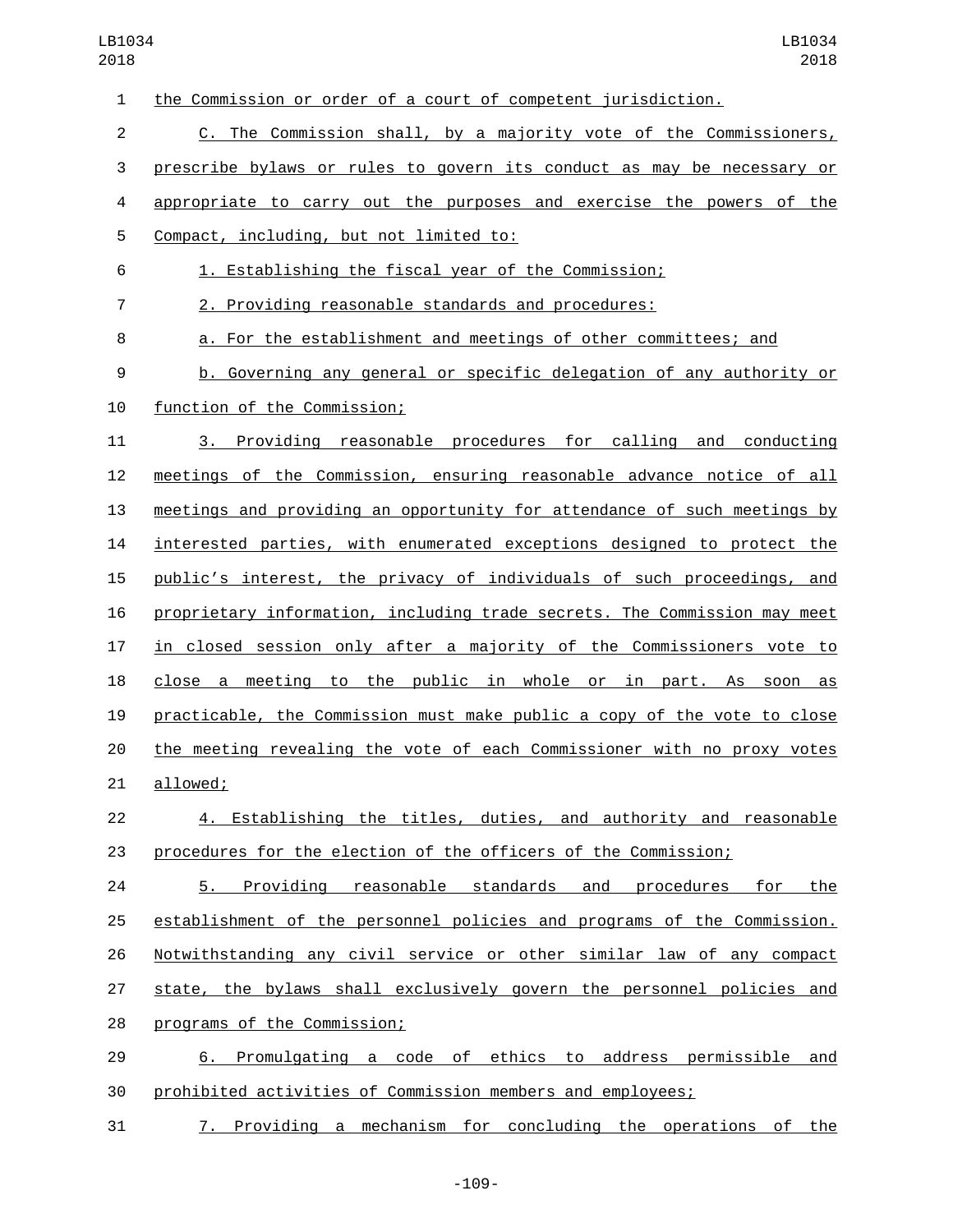| $\mathbf{1}$   | the Commission or order of a court of competent jurisdiction.             |
|----------------|---------------------------------------------------------------------------|
| $\overline{2}$ | C. The Commission shall, by a majority vote of the Commissioners,         |
| 3              | prescribe bylaws or rules to govern its conduct as may be necessary or    |
| 4              | appropriate to carry out the purposes and exercise the powers of the      |
| 5              | Compact, including, but not limited to:                                   |
| 6              | 1. Establishing the fiscal year of the Commission;                        |
| $\overline{7}$ | 2. Providing reasonable standards and procedures:                         |
| 8              | a. For the establishment and meetings of other committees; and            |
| 9              | b. Governing any general or specific delegation of any authority or       |
| 10             | function of the Commission;                                               |
| 11             | 3. Providing reasonable procedures for calling and conducting             |
| 12             | meetings of the Commission, ensuring reasonable advance notice of all     |
| 13             | meetings and providing an opportunity for attendance of such meetings by  |
| 14             | interested parties, with enumerated exceptions designed to protect the    |
| 15             | public's interest, the privacy of individuals of such proceedings, and    |
| 16             | proprietary information, including trade secrets. The Commission may meet |
| 17             | in closed session only after a majority of the Commissioners vote to      |
| 18             | close a meeting to the public in whole or in part. As soon<br>as          |
| 19             | practicable, the Commission must make public a copy of the vote to close  |
| 20             | the meeting revealing the vote of each Commissioner with no proxy votes   |
| 21             | allowed;                                                                  |
| 22             | 4. Establishing the titles, duties, and authority and reasonable          |
| 23             | procedures for the election of the officers of the Commission;            |
| 24             | Providing reasonable standards and procedures for<br>the<br>5.            |
| 25             | establishment of the personnel policies and programs of the Commission.   |
| 26             | Notwithstanding any civil service or other similar law of any compact     |
| 27             | state, the bylaws shall exclusively govern the personnel policies and     |
| 28             | programs of the Commission;                                               |
| 29             | 6. Promulgating a code of ethics to address permissible and               |
| 30             | prohibited activities of Commission members and employees;                |
| 31             | Providing a mechanism for concluding the operations of the<br>7.          |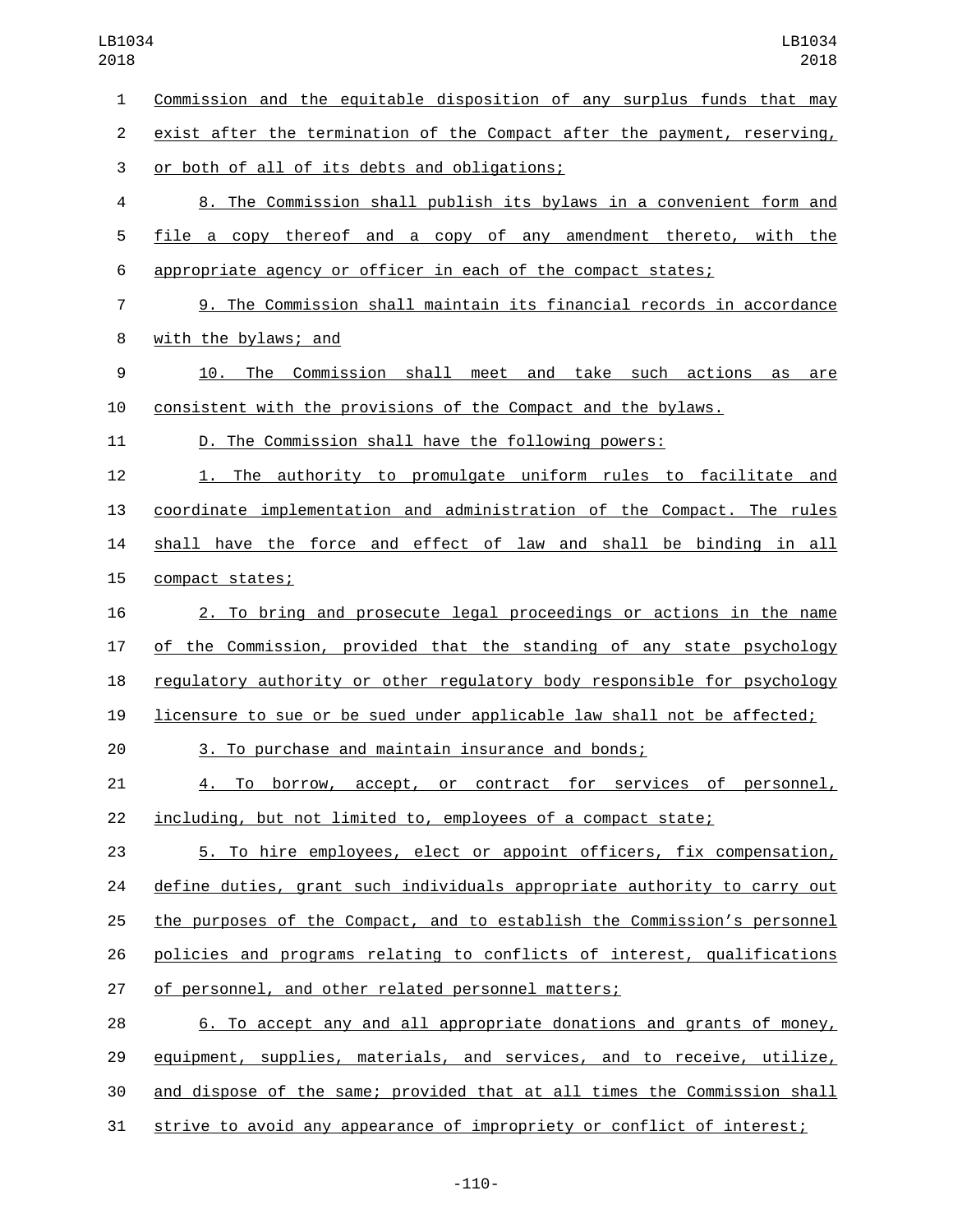Commission and the equitable disposition of any surplus funds that may exist after the termination of the Compact after the payment, reserving, 3 or both of all of its debts and obligations; 8. The Commission shall publish its bylaws in a convenient form and file a copy thereof and a copy of any amendment thereto, with the appropriate agency or officer in each of the compact states; 9. The Commission shall maintain its financial records in accordance 8 with the bylaws; and 10. The Commission shall meet and take such actions as are consistent with the provisions of the Compact and the bylaws. D. The Commission shall have the following powers: 1. The authority to promulgate uniform rules to facilitate and coordinate implementation and administration of the Compact. The rules shall have the force and effect of law and shall be binding in all 15 compact states; 2. To bring and prosecute legal proceedings or actions in the name of the Commission, provided that the standing of any state psychology regulatory authority or other regulatory body responsible for psychology licensure to sue or be sued under applicable law shall not be affected; 3. To purchase and maintain insurance and bonds; 4. To borrow, accept, or contract for services of personnel, including, but not limited to, employees of a compact state; 5. To hire employees, elect or appoint officers, fix compensation, define duties, grant such individuals appropriate authority to carry out the purposes of the Compact, and to establish the Commission's personnel policies and programs relating to conflicts of interest, qualifications of personnel, and other related personnel matters; 6. To accept any and all appropriate donations and grants of money, 29 equipment, supplies, materials, and services, and to receive, utilize, and dispose of the same; provided that at all times the Commission shall strive to avoid any appearance of impropriety or conflict of interest;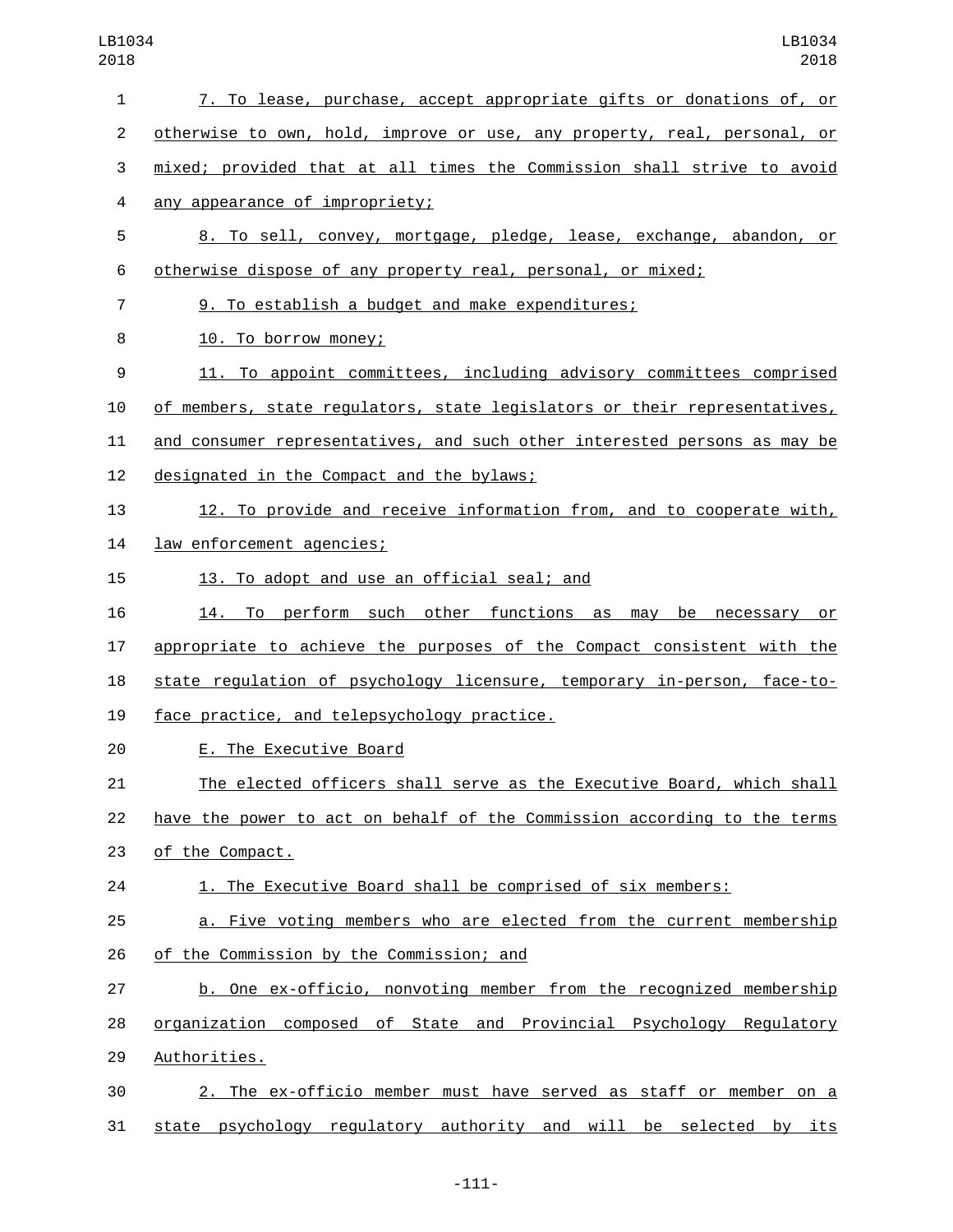| $\mathbf{1}$   | 7. To lease, purchase, accept appropriate gifts or donations of, or       |
|----------------|---------------------------------------------------------------------------|
| $\overline{2}$ | otherwise to own, hold, improve or use, any property, real, personal, or  |
| 3              | mixed; provided that at all times the Commission shall strive to avoid    |
| 4              | any appearance of impropriety;                                            |
| 5              | 8. To sell, convey, mortgage, pledge, lease, exchange, abandon, or        |
| 6              | otherwise dispose of any property real, personal, or mixed;               |
| $\overline{7}$ | 9. To establish a budget and make expenditures;                           |
| 8              | 10. To borrow money;                                                      |
| 9              | 11. To appoint committees, including advisory committees comprised        |
| 10             | of members, state regulators, state legislators or their representatives, |
| 11             | and consumer representatives, and such other interested persons as may be |
| 12             | designated in the Compact and the bylaws;                                 |
| 13             | 12. To provide and receive information from, and to cooperate with,       |
| 14             | law enforcement agencies;                                                 |
| 15             | 13. To adopt and use an official seal; and                                |
| 16             | 14. To perform such other functions as may be necessary or                |
| 17             | appropriate to achieve the purposes of the Compact consistent with the    |
| 18             | state regulation of psychology licensure, temporary in-person, face-to-   |
| 19             | face practice, and telepsychology practice.                               |
| 20             | E. The Executive Board                                                    |
| 21             | The elected officers shall serve as the Executive Board, which shall      |
| 22             | have the power to act on behalf of the Commission according to the terms  |
| 23             | of the Compact.                                                           |
| 24             | 1. The Executive Board shall be comprised of six members:                 |
| 25             | a. Five voting members who are elected from the current membership        |
| 26             | of the Commission by the Commission; and                                  |
| 27             | b. One ex-officio, nonvoting member from the recognized membership        |
| 28             | organization composed of State and Provincial Psychology Regulatory       |
| 29             | Authorities.                                                              |
| 30             | 2. The ex-officio member must have served as staff or member on a         |
| 31             | state psychology regulatory authority and will be selected<br>by its      |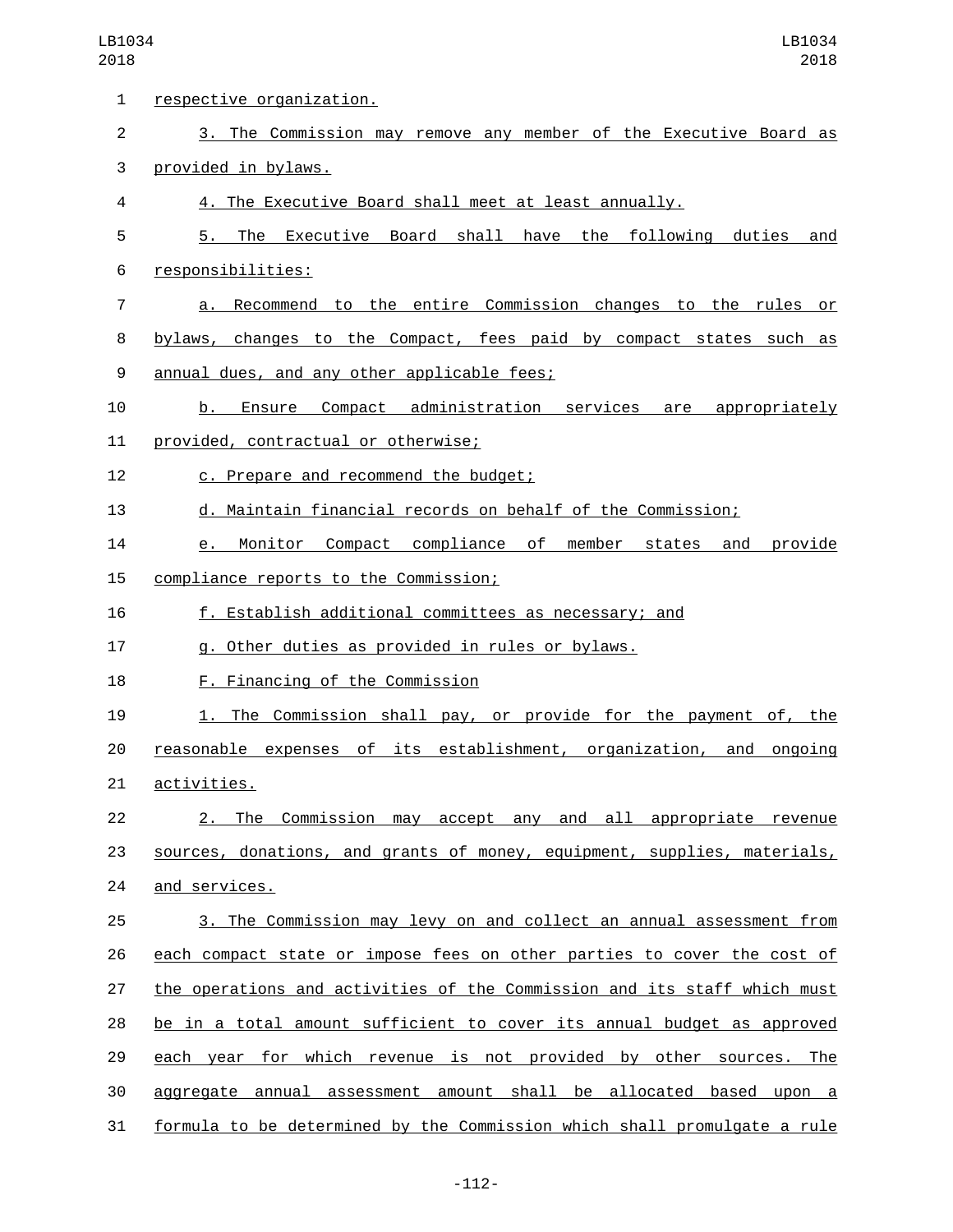| $\mathbf{1}$   | respective organization.                                                 |
|----------------|--------------------------------------------------------------------------|
| $\overline{2}$ | 3. The Commission may remove any member of the Executive Board as        |
| 3              | provided in bylaws.                                                      |
| 4              | 4. The Executive Board shall meet at least annually.                     |
| 5              | 5. The Executive Board shall have the following duties<br>and            |
| 6              | responsibilities:                                                        |
| $\overline{7}$ | a. Recommend to the entire Commission changes to the rules or            |
| 8              | bylaws, changes to the Compact, fees paid by compact states such as      |
| 9              | annual dues, and any other applicable fees;                              |
| 10             | b. Ensure Compact administration services are appropriately              |
| 11             | provided, contractual or otherwise;                                      |
| 12             | c. Prepare and recommend the budget;                                     |
| 13             | d. Maintain financial records on behalf of the Commission;               |
| 14             | e. Monitor Compact compliance of member states and provide               |
| 15             | compliance reports to the Commission;                                    |
| 16             | f. Establish additional committees as necessary; and                     |
| 17             | g. Other duties as provided in rules or bylaws.                          |
| 18             | F. Financing of the Commission                                           |
| 19             | 1. The Commission shall pay, or provide for the payment of, the          |
| 20             | reasonable expenses of its establishment, organization, and ongoing      |
| 21             | activities.                                                              |
| 22             | 2. The Commission may accept any and all appropriate revenue             |
| 23             | sources, donations, and grants of money, equipment, supplies, materials, |
| 24             | and services.                                                            |
| 25             | 3. The Commission may levy on and collect an annual assessment from      |
| 26             | each compact state or impose fees on other parties to cover the cost of  |
| 27             | the operations and activities of the Commission and its staff which must |
| 28             | be in a total amount sufficient to cover its annual budget as approved   |
| 29             | each year for which revenue is not provided by other sources. The        |
| 30             | aggregate annual assessment amount shall be allocated based upon a       |
| 31             | formula to be determined by the Commission which shall promulgate a rule |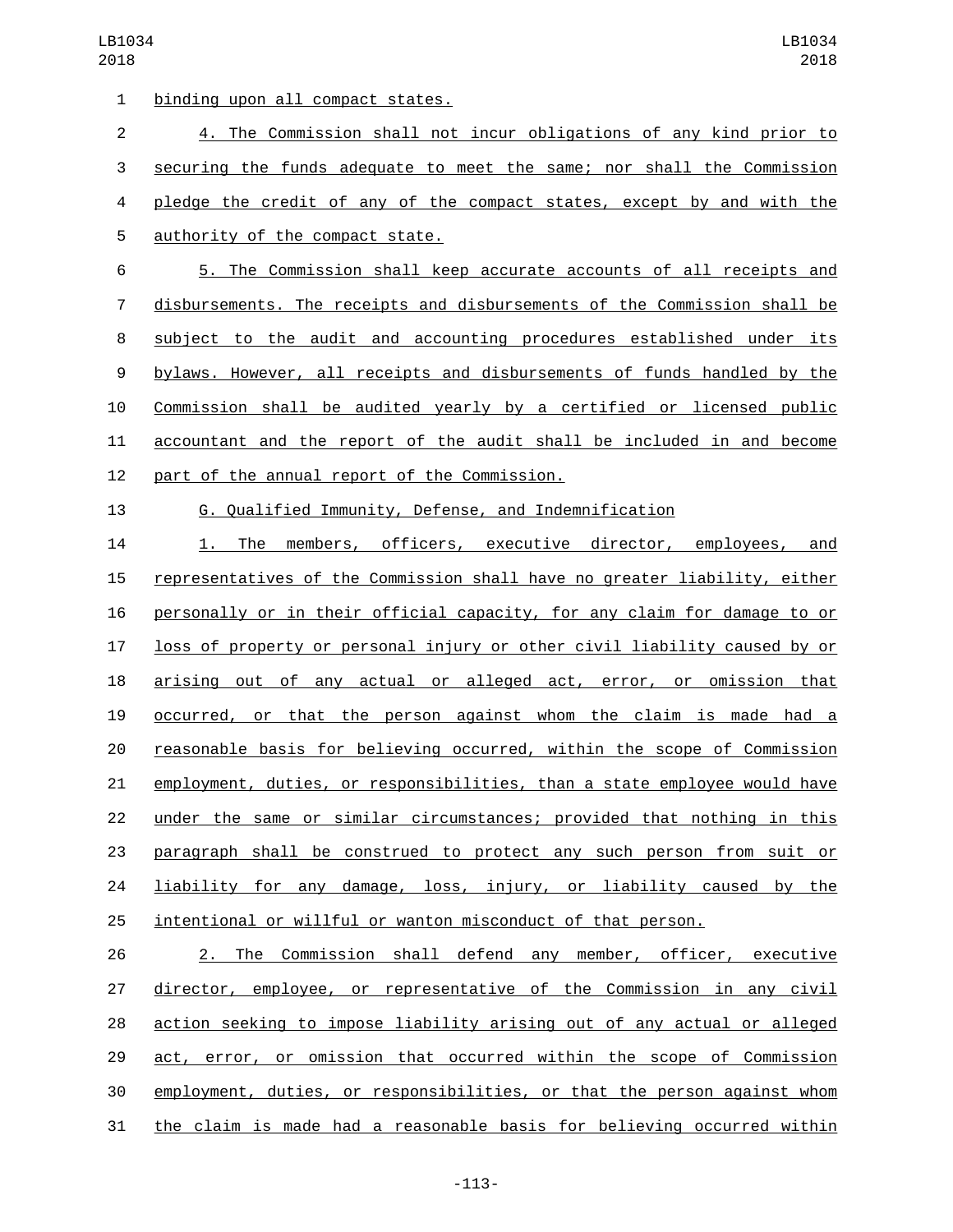1 binding upon all compact states. 4. The Commission shall not incur obligations of any kind prior to securing the funds adequate to meet the same; nor shall the Commission pledge the credit of any of the compact states, except by and with the 5 authority of the compact state. 5. The Commission shall keep accurate accounts of all receipts and disbursements. The receipts and disbursements of the Commission shall be subject to the audit and accounting procedures established under its bylaws. However, all receipts and disbursements of funds handled by the Commission shall be audited yearly by a certified or licensed public accountant and the report of the audit shall be included in and become 12 part of the annual report of the Commission. G. Qualified Immunity, Defense, and Indemnification 1. The members, officers, executive director, employees, and representatives of the Commission shall have no greater liability, either

 personally or in their official capacity, for any claim for damage to or loss of property or personal injury or other civil liability caused by or arising out of any actual or alleged act, error, or omission that occurred, or that the person against whom the claim is made had a reasonable basis for believing occurred, within the scope of Commission employment, duties, or responsibilities, than a state employee would have under the same or similar circumstances; provided that nothing in this paragraph shall be construed to protect any such person from suit or **liability for any damage, loss, injury, or liability caused by the** intentional or willful or wanton misconduct of that person.

 2. The Commission shall defend any member, officer, executive director, employee, or representative of the Commission in any civil action seeking to impose liability arising out of any actual or alleged act, error, or omission that occurred within the scope of Commission employment, duties, or responsibilities, or that the person against whom the claim is made had a reasonable basis for believing occurred within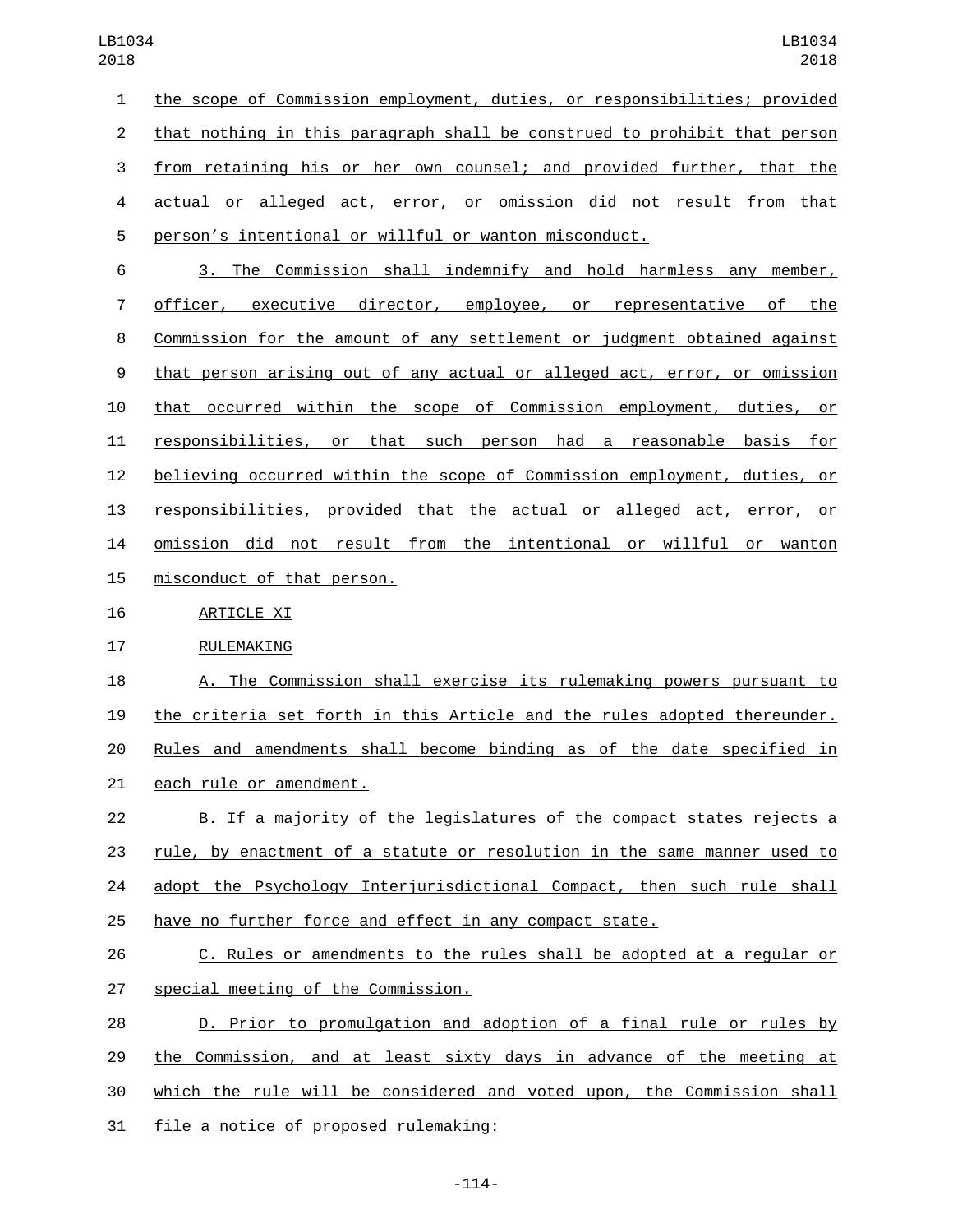the scope of Commission employment, duties, or responsibilities; provided that nothing in this paragraph shall be construed to prohibit that person from retaining his or her own counsel; and provided further, that the actual or alleged act, error, or omission did not result from that person's intentional or willful or wanton misconduct.

 3. The Commission shall indemnify and hold harmless any member, officer, executive director, employee, or representative of the Commission for the amount of any settlement or judgment obtained against that person arising out of any actual or alleged act, error, or omission that occurred within the scope of Commission employment, duties, or responsibilities, or that such person had a reasonable basis for believing occurred within the scope of Commission employment, duties, or responsibilities, provided that the actual or alleged act, error, or omission did not result from the intentional or willful or wanton 15 misconduct of that person.

## 16 ARTICLE XI

## 17 RULEMAKING

 A. The Commission shall exercise its rulemaking powers pursuant to the criteria set forth in this Article and the rules adopted thereunder. Rules and amendments shall become binding as of the date specified in 21 each rule or amendment.

- B. If a majority of the legislatures of the compact states rejects a rule, by enactment of a statute or resolution in the same manner used to 24 adopt the Psychology Interjurisdictional Compact, then such rule shall have no further force and effect in any compact state.
- C. Rules or amendments to the rules shall be adopted at a regular or 27 special meeting of the Commission.
- D. Prior to promulgation and adoption of a final rule or rules by the Commission, and at least sixty days in advance of the meeting at which the rule will be considered and voted upon, the Commission shall 31 file a notice of proposed rulemaking: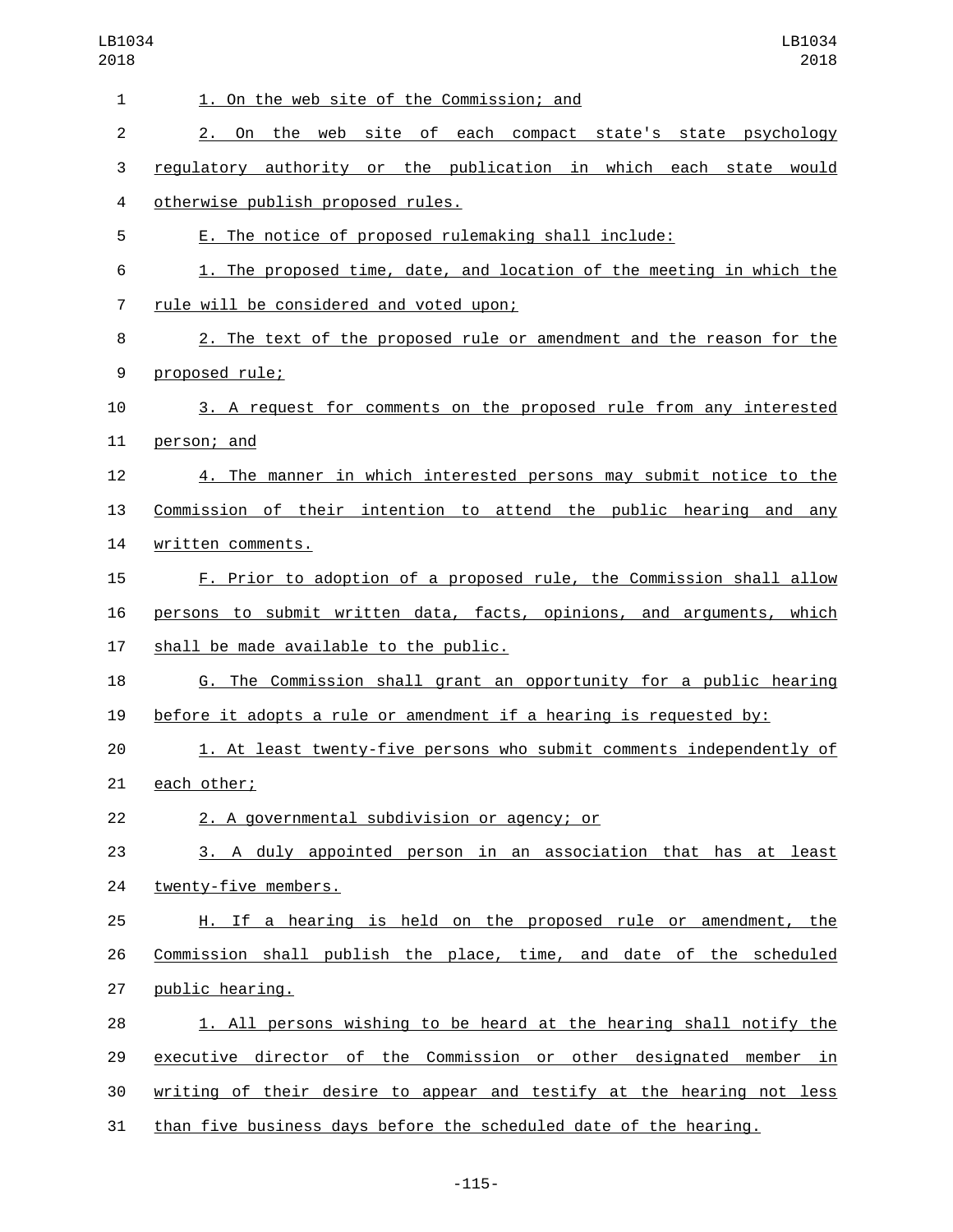| $\mathbf{1}$   | 1. On the web site of the Commission; and                             |
|----------------|-----------------------------------------------------------------------|
| $\overline{2}$ | 2. On the web site of each compact state's state psychology           |
| 3              | regulatory authority or the publication in which each state would     |
| 4              | otherwise publish proposed rules.                                     |
| 5              | E. The notice of proposed rulemaking shall include:                   |
| 6              | 1. The proposed time, date, and location of the meeting in which the  |
| $\overline{7}$ | rule will be considered and voted upon;                               |
| 8              | 2. The text of the proposed rule or amendment and the reason for the  |
| 9              | proposed rule;                                                        |
| 10             | 3. A request for comments on the proposed rule from any interested    |
| 11             | person; and                                                           |
| 12             | 4. The manner in which interested persons may submit notice to the    |
| 13             | Commission of their intention to attend the public hearing and any    |
| 14             | written comments.                                                     |
| 15             | F. Prior to adoption of a proposed rule, the Commission shall allow   |
| 16             | persons to submit written data, facts, opinions, and arguments, which |
| 17             | shall be made available to the public.                                |
| 18             | G. The Commission shall grant an opportunity for a public hearing     |
| 19             | before it adopts a rule or amendment if a hearing is requested by:    |
| 20             | 1. At least twenty-five persons who submit comments independently of  |
| 21             | each other;                                                           |
| 22             | 2. A governmental subdivision or agency; or                           |
| 23             | 3. A duly appointed person in an association that has at least        |
| 24             | twenty-five members.                                                  |
| 25             | H. If a hearing is held on the proposed rule or amendment, the        |
| 26             | Commission shall publish the place, time, and date of the scheduled   |
| 27             | public hearing.                                                       |
| 28             | 1. All persons wishing to be heard at the hearing shall notify the    |
| 29             | executive director of the Commission or other designated member in    |
| 30             | writing of their desire to appear and testify at the hearing not less |
| 31             | than five business days before the scheduled date of the hearing.     |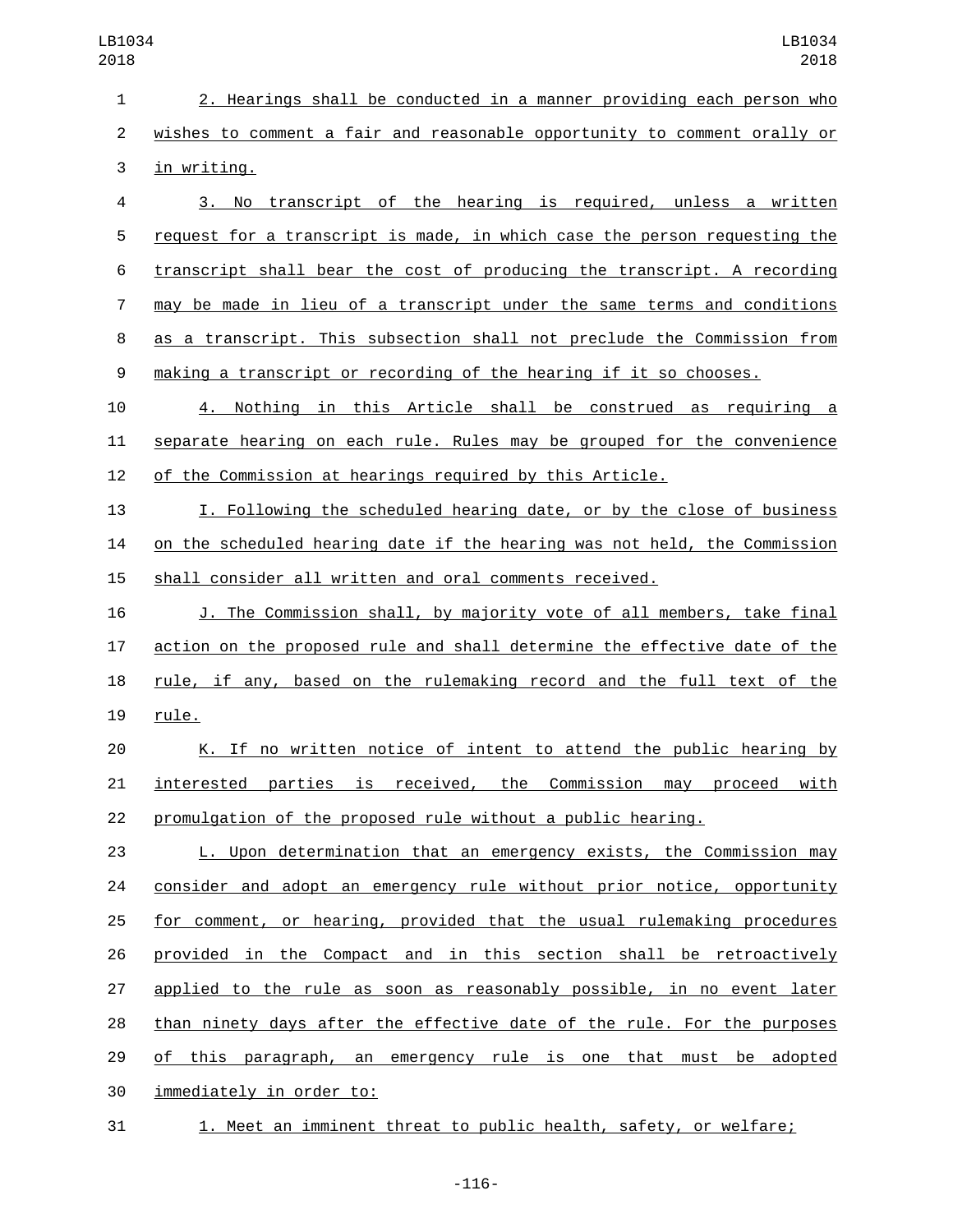2. Hearings shall be conducted in a manner providing each person who wishes to comment a fair and reasonable opportunity to comment orally or 3 in writing.

 3. No transcript of the hearing is required, unless a written request for a transcript is made, in which case the person requesting the transcript shall bear the cost of producing the transcript. A recording may be made in lieu of a transcript under the same terms and conditions as a transcript. This subsection shall not preclude the Commission from making a transcript or recording of the hearing if it so chooses.

 4. Nothing in this Article shall be construed as requiring a separate hearing on each rule. Rules may be grouped for the convenience of the Commission at hearings required by this Article.

 I. Following the scheduled hearing date, or by the close of business on the scheduled hearing date if the hearing was not held, the Commission shall consider all written and oral comments received.

 J. The Commission shall, by majority vote of all members, take final action on the proposed rule and shall determine the effective date of the rule, if any, based on the rulemaking record and the full text of the 19 rule.

 K. If no written notice of intent to attend the public hearing by interested parties is received, the Commission may proceed with promulgation of the proposed rule without a public hearing.

 L. Upon determination that an emergency exists, the Commission may 24 consider and adopt an emergency rule without prior notice, opportunity 25 for comment, or hearing, provided that the usual rulemaking procedures provided in the Compact and in this section shall be retroactively applied to the rule as soon as reasonably possible, in no event later than ninety days after the effective date of the rule. For the purposes 29 of this paragraph, an emergency rule is one that must be adopted 30 immediately in order to:

1. Meet an imminent threat to public health, safety, or welfare;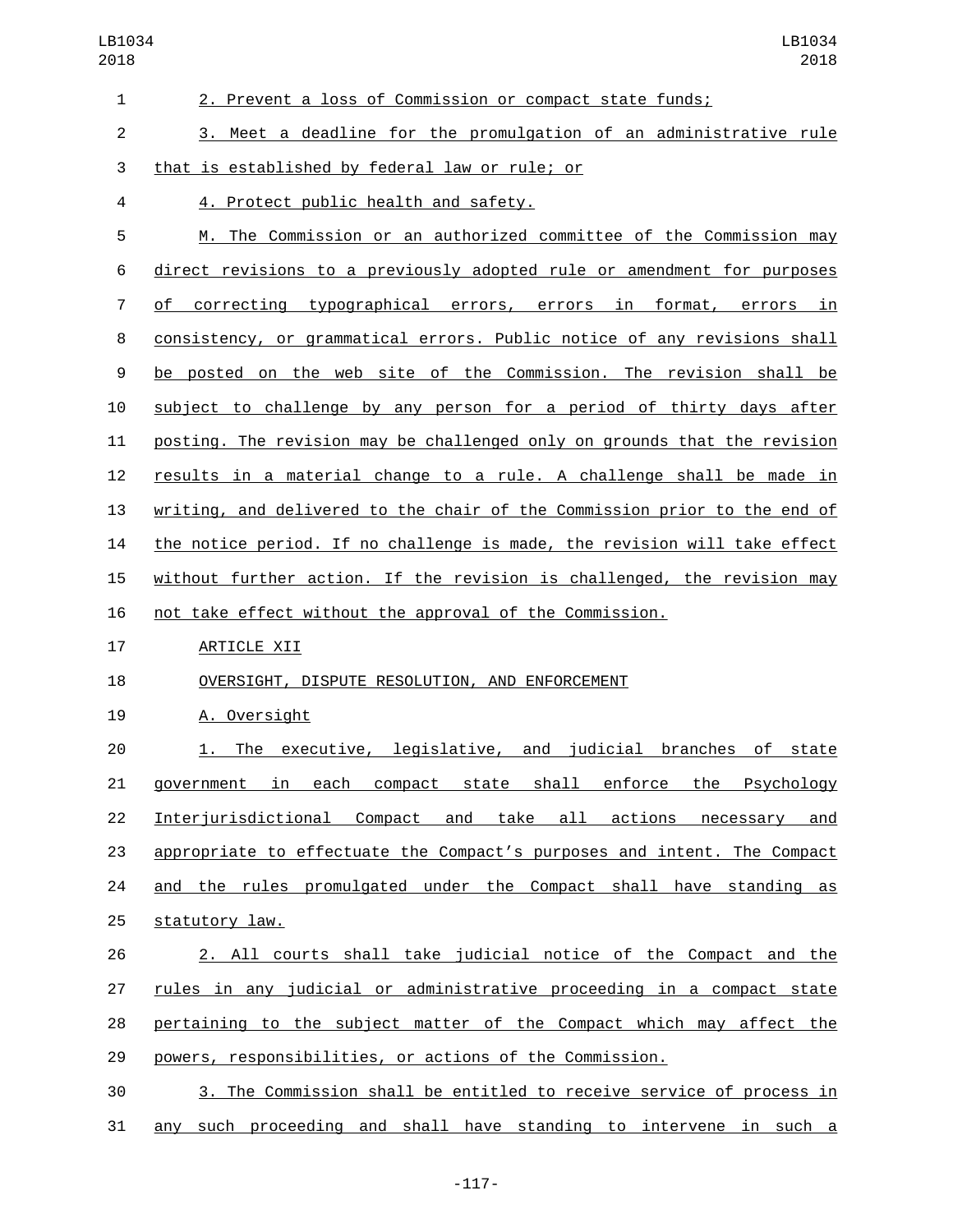| 1  | 2. Prevent a loss of Commission or compact state funds;                   |
|----|---------------------------------------------------------------------------|
| 2  | 3. Meet a deadline for the promulgation of an administrative rule         |
| 3  | that is established by federal law or rule; or                            |
| 4  | <u>4. Protect public health and safety.</u>                               |
| 5  | M. The Commission or an authorized committee of the Commission may        |
| 6  | direct revisions to a previously adopted rule or amendment for purposes   |
| 7  | of correcting typographical errors, errors in format, errors in           |
| 8  | consistency, or grammatical errors. Public notice of any revisions shall  |
| 9  | be posted on the web site of the Commission. The revision shall be        |
| 10 | subject to challenge by any person for a period of thirty days after      |
| 11 | posting. The revision may be challenged only on grounds that the revision |
| 12 | results in a material change to a rule. A challenge shall be made in      |
| 13 | writing, and delivered to the chair of the Commission prior to the end of |
| 14 | the notice period. If no challenge is made, the revision will take effect |
| 15 | without further action. If the revision is challenged, the revision may   |
| 16 | not take effect without the approval of the Commission.                   |
| 17 | ARTICLE XII                                                               |
| 18 | OVERSIGHT, DISPUTE RESOLUTION, AND ENFORCEMENT                            |
| 19 | A. Oversight                                                              |
| 20 | The executive, legislative, and judicial branches of state<br>1.          |
| 21 | government in each compact state shall enforce the Psychology             |
| 22 | Interjurisdictional Compact and take all actions necessary and            |
| 23 | appropriate to effectuate the Compact's purposes and intent. The Compact  |
| 24 | and the rules promulgated under the Compact shall have standing as        |
| 25 | statutory law.                                                            |
| 26 | 2. All courts shall take judicial notice of the Compact and the           |
| 27 | rules in any judicial or administrative proceeding in a compact state     |
| 28 | pertaining to the subject matter of the Compact which may affect the      |
| 29 | powers, responsibilities, or actions of the Commission.                   |
| 30 | 3. The Commission shall be entitled to receive service of process in      |
|    |                                                                           |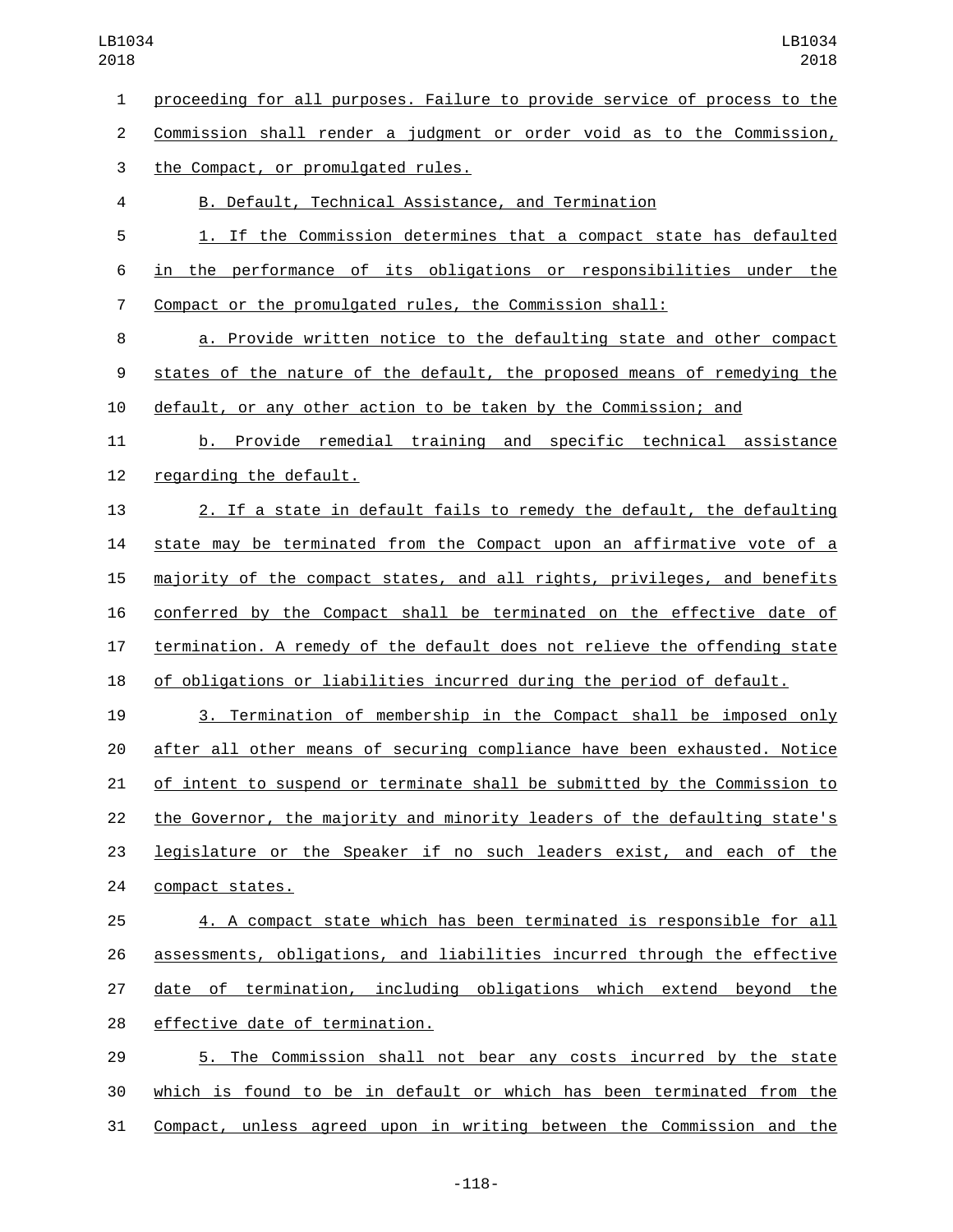proceeding for all purposes. Failure to provide service of process to the Commission shall render a judgment or order void as to the Commission, 3 the Compact, or promulgated rules. B. Default, Technical Assistance, and Termination 1. If the Commission determines that a compact state has defaulted in the performance of its obligations or responsibilities under the Compact or the promulgated rules, the Commission shall: a. Provide written notice to the defaulting state and other compact states of the nature of the default, the proposed means of remedying the default, or any other action to be taken by the Commission; and b. Provide remedial training and specific technical assistance 12 regarding the default. 2. If a state in default fails to remedy the default, the defaulting state may be terminated from the Compact upon an affirmative vote of a majority of the compact states, and all rights, privileges, and benefits conferred by the Compact shall be terminated on the effective date of termination. A remedy of the default does not relieve the offending state of obligations or liabilities incurred during the period of default. 3. Termination of membership in the Compact shall be imposed only after all other means of securing compliance have been exhausted. Notice of intent to suspend or terminate shall be submitted by the Commission to the Governor, the majority and minority leaders of the defaulting state's **legislature or the Speaker if no such leaders exist, and each of the** 24 compact states. 4. A compact state which has been terminated is responsible for all assessments, obligations, and liabilities incurred through the effective date of termination, including obligations which extend beyond the 28 effective date of termination. 5. The Commission shall not bear any costs incurred by the state which is found to be in default or which has been terminated from the Compact, unless agreed upon in writing between the Commission and the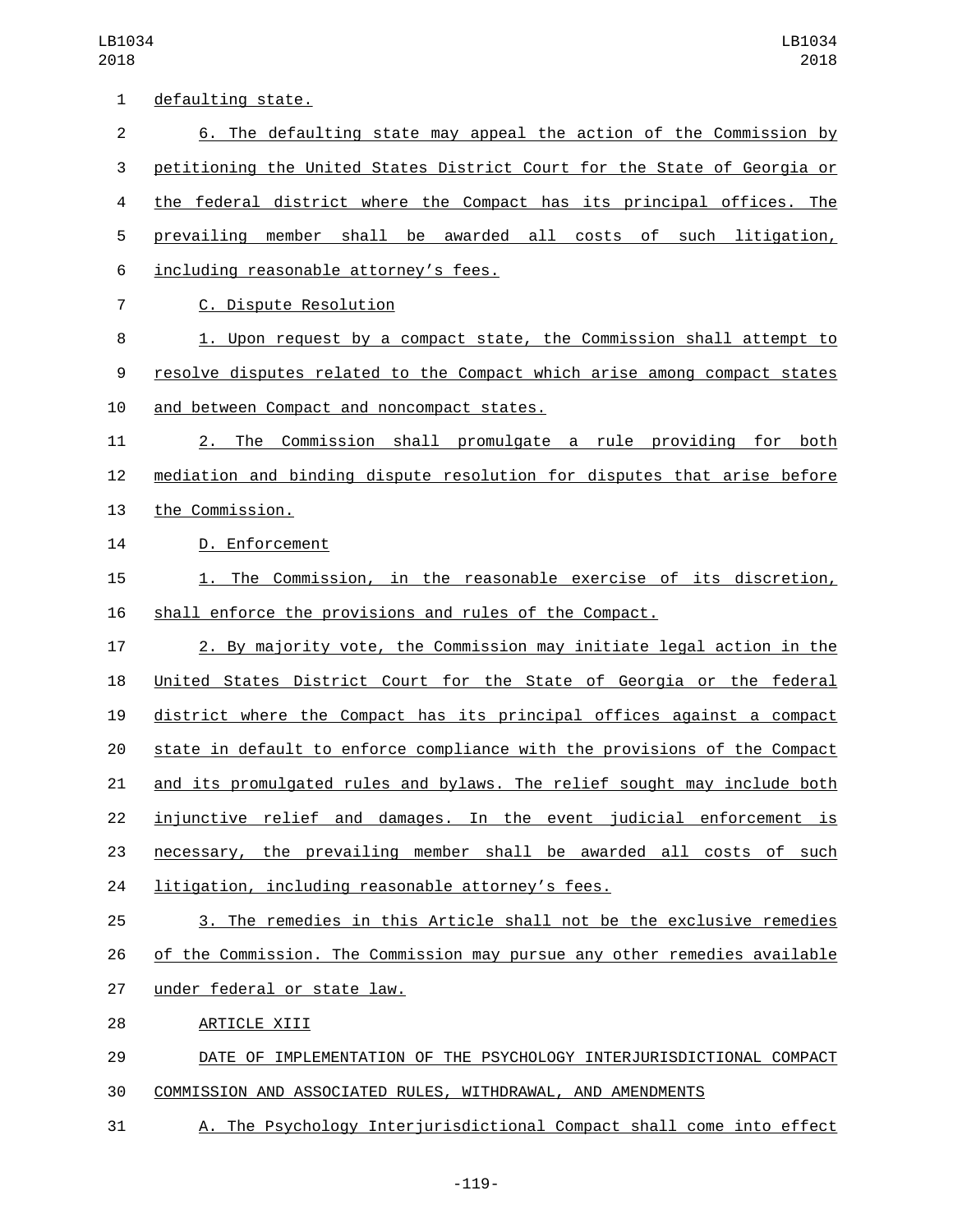| 1  | defaulting state.                                                         |
|----|---------------------------------------------------------------------------|
| 2  | 6. The defaulting state may appeal the action of the Commission by        |
| 3  | petitioning the United States District Court for the State of Georgia or  |
| 4  | the federal district where the Compact has its principal offices. The     |
| 5  | prevailing member shall be awarded all<br>costs of such litigation,       |
| 6  | including reasonable attorney's fees.                                     |
| 7  | C. Dispute Resolution                                                     |
| 8  | 1. Upon request by a compact state, the Commission shall attempt to       |
| 9  | resolve disputes related to the Compact which arise among compact states  |
| 10 | and between Compact and noncompact states.                                |
| 11 | The Commission shall promulgate a rule providing for<br>both<br>2.        |
| 12 | mediation and binding dispute resolution for disputes that arise before   |
| 13 | the Commission.                                                           |
| 14 | D. Enforcement                                                            |
| 15 | 1. The Commission, in the reasonable exercise of its discretion,          |
| 16 | shall enforce the provisions and rules of the Compact.                    |
| 17 | 2. By majority vote, the Commission may initiate legal action in the      |
| 18 | United States District Court for the State of Georgia or the federal      |
| 19 | district where the Compact has its principal offices against a compact    |
| 20 | state in default to enforce compliance with the provisions of the Compact |
| 21 | and its promulgated rules and bylaws. The relief sought may include both  |
| 22 | injunctive relief and damages. In the event judicial enforcement is       |
| 23 | necessary, the prevailing member shall be awarded all costs of such       |
| 24 | litigation, including reasonable attorney's fees.                         |
| 25 | 3. The remedies in this Article shall not be the exclusive remedies       |
| 26 | of the Commission. The Commission may pursue any other remedies available |
| 27 | under federal or state law.                                               |
| 28 | ARTICLE XIII                                                              |
| 29 | DATE OF IMPLEMENTATION OF THE PSYCHOLOGY INTERJURISDICTIONAL COMPACT      |
| 30 | COMMISSION AND ASSOCIATED RULES, WITHDRAWAL, AND AMENDMENTS               |

A. The Psychology Interjurisdictional Compact shall come into effect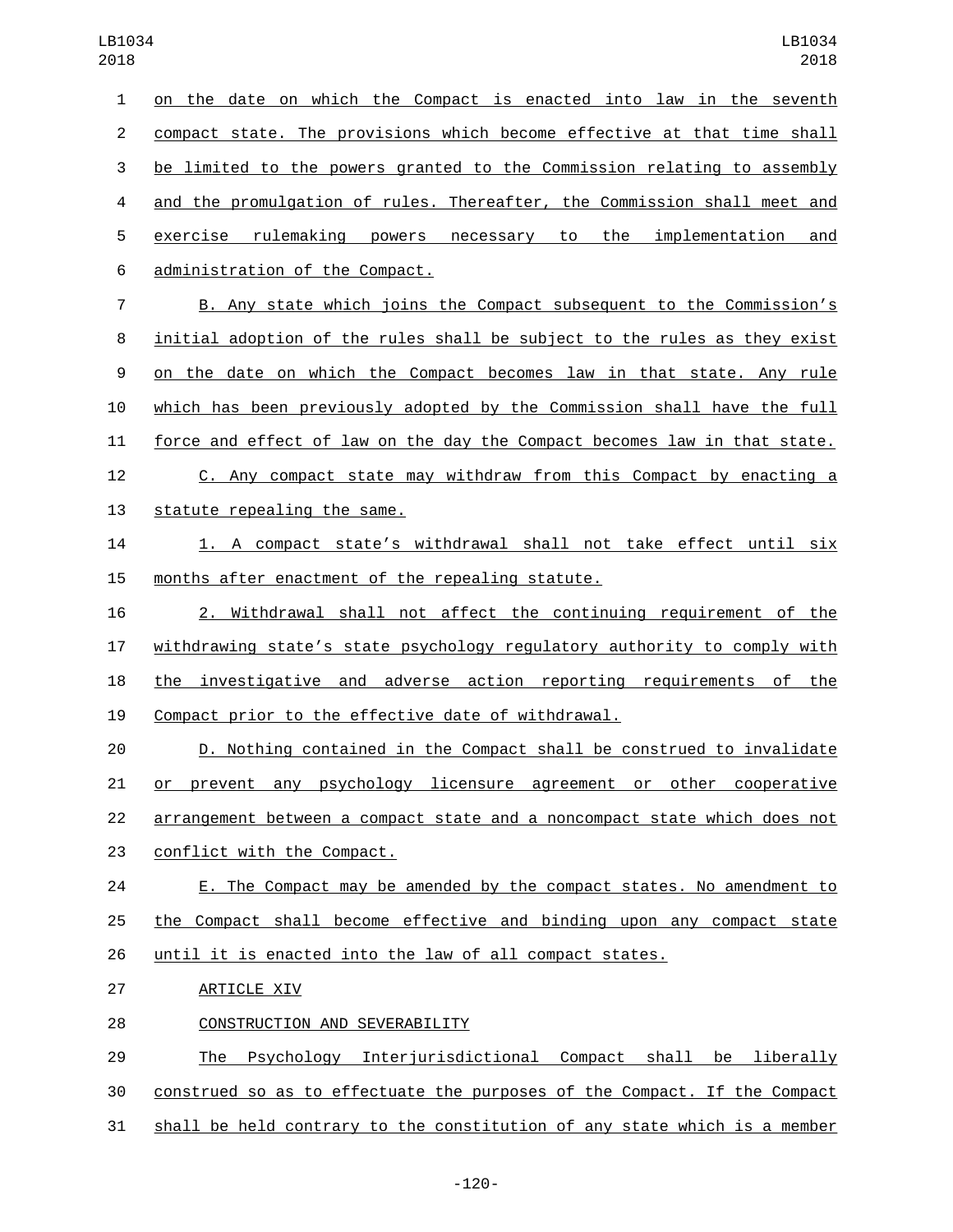on the date on which the Compact is enacted into law in the seventh compact state. The provisions which become effective at that time shall be limited to the powers granted to the Commission relating to assembly and the promulgation of rules. Thereafter, the Commission shall meet and exercise rulemaking powers necessary to the implementation and 6 administration of the Compact. B. Any state which joins the Compact subsequent to the Commission's initial adoption of the rules shall be subject to the rules as they exist on the date on which the Compact becomes law in that state. Any rule which has been previously adopted by the Commission shall have the full force and effect of law on the day the Compact becomes law in that state. C. Any compact state may withdraw from this Compact by enacting a 13 statute repealing the same. 1. A compact state's withdrawal shall not take effect until six 15 months after enactment of the repealing statute. 2. Withdrawal shall not affect the continuing requirement of the withdrawing state's state psychology regulatory authority to comply with the investigative and adverse action reporting requirements of the Compact prior to the effective date of withdrawal. D. Nothing contained in the Compact shall be construed to invalidate or prevent any psychology licensure agreement or other cooperative arrangement between a compact state and a noncompact state which does not 23 conflict with the Compact. E. The Compact may be amended by the compact states. No amendment to 

the Compact shall become effective and binding upon any compact state

until it is enacted into the law of all compact states.

27 ARTICLE XIV

28 CONSTRUCTION AND SEVERABILITY

 The Psychology Interjurisdictional Compact shall be liberally construed so as to effectuate the purposes of the Compact. If the Compact shall be held contrary to the constitution of any state which is a member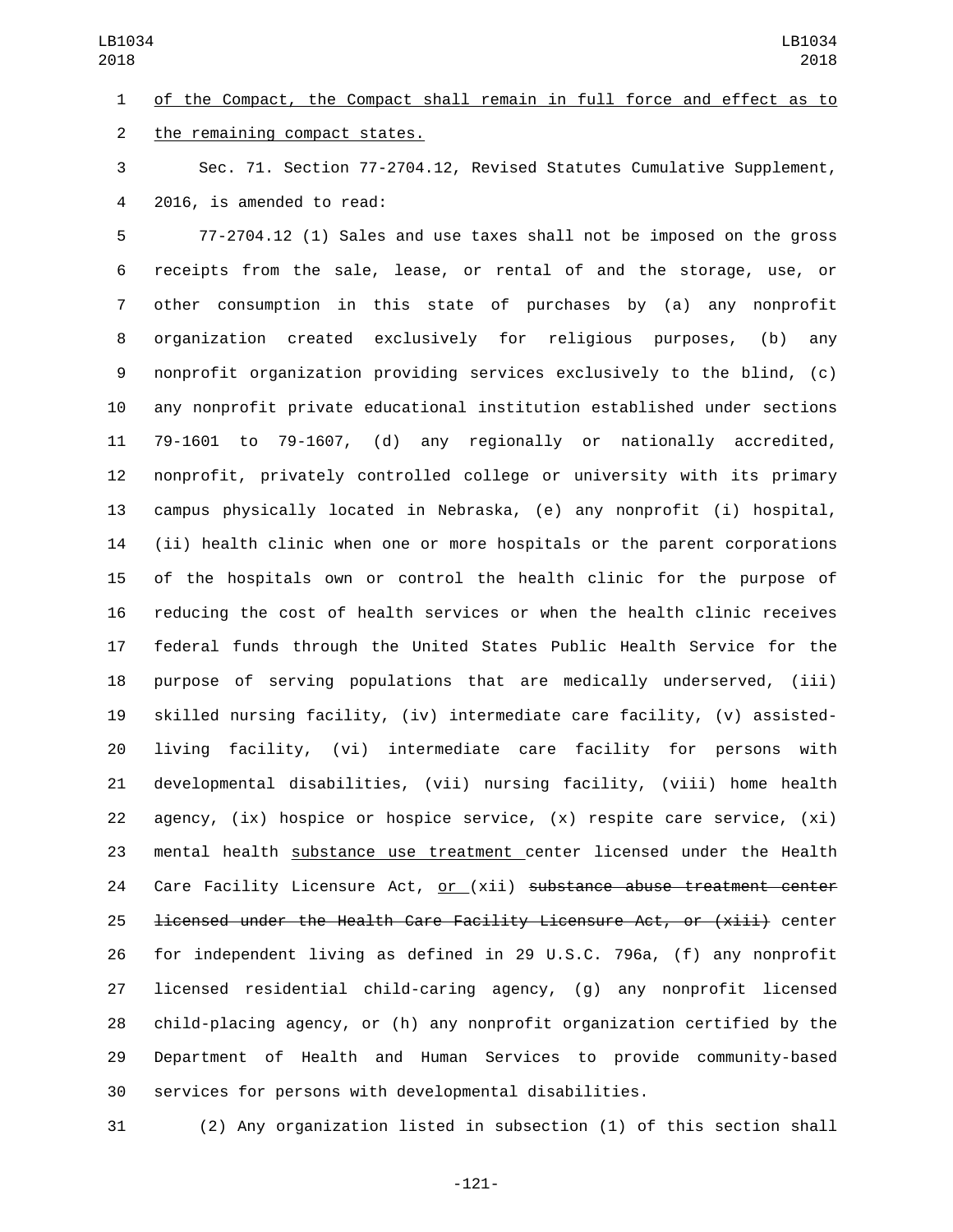of the Compact, the Compact shall remain in full force and effect as to 2 the remaining compact states.

 Sec. 71. Section 77-2704.12, Revised Statutes Cumulative Supplement, 4 2016, is amended to read:

 77-2704.12 (1) Sales and use taxes shall not be imposed on the gross receipts from the sale, lease, or rental of and the storage, use, or other consumption in this state of purchases by (a) any nonprofit organization created exclusively for religious purposes, (b) any nonprofit organization providing services exclusively to the blind, (c) any nonprofit private educational institution established under sections 79-1601 to 79-1607, (d) any regionally or nationally accredited, nonprofit, privately controlled college or university with its primary campus physically located in Nebraska, (e) any nonprofit (i) hospital, (ii) health clinic when one or more hospitals or the parent corporations of the hospitals own or control the health clinic for the purpose of reducing the cost of health services or when the health clinic receives federal funds through the United States Public Health Service for the purpose of serving populations that are medically underserved, (iii) skilled nursing facility, (iv) intermediate care facility, (v) assisted- living facility, (vi) intermediate care facility for persons with developmental disabilities, (vii) nursing facility, (viii) home health 22 agency,  $(ix)$  hospice or hospice service,  $(x)$  respite care service,  $(xi)$  mental health substance use treatment center licensed under the Health Care Facility Licensure Act, or (xii) substance abuse treatment center licensed under the Health Care Facility Licensure Act, or (xiii) center for independent living as defined in 29 U.S.C. 796a, (f) any nonprofit licensed residential child-caring agency, (g) any nonprofit licensed child-placing agency, or (h) any nonprofit organization certified by the Department of Health and Human Services to provide community-based services for persons with developmental disabilities.

(2) Any organization listed in subsection (1) of this section shall

-121-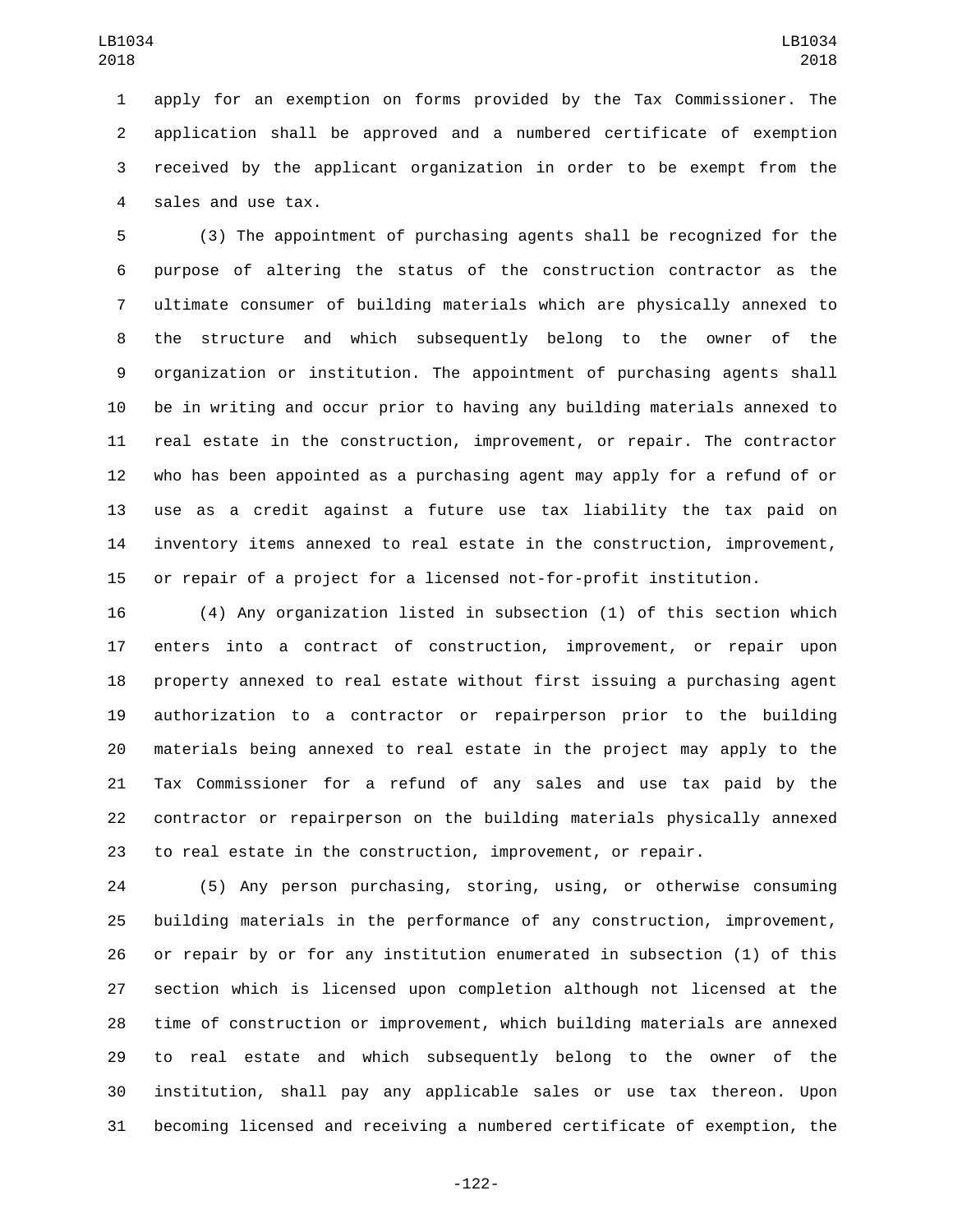apply for an exemption on forms provided by the Tax Commissioner. The application shall be approved and a numbered certificate of exemption received by the applicant organization in order to be exempt from the 4 sales and use tax.

 (3) The appointment of purchasing agents shall be recognized for the purpose of altering the status of the construction contractor as the ultimate consumer of building materials which are physically annexed to the structure and which subsequently belong to the owner of the organization or institution. The appointment of purchasing agents shall be in writing and occur prior to having any building materials annexed to real estate in the construction, improvement, or repair. The contractor who has been appointed as a purchasing agent may apply for a refund of or use as a credit against a future use tax liability the tax paid on inventory items annexed to real estate in the construction, improvement, or repair of a project for a licensed not-for-profit institution.

 (4) Any organization listed in subsection (1) of this section which enters into a contract of construction, improvement, or repair upon property annexed to real estate without first issuing a purchasing agent authorization to a contractor or repairperson prior to the building materials being annexed to real estate in the project may apply to the Tax Commissioner for a refund of any sales and use tax paid by the contractor or repairperson on the building materials physically annexed to real estate in the construction, improvement, or repair.

 (5) Any person purchasing, storing, using, or otherwise consuming building materials in the performance of any construction, improvement, or repair by or for any institution enumerated in subsection (1) of this section which is licensed upon completion although not licensed at the time of construction or improvement, which building materials are annexed to real estate and which subsequently belong to the owner of the institution, shall pay any applicable sales or use tax thereon. Upon becoming licensed and receiving a numbered certificate of exemption, the

-122-